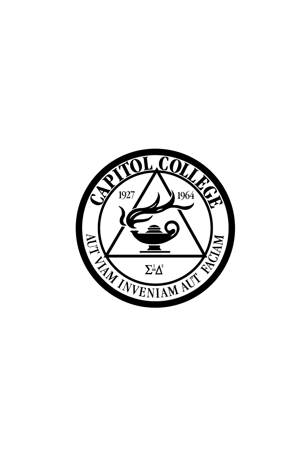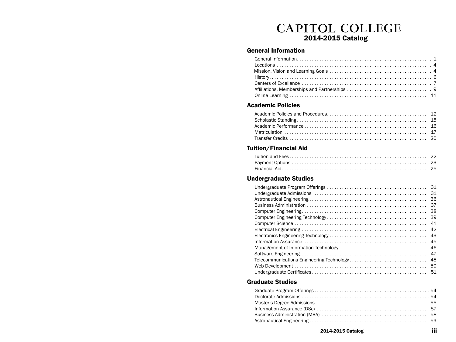# CAPITOL COLLEGE<br>2014-2015 Catalog

# General Information

# Academic Policies

# Tuition/Financial Aid

# Undergraduate Studies

# Graduate Studies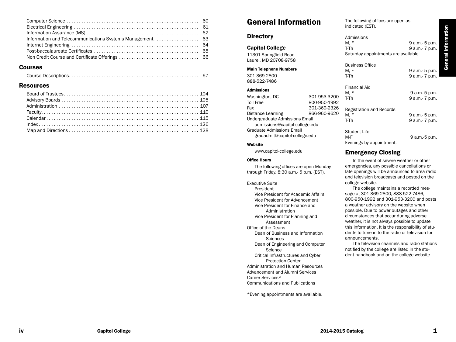### Courses

|--|--|

### Resources

# General Information

# **Directory**

Capitol College 11301 Springfield Road Laurel, MD 20708-9758

Main Telephone Numbers 301-369-2800 888-522-7486

#### Admissions

Washington, DC 301-953-3200 Toll Free 800-950-1992 Fax 301-369-2326 Distance Learning 866-960-9620 Undergraduate Admissions Email admissions@capitol-college.edu Graduate Admissions Email gradadmit@capitol-college.edu

#### Website

www.capitol-college.edu

#### Office Hours

The following offices are open Monday through Friday, 8:30 a.m.- 5 p.m. (EST).

#### Executive Suite

President Vice President for Academic Affairs Vice President for Advancement Vice President for Finance and Administration Vice President for Planning and Assessment Office of the Deans Dean of Business and Information **Sciences** Dean of Engineering and Computer **Science** Critical Infrastructures and Cyber Protection Center Administration and Human Resources Advancement and Alumni Services Career Services\* Communications and Publications

\*Evening appointments are available.

The following offices are open as indicated (EST).

Financial Aid

| Admissions                           |                 |
|--------------------------------------|-----------------|
| M. F                                 | 9 a.m. - 5 p.m. |
| T-Th                                 | 9 a.m.- 7 p.m.  |
| Saturday appointments are available. |                 |
| <b>Business Office</b>               |                 |
| M. F                                 | 9 a.m.- 5 p.m.  |
| T-Th                                 | 9 a.m.- 7 p.m.  |
|                                      |                 |

| Financial Ald<br>M. F<br>T-Th                   | 9 a.m.-5 p.m.<br>9 a.m.- 7 p.m.  |
|-------------------------------------------------|----------------------------------|
| <b>Registration and Records</b><br>M. F<br>T-Th | 9 a.m.- 5 p.m.<br>9 a.m.- 7 p.m. |
| Student Life<br>M-F<br>Evenings by appointment. | 9 a.m.-5 p.m.                    |

# Emergency Closing

In the event of severe weather or other emergencies, any possible cancellations or late openings will be announced to area radio and television broadcasts and posted on the college website.

The college maintains a recorded message at 301-369-2800, 888-522-7486, 800-950-1992 and 301-953-3200 and posts a weather advisory on the website when possible. Due to power outages and other circumstances that occur during adverse weather, it is not always possible to update this information. It is the responsibility of students to tune in to the radio or television for announcements.

The television channels and radio stations notified by the college are listed in the student handbook and on the college website.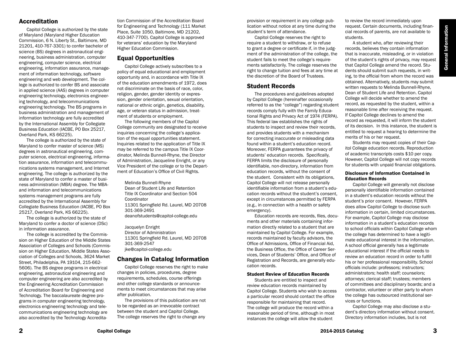# **General Information** General Information

# Accreditation

Capitol College is authorized by the state of Maryland (Maryland Higher Education Commission, 6 N. Liberty St., Baltimore, MD 21201, 410-767-3301) to confer bachelor of science (BS) degrees in astronautical engineering, business administration, computer engineering, computer science, electrical engineering, information assurance, management of information technology, software engineering and web development. The college is authorized to confer BS and associate in applied science (AAS) degrees in computer engineering technology, electronics engineering technology, and telecommunications engineering technology. The BS programs in business administration and management of information technology are fully accredited by the International Assembly for Collegiate Business Education (IACBE, PO Box 25217, Overland Park, KS 66225).

The college is authorized by the state of Maryland to confer master of science (MS) degrees in astronautical engineering, computer science, electrical engineering, information assurance, information and telecommunications systems management, and Internet engineering. The college is authorized by the state of Maryland to confer a master of business administration (MBA) degree. The MBAand information and telecommunications systems management programs are fully accredited by the International Assembly for Collegiate Business Education (IACBE, PO Box 25217, Overland Park, KS 66225).

The college is authorized by the state of Maryland to confer a doctor of science (DSc) in information assurance.

The college is accredited by the Commission on Higher Education of the Middle States Association of Colleges and Schools (Commission on Higher Education, Middle States Association of Colleges and Schools, 3624 Market Street, Philadelphia, PA 19104, 215-662- 5606). The BS degree programs in electrical engineering, astronautical engineering and computer engineering are also accredited by the Engineering Accreditation Commission of Accreditation Board for Engineering and Technology. The baccalaureate degree programs in computer engineering technology, electronics engineering technology and telecommunications engineering technology are also accredited by the Technology Accreditation Commission of the Accreditation Board for Engineering and Technology (111 Market Place, Suite 1050, Baltimore, MD 21202, 410-347-7700). Capitol College is approved for veterans' education by the Maryland Higher Education Commission.

# Equal Opportunities

Capitol College actively subscribes to a policy of equal educational and employment opportunity and, in accordance with Title IX of the education amendments of 1972, does not discriminate on the basis of race, color, religion, gender, gender identity or expression, gender orientation, sexual orientation, national or ethnic origin, genetics, disability, age, or veteran status in admission, treatment of students or employment.

The following members of the Capitol College community are designated to receive inquiries concerning the college's application of the equal opportunities statement. Inquiries related to the application of Title IX may be referred to the campus Title IX Coordinator, Melinda Bunnell-Rhyne, the Director of Administration, Jacqueline Enright, or any Vice President of the college or to the Department of Education's Office of Civil Rights.

Melinda Bunnell-Rhyne Dean of Student Life and Retention Title IX Coordinator and Section 504 Coordinator 11301 Springfield Rd. Laurel, MD 20708 301-369-2491 deanofstudents@capitol-college.edu

Jacquelyn Enright Director of Administration 11301 Springfield Rd. Laurel, MD 20708 301-369-2547 jke@capitol-college.edu

# Changes in Catalog Information

Capitol College reserves the right to make changes in policies, procedures, degree requirements, schedules, course offerings and other college standards or announcements to meet circumstances that may arise after publication.

The provisions of this publication are not to be regarded as an irrevocable contract between the student and Capitol College. The college reserves the right to change any

provision or requirement in any college publication without notice at any time during the student's term of attendance.

Capitol College reserves the right to require a student to withdraw, or to refuse to grant a degree or certificate if, in the judgment of the administration of the college, the student fails to meet the college's requirements satisfactorily. The college reserves the right to change tuition and fees at any time at the discretion of the Board of Trustees.

### Student Records

The procedures and guidelines adopted by Capitol College (hereinafter occasionally referred to as the "college") regarding student records comply fully with the Family Educational Rights and Privacy Act of 1974 (FERPA). This federal law establishes the rights of students to inspect and review their records, and provides students with a mechanism for correcting inaccurate or misleading data found within a student's education record. Moreover, FERPA guarantees the privacy of students' education records. Specifically, FERPA limits the disclosure of personally identifiable, non-directory, information from education records, without the consent of the student. Consistent with its obligations, Capitol College will not release personally identifiable information from a student's education records without the student's consent, except in circumstances permitted by FERPA (e.g., in connection with a health or safety emergency).

Education records are records, files, documents and other materials containing information directly related to a student that are maintained by Capitol College. For example, records maintained by faculty advisors, the Office of Admissions, Office of Financial Aid, the Business Office, the Office of Career Services, Dean of Students' Office, and Office of Registration and Records, are generally education records.

#### Student Review of Education Records

Students are entitled to inspect and review education records maintained by Capitol College. Students who wish to access a particular record should contact the office responsible for maintaining that record. The college will produce the record within a reasonable period of time, although in most instances the college will allow the student

to review the record immediately upon request. Certain documents, including financial records of parents, are not available to students.

A student who, after reviewing their records, believes they contain information that is inaccurate, misleading, or in violation of the student's rights of privacy, may request that Capitol College amend the record. Students should submit such requests, in writing, to the official from whom the record was obtained. Alternatively, students may submit written requests to Melinda Bunnell-Rhyne, Dean of Student Life and Retention. Capitol College will decide whether to amend the record, as requested by the student, within a reasonable time after receiving the request. If Capitol College declines to amend the record as requested, it will inform the student of its decision. In this instance, the student is entitled to request a hearing to determine the merits of his or her request.

Students may request copies of their Capitol College education records. Reproduction of academic transcripts costs \$10 per copy. However, Capitol College will not copy records for students with unpaid financial obligations.

#### Disclosure of Information Contained in Education Records

Capitol College will generally not disclose personally identifiable information contained in a student's education records without the student's prior consent. However, FERPA does allow Capitol College to disclose such information in certain, limited circumstances. For example, Capitol College may disclose information in a student's education records to school officials within Capitol College whom the college has determined to have a legitimate educational interest in the information. A school official generally has a legitimate educational interest if the official needs to review an education record in order to fulfill his or her professional responsibility. School officials include: professors; instructors; administrators; health staff; counselors; attorneys; clerical staff; trustees; members of committees and disciplinary boards; and a contractor, volunteer or other party to whom the college has outsourced institutional services or functions.

Capitol College may also disclose a student's directory information without consent. Directory information includes, but is not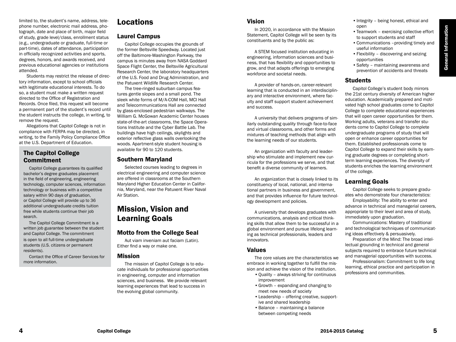# •Teamwork – exercising collective effort •Communications –providing timely and

opportunities •Safety – maintaining awareness and prevention of accidents and threats

•Integrity – being honest, ethical and

•Flexibility – discovering and seizing

to support students and staff

useful information

# Students

open

Capitol College's student body mirrors the 21st century diversity of American higher education. Academically prepared and motivated high school graduates come to Capitol College to complete educational experiences that will open career opportunities for them. Working adults, veterans and transfer students come to Capitol College to complete undergraduate programs of study that will open or enhance career opportunities for them. Established professionals come to Capitol College to expand their skills by earning graduate degrees or completing shortterm learning experiences. The diversity of students enriches the learning environment of the college.

# Learning Goals

Capitol College seeks to prepare graduates who demonstrate four characteristics:

Employability: The ability to enter and advance in technical and managerial careers, appropriate to their level and area of study, immediately upon graduation.

Communications: Mastery of traditional and technological techniques of communicating ideas effectively & persuasively.

Preparation of the Mind: The broad intellectual grounding in technical and general subjects required to embrace future technical and managerial opportunities with success.

Professionalism: Commitment to life long learning, ethical practice and participation in professions and communities.

# Locations

limited to, the student's name, address, telephone number, electronic mail address, photograph, date and place of birth, major field of study, grade level/class, enrollment status (e.g., undergraduate or graduate, full-time or part-time), dates of attendance, participation in officially recognized activities and sports, degrees, honors, and awards received, and previous educational agencies or institutions

Students may restrict the release of directory information, except to school officials with legitimate educational interests. To do so, a student must make a written request directed to the Office of Registration and Records. Once filed, this request will become a permanent part of the student's record until the student instructs the college, in writing, to

Allegations that Capitol College is not in compliance with FERPA may be directed, in writing, to the Family Policy Compliance Office

 Capitol College guarantees its qualified bachelor's degree graduates placement in the field of engineering, engineering technology, computer sciences, information technology or business with a competitive salary within 90 days of graduation, or Capitol College will provide up to 36 additional undergraduate credits tuition free while students continue their job

 The Capitol College Commitment is a written job guarantee between the student and Capitol College. The commitment is open to all full-time undergraduate students (U.S. citizens or permanent

Contact the Office of Career Services for

at the U.S. Department of Education.

The Capitol College

**Commitment** 

search.

residents).

more information.

attended.

remove the request.

### Laurel Campus

Capitol College occupies the grounds of the former Beltsville Speedway. Located just off the Baltimore-Washington Parkway, the campus is minutes away from NASA Goddard Space Flight Center, the Beltsville Agricultural Research Center, the laboratory headquarters of the U.S. Food and Drug Administration, and the Patuxent Wildlife Research Center.

Vision

and success.

In 2020, in accordance with the Mission Statement, Capitol College will be seen by its

A STEM focused institution educating in engineering, information sciences and business, that has flexibility and opportunities to grow, and that adapts offerings to emerging

A provider of hands-on, career-relevant learning that is conducted in an interdisciplinary and interactive environment, where faculty and staff support student achievement

A university that delivers programs of similarly outstanding quality through face-to-face and virtual classrooms, and other forms and mixtures of teaching methods that align with

An organization with faculty and leadership who stimulate and implement new curricula for the professions we serve, and that benefit a diverse community of learners.

An organization that is closely linked to its constituency of local, national, and international partners in business and government, and that provides influence for future technol-

A university that develops graduates with communications, analysis and critical thinking skills that allow them to be successful in a global environment and pursue lifelong learning as technical professionals, leaders and

The core values are the characteristics we embrace in working together to fulfill the mission and achieve the vision of the institution. •Quality – always striving for continuous

•Growth – expanding and changing to

•Leadership – offering creative, support-

meet new needs of society

ive and shared leadership •Balance – maintaining a balance between competing needs

constituents and by the public as:

workforce and societal needs.

the learning needs of our students.

ogy development and policies.

improvement

innovators. Values

The tree-ringed suburban campus features gentle slopes and a small pond. The sleek white forms of M/A-COM Hall, MCI Hall and Telecommunications Hall are connected by glass-enclosed pedestrian walkways. The William G. McGowan Academic Center houses state-of-the-art classrooms, the Space Operations Institute and the Cyber Battle Lab. The buildings have high ceilings, skylights and exterior reflective glass walls overlooking the woods. Apartment-style student housing is available for 90 to 120 students.

# Southern Maryland

Selected courses leading to degrees in electrical engineering and computer science are offered in classrooms at the Southern Maryland Higher Education Center in California, Maryland, near the Patuxent River Naval Air Station.

# Mission, Vision and Learning Goals

# Motto from the College Seal

Aut viam inveniam aut faciam (Latin). Either find a way or make one.

### Mission

The mission of Capitol College is to educate individuals for professional opportunities in engineering, computer and information sciences, and business. We provide relevant learning experiences that lead to success in the evolving global community.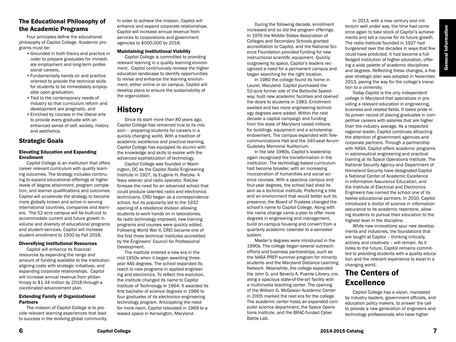# The Educational Philosophy of the Academic Programs

Four principles define the educational philosophy of Capitol College. Academic programs must be:

- •Grounded in both theory and practice in order to prepare graduates for immediate employment and long-term professional careers,
- •Fundamentally hands on and practice oriented to provide the technical skills for students to be immediately employable upon graduation,
- •Tied to the contemporary needs of industry so that curriculum reform and development are pragmatic, and
- •Enriched by courses in the liberal arts to provide every graduate with an enhanced sense of self, society, history and aesthetics.

# Strategic Goals

#### Elevating Education and Expanding Enrollment

Capitol College is an institution that offers career relevant curriculum with quality learning outcomes. The strategy includes continuing to expand educational offerings at higher levels of degree attainment, program completion, and learner qualifications and outcomes. Capitol will accelerate the strategy to become more globally known and active in serving international countries, companies and learners. The 52-acre campus will be built-out to accommodate current and future growth in volume and diversity of educational programs and student services. Capitol will increase student enrollment to 1500 by Fall 2018.

#### Diversifying Institutional Resources

Capitol will enhance its financial resources by expanding the range and amount of funding available to the institution, aligning costs with strategic initiatives, and expanding corporate relationships. Capitol will increase annual revenue from philanthropy to \$1.34 million by 2018 through a coordinated advancement plan.

#### Extending Family of Organizational Partners

The mission of Capitol College is to provide relevant learning experiences that lead to success in the evolving global community. In order to achieve the mission, Capitol will enhance and expand corporate relationships. Capitol will increase annual revenue from services to corporations and government agencies to \$500,000 by 2018.

#### Maintaining Institutional Viability

Capitol College is committed to providing relevant learning in a quality learning environment. Capitol continuously reviews the higher education landscape to identify opportunities to revise and enhance the learning environment, either online or on campus. Capitol will develop plans to ensure the sustainability of the organization.

# **History**

Since its start more than 80 years ago, Capitol College has remained true to its mission – preparing students for careers in a quickly changing world. With a tradition of academic excellence and practical learning, Capitol College has equipped its alumni with the knowledge and skills to evolve with the advanced sophistication of technology.

Capitol College was founded in Washington, DC as the Capitol Radio Engineering Institute in 1927, by Eugene H. Rietzke. A Navy veteran and radio operator, Rietzke foresaw the need for an advanced school that could produce talented radio and electronics technicians. CREI began as a correspondence school, but its popularity led to the 1932 opening of a residence division allowing students to work hands on in laboratories. As radio technology improved, new training programs and courses were quickly added. Following World War II, CREI became one of the first three technical institutes accredited by the Engineers' Council for Professional Development.

The institute entered a new era in the mid-1950s when it began awarding threeyear AAS degrees. The school expanded its reach to new programs in applied engineering and electronics. To reflect this evolution, the institute changed its name to Capitol Institute of Technology in 1964. It awarded its first bachelor of science degrees in 1966 to four graduates of its electronics engineering technology program. Anticipating the need for more room, Capitol relocated in 1969 to a leased space in Kensington, Maryland.

During the following decade, enrollment increased and so did the program offerings. In 1976 the Middle States Association of Colleges and Secondary Schools granted accreditation to Capitol, and the National Science Foundation provided funding for new instructional scientific equipment. Quickly outgrowing its space, Capitol's leaders recognized a need for a permanent campus and began searching for the right location.

In 1980 the college found its home in Laurel, Maryland. Capitol purchased the 52-acre former site of the Beltsville Speedway, built new academic facilities and opened the doors to students in 1983. Enrollment swelled and two more engineering technology degrees were added. Within the next decade a capital campaign and funding from the state of Maryland raised millions for buildings, equipment and a scholarship endowment. The campus expanded with Telecommunications Hall and the 340-seat Avrum Gudelsky Memorial Auditorium.

In the late 1980s, Capitol's leadership again recognized the transformation in the institution. The technology-based curriculum had become broader, with an increasing incorporation of humanities and social science courses. With a spacious campus and four-year degrees, the school had shed its skin as a technical institute. Preferring a title and an environment that would better suit its presence, the Board of Trustees changed the school's name to Capitol College. Along with the name change came a plan to offer more degrees in engineering and management, build on-campus housing and convert from a quarterly academic calendar to a semester system.

Master's degrees were introduced in the 1990s. The college began several outreach efforts and business partnerships, such as the NASA PREP summer program for minority students and the Maryland Distance Learning Network. Meanwhile, the college expanded the John G. and Beverly A. Puente Library, creating a spacious state-of-the-art facility with a multimedia teaching center. The opening of the William G. McGowan Academic Center in 2005 marked the next era for the college. The academic center hosts an expanded computer science department, the Space Operations Institute, and the BRAC-funded Cyber Battle Lab.

In 2013, with a new century and millenium well under way, the time had come once again to take stock of Capitol's achievements and set a course for its future growth. The radio institute founded in 1927 had burgeoned over the decades in ways that few could have predicted. It had become a fullfledged institution of higher education, offering a wide palette of academic disciplines and degrees. Reflecting these changes, a fiveyear strategic plan was adopted in November 2013, paving the way for the college's transition to a university.

Today Capitol is the only independent college in Maryland that specializes in providing a relevant education in engineering, business and related fields. It takes pride in its proven record of placing graduates in competitive careers with salaries that are higher than the industry average. As a respected regional leader, Capitol continues attracting the attention of government agencies and corporate partners. Through a partnership with NASA, Capitol offers academic programs in astronautical engineering and practical training at its Space Operations Institute. The National Security Agency and Department of Homeland Security have designated Capitol a National Center of Academic Excellence in Information Assurance Education, and the Institute of Electrical and Electronics Engineers has named the school one of its twelve educational partners. In 2010, Capitol introduced a doctor of science in information assurance to its academic repertoire, allowing students to pursue their education to the highest level in the discipline.

While new innovations spur new developments and industries, the foundations that are taught at Capitol – thinking critically, actively and creatively – will remain. As it looks to the future, Capitol remains committed to providing students with a quality education and the relevant experience to excel in a changing world.

# The Centers of **Excellence**

Capitol College has a vision, mandated by industry leaders, government officials, and education policy makers, to answer the call to provide a new generation of engineers and technology professionals who have higher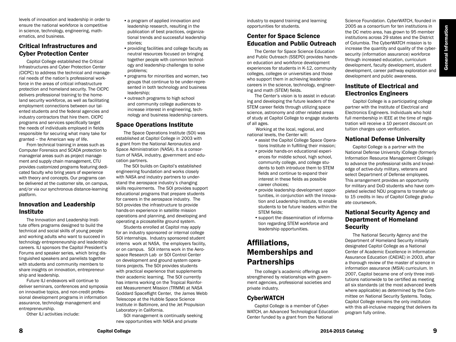levels of innovation and leadership in order to ensure the national workforce is competitive in science, technology, engineering, mathematics, and business.

# Critical Infrastructures and Cyber Protection Center

Capitol College established the Critical Infrastructures and Cyber Protection Center (CICPC) to address the technical and managerial needs of the nation's professional workforce in the areas of critical infrastructure protection and homeland security. The CICPC delivers professional training to the homeland security workforce, as well as facilitating employment connections between our talented students and the federal agencies and industry contractors that hire them. CICPC programs and services specifically target the needs of individuals employed in fields responsible for securing what many take for granted – the American way of life.

From technical training in areas such as Computer Forensics and SCADA protection to managerial areas such as project management and supply chain management, CTU provides customized programs featuring dedicated faculty who bring years of experience with theory and concepts. Our programs can be delivered at the customer site, on campus, and/or via our synchronous distance-learning platform.

# Innovation and Leadership Institute

The Innovation and Leadership Institute offers programs designed to build the technical and social skills of young people and working adults who want to succeed in technology entrepreneurship and leadership careers. ILI sponsors the Capitol President's Forums and speaker series, which bring distinguished speakers and panelists together with students and community members to share insights on innovation, entrepreneurship and leadership.

Future ILI endeavors will continue to deliver seminars, conferences and symposia on innovative topics, and non-credit professional development programs in information assurance, technology management and entrepreneurship.

Other ILI activities include:

- a program of applied innovation and leadership research, resulting in the publication of best practices, organizational trends and successful leadership stories;
- •providing facilities and college faculty as neutral resources focused on bringing together people with common technology and leadership challenges to solve problems;
- •programs for minorities and women, two groups that continue to be under-represented in both technology and business leadership;
- outreach programs to high school and community college audiences to increase interest in engineering, technology and business leadership careers.

## Space Operations Institute

The Space Operations Institute (SOI) was established at Capitol College in 2003 with a grant from the National Aeronautics and Space Administration (NASA). It is a consortium of NASA, industry, government and education partners.

The SOI builds on Capitol's established engineering foundation and works closely with NASA and industry partners to understand the aerospace industry's changing skills requirements. The SOI provides support educational programs that prepare students for careers in the aerospace industry. The SOI provides the infrastructure to provide hands-on experience in satellite mission operations and planning, and developing and operating a picosatellite ground system.

Students enrolled at Capitol may apply for an industry sponsored or internal college SOI internships. Industry sponsored student interns work at NASA, the employers facility, or on campus. SOI interns work in the Aerospace Research Lab or SOI Control Center on development and ground system operations projects. The SOI provides students with practical experience that supplements their academic learning. The SOI currently has interns working on the Tropical Rainforest Measurement Mission (TRMM) at NASA Goddard Spaceflight Center, the James Webb Telescope at the Hubble Space Science Institute in Baltimore, and the Jet Propulsion Laboratory in California.

SOI management is continually seeking new opportunities with NASA and private

industry to expand training and learning opportunities for students.

# Center for Space Science Education and Public Outreach

The Center for Space Science Education and Public Outreach (SSEPO) provides handson education and workforce development experiences for students in K-12, community colleges, colleges or universities and those who support them in achieving leadership careers in the science, technology, engineering and math (STEM) fields.

The Center's vision is to assist in educating and developing the future leaders of the STEM career fields through utilizing space science, astronomy and other related areas of study at Capitol College to engage students of all ages.

 Working at the local, regional, and national levels, the Center will:

- •assist the Capitol College Space Operations Institute in fulfilling their mission;
- •provide hands-on educational experiences for middle school, high school, community college, and college students to both introduce them to STEM fields and continue to expand their interest in these fields as possible career choices;
- •provide leadership development opportunities, in conjunction with the Innovation and Leadership Institute, to enable students to be future leaders within the STEM fields:
- •support the dissemination of information regarding STEM workforce and leadership opportunities.

# Affiliations, Memberships and Partnerships

The college's academic offerings are strengthened by relationships with government agencies, professional societies and private industry.

# **CyberWATCH**

Capitol College is a member of Cyber-WATCH, an Advanced Technological Education Center funded by a grant from the National

Science Foundation. CyberWATCH, founded in 2005 as a consortium for ten institutions in the DC metro area, has grown to 95 member institutions across 29 states and the District of Columbia. The CyberWATCH mission is to increase the quantity and quality of the cybersecurity (information assurance) workforce through increased education, curriculum development, faculty development, student development, career pathway exploration and development and public awareness.

# Institute of Electrical and Electronics Engineers

Capitol College is a participating college partner with the Institute of Electrical and Electronics Engineers. Individuals who hold full membership in IEEE at the time of registration will receive a 10 percent discount on tuition charges upon verification.

### National Defense University

Capitol College is a partner with the National Defense University iCollege (formerly Information Resource Management College) to advance the professional skills and knowledge of active-duty military, veterans and select Department of Defense employees. This arrangement provides an opportunity for military and DoD students who have completed selected NDU programs to transfer up to 15 credits in lieu of Capitol College graduate coursework.

# National Security Agency and Department of Homeland **Security**

The National Security Agency and the Department of Homeland Security initially designated Capitol College as a National Center of Academic Excellence in Information Assurance Education (CAEIAE) in 2003, after a thorough review of the master of science in information assurance (MSIA) curriculum. In 2007, Capitol became one of only three institutions nationwide to be certified as meeting all six standards (at the most advanced levels where applicable) as determined by the Committee on National Security Systems. Today, Capitol College remains the only institution with this all-inclusive mapping that delivers its program fully online.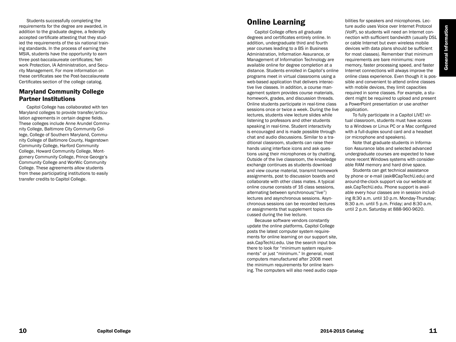Students successfully completing the requirements for the degree are awarded, in addition to the graduate degree, a federally accepted certificate attesting that they stud ied the requirements of the six national train ing standards. In the process of earning the MSIA, students have the opportunity to earn three post-baccalaureate certificates; Net work Protection, IA Administration, and Secu rity Management. For more information on these certificates see the Post-baccalaureate Certificates section of the college catalog.

# Maryland Community College Partner Institutions

Capitol College has collaborated with ten Maryland colleges to provide transfer/articu lation agreements in certain degree fields. These colleges include Anne Arundel Commu nity College, Baltimore City Community Col lege, College of Southern Maryland, Commu nity College of Baltimore County, Hagerstown Community College, Harford Community College, Howard Community College, Mont gomery Community College, Prince George's Community College and WorWic Community College. These agreements allow students from these participating institutions to easily transfer credits to Capitol College.

# Online Learning

Capitol College offers all graduate degrees and certificates entirely online. In addition, undergraduate third and fourth year courses leading to a BS in Business Administration, Information Assurance, or Management of Information Technology are available online for degree completion at a distance. Students enrolled in Capitol's online programs meet in virtual classrooms using a web-based application that delivers interac tive live classes. In addition, a course man agement system provides course materials, homework, grades, and discussion threads. Online students participate in real-time class sessions once or twice a week. During the live lectures, students view lecture slides while listening to professors and other students speaking in real-time. Student interactivity is encouraged and is made possible through chat and audio discussions. Similar to a tra ditional classroom, students can raise their hands using interface icons and ask ques tions using their microphones or by chatting. Outside of the live classroom, the knowledge exchange continues as students download and view course material, transmit homework assignments, post to discussion boards and collaborate with other class mates. A typical online course consists of 16 class sessions, alternating between synchronous("live") lectures and asynchronous sessions. Asyn chronous sessions can be recorded lectures or assignments that supplement topics dis cussed during the live lecture.

Because software vendors constantly update the online platforms, Capitol College posts the latest computer system require ments for online learning on our support site, ask.CapTechU.edu. Use the search input box there to look for "minimum system require ments" or just "minimum." In general, most computers manufactured after 2008 meet the minimum requirements for online learn ing. The computers will also need audio capa -

bilities for speakers and microphones. Lec ture audio uses Voice over Internet Protocol (VoIP), so students will need an Internet con nection with sufficient bandwidth (usually DSL or cable Internet but even wireless mobile devices with data plans should be sufficient for most classes). Remember that minimum requirements are bare minimums: more memory, faster processing speed, and faster Internet connections will always improve the online class experience. Even though it is pos sible and convenient to attend online classes with mobile devices, they limit capacities required in some classes. For example, a stu dent might be required to upload and present a PowerPoint presentation or use another application.

To fully participate in a Capitol LIVE! virtual classroom, students must have access to a Windows or Linux PC or a Mac configured with a full-duplex sound card and a headset (or microphone and speakers).

Note that graduate students in Informa tion Assurance labs and selected advanced undergraduate courses are expected to have more recent Windows systems with considerable RAM memory and hard drive space.

Students can get technical assistance by phone or e-mail (ask@CapTechU.edu) and around-the-clock support via our website at ask.CapTechU.edu. Phone support is avail able every hour classes are in session includ ing 8:30 a.m. until 10 p.m. Monday-Thursday; 8:30 a.m. until 5 p.m. Friday; and 8:30 a.m. until 2 p.m. Saturday at 888-960-9620.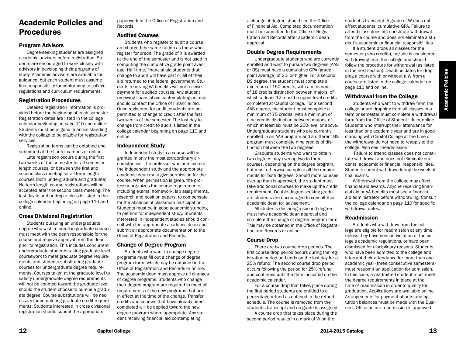# Academic Policies and Procedures

### Program Advisors

Degree-seeking students are assigned academic advisors before registration. Students are encouraged to work closely with advisors in developing their programs of study. Academic advisors are available for guidance, but each student must assume final responsibility for conforming to college regulations and curriculum requirements.

#### Registration Procedures

Detailed registration information is provided before the beginning of each semester. Registration dates are listed in the college calendar beginning on page 110 and online. Students must be in good financial standing with the college to be eligible for registration services.

Registration forms can be obtained and submitted at the Laurel campus or online.

Late registration occurs during the first two weeks of the semester for all semesterlength courses, or between the first and second class meeting for all term-length courses (both undergraduate and graduate). No term-length course registrations will be accepted after the second class meeting. The last day to add or drop a class is listed in the college calendar beginning on page 110 and online.

### Cross Divisional Registration

Students pursuing an undergraduate degree who wish to enroll in graduate courses must meet with the dean responsible for the course and receive approval from the dean prior to registration. This includes concurrent undergraduate students taking graduate level coursework to meet graduate degree requirements and students substituting graduate courses for undergraduate degree requirements. Courses taken at the graduate level to satisfy undergraduate degree requirements will not be counted toward the graduate level should the student choose to pursue a graduate degree. Course substitutions will be necessary for completing graduate credit requirements. Students interested in cross divisional registration should submit the appropriate

paperwork to the Office of Registration and Records.

#### Audited Courses

Students who register to audit a course are charged the same tuition as those who register for credit. The grade of X is awarded at the end of the semester and is not used in computing the cumulative grade point average. Half-time, financial aid students that change to audit will have part or all of their aid returned to the federal government. Students receiving VA benefits will not receive payment for audited courses. Any student receiving financial aid contemplating an audit should contact the Office of Financial Aid. Once registered for audit, students are not permitted to change to credit after the first two weeks of the semester. The last day to change from credit to audit is listed in the college calendar beginning on page 110 and online.

### Independent Study

Independent study in a course will be granted in only the most extraordinary circumstances. The professor who administers the independent study and the appropriate academic dean must give permission for the course. When permission is given, the professor organizes the course requirements, including exams, homework, lab assignments, research and position papers, to compensate for the absence of classroom participation. Students must be in good academic standing to petition for independent study. Students interested in independent studies should consult with the appropriate academic dean and submit all appropriate documentation to the Office of Registration and Records.

### Change of Degree Program

Students who want to change degree programs must fill out a change of degree program form, which may be obtained in the Office of Registration and Records or online. The academic dean must approve all changes of degree programs. Students who change their degree program are required to meet all requirements of the new programs that are in effect at the time of the change. Transfer credits and courses that have already been completed will be applied toward the new degree program where appropriate. Any student receiving financial aid contemplating

a change of degree should see the Office of Financial Aid. Completed documentation must be submitted to the Office of Registration and Records after academic dean approval.

### Double Degree Requirements

Undergraduate students who are currently enrolled and want to pursue two degrees (AAS or BS) must have a cumulative GPA (grade point average) of 2.5 or higher. For a second BS degree, the student must complete a minimum of 150 credits, with a minimum of 18 credits distinction between majors, of which at least 12 must be upper-level credits completed at Capitol College. For a second AAS degree, the student must complete a minimum of 75 credits, with a minimum of nine credits distinction between majors, of which at least six must be 200-level or above. Undergraduate students who are currently enrolled in an AAS program and a different BS program must complete nine credits of distinction between the two degrees.

Graduate students who want to obtain two degrees may overlap two to three courses, depending on the degree program, but must otherwise complete all the requirements for both degrees. Should more courses overlap than is approved, the student must take additional courses to make up the credit requirement. Double-degree-seeking graduate students are encouraged to consult their academic dean for advisement.

All students declaring a second degree must have academic dean approval and complete the change of degree program form. This may be obtained in the Office of Registration and Records or online.

### Course Drop

There are two course drop periods. The first course drop period occurs during the registration period and ends on the last day for a 25% refund. The second course drop period occurs following the period for 25% refund and continues until the date indicated on the academic calendar.

For a course drop that takes place during the first period students are entitled to a percentage refund as outlined in the refund schedule. The course is removed from the student's transcript and no grade is assigned.

A course drop that takes place during the second period results in a mark of W on the

student's transcript. A grade of W does not affect students' cumulative GPA. Failure to attend class does not constitute withdrawal from the course and does not eliminate a student's academic or financial responsibilities.

If a student drops all classes for the semester (zero credits), he/she is considered withdrawing from the college and should follow the procedure for withdrawal (as listed in the next section). Deadline dates for dropping a course with or without a W from a course are listed in the college calendar on page 110 and online.

### Withdrawal from the College

Students who want to withdraw from the college or are dropping from all classes in a term or semester must complete a withdrawal form from the Office of Student Life or online. Students who interrupt their attendance for less than one academic year and are in good standing with Capitol College at the time of the withdrawal do not need to reapply to the college. Also see "Readmission."

 Failure to attend classes does not constitute withdrawal and does not eliminate students' academic or financial responsibilities. Students cannot withdraw during the week of final exams.

Withdrawal from the college may affect financial aid awards. Anyone receiving financial aid or VA benefits must see a financial aid administrator before withdrawing. Consult the college calendar on page 110 for specific withdrawal dates.

#### Readmission

Students who withdraw from the college are eligible for readmission at any time, unless they have been in violation of the college's academic regulations, or have been dismissed for disciplinary reasons. Students who have been admitted to the college and interrupt their attendance for more than one academic year (three consecutive semesters) must resubmit an application for admission. In this case, a readmitted student must meet the degree requirements in place at the time of readmission in order to qualify for graduation. Applications are available online. Arrangements for payment of outstanding tuition balances must be made with the Business Office before readmission is approved.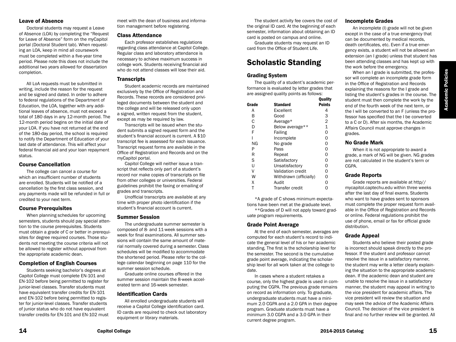### Leave of Absence

Doctoral students may request a Leave of Absence (LOA) by completing the "Request for Leave of Absence" form on the myCapitol portal (Doctoral Student tab). When requesting an LOA, keep in mind all coursework must be completed within a five-year time period. Please note this does not include the additional two years allowed for dissertation completion.

All LoA requests must be submitted in writing, include the reason for the request and be signed and dated. In order to adhere to federal regulations of the Department of Education, the LOA, together with any additional leaves of absence, must not exceed a total of 180 days in any 12-month period. The 12-month period begins on the initial date of your LOA. If you have not returned at the end of the 180-day period, the school is required to notify the Department of Education of your last date of attendance. This will affect your federal financial aid and your loan repayment status.

#### Course Cancellation

The college can cancel a course for which an insufficient number of students are enrolled. Students will be notified of a cancellation by the first class session, and any payments made will be refunded in full or credited to your next term.

### Course Prerequisites

When planning schedules for upcoming semesters, students should pay special attention to the course prerequisites. Students must obtain a grade of C or better in prerequisites for degree required courses. Those students not meeting the course criteria will not be allowed to register without approval from the appropriate academic dean.

### Completion of English Courses

Students seeking bachelor's degrees at Capitol College must complete EN-101 and EN-102 before being permitted to register for junior-level classes. Transfer students must have equivalent transfer credits for EN-101 and EN-102 before being permitted to register for junior-level classes. Transfer students of junior status who do not have equivalent transfer credits for EN-101 and EN-102 must meet with the dean of business and information management before registering.

#### Class Attendance

Each professor establishes regulations regarding class attendance at Capitol College. Regular class and laboratory attendance is necessary to achieve maximum success in college work. Students receiving financial aid who do not attend classes will lose their aid.

### **Transcripts**

Student academic records are maintained exclusively by the Office of Registration and Records. These records are considered privileged documents between the student and the college and will be released only upon a signed, written request from the student, except as may be required by law.

Transcripts will be issued when the student submits a signed request form and the student's financial account is current. A \$10 transcript fee is assessed for each issuance. Transcript request forms are available in the Office of Registration and Records and on the myCapitol portal.

Capitol College will neither issue a transcript that reflects only part of a student's record nor make copies of transcripts on file from other colleges or universities. Federal guidelines prohibit the faxing or emailing of grades and transcripts.

Unofficial transcripts are available at any time with proper photo identification if the student's financial account is current.

#### Summer Session

The undergraduate summer semester is composed of 8- and 11-week sessions with a week for final examinations. All summer sessions will contain the same amount of material normally covered during a semester. Class schedules will be modified to accommodate the shortened period. Please refer to the college calendar beginning on page 110 for the summer session schedule.

Graduate online courses offered in the summer session maintain the 8-week accelerated term and 16-week semester.

### Identification Cards

All enrolled undergraduate students will receive a Capitol College identification card. ID cards are required to check out laboratory equipment or library materials.

The student activity fee covers the cost of the original ID card. At the beginning of each semester, information about obtaining an ID card is posted on campus and online.

Graduate students may request an ID card from the Office of Student Life.

# Scholastic Standing

### Grading System

The quality of a student's academic performance is evaluated by letter grades that are assigned quality points as follows:<br>Ouality

|                          | Quality        |
|--------------------------|----------------|
| Standard                 | <b>Points</b>  |
| Excellent                | 4              |
| Good                     | 3              |
| Average*                 | $\overline{2}$ |
| Below average**          | 1              |
| Failing                  | $\Omega$       |
| Incomplete               | O              |
| No grade                 | 0              |
| Pass                     | O              |
| Repeat                   | ი              |
| Satisfactory             | ი              |
| Unsatisfactory           | ი              |
| <b>Validation credit</b> | O              |
| Withdrawn (officially)   | O              |
| Audit                    | ი              |
| Transfer credit          |                |
|                          |                |

\*A grade of C shows minimum expectations have been met at the graduate level.

\*\*Grades of D will not apply toward graduate program requirements.

### Grade Point Average

At the end of each semester, averages are computed for each student's record to indicate the general level of his or her academic standing. The first is the scholarship level for the semester. The second is the cumulative grade point average, indicating the scholarship level for all work taken at the college to date.

In cases where a student retakes a course, only the highest grade is used in computing the CGPA. The previous grade remains on record as information only. To graduate, undergraduate students must have a minimum 2.0 CGPA and a 2.0 GPA in their degree program. Graduate students must have a minimum 3.0 CGPA and a 3.0 GPA in their current degree program.

### Incomplete Grades

An incomplete (I) grade will not be given except in the case of a true emergency that can be documented by medical records, death certificates, etc. Even if a true emergency exists, a student will not be allowed an extension (an I grade) unless that student has been attending classes and has kept up with the work before the emergency.

When an I grade is submitted, the professor will complete an incomplete grade form in the Office of Registration and Records explaining the reasons for the I grade and listing the student's grades in the course. The student must then complete the work by the end of the fourth week of the next term, or the I will be converted to an F (unless the professor has specified that the I be converted to a C or D). After six months, the Academic Affairs Council must approve changes in grades.

### No Grade Mark

When it is not appropriate to award a grade, a mark of NG will be given. NG grades are not calculated in the student's term or CGPA.

### Grade Reports

Grade reports are available at http// mycapitol.captechu.edu within three weeks after the last day of final exams. Students who want to have grades sent to sponsors must complete the proper request form available in the Office of Registration and Records or online. Federal regulations prohibit the use of phone, email or fax for official grade distribution.

### Grade Appeal

Students who believe their posted grade is incorrect should speak directly to the professor. If the student and professor cannot resolve the issue in a satisfactory manner, the student may write a letter clearly explaining the situation to the appropriate academic dean. If the academic dean and student are unable to resolve the issue in a satisfactory manner, the student may appeal in writing to the vice president for academic affairs. The vice president will review the situation and may seek the advice of the Academic Affairs Council. The decision of the vice president is final and no further review will be granted. All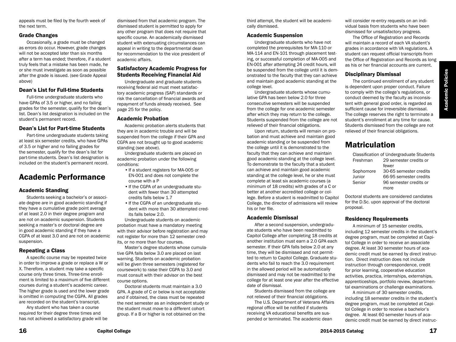**Academic Policies** Academic Policies

appeals must be filed by the fourth week of the next term.

#### Grade Changes

Occasionally, a grade must be changed as errors do occur. However, grade changes will not be accepted later than six months after a term has ended; therefore, if a student truly feels that a mistake has been made, he or she must investigate as soon as possible after the grade is issued. (see Grade Appeal above)

### Dean's List for Full-time Students

Full-time undergraduate students who have GPAs of 3.5 or higher, and no failing grades for the semester, qualify for the dean's list. Dean's list designation is included on the student's permanent record.

### Dean's List for Part-time Students

Part-time undergraduate students taking at least six semester credits, who have GPAs of 3.5 or higher and no failing grades for the semester, qualify for the dean's list for part-time students. Dean's list designation is included on the student's permanent record.

# Academic Performance

### Academic Standing

Students seeking a bachelor's or associate degree are in good academic standing if they have a cumulative grade point average of at least 2.0 in their degree program and are not on academic suspension. Students seeking a master's or doctoral degree are in good academic standing if they have a CGPA of at least 3.0 and are not on academic suspension.

### Repeating a Class

A specific course may be repeated twice in order to improve a grade or replace a W or X. Therefore, a student may take a specific course only three times. Three-time enrollment is limited to a maximum of five different courses during a student's academic career. The higher grade is used and the lower grade is omitted in computing the CGPA. All grades are recorded on the student's transcript.

Any student who has taken a course required for their degree three times and has not achieved a satisfactory grade will be

dismissed from that academic program. The dismissed student is permitted to apply for any other program that does not require that specific course. An academically dismissed student with extenuating circumstances can appeal in writing to the departmental dean for recommendation to the vice president of academic affairs.

### Satisfactory Academic Progress for Students Receiving Financial Aid

Undergraduate and graduate students receiving federal aid must meet satisfactory academic progress (SAP) standards or risk the cancellation of financial awards and repayment of funds already received. See page 25 for the policy.

#### Academic Probation

Academic probation alerts students that they are in academic trouble and will be suspended from the college if their GPA and CGPA are not brought up to good academic standing (see above).

Undergraduate students are placed on academic probation under the following conditions:

- If a student registers for MA-005 or EN-001 and does not complete the course with a P
- If the CGPA of an undergraduate student with fewer than 30 attempted credits falls below 1.7
- If the CGPA of an undergraduate student with more than 30 attempted credits falls below 2.0.

Undergraduate students on academic probation must have a mandatory meeting with their advisor before registration and may not register for more than 12 semester credits, or no more than four courses.

Master's degree students whose cumulative GPA falls below 3.0 are placed on last warning. Students on academic probation will be given three semesters (registered for coursework) to raise their CGPA to 3.0 and must consult with their advisor on the best course options.

Doctoral students must maintain a 3.0 GPA. A grade of C or below is not acceptable and if obtained, the class must be repeated the next semester as an independent study or the student must move to a different cohort group. If a B or higher is not obtained on the

third attempt, the student will be academically dismissed.

### Academic Suspension

Undergraduate students who have not completed the prerequisites for MA-110 or MA-114 and EN-101 through placement testing, or successful completion of MA-005 and EN-001 after attempting 24 credit hours, will be suspended from the college until it is demonstrated to the faculty that they can achieve and maintain good academic standing at the college level.

Undergraduate students whose cumulative GPA has been below 2.0 for three consecutive semesters will be suspended from the college for one academic semester after which they may return to the college. Students suspended from the college are not relieved of their financial obligations.

Upon return, students will remain on probation and must achieve and maintain good academic standing or be suspended from the college until it is demonstrated to the faculty that they can achieve and maintain good academic standing at the college level. To demonstrate to the faculty that a student can achieve and maintain good academic standing at the college level, he or she must complete at least six academic courses (a minimum of 18 credits) with grades of a C or better at another accredited college or college. Before a student is readmitted to Capitol College, the director of admissions will review his or her file.

### Academic Dismissal

After a second suspension, undergraduate students who have been readmitted to Capitol College after completing 18 credits at another institution must earn a 2.0 GPA each semester. If their GPA falls below 2.0 at any time, they will be dismissed and not permitted to return to Capitol College. Graduate students who fail to reach the 3.0 requirement in the allowed period will be automatically dismissed and may not be readmitted to the college for at least one year after the effective date of dismissal.

Students dismissed from the college are not relieved of their financial obligations.

The U.S. Department of Veterans Affairs regional office will be notified if students receiving VA educational benefits are suspended or terminated. The academic dean

will consider re-entry requests on an individual basis from students who have been dismissed for unsatisfactory progress.

The Office of Registration and Records will maintain a record of each VA student's grades in accordance with VA regulations. A student can request official transcripts from the Office of Registration and Records as long as his or her financial accounts are current.

# Disciplinary Dismissal

The continued enrollment of any student is dependent upon proper conduct. Failure to comply with the college's regulations, or conduct deemed by the faculty as inconsistent with general good order, is regarded as sufficient cause for irreversible dismissal. The college reserves the right to terminate a student's enrollment at any time for cause. Students dismissed from the college are not relieved of their financial obligations.

# Matriculation

|           | Classification of Undergraduate Students |
|-----------|------------------------------------------|
| Freshman  | 29 semester credits or                   |
|           | fewer                                    |
| Sophomore | 30-65 semester credits                   |
| Junior    | 66-95 semester credits                   |
| Senior    | 96 semester credits or                   |
|           | more                                     |
|           |                                          |

Doctoral students are considered candiates for the D.Sc. upon approval of the doctoral proposal.

### Residency Requirements

A minimum of 15 semester credits, including 12 semester credits in the student's degree program, must be completed at Capitol College in order to receive an associate degree. At least 30 semester hours of academic credit must be earned by direct instruction. Direct instruction does not include instruction through correspondence, credit for prior learning, cooperative education activities, practica, internships, externships, apprenticeships, portfolio review, departmental examinations or challenge examinations.

A minimum of 30 semester credits, including 18 semester credits in the student's degree program, must be completed at Capitol College in order to receive a bachelor's degree. At least 60 semester hours of academic credit must be earned by direct instruc-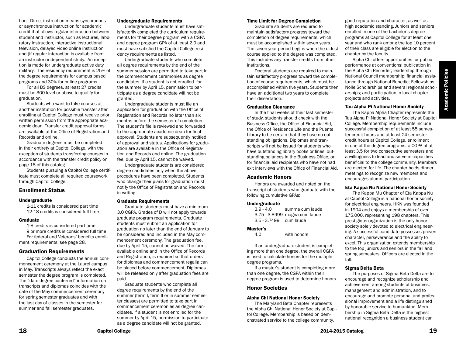**Academic Policies** Academic Policies

tion. Direct instruction means synchronous or asynchronous instruction for academic credit that allows regular interaction between student and instructor, such as lectures, laboratory instruction, interactive instructional television, delayed video online instruction and (if regular interaction is available from an instructor) independent study. An exception is made for undergraduate active duty military. The residency requirement is 25% of the degree requirements for campus based programs and 30% for online programs.

For all BS degrees, at least 27 credits must be 300 level or above to qualify for graduation.

Students who want to take courses at another institution for possible transfer after enrolling at Capitol College must receive prior written permission from the appropriate academic dean. Transfer credit approval forms are available at the Office of Registration and Records and online.

Graduate degrees must be completed in their entirety at Capitol College, with the exception of students transferring courses in accordance with the transfer credit policy on page 18 of this catalog.

Students pursuing a Capitol College certificate must complete all required coursework through Capitol College.

#### Enrollment Status

#### Undergraduate

1-11 credits is considered part time 12-18 credits is considered full time

#### Graduate

1-8 credits is considered part time 9 or more credits is considered full time For federal and Veterans' benefits enrollment requirements, see page 28.

### Graduation Requirements

Capitol College conducts the annual commencement ceremony at the Laurel campus in May. Transcripts always reflect the exact semester the degree program is completed. The "date degree conferred" information on transcripts and diplomas coincides with the date of the May commencement ceremony for spring semester graduates and with the last day of classes in the semester for summer and fall semester graduates.

#### Undergraduate Requirements

Undergraduate students must have satisfactorily completed the curriculum requirements for their degree program with a CGPA and degree program GPA of at least 2.0 and must have satisfied the Capitol College residency requirements as listed.

Undergraduate students who complete all degree requirements by the end of the summer session are permitted to take part in the commencement ceremonies as degree candidates. If a student is not enrolled for the summer by April 15, permission to participate as a degree candidate will not be granted.

Undergraduate students must file an application for graduation with the Office of Registration and Records no later than six months before the semester of completion. The student's file is reviewed and forwarded to the appropriate academic dean for final approval. Students are subsequently notified of approval and status. Applications for graduation are available in the Office of Registration and Records and online. The graduation fee, due by April 15, cannot be waived.

Undergraduate students are considered degree candidates only when the above procedures have been completed. Students who change their plans for graduation must notify the Office of Registration and Records in writing.

#### Graduate Requirements

Graduate students must have a minimum 3.0 CGPA. Grades of D will not apply towards graduate program requirements. Graduate students must submit an application for graduation no later than the end of January to be considered and included in the May commencement ceremony. The graduation fee, due by April 15, cannot be waived. The form, available online and in the Office of Records and Registration, is required so that orders for diplomas and commencement regalia can be placed before commencement. Diplomas will be released only after graduation fees are paid.

Graduate students who complete all degree requirements by the end of the summer (term I, term II or in summer semester classes) are permitted to take part in commencement ceremonies as degree candidates. If a student is not enrolled for the summer by April 15, permission to participate as a degree candidate will not be granted.

#### Time Limit for Degree Completion

Graduate students are required to maintain satisfactory progress toward the completion of degree requirements, which must be accomplished within seven years. The seven-year period begins when the oldest course applied to the degree was completed. This includes any transfer credits from other institutions.

Doctoral students are required to maintain satisfactory progress toward the completion of course requirements, which must be accomplished within five years. Students then have an additional two years to complete their dissertation.

#### Graduation Clearance

In the final weeks of their last semester of study, students should check with the Business Office, the Office of Financial Aid, the Office of Residence Life and the Puente Library to be certain that they have no outstanding obligations. Diplomas and transcripts will not be issued for students who have outstanding library books or fines, outstanding balances in the Business Office, or for financial aid recipients who have not had exit interviews with the Office of Financial Aid.

#### Academic Honors

Honors are awarded and noted on the transcript of students who graduate with the following cumulative GPAs:

#### **Undergraduate**

3.9 - 4.0 summa cum laude 3.75 - 3.8999 magna cum laude 3.5 - 3.7499 cum laude

# **Master's**

with honors

If an undergraduate student is completing more than one degree, the overall CGPA is used to calculate honors for the multiple degree programs.

If a master's student is completing more than one degree, the CGPA within their degree program is used to determine honors.

### Honor Societies

#### Alpha Chi National Honor Society

The Maryland Beta Chapter represents the Alpha Chi National Honor Society at Capitol College. Membership is based on demonstrated service to the college community,

good reputation and character, as well as high academic standing. Juniors and seniors enrolled in one of the bachelor's degree programs at Capitol College for at least one year and who rank among the top 10 percent of their class are eligible for election to the chapter by the faculty.

Alpha Chi offers opportunities for public performance at conventions; publication in the Alpha Chi Recorder; leadership through National Council membership; financial assistance through National Benedict Fellowships, Nolle Scholarships and several regional scholarships; and participation in local chapter projects and activities.

#### Tau Alpha Pi National Honor Society

The Kappa Alpha Chapter represents the Tau Alpha Pi National Honor Society at Capitol College. Membership requirements include successful completion of at least 55 semester credit hours and at least 24 semester credit hours at Capitol College, enrollment in one of the degree programs, a CGPA of at least 3.5 for two consecutive semesters and a willingness to lead and serve in capacities beneficial to the college community. Members are elected for life. The chapter holds dinner meetings to recognize new members and encourages alumni participation.

### Eta Kappa Nu National Honor Society

The Kappa Mu Chapter of Eta Kappa Nu at Capitol College is a national honor society for electrical engineers. HKN was founded in 1904 and enjoys a membership of over 175,000, representing 198 chapters. This prestigious organization is the only honor society solely devoted to electrical engineering. A successful candidate possesses proven character, perseverance and the ability to excel. This organization extends membership to the top juniors and seniors in the fall and spring semesters. Officers are elected in the fall.

### Sigma Delta Beta

The purposes of Sigma Beta Delta are to encourage and recognize scholarship and achievement among students of business, management and administration, and to encourage and promote personal and professional improvement and a life distinguished by honorable service to humankind. Membership in Sigma Beta Delta is the highest national recognition a business student can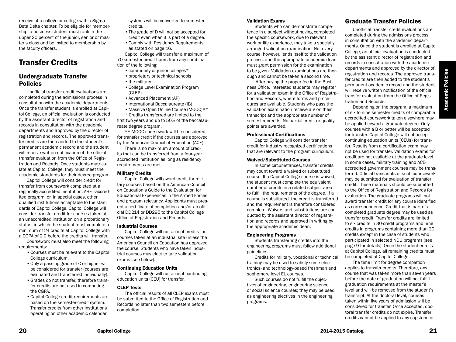receive at a college or college with a Sigma Beta Delta chapter. To be eligible for membership, a business student must rank in the upper 20 percent of the junior, senior or master's class and be invited to membership by the faculty officers.

# Transfer Credits

# Undergraduate Transfer Policies

Unofficial transfer credit evaluations are completed during the admissions process in consultation with the academic departments. Once the transfer student is enrolled at Capitol College, an official evaluation is conducted by the assistant director of registration and records in consultation with the academic departments and approved by the director of registration and records. The approved transfer credits are then added to the student's permanent academic record and the student will receive written notification of the official transfer evaluation from the Office of Registration and Records. Once students matriculate at Capitol College, they must meet the academic standards for their degree program.

Capitol College will consider credit for transfer from coursework completed at a regionally accredited institution, ABET-accredited program, or, in special cases, other qualified institutions acceptable to the standards of Capitol College. Capitol College will consider transfer credit for courses taken at an unaccredited institution on a probationary status, in which the student must complete a minimum of 24 credits at Capitol College with a CGPA of 2.0 before the credits will transfer.

Coursework must also meet the following requirements:

- •Courses must be relevant to the Capitol College curriculum.
- •Only a passing grade of C or higher will be considered for transfer (courses are evaluated and transferred individually).
- •Grades do not transfer, therefore transfer credits are not used in computing the CGPA.
- •Capitol College credit requirements are based on the semester-credit system. Transfer credits from other institutions operating on other academic calendar

systems will be converted to semester credits.

- •The grade of D will not be accepted for credit even when it is part of a degree.
- •Comply with Residency Requirements as stated on page 16.

Capitol College will transfer a maximum of 70 semester-credit hours from any combination of the following:

- community or junior colleges\*
- proprietary or technical schools
- the military
- 
- •College Level Examination Program (CLEP)
- •Advanced Placement (AP)
- International Baccalaureate (IB)
- Massive Open Online Course (MOOC)\*\*
- \* Credits transferred are limited to the

first two years and up to 50% of the baccalaureate degree program.

\*\* MOOC coursework will be considered for transfer credit if the courses are approved by the American Council of Education (ACE).

There is no maximum amount of credits that can be transferred from a four-year accredited institution as long as residency requirements are met.

#### Military Credits

Capitol College will award credit for military courses based on the American Council on Education's Guide to the Evaluation for Educational Experiences in the Armed Forces and program relevancy. Applicants must present a certificate of completion and/or an official DD214 or DD295 to the Capitol College Office of Registration and Records.

#### Industrial Courses

Capitol College will not accept credits for courses taken at an industrial site unless the American Council on Education has approved the course. Students who have taken industrial courses may elect to take validation exams (see below).

#### Continuing Education Units

Capitol College will not accept continuing education units (CEU) for transfer.

#### CLEP Tests

The official results of all CLEP exams must be submitted to the Office of Registration and Records no later than two semesters before completion.

#### Validation Exams

Students who can demonstrate competence in a subject without having completed the specific coursework, due to relevant work or life experience, may take a specially arranged validation examination. Not every course, however, lends itself to the validation process, and the appropriate academic dean must grant permission for the examination to be given. Validation examinations are thorough and cannot be taken a second time.

 After paying the proper fee in the Business Office, interested students may register for a validation exam in the Office of Registration and Records, where forms and procedures are available. Students who pass the validation examination receive a V on their transcript and the appropriate number of semester credits. No partial credit or quality points are awarded.

#### Professional Certifications

Capitol College will consider transfer credit for industry recognized certifications that are relevant to the program curriculum.

#### Waived/Substituted Courses

In some circumstances, transfer credits may count toward a waived or substituted course. If a Capitol College course is waived, the student must complete the equivalent number of credits in a related subject area to fulfill the requirements of the degree. If a course is substituted, the credit is transferred and the requirement is therefore considered complete. Waivers and substitutions are conducted by the assistant director of registration and records and approved in writing by the appropriate academic dean.

#### Engineering Programs

Students transferring credits into the engineering programs must follow additional guidelines.

Credits for military, vocational or technical training may be used to satisfy some electronics- and technology-based freshman and sophomore level EL courses.

Such courses do not fulfill the objectives of engineering, engineering science, or social science courses; they may be used as engineering electives in the engineering programs.

# Graduate Transfer Policies

Unofficial transfer credit evaluations are completed during the admissions process in consultation with the academic departments. Once the student is enrolled at Capitol College, an official evaluation is conducted by the assistant director of registration and records in consultation with the academic departments and approved by the director of registration and records. The approved transfer credits are then added to the student's permanent academic record and the student will receive written notification of the official transfer evaluation from the Office of Registration and Records.

Depending on the program, a maximum of six to nine semester credits of comparable accredited coursework taken elsewhere may be applied toward a graduate degree. Only courses with a B or better will be accepted for transfer. Capitol College will not accept continuing education units (CEUs) for transfer. Results from a certification exam may not be used for transfer. Validation exams for credit are not available at the graduate level. In some cases, military training and ACEaccredited government courses may be transferred. Official transcripts of such coursework may be submitted for evaluation of transfer credit. These materials should be submitted to the Office of Registration and Records for evaluation. The graduate programs will not award transfer credit for any course identified as correspondence. Credit that is part of a completed graduate degree may be used as transfer credit. Transfer credits are limited to six credits in 30-credit programs and nine credits in programs containing more than 30 credits except in the case of students who participated in selected NDU programs (see page 9 for details). Once the student enrolls at Capitol College, all remaining credits must be completed at Capitol College.

The time limit for degree completion applies to transfer credits. Therefore, any course that was taken more than seven years before the date of graduation will not fulfill graduation requirements at the master's level and will be removed from the student's transcript. At the doctoral level, courses taken within five years of admission will be considered for transfer. Once accepted, doctoral transfer credits do not expire. Transfer credits cannot be applied to any capstone or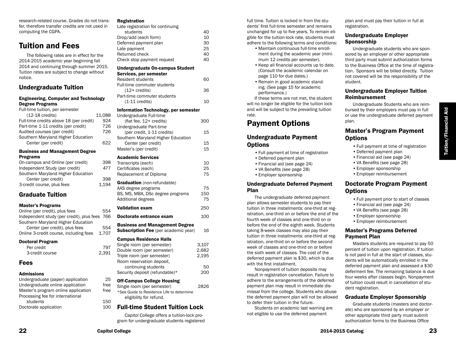research-related course. Grades do not transfer, therefore transfer credits are not used in computing the CGPA.

# Tuition and Fees

The following rates are in effect for the 2014-2015 academic year beginning fall 2014 and continuing through summer 2015. Tuition rates are subject to change without notice.

## Undergraduate Tuition

#### Engineering, Computer and Technology Degree Programs

| Full-time tuition, per semester         |        |
|-----------------------------------------|--------|
| $(12-18 \text{ credits})$               | 11.088 |
| Full-time credits above 18 (per credit) | 924    |
| Part-time 1-11 credits (per credit)     | 726    |
| Audited courses (per credit)            | 726    |
| Southern Maryland Higher Education      |        |
| Center (per credit)                     | 622    |
| <b>Business and Management Degree</b>   |        |

#### Programs

# Graduate Tuition

#### Master's Programs

| Online (per credit), plus fees                | 554   |
|-----------------------------------------------|-------|
| Independent study (per credit), plus fees 766 |       |
| Southern Maryland Higher Education            |       |
| Center (per credit), plus fees                | 554   |
| Online 3-credit course, including fees        | 1.707 |
|                                               |       |

#### Doctoral Program

| Per credit      | 797   |
|-----------------|-------|
| 3-credit course | 2.391 |

### Fees

#### Admissions

| Undergraduate (paper) application   | 25   |
|-------------------------------------|------|
| Undergraduate online application    | free |
| Master's program online application | free |
| Processing fee for international    |      |
| students                            | 150  |
| Doctorate application               | 100  |
|                                     |      |

#### Registration

| Late registration for continuing                                 |    |
|------------------------------------------------------------------|----|
| students                                                         | 40 |
| Drop/add (each form)                                             | 10 |
| Deferred payment plan                                            | 30 |
| Late payment                                                     | 25 |
| Returned check                                                   | 40 |
| Check stop payment request                                       | 40 |
| <b>Undergraduate On-campus Student</b><br>Services, per semester |    |
| Resident students                                                |    |
| Fill the concert of the control of the state                     |    |

| ı uli-ulile cullillulel stuuelits<br>$(12 + \text{credits})$<br>Part-time commuter students | 36  |
|---------------------------------------------------------------------------------------------|-----|
| $(1-11)$ credits)                                                                           | 10  |
| Information Technology, per semester                                                        |     |
| Undergraduate Full-time                                                                     |     |
| (flat fee, $12+$ credits)                                                                   | 300 |
| Undergraduate Part-time                                                                     |     |
| (per credit, 1-11 credits)                                                                  | 15  |
| Southern Maryland Higher Education                                                          |     |
| Center (per credit)                                                                         | 15  |
| Master's (per credit)                                                                       | 15  |
| <b>Academic Services</b>                                                                    |     |
| Transcripts (each)                                                                          | 10  |
| Certificates (each)                                                                         | 25  |

# Replacement of Diploma 75 Graduation (non-refundable) AAS degree programs 75 BS, MS, MBA, DSc degree programs 150 Additional degrees 75 Validation exam 250 Doctorate entrance exam 100 Business and Management Degree **Subscription Fee** (per academic year) 16 Campus Residence Halls Single room (per semester) 3,107

| onigie Tourn (per serriester)     | ◡.⊥◡ ៸ |
|-----------------------------------|--------|
| Double room (per semester)        | 2.682  |
| Triple room (per semester)        | 2.195  |
| Room reservation deposit.         |        |
| continuing students               | 50     |
| Security deposit (refundable)*    | 200    |
| <b>Off-Campus College Housing</b> |        |
|                                   |        |
| Single room (per semester)        | 2826   |
|                                   |        |

\*See Guide to Residence Life to determine eligibility for refund.

# Full-time Student Tuition Lock

Capitol College offers a tuition-lock program for undergraduate students registered full time. Tuition is locked in from the students' first full-time semester and remains unchanged for up to five years. To remain eligible for the tuition-lock rate, students must adhere to the following terms and conditions:

- •Maintain continuous full-time enrollment during the academic year (minimum 12 credits per semester).
- •Keep all financial accounts up to date. (Consult the academic calendar on page 110 for due dates.)
- •Remain in good academic standing. (See page 15 for academic performance.)

If these terms are not met, the student will no longer be eligible for the tuition lock and will be subject to the prevailing tuition rate.

# Payment Options

# Undergraduate Payment **Options**

- •Full payment at time of registration
- •Deferred payment plan
- •Financial aid (see page 24)
- •VA Benefits (see page 28)
- •Employer sponsorship

#### Undergraduate Deferred Payment Plan

The undergraduate deferred payment plan allows semester students to pay their tuition in three installments: one-third at registration, one-third on or before the end of the fourth week of classes and one-third on or before the end of the eighth week. Students taking 8-week classes may also pay their tuition in three installments: one-third at registration, one-third on or before the second week of classes and one-third on or before the sixth week of classes. The cost of the deferred payment plan is \$30, which is due with the first installment.

Nonpayment of tuition deposits may result in registration cancellation. Failure to adhere to the arrangements of the deferred payment plan may result in immediate dismissal from the college. Students who abuse the deferred payment plan will not be allowed to defer their tuition in the future.

Students on academic last warning are not eligible to use the deferred payment

plan and must pay their tuition in full at registration.

### Undergraduate Employer **Sponsorship**

Undergraduate students who are sponsored by an employer or other appropriate third party must submit authorization forms to the Business Office at the time of registration. Sponsors will be billed directly. Tuition not covered will be the responsibility of the student.

### Undergraduate Employer Tuition Reimbursement

Undergraduate Students who are reimbursed by their employers must pay in full or use the undergraduate deferred payment plan.

# Master's Program Payment **Options**

- •Full payment at time of registration
- •Deferred payment plan
- •Financial aid (see page 24)
- •VA Benefits (see page 28)
- •Employer sponsorship
- •Employer reimbursement

# Doctorate Program Payment **Options**

- •Full payment prior to start of classes
- •Financial aid (see page 24)
- •VA Benefits (see page 28)
- •Employer sponsorship
- •Employer reimbursement

### Master's Programs Deferred Payment Plan

Masters students are required to pay 50 percent of tuition upon registration. If tuition is not paid in full at the start of classes, students will be automatically enrolled in the deferred payment plan and assessed a \$30 deferment fee. The remaining balance is due four weeks after classes begin. Nonpayment of tuition could result in cancellation of student registration.

### Graduate Employer Sponsorship

Graduate students (masters and doctorate) who are sponsored by an employer or other appropriate third party must submit authorization forms to the Business Office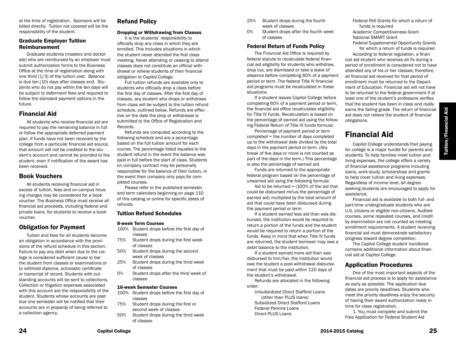at the time of registration. Sponsors will be billed directly. Tuition not covered will be the responsibility of the student.

### Graduate Employer Tuition Reimbursement

Graduate students (masters and doctorate) who are reimbursed by an employer must submit authorization forms to the Business Office at the time of registration along with one third  $(1/3)$  of the tuition cost. Balance is due ten (10) days after classes end. Students who do not pay within the ten days will be subject to deferment fees and required to follow the standard payment options in the future.

# Financial Aid

All students who receive financial aid are required to pay the remaining balance in full or follow the appropriate deferred payment plan. If funds have not been received by the college from a particular financial aid source, that amount will not be credited to the student's account and cannot be provided to the student, even if notification of the award has been received.

# Book Vouchers

All students receiving financial aid in excess of tuition, fees and on-campus housing charges may be considered for a book voucher. The Business Office must receive all financial aid proceeds, including federal and private loans, for students to receive a book voucher.

# Obligation for Payment

Tuition and fees for all students become an obligation in accordance with the provisions of the refund schedule in this section. Failure to pay any debt when due to the college is considered sufficient cause to bar the student from classes or examinations or to withhold diploma, scholastic certificate or transcript of record. Students with outstanding accounts will be sent to collections. Collection or litigation expenses associated with this account are the responsibility of the student. Students whose accounts are past due one semester will be notified that their accounts are in jeopardy of being referred to a collection agency.

# Refund Policy

#### Dropping or Withdrawing from Classes

It is the students' responsibility to officially drop any class in which they are enrolled. This includes situations in which the student never attended the first class meeting. Never attending or ceasing to attend classes does not constitute an official withdrawal or relieve students of their financial obligation to Capitol College.

Full tuition refunds are available only to students who officially drop a class before the first day of classes. After the first day of classes, any student who drops or withdraws from class will be subject to the tuition refund schedule, outlined below. Refunds are effective on the date the drop or withdrawal is submitted to the Office of Registration and Records.

Refunds are computed according to the following schedule and are a percentage based on the full tuition amount for each course. The percentage listed equates to the student refund in the event the balance was paid in full before the start of class. Students on company contract may be personally responsible for the balance of their tuition, in the event their company only pays for completed courses.

Please refer to the published semester and term calendars beginning on page 110 of this catalog or online for specific dates of refunds.

### Tuition Refund Schedules

#### 8-week Term Courses

- 100% Student drops before the first day of classes
- 75% Student drops during the first week of classes
- 50% Student drops during the second week of classes
- 25% Student drops during the third week of classes
- 0% Student drops after the third week of classes

#### 16-week Semester Courses

- 100% Student drops before the first day of classes
- 75% Student drops during the first or second week of classes
- 50% Student drops during the third week of classes
- 25% Student drops during the fourth week of classes
- 0% Student drops after the fourth week of classes

# Federal Return of Funds Policy

The Financial Aid Office is required by federal statute to recalculate federal financial aid eligibility for students who withdraw, drop out, are dismissed or take a leave of absence before completing 60% of a payment period or term. The federal Title IV financial aid programs must be recalculated in these situations.

If a student leaves Capitol College before completing 60% of a payment period or term, the financial aid office recalculates eligibility for Title IV funds. Recalculation is based on the percentage of earned aid using the following Federal Return of Title IV funds formula:

Percentage of payment period or term completed = the number of days completed up to the withdrawal date divided by the total days in the payment period or term. (Any break of five days or more is not counted as part of the days in the term.) This percentage is also the percentage of earned aid.

Funds are returned to the appropriate federal program based on the percentage of unearned aid using the following formula:

Aid to be returned  $=$  (100% of the aid that could be disbursed minus the percentage of earned aid) multiplied by the total amount of aid that could have been disbursed during the payment period or term.

If a student earned less aid than was disbursed, the institution would be required to return a portion of the funds and the student would be required to return a portion of the funds. Keep in mind that when Title IV funds are returned, the student borrower may owe a debit balance to the institution.

If a student earned more aid than was disbursed to him/her, the institution would owe the student a post-withdrawal disbursement that must be paid within 120 days of the student's withdrawal.

Refunds are allocated in the following order:

Unsubsidized Direct Stafford Loans (other than PLUS loans) Subsidized Direct Stafford Loans Federal Perkins Loans Direct PLUS Loans

Federal Pell Grants for which a return of funds is required Academic Competitiveness Grant National SMART Grant

Federal Supplemental Opportunity Grants for which a return of funds is required

According to federal regulation, a financial aid student who receives all Fs during a period of enrollment is considered not to have attended any of his or her classes; therefore, all financial aid received for that period of enrollment must be returned to the Department of Education. Financial aid will not have to be returned to the federal government if at least one of the student's professors verifies that the student has been in class and really earns the failing grade. The return of financial aid does not relieve the student of financial obligations.

# Financial Aid

Capitol College understands that paying for college is a major hurdle for parents and students. To help families meet tuition and living expenses, the college offers a variety of financial assistance programs including loans, work-study, scholarships and grants to help cover tuition and living expenses. Regardless of income level, all degreeseeking students are encouraged to apply for assistance.

Financial aid is available to both full- and part-time undergraduate students who are U.S. citizens or eligible non-citizens. Audited courses, some repeated courses, and credit by examination are not counted as meeting enrollment requirements. A student receiving financial aid must demonstrate satisfactory progress toward degree completion.

The Capitol College student handbook contains additional information about financial aid at Capitol College.

# Application Procedures

One of the most important aspects of the financial aid process is to apply for assistance as early as possible. The application due dates are priority deadlines. Students who meet the priority deadlines enjoy the security of having their award authorization ready in time for class registration.

1. You must complete and submit the Free Application for Federal Student Aid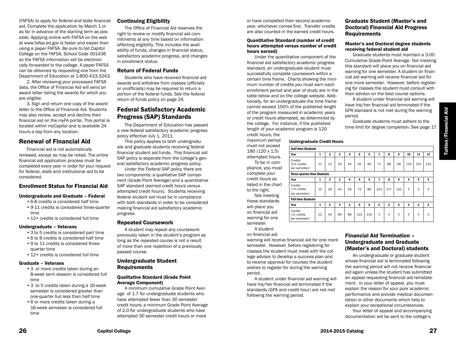(FAFSA) to apply for federal and state financial aid. Complete the application by March 1 or as far in advance of the starting term as possible. Applying online with FAFSA on the web at www.fafsa.ed.gov is faster and easier than using a paper FAFSA. Be sure to list Capitol College on the FAFSA, School Code 001436 so the FAFSA information will be electronically forwarded to the college. A paper FAFSA can be obtained by requesting one from the Department of Education at 1-800-433-3243.

2. After reviewing your processed FAFSA data, the Office of Financial Aid will send an award letter listing the awards for which you are eligible.

3. Sign and return one copy of the award letter to the Office of Financial Aid. Students may also review, accept and decline their financial aid on the myFA portal. This portal is located within myCapitol and is available 24 hours a day from any location.

### Renewal of Financial Aid

Financial aid is not automatically renewed, except as may be noted. The entire financial aid application process must be completed every year in order for your request for federal, state and institutional aid to be considered.

# Enrollment Status for Financial Aid

#### Undergraduate and Graduate – Federal

- •6-8 credits is considered half time
- •9-11 credits is considered three-quarter time
- 12+ credits is considered full time

#### Undergraduate – Veterans

- •3 to 5 credits is considered part time
- •6 to 8 credits is considered half time
- •9 to 11 credits is considered threequarter time
- •12+ credits is considered full time

#### Graduate – Veterans

- •3 or more credits taken during an 8-week term session is considered full time
- •3 to 5 credits taken during a 16-week semester is considered greater than one-quarter but less than half time
- •6 or more credits taken during a 16-week semester is considered full time

### Continuing Eligibility

The Office of Financial Aid reserves the right to review or modify financial aid commitments at any time based on information affecting eligibility. This includes the availability of funds, changes in financial status, satisfactory academic progress, and changes in enrollment status.

#### Return of Federal Funds

Students who have received financial aid awards and withdraw from classes (officially or unofficially) may be required to return a portion of the federal funds. See the federal return of funds policy on page 24.

# Federal Satisfactory Academic Progress (SAP) Standards

The Department of Education has passed a new federal satisfactory academic progress policy effective July 1, 2011.

This policy applies to both undergraduate and graduate students receiving federal financial student aid funds. This financial aid SAP policy is separate from the college's general satisfactory academic progress policy.

Under the Federal SAP policy there are two components: a qualitative SAP component (Grade Point Average) and a quantitative SAP standard (earned credit hours versus attempted credit hours). Students receiving federal student aid must be in compliance with both standards in order to be considered making financial aid satisfactory academic progress.

#### Repeated Coursework

A student may repeat any coursework previously taken in the student's program as long as the repeated course is not a result of more than one repetition of a previously passed course.

### Undergraduate Student Requirements

#### Qualitative Standard (Grade Point Average Component)

A minimum cumulative Grade Point Average of 1.7 for undergraduate students who have attempted fewer than 30 semester credit hours; a minimum Grade Point Average of 2.0 for undergraduate students who have attempted 30 semester credit hours or more

or have completed their second academic year, whichever comes first. Transfer credits are also counted in the earned credit hours.

#### Quantitative Standard (number of credit hours attempted versus number of credit hours earned)

Under the quantitative component of the financial aid satisfactory academic progress standard, an undergraduate student must successfully complete coursework within a certain time frame. Charts showing the minimum number of credits you must earn each enrollment period and year of study are in the table below and on the college website. Additionally, for an undergraduate the time frame cannot exceed 150% of the published length of the program measured in academic years or credit hours attempted, as determined by the college. For instance, if the published length of your academic program is 120 credit hours, the

#### Undergraduate Credit Hours

| must not exceed                                     |                                           |    |                |    |    |     |     |              |              |     |     |     |     |
|-----------------------------------------------------|-------------------------------------------|----|----------------|----|----|-----|-----|--------------|--------------|-----|-----|-----|-----|
| 180 (120 x 1.5)                                     | <b>Half-time Students</b>                 |    |                |    |    |     |     |              |              |     |     |     |     |
| attempted hours.                                    | Year                                      | 1  | $\mathbf{2}$   | 3  | 4  | 5   | 6   | 7            | 8            | 9   | 10  | 11  | 12  |
| To be in com-<br>pliance, you must                  | Credits<br>(5.5 credits<br>per semester)  | 11 | 12             | 33 | 44 | 55  | 66  | 77           | 88           | 99  | 110 | 121 | 132 |
| complete your                                       | <b>Three-quarter-time Students</b>        |    |                |    |    |     |     |              |              |     |     |     |     |
| credit hours as                                     | Year                                      | 1  | $\overline{2}$ | 3  | 4  | 5   | 6   | 7            | 8            | 9   | x   | x   | x   |
| listed in the chart<br>to the right.<br>Not meeting | Credits<br>(7.5 credits)<br>per semester) | 15 | 28             | 44 | 59 | 73  | 88  | 103          | 117          | 132 | x   | X   | X   |
| these standards                                     | <b>Full-time Students</b>                 |    |                |    |    |     |     |              |              |     |     |     |     |
| will place you                                      | Year                                      | 1  | $\overline{2}$ | 3  | 4  | 5   | 6   | X            | x            | x   | x   | X   | x   |
| on financial aid<br>warning for one                 | Credits<br>(11 credits<br>per semester)   | 22 | 44             | 66 | 88 | 110 | 132 | $\mathsf{x}$ | $\mathsf{x}$ | X   | x   | X   | X   |
| semester.                                           |                                           |    |                |    |    |     |     |              |              |     |     |     |     |

period.

#### A student on financial aid

maximum period

warning will receive financial aid for one more semester. However, before registering for classes the student must meet with the college advisor to develop a success plan and to receive approval for courses the student wishes to register for during the warning period.

A student under financial aid warning will have his/her financial aid terminated if the standards (GPA and credit hour) are not met following the warning period.

### Financial Aid Termination – Undergraduate and Graduate (Master's and Doctoral) students

Graduate Student (Master's and Doctoral) Financial Aid Progress

Master's and Doctoral degree students

Graduate students must maintain a 3.00 Cumulative Grade Point Average. Not meeting this standard will place you on financial aid warning for one semester. A student on financial aid warning will receive financial aid for one more semester. However, before registering for classes the student must consult with their advisor on the best course options. A student under financial aid warning will have his/her financial aid terminated if the GPA standard is not met during the warning

Graduate students must adhere to the time limit for degree completion. See page 17.

receiving federal student aid

**Requirements** 

An undergraduate or graduate student whose financial aid is terminated following the warning period will not receive financial aid again unless the student has submitted an appeal requesting financial aid reinstatement. In your letter of appeal, you must explain the reason for your poor academic performance and provide medical documentation or other documents which help to explain your exceptional circumstances.

Your letter of appeal and accompanying documentation will be sent to the college's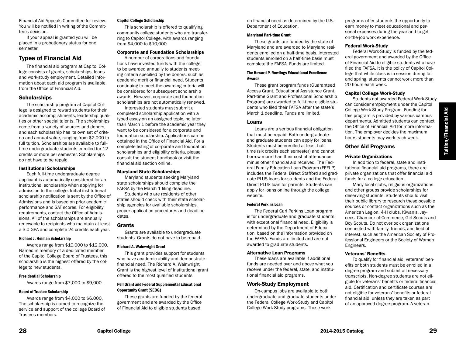Financial Aid Appeals Committee for review. You will be notified in writing of the Committee's decision.

If your appeal is granted you will be placed in a probationary status for one semester.

# Types of Financial Aid

The financial aid program at Capitol College consists of grants, scholarships, loans and work-study employment. Detailed information about each aid program is available from the Office of Financial Aid.

### **Scholarships**

The scholarship program at Capitol College is designed to reward students for their academic accomplishments, leadership qualities or other special talents. The scholarships come from a variety of sources and donors, and each scholarship has its own set of criteria and annual value, ranging from \$2,000 to full tuition. Scholarships are available to fulltime undergraduate students enrolled for 12 credits or more per semester. Scholarships do not have to be repaid.

#### Institutional Scholarships

Each full-time undergraduate degree applicant is automatically considered for an institutional scholarship when applying for admission to the college. Initial institutional scholarship notification is sent by the Office of Admissions and is based on prior academic performance and SAT scores. For eligibility requirements, contact the Office of Admissions. All of the scholarships are annually renewable to recipients who maintain at least a 3.0 GPA and complete 24 credits each year.

#### Richard J. Heiman Scholarship

Awards range from \$10,000 to \$12,000. Named in memory of a dedicated member of the Capitol College Board of Trustees, this scholarship is the highest offered by the college to new students.

#### Presidential Scholarship

Awards range from \$7,000 to \$9,000.

#### Board of Trustee Scholarship

Awards range from \$4,000 to \$6,000. The scholarship is named to recognize the service and support of the college Board of Trustees members.

#### Capitol College Scholarship

This scholarship is offered to qualifying community college students who are transferring to Capitol College, with awards ranging from \$4,000 to \$10,000.

#### Corporate and Foundation Scholarships

A number of corporations and foundations have invested funds with the college to be awarded annually to students meeting criteria specified by the donors, such as academic merit or financial need. Students continuing to meet the awarding criteria will be considered for subsequent scholarship awards. However, corporate and foundation scholarships are not automatically renewed.

Interested students must submit a completed scholarship application with a typed essay on an assigned topic, no later than March 1 before the academic year they want to be considered for a corporate and foundation scholarship. Applications can be obtained in the Office of Financial Aid. For a complete listing of corporate and foundation scholarships and eligibility criteria, please consult the student handbook or visit the financial aid section online.

#### Maryland State Scholarships

Maryland students seeking Maryland state scholarships should complete the FAFSA by the March 1 filing deadline.

Students who are residents of other states should check with their state scholarship agencies for available scholarships, proper application procedures and deadline dates.

#### Grants

Grants are available to undergraduate students. Grants do not have to be repaid.

#### Richard A. Wainwright Grant

This grant provides support for students who have academic ability and demonstrate financial need. The Richard A. Wainwright Grant is the highest level of institutional grant offered to the most qualified students.

#### Pell Grant and Federal Supplemental Educational Opportunity Grant (SEOG)

These grants are funded by the federal government and are awarded by the Office of Financial Aid to eligible students based

on financial need as determined by the U.S. Department of Education.

#### Maryland Part-time Grant

These grants are funded by the state of Maryland and are awarded to Maryland residents enrolled on a half-time basis. Interested students enrolled on a half-time basis must complete the FAFSA. Funds are limited.

#### The Howard P. Rawlings Educational Excellence Awards

These grant program funds (Guaranteed Access Grant, Educational Assistance Grant, Part-time Grant and Professional Scholarship Program) are awarded to full-time eligible students who filed their FAFSA after the state's March 1 deadline. Funds are limited.

#### Loans

Loans are a serious financial obligation that must be repaid. Both undergraduate and graduate students can apply for loans. Students must be enrolled at least half time (six credits each semester) and cannot borrow more than their cost of attendance minus other financial aid received. The Federal Family Education Loan Program (FFELP) includes the Federal Direct Stafford and graduate PLUS loans for students and the Federal Direct PLUS loan for parents. Students can apply for loans online through the college website.

#### Federal Perkins Loan

The Federal Carl Perkins Loan program is for undergraduate and graduate students with exceptional financial need. Eligibility is determined by the Department of Education, based on the information provided on the FAFSA. Funds are limited and are not awarded to graduate students.

#### Alternative Loan Programs

These loans are available if additional funds are needed over and above what you receive under the federal, state, and institutional financial aid programs.

### Work-Study Employment

On-campus jobs are available to both undergraduate and graduate students under the Federal College Work-Study and Capitol College Work-Study programs. These work

programs offer students the opportunity to earn money to meet educational and personal expenses during the year and to get on-the-job work experience.

#### Federal Work-Study

Federal Work-Study is funded by the federal government and awarded by the Office of Financial Aid to eligible students who have filed the FAFSA. It is the policy of Capitol College that while class is in session during fall and spring, students cannot work more than 20 hours each week.

### Capitol College Work-Study

Students not awarded Federal Work-Study can consider employment under the Capitol College Work-Study Program. Funding for this program is provided by various campus departments. Admitted students can contact the Office of Financial Aid for more information. The employer decides the maximum hours students may work each week.

### Other Aid Programs

### Private Organizations

In addition to federal, state and institutional financial aid programs, there are private organizations that offer financial aid funds for a college education.

Many local clubs, religious organizations and other groups provide scholarships for deserving students. Students should visit their public library to research these possible sources or contact organizations such as the American Legion, 4-H clubs, Kiwanis, Jaycees, Chamber of Commerce, Girl Scouts and Boy Scouts. Do not overlook organizations connected with family, friends, and field of interest, such as the American Society of Professional Engineers or the Society of Women Engineers.

### Veterans' Benefits

To qualify for financial aid, veterans' benefits or both students must be enrolled in a degree program and submit all necessary transcripts. Non-degree students are not eligible for veterans' benefits or federal financial aid. Certification and certificate courses are not eligible for veterans' benefits or federal financial aid, unless they are taken as part of an approved degree program. A veteran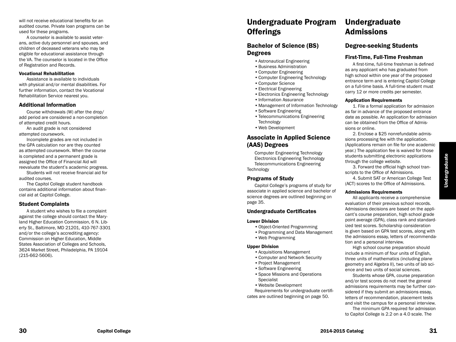will not receive educational benefits for an audited course. Private loan programs can be used for these programs.

A counselor is available to assist veter ans, active duty personnel and spouses, and children of deceased veterans who may be eligible for educational assistance through the VA. The counselor is located in the Office of Registration and Records.

#### Vocational Rehabilitation

Assistance is available to individuals with physical and/or mental disabilities. For further information, contact the Vocational Rehabilitation Service nearest you.

#### Additional Information

Course withdrawals (W) after the drop/ add period are considered a non-completion of attempted credit hours.

An audit grade is not considered attempted coursework.

Incomplete grades are not included in the GPA calculation nor are they counted as attempted coursework. When the course is completed and a permanent grade is assigned the Office of Financial Aid will reevaluate the student's academic progress.

Students will not receive financial aid for audited courses.

The Capitol College student handbook contains additional information about finan cial aid at Capitol College.

#### Student Complaints

A student who wishes to file a complaint against the college should contact the Mary land Higher Education Commission, 6 N. Lib erty St., Baltimore, MD 21201, 410-767-3301 and/or the college's accrediting agency: Commission on Higher Education, Middle States Association of Colleges and Schools, 3624 Market Street, Philadelphia, PA 19104 (215-662-5606).

# Undergraduate Program **Offerings**

# Bachelor of Science (BS) Degrees

- •Astronautical Engineering
- •Business Administration
- •Computer Engineering
- •Computer Engineering Technology
- •Computer Science
- •Electrical Engineering
- •Electronics Engineering Technology
- •Information Assurance
- •Management of Information Technology
- •Software Engineering
- •Telecommunications Engineering **Technology**
- •Web Development

# Associate in Applied Science (AAS) Degrees

Computer Engineering Technology Electronics Engineering Technology Telecommunications Engineering **Technology** 

### Programs of Study

Capitol College's programs of study for associate in applied science and bachelor of science degrees are outlined beginning on page 35.

#### Undergraduate Certificates

#### Lower Division

- •Object-Oriented Programming
- Programming and Data Management<br>• Web Programming
- 

#### Upper Division

- •Acquisitions Management
- •Computer and Network Security
- •Project Management
- •Software Engineering
- •Space Missions and Operations Specialist
- •Website Development

Requirements for undergraduate certifi cates are outlined beginning on page 50.

# Undergraduate Admissions

# Degree-seeking Students

#### First-Time, Full-Time Freshman

A first-time, full-time freshman is defined as any applicant who has graduated from high school within one year of the proposed entrance term and is entering Capitol College on a full-time basis. A full-time student must carry 12 or more credits per semester.

#### Application Requirements

1. File a formal application for admission as far in advance of the proposed entrance date as possible. An application for admission can be obtained from the Office of Admis sions or online .

2. Enclose a \$25 nonrefundable admis sions processing fee with the application. (Applications remain on file for one academic year.) The application fee is waived for those students submitting electronic applications through the college website.

3. Forward the official high school tran scripts to the Office of Admissions.

4. Submit SAT or American College Test (ACT) scores to the Office of Admissions.

### Admissions Requirements

All applicants receive a comprehensive evaluation of their previous school records. Admissions decisions are based on the appli cant's course preparation, high school grade point average (GPA), class rank and standard ized test scores. Scholarship consideration is given based on GPA test scores, along with the admissions essay, letters of recommenda tion and a personal interview.

High school course preparation should include a minimum of four units of English, three units of mathematics (including plane geometry and Algebra II), two units of lab sci ence and two units of social sciences.

Students whose GPA, course preparation and/or test scores do not meet the general admissions requirements may be further con sidered if they submit an admissions essay, letters of recommendation, placement tests and visit the campus for a personal interview.

The minimum GPA required for admission to Capitol College is 2.2 on a 4.0 scale. The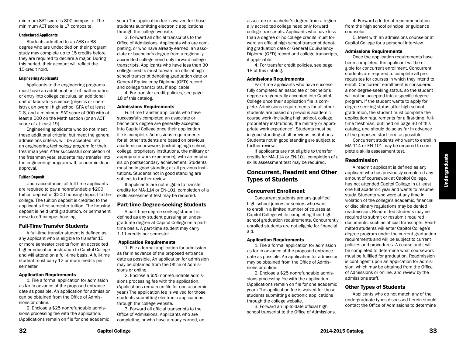minimum SAT score is 800 composite. The minimum ACT score is 17 composite.

#### Undeclared Applicants

Students admitted to an AAS or BS degree who are undecided on their program study may complete up to 15 credits before they are required to declare a major. During this period, their account will reflect the 15-credit hold.

#### Engineering Applicants

Applicants to the engineering programs must have an additional unit of mathematics or entry into college calculus, an additional unit of laboratory science (physics or chemistry), an overall high school GPA of at least 2.8, and a minimum SAT score of 900 with at least a 500 on the Math section (or an ACT score of at least 19).

Engineering applicants who do not meet these additional criteria, but meet the general admissions criteria, will be accepted into an engineering technology program for their freshman year. After successful completion of the freshman year, students may transfer into the engineering program with academic dean approval.

#### Tuition Deposit

Upon acceptance, all full-time applicants are required to pay a nonrefundable \$200 tuition deposit or \$200 housing deposit to the college. The tuition deposit is credited to the applicant's first-semester tuition. The housing deposit is held until graduation, or permanent move to off-campus housing.

#### Full-Time Transfer Students

A full-time transfer student is defined as any applicant who is eligible to transfer 15 or more semester credits from an accredited higher education institution to Capitol College and will attend on a full-time basis. A full-time student must carry 12 or more credits per semester.

#### Application Requirements

1. File a formal application for admission as far in advance of the proposed entrance date as possible. An application for admission can be obtained from the Office of Admissions or online.

2. Enclose a \$25 nonrefundable admissions processing fee with the application. (Applications remain on file for one academic year.) The application fee is waived for those students submitting electronic applications through the college website.

3. Forward all official transcripts to the Office of Admissions. Applicants who are completing, or who have already earned, an associate or bachelor's degree from a regionally accredited college need only forward college transcripts. Applicants who have less than 30 college credits must forward an official high school transcript denoting graduation date or General Equivalency Diploma (GED) record and college transcripts, if applicable.

4. For transfer credit policies, see page 18 of this catalog.

#### Admissions Requirements

Full-time transfer applicants who have successfully completed an associate or bachelor's degree are generally accepted into Capitol College once their application file is complete. Admissions requirements for all other students are based on previous academic coursework (including high school, college, proprietary institutions, the military or appropriate work experience), with an emphasis on postsecondary achievement. Students must be in good standing at all previous institutions. Students not in good standing are subject to further review.

If applicants are not eligible to transfer credits for MA-114 or EN-101, completion of a skills assessment test may be required.

#### Part-time Degree-seeking Students

A part-time degree-seeking student is defined as any student pursuing an undergraduate degree at Capitol College on a parttime basis. A part-time student may carry 1-11 credits per semester.

#### Application Requirements

1. File a formal application for admission as far in advance of the proposed entrance date as possible. An application for admission may be obtained from the Office of Admissions or online.

2. Enclose a \$25 nonrefundable admissions processing fee with the application. (Applications remain on file for one academic year.) The application fee is waived for those students submitting electronic applications through the college website.

3. Forward all official transcripts to the Office of Admissions. Applicants who are completing, or who have already earned, an associate or bachelor's degree from a regionally accredited college need only forward college transcripts. Applicants who have less than a degree or no college credits must forward an official high school transcript denoting graduation date or General Equivalency Diploma (GED) record and college transcripts, if applicable.

4. For transfer credit policies, see page 18 of this catalog.

#### Admissions Requirements

Part-time applicants who have successfully completed an associate or bachelor's degree are generally accepted into Capitol College once their application file is complete. Admissions requirements for all other students are based on previous academic course work (including high school, college, proprietary institutions, the military or appropriate work experience). Students must be in good standing at all previous institutions. Students not in good standing are subject to further review.

If applicants are not eligible to transfer credits for MA-114 or EN-101, completion of a skills assessment test may be required.

## Concurrent, Readmit and Other Types of Students

#### Concurrent Enrollment

Concurrent students are any qualified high school juniors or seniors who want to enroll in a limited number of courses at Capitol College while completing their high school graduation requirements. Concurrently enrolled students are not eligible for financial aid.

#### Application Requirements

1. File a formal application for admission as far in advance of the proposed entrance date as possible. An application for admission may be obtained from the Office of Admissions or online.

2. Enclose a \$25 nonrefundable admissions processing fee with the application. (Applications remain on file for one academic year.) The application fee is waived for those students submitting electronic applications through the college website.

3. Forward an up-to-date official high school transcript to the Office of Admissions.

4. Forward a letter of recommendation from the high school principal or guidance counselor.

5. Meet with an admissions counselor at Capitol College for a personal interview.

#### Admissions Requirements

Once the application requirements have been completed, the applicant will be eligible for concurrent enrollment. Concurrent students are required to complete all prerequisites for courses in which they intend to enroll. Concurrent enrollment is considered a non-degree-seeking status, so the student will not be accepted into a specific degree program. If the student wants to apply for degree-seeking status after high school graduation, the student must complete the application requirements for a first-time, fulltime freshman, outlined on page 30 of this catalog, and should do so as far in advance of the proposed start term as possible.

Concurrent students who want to enroll in MA-114 or EN-101 may be required to complete a skills assessment test.

#### Readmission

A readmit applicant is defined as any applicant who has previously completed any amount of coursework at Capitol College, has not attended Capitol College in at least one full academic year and wants to resume study. Students who were at any time in violation of the college's academic, financial or disciplinary regulations may be denied readmission. Readmitted students may be required to submit or resubmit required documents, such as official transcripts. Readmitted students will enter Capitol College's degree program under the current graduation requirements and will be subject to current policies and procedures. A course audit will be completed to determine what coursework must be fulfilled for graduation. Readmission is contingent upon an application for admission, which may be obtained from the Office of Admissions or online, and review by the admissions staff.

#### Other Types of Students

Applicants who do not match any of the undergraduate types discussed herein should contact the Office of Admissions to determine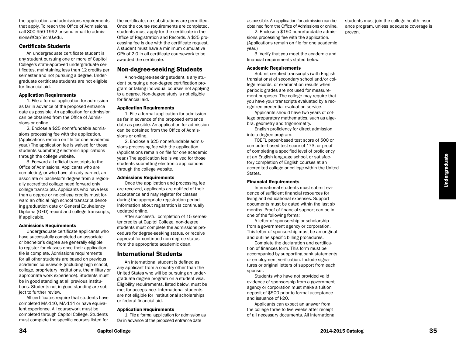the application and admissions requirements that apply. To reach the Office of Admissions, call 800-950-1992 or send email to admissions@CapTechU.edu.

#### Certificate Students

An undergraduate certificate student is any student pursuing one or more of Capitol College's state-approved undergraduate certificates, maintaining less than 12 credits per semester and not pursuing a degree. Undergraduate certificate students are not eligible for financial aid.

#### Application Requirements

1. File a formal application for admission as far in advance of the proposed entrance date as possible. An application for admission can be obtained from the Office of Admissions or online.

2. Enclose a \$25 nonrefundable admissions processing fee with the application. (Applications remain on file for one academic year.) The application fee is waived for those students submitting electronic applications through the college website.

3. Forward all official transcripts to the Office of Admissions. Applicants who are completing, or who have already earned, an associate or bachelor's degree from a regionally accredited college need forward only college transcripts. Applicants who have less than a degree or no college credits must forward an official high school transcript denoting graduation date or General Equivalency Diploma (GED) record and college transcripts, if applicable.

#### Admissions Requirements

Undergraduate certificate applicants who have successfully completed an associate or bachelor's degree are generally eligible to register for classes once their application file is complete. Admissions requirements for all other students are based on previous academic coursework (including high school, college, proprietary institutions, the military or appropriate work experience). Students must be in good standing at all previous institutions. Students not in good standing are subject to further review.

All certificates require that students have completed MA-110, MA-114 or have equivalent experience. All coursework must be completed through Capitol College. Students must complete the specific courses listed for

the certificate; no substitutions are permitted. Once the course requirements are completed, students must apply for the certificate in the Office of Registration and Records. A \$25 processing fee is due with the certificate request. A student must have a minimum cumulative GPA of 2.0 in all certificate coursework to be awarded the certificate.

### Non-degree-seeking Students

A non-degree-seeking student is any student pursuing a non-degree certification program or taking individual courses not applying to a degree. Non-degree study is not eligible for financial aid.

#### Application Requirements

1. File a formal application for admission as far in advance of the proposed entrance date as possible. An application for admission can be obtained from the Office of Admissions or online.

2. Enclose a \$25 nonrefundable admissions processing fee with the application. (Applications remain on file for one academic year.) The application fee is waived for those students submitting electronic applications through the college website.

#### Admissions Requirements

Once the application and processing fee are received, applicants are notified of their acceptance and may register for classes during the appropriate registration period. Information about registration is continually updated online.

After successful completion of 15 semester credits at Capitol College, non-degree students must complete the admissions procedure for degree-seeking status, or receive approval for continued non-degree status from the appropriate academic dean.

### International Students

An international student is defined as any applicant from a country other than the United States who will be pursuing an undergraduate degree program on a student visa. Eligibility requirements, listed below, must be met for acceptance. International students are not eligible for institutional scholarships or federal financial aid.

#### Application Requirements

1. File a formal application for admission as far in advance of the proposed entrance date

as possible. An application for admission can be obtained from the Office of Admissions or online.

2. Enclose a \$150 nonrefundable admissions processing fee with the application. (Applications remain on file for one academic year.)

3. Verify that you meet the academic and financial requirements stated below.

#### Academic Requirements

Submit certified transcripts (with English translations) of secondary school and/or college records, or examination results when periodic grades are not used for measurement purposes. The college may require that you have your transcripts evaluated by a recognized credential evaluation service.

Applicants should have two years of college preparatory mathematics, such as algebra, geometry and trigonometry.

English proficiency for direct admission into a degree program:

TOEFL paper-based test score of 500 or computer-based test score of 173, or proof of completing a specified level of proficiency at an English language school, or satisfactory completion of English courses at an accredited college or college within the United States.

#### Financial Requirements

International students must submit evidence of sufficient financial resources for living and educational expenses. Support documents must be dated within the last six months. Proof of financial support can be in one of the following forms:

A letter of sponsorship or scholarship from a government agency or corporation. This letter of sponsorship must be an original and outline specific billing procedures.

Complete the declaration and certification of finances form. This form must be accompanied by supporting bank statements or employment verification. Include signatures or original letters of support from each sponsor.

Students who have not provided valid evidence of sponsorship from a government agency or corporation must make a tuition deposit of \$500 prior to formal acceptance and issuance of I-20.

Applicants can expect an answer from the college three to five weeks after receipt of all necessary documents. All international students must join the college health insurance program, unless adequate coverage is proven.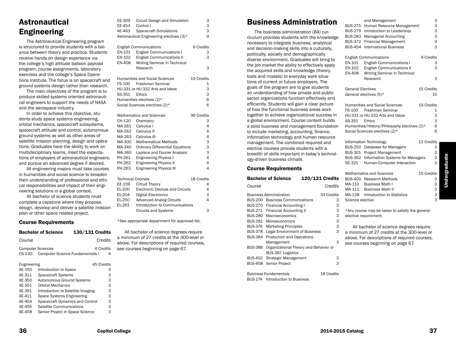# Astronautical Engineering

The Astronautical Engineering program is structured to provide students with a balance between theory and practice. Students receive hands on design experience via the college's high altitude balloon payload program, course assignments, laboratory exercises and the college's Space Operations Institute. The focus is on spacecraft and ground systems design rather than research.

The main objectives of the program is to produce skilled systems oriented astronautical engineers to support the needs of NASA and the aerospace industry.

In order to achieve this objective, students study space systems engineering, orbital mechanics, spacecraft subsystems, spacecraft attitude and control, autonomous ground systems as well as other areas of satellite mission planning, design and operations. Graduates have the ability to work on multidisciplinary teams, meet the expectations of employers of astronautical engineers, and pursue an advanced degree if desired.

All engineering majors must take courses in humanities and social science to broaden their understanding of professional and ethical responsibilities and impact of their engineering solutions in a global context.

All bachelor of science students must complete a capstone where they propose, design, develop and deliver a satellite mission plan or other space related project.

#### Course Requirements

|                                    | <b>Bachelor of Science</b><br><b>130/131 Credits</b>     |            |
|------------------------------------|----------------------------------------------------------|------------|
| Course                             |                                                          | Credits    |
| <b>Computer Sciences</b><br>CS-130 | 4 Credits<br><b>Computer Science Fundamentals I</b><br>4 |            |
| Engineering                        |                                                          | 45 Credits |
| AE-150                             | Introduction to Space                                    | 3          |
| AE-311                             | <b>Spacecraft Systems</b>                                | 3          |
| AE-350                             | Autonomous Ground Systems                                | 3          |
| AE-351                             | <b>Orbital Mechanics</b>                                 | 3          |
| AE-361                             | Introduction to Satellite Imaging                        | 3          |
| AF-411                             | Space Systems Engineering                                | 3          |
| AE-454                             | Spacecraft Dynamics and Control                          | 3          |
| AE-455                             | Satellite Communications                                 | 3          |
| AE-458                             | Senior Project in Space Science                          | з          |

| ∟∟∹ວບອ        | Gilguit Design and Simulation            | ت          |  |
|---------------|------------------------------------------|------------|--|
| EE-453        | Control I                                | 3          |  |
| AE-463        | <b>Spacecraft Simulations</b>            | 3          |  |
|               | Astronautical Engineering electives (3)* | 9          |  |
|               |                                          |            |  |
|               | <b>English Communications</b>            | 9 Credits  |  |
| EN-101        | <b>English Communications I</b>          | 3          |  |
| EN-102        | <b>English Communications II</b>         | 3          |  |
| EN-408        | Writing Seminar in Technical             |            |  |
|               | Research                                 | 3          |  |
|               |                                          |            |  |
|               | <b>Humanities and Social Sciences</b>    | 19 Credits |  |
|               | FS-100 Freshman Seminar                  | 1          |  |
|               | HU-331 or HU-332 Arts and Ideas          | 3          |  |
| SS-351 Ethics |                                          | 3          |  |
|               | Humanities electives (2)*                | 6          |  |
|               | Social Sciences electives (2)*           | 6          |  |
|               |                                          |            |  |
|               | Mathematics and Sciences                 | 36 Credits |  |
| CH-120        | Chemistry                                | 3          |  |
|               | MA-261 Calculus I                        | 4          |  |
|               | MA-262 Calculus II                       | 4          |  |
|               | MA-263 Calculus III                      | 4          |  |
| MA-300        | <b>Mathematical Methods</b>              | 3          |  |
| MA-340        | <b>Ordinary Differential Equations</b>   | 3          |  |
| MA-360        | Laplace and Fourier Analysis             | 3          |  |

EE-309 Circuit Design and Simulation 3

| EE-159 | <b>Circuit Theory</b>                  |   |
|--------|----------------------------------------|---|
| EL-200 | <b>Electronic Devices and Circuits</b> | 4 |
| EL-204 | Digital Electronics                    | 3 |
| EL-250 | <b>Advanced Analog Circuits</b>        | 4 |
| EL-261 | Introduction to Communications         |   |
|        | <b>Circuits and Systems</b>            | з |
|        |                                        |   |

PH-261 Engineering Physics I 4 PH-262 Engineering Physics II 4 PH-263 Engineering Physics III 4 Technical Courses 18 Credits

\*See appropriate department for approved list.

All bachelor of science degrees require a minimum of 27 credits at the 300-level or above. For descriptions of required courses, see courses beginning on page 67.

# Business Administration

The business administration (BA) curriculum provides students with the knowledge necessary to integrate business, analytical and decision-making skills into a culturally, politically, socially and demographically diverse environment. Graduates will bring to the job market the ability to effectively apply the acquired skills and knowledge (theory, tools and models) to everyday work situations of current or future employers. The goals of the program are to give students an understanding of how private and public sector organizations function effectively and efficiently. Students will gain a clear picture of how the functional business areas work together to achieve organizational success in a global environment. Course content builds a solid business and management foundation to include marketing, accounting, finance, information technology and human resource management. The combined required and elective courses provide students with a breadth of skills important in today's technology-driven business climate.

#### Course Requirements

|                | <b>Bachelor of Science</b>            | <b>120/121 Credits</b> |
|----------------|---------------------------------------|------------------------|
| Course         |                                       | Credits                |
|                | <b>Business Administration</b>        | 33 Credits             |
| <b>BUS-200</b> | <b>Business Communications</b>        | 3                      |
|                | BUS-270 Financial Accounting I        | 3                      |
| BUS-271        | Financial Accounting II               | 3                      |
| BUS-280        | Macroeconomics                        | 3                      |
| BUS-281        | Microeconomics                        | 3                      |
| <b>BUS-376</b> | <b>Marketing Principles</b>           | 3                      |
| <b>BUS-378</b> | <b>Legal Environment of Business</b>  | 3                      |
| <b>BUS-384</b> | <b>Production and Operations</b>      |                        |
|                | Management                            | 3                      |
| <b>BUS-386</b> | Organizational Theory and Behavior or |                        |
|                | <b>BUS-387 Logistics</b>              |                        |
| BUS-410        | Strategic Management                  | 3                      |
| <b>BUS-458</b> | Senior Project                        | 3                      |
|                |                                       |                        |
|                | <b>Business Fundamentals</b>          | 18 Credits             |
|                | BUS-174 Introduction to Business      |                        |

|                          | and Management                               |            | З                       |
|--------------------------|----------------------------------------------|------------|-------------------------|
| <b>BUS-275</b>           | Human Resource Management                    |            | 3                       |
| <b>BUS-279</b>           | Introduction to Leadership                   |            | 3                       |
| <b>BUS-283</b>           | <b>Managerial Accounting</b>                 |            | 3                       |
| <b>BUS-372</b>           | <b>Financial Management</b>                  |            | 3                       |
| <b>BUS-454</b>           | <b>International Business</b>                |            | $\overline{\mathbf{3}}$ |
|                          | <b>English Communications</b>                | 9 Credits  |                         |
| EN-101                   | <b>English Communications I</b>              |            | 3                       |
| EN-102                   | <b>English Communications II</b>             |            | 3                       |
| EN-408                   | Writing Seminar in Technical                 |            |                         |
|                          | Research                                     |            | 3                       |
| <b>General Electives</b> |                                              | 15 Credits |                         |
|                          | General electives (5)*                       |            | 15                      |
|                          | <b>Humanities and Social Sciences</b>        | 19 Credits |                         |
|                          | FS-100 Freshman Seminar                      |            | 1                       |
|                          | HU-331 or HU-332 Arts and Ideas              |            | 3                       |
| SS-351                   | Ethics                                       |            | 3                       |
|                          | Humanities/History/Philosophy electives (2)* |            | 6                       |
|                          | Social Sciences electives (2)*               |            | 6                       |
|                          | Information Technology                       | 12 Credits |                         |
|                          | BUS-250 Database for Managers                |            | 3                       |
|                          | BUS-301 Project Management                   |            | 3                       |
| <b>BUS-362</b>           | <b>Information Systems for Managers</b>      |            | 3                       |
| SE-321                   | Human-Computer Interaction                   |            | 3                       |
|                          | <b>Mathematics and Sciences</b>              | 15 Credits |                         |
|                          | BUS-400 Research Methods                     |            | З                       |
| MA-110                   | <b>Business Math I</b>                       |            | 3                       |
| MA-111                   | <b>Business Math II</b>                      |            | 3                       |

MA-128 Introduction to Statistics 3

All bachelor of science degrees require a minimum of 27 credits at the 300-level or above. For descriptions of required courses, see courses beginning on page 67.

\*Any course may be taken to satisfy the general

Science elective

elective requirement.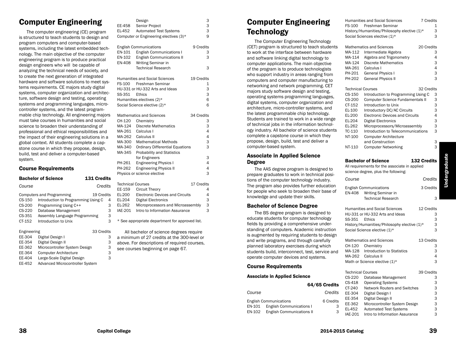# Computer Engineering

The computer engineering (CE) program is structured to teach students to design and program computers and computer-based systems, including the latest embedded technology. The main objective of the computer engineering program is to produce practical design engineers who will be capable of analyzing the technical needs of society, and to create the next generation of integrated hardware and software solutions to meet systems requirements. CE majors study digital systems, computer organization and architecture, software design and testing, operating systems and programming languages, microcontroller systems, and the latest programmable chip technology. All engineering majors must take courses in humanities and social science to broaden their understanding of professional and ethical responsibilities and the impact of their engineering solutions in a global context. All students complete a capstone course in which they propose, design, build, test and deliver a computer-based system.

#### Course Requirements

|          | <b>Bachelor of Science</b>          | 131 Credits |   |
|----------|-------------------------------------|-------------|---|
| Course   |                                     | Credits     |   |
|          | <b>Computers and Programming</b>    | 19 Credits  |   |
| $CS-150$ | Introduction to Programming Using C |             | 4 |
| $CS-200$ | Programming Using C++               |             | 3 |
| $CS-220$ | Database Management                 |             | 3 |
| CS-351   | Assembly Language Programming       |             | 3 |
| CT-152   | Introduction to Unix                |             | 3 |

| Engineering |                                        | 33 Credits |
|-------------|----------------------------------------|------------|
| EE-304      | Digital Design I                       | з          |
| EE-354      | Digital Design II                      | 3          |
| EE-362      | Microcontroller System Design          | 3          |
| EE-364      | <b>Computer Architecture</b>           | 3          |
| EE-404      | Large-Scale Digital Design             | 3          |
| EE-452      | <b>Advanced Microcontroller System</b> |            |

|                  | Design                                          | 3          |
|------------------|-------------------------------------------------|------------|
| EE-458           | Senior Project                                  | 3          |
| EL-452           | <b>Automated Test Systems</b>                   | 3          |
|                  | Computer or Engineering electives (3)*          | 9          |
|                  | <b>English Communications</b>                   | 9 Credits  |
| EN-101           | <b>English Communications I</b>                 | 3          |
| EN-102<br>EN-408 | <b>English Communications II</b>                | 3          |
|                  | Writing Seminar in<br><b>Technical Research</b> | 3          |
|                  |                                                 |            |
|                  | <b>Humanities and Social Sciences</b>           | 19 Credits |
|                  | FS-100 Freshman Seminar                         | 1          |
|                  | HU-331 or HU-332 Arts and Ideas                 | 3          |
| SS-351           | Ethics                                          | 3          |
|                  | Humanities electives (2)*                       | 6          |
|                  | Social Science elective (2)*                    | 6          |
|                  | Mathematics and Sciences                        | 34 Credits |
| CH-120           | Chemistry                                       | 3          |
| MA-124           | Discrete Mathematics                            | 3          |
|                  | MA-261 Calculus I                               | 4          |
|                  | MA-262 Calculus II                              | 4          |
| MA-300           | <b>Mathematical Methods</b>                     | 3          |
| MA-340           | <b>Ordinary Differential Equations</b>          | 3          |
| MA-345           | Probability and Statistics                      |            |
|                  | for Engineers                                   | 3          |

PH-261 Engineering Physics I 4 PH-262 Engineering Physics II 4 Physics or science elective 3

Technical Courses 17 Credits EE-159 Circuit Theory 4 EL-200 Electronic Devices and Circuits 4 EL-204 Digital Electronics 3 EL-262 Microprocessors and Microassembly 3 IAE-201 Intro to Information Assurance 3

\* See appropriate department for approved list.

All bachelor of science degrees require a minimum of 27 credits at the 300-level or above. For descriptions of required courses, see courses beginning on page 67.

# Computer Engineering **Technology**

The Computer Engineering Technology (CET) program is structured to teach students to work at the interface between hardware and software linking digital technology to computer applications. The main objective of the program is to produce technologists who support industry in areas ranging from computers and computer manufacturing to networking and network programming. CET majors study software design and testing, operating systems programming languages, digital systems, computer organization and architecture, micro-controller systems, and the latest programmable chip technology. Students are trained to work in a wide range of technical jobs in the information technology industry. All bachelor of science students complete a capstone course in which they propose, design, build, test and deliver a computer-based system.

#### Associate in Applied Science Degree

The AAS degree program is designed to prepare graduates to work in technical positions of the computer technology industry. The program also provides further education for people who seek to broaden their base of knowledge and update their skills.

### Bachelor of Science Degree

The BS degree program is designed to educate students for computer technology fields by providing a comprehensive understanding of computers. Academic instruction is augmented by requiring students to design and write programs, and through carefully planned laboratory exercises during which students build, interconnect, test, service and operate computer devices and systems.

### Course Requirements

#### Associate in Applied Science

 64/65 Credits *Course Credits*

|        | <b>English Communications</b>    | 6 Credits |
|--------|----------------------------------|-----------|
| EN-101 | <b>English Communications I</b>  | 3         |
| EN-102 | <b>English Communications II</b> | з         |

|                          | <b>Humanities and Social Sciences</b>                          | 7 Credits   |   |
|--------------------------|----------------------------------------------------------------|-------------|---|
| FS-100                   | <b>Freshman Seminar</b>                                        |             | 1 |
|                          | History/Humanities/Philosophy elective (1)*                    |             | 3 |
|                          | Social Sciences elective (1)*                                  |             | 3 |
|                          |                                                                |             |   |
|                          | <b>Mathematics and Sciences</b>                                | 20 Credits  |   |
| MA-112                   | Intermediate Algebra                                           |             | 3 |
| MA-114                   | Algebra and Trigonometry                                       |             | 4 |
| MA-124                   | <b>Discrete Mathematics</b>                                    |             | 3 |
| MA-261                   | Calculus I                                                     |             | 4 |
| PH-201                   | General Physics I                                              |             | 3 |
| PH-202                   | <b>General Physics II</b>                                      |             | 3 |
|                          |                                                                |             |   |
| <b>Technical Courses</b> |                                                                | 32 Credits  |   |
| CS-150                   | Introduction to Programming Using C                            |             | 3 |
| CS-200                   | <b>Computer Science Fundamentals II</b>                        |             | 3 |
| CT-152                   | Introduction to Unix                                           |             | 3 |
| EL-100                   | Introductory DC/AC Circuits                                    |             | 3 |
| EL-200                   | <b>Electronic Devices and Circuits</b>                         |             | 4 |
| EL-204                   | <b>Digital Electronics</b>                                     |             | 3 |
| EL-262                   | Microprocessors/Microassembly                                  |             | 3 |
| TC-110                   | Introduction to Telecommunications                             |             | 3 |
| <b>NT-100</b>            | <b>Computer Architecture</b>                                   |             |   |
|                          | and Construction                                               |             | З |
| NT-110                   | <b>Computer Networking</b>                                     |             | 3 |
|                          |                                                                |             |   |
|                          | <b>Bachelor of Science</b>                                     | 132 Credits |   |
|                          | All requirements for the associate in applied                  |             |   |
|                          | science degree, plus the following:                            |             |   |
|                          |                                                                |             |   |
| Course                   |                                                                | Credits     |   |
|                          | <b>English Communications</b>                                  | 3 Credits   |   |
| <b>EN-408</b>            | Writing Seminar in                                             |             |   |
|                          | <b>Technical Research</b>                                      |             | 3 |
|                          |                                                                |             |   |
|                          | <b>Humanities and Social Sciences</b>                          | 12 Credits  |   |
|                          | HU-331 or HU-332 Arts and Ideas                                |             | З |
| SS-351                   | Ethics                                                         |             | 3 |
|                          | History/Humanities/Philosophy elective (1)*                    |             | 3 |
|                          | Social Science elective (1)*                                   |             | 3 |
|                          | <b>Mathematics and Sciences</b>                                | 13 Credits  |   |
| CH-120                   | Chemistry                                                      |             | 3 |
| MA-128                   | <b>Introduction to Statistics</b>                              |             | 3 |
| MA-262                   | Calculus II                                                    |             | 4 |
|                          |                                                                |             | 3 |
|                          | Math or Science elective (1)*                                  |             |   |
| <b>Technical Courses</b> |                                                                | 39 Credits  |   |
| CS-220                   | Database Management                                            |             | З |
| CS-418                   | <b>Operating Systems</b>                                       |             | 3 |
| CT-240                   | <b>Network Routers and Switches</b>                            |             | 3 |
| EE-304                   | Digital Design I                                               |             | 3 |
| EE-354                   | Digital Design II                                              |             | 3 |
|                          |                                                                |             | 3 |
| EE-362                   | Microcontroller System Design<br><b>Automated Test Systems</b> |             | 3 |
| EL-452                   |                                                                |             |   |

IAE-201 Intro to Information Assurance 3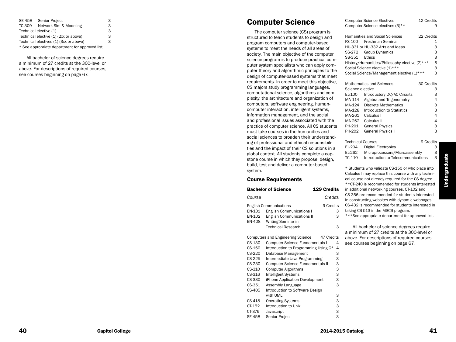| SE-458                                          | Senior Project         | 3  |
|-------------------------------------------------|------------------------|----|
| TC-309                                          | Network Sim & Modeling | 3. |
| Technical elective (1)                          |                        | з  |
| Technical elective (1) (2xx or above)           |                        | 3. |
| Technical electives (1) (3xx or above)          |                        | 3. |
| * See appropriate department for approved list. |                        |    |

3

All bachelor of science degrees require a minimum of 27 credits at the 300-level or above. For descriptions of required courses, see courses beginning on page 67.

# Computer Science

The computer science (CS) program is structured to teach students to design and program computers and computer-based systems to meet the needs of all areas of society. The main objective of the computer science program is to produce practical com puter system specialists who can apply com puter theory and algorithmic principles to the design of computer-based systems that meet requirements. In order to meet this objective, CS majors study programming languages, computational science, algorithms and com plexity, the architecture and organization of computers, software engineering, humancomputer interaction, intelligent systems, information management, and the social and professional issues associated with the practice of computer science. All CS students must take courses in the humanities and social sciences to broaden their understand ing of professional and ethical responsibili ties and the impact of their CS solutions in a global context. All students complete a cap stone course in which they propose, design, build, test and deliver a computer-based system .

#### Course Requirements

|        | <b>Bachelor of Science</b>               | <b>129 Credits</b> |   | ir      |
|--------|------------------------------------------|--------------------|---|---------|
| Course |                                          | Credits            |   | С<br>ir |
|        | <b>English Communications</b>            | 9 Credits          |   | С       |
| EN-101 | <b>English Communications I</b>          |                    | З | ta      |
| EN-102 | <b>English Communications II</b>         |                    | 3 | $\star$ |
| EN-408 | Writing Seminar in                       |                    |   |         |
|        | <b>Technical Research</b>                |                    | 3 |         |
|        |                                          |                    |   | a       |
|        | <b>Computers and Engineering Science</b> | 47 Credits         |   | a       |
| CS-130 | <b>Computer Science Fundamentals I</b>   |                    | 4 | S       |
| CS-150 | Introduction to Programming Using C*     |                    | 4 |         |
| CS-220 | Database Management                      |                    | 3 |         |
| CS-225 | Intermediate Java Programming            |                    | 3 |         |
| CS-230 | <b>Computer Science Fundamentals II</b>  |                    | З |         |
| CS-310 | <b>Computer Algorithms</b>               |                    | 3 |         |
| CS-316 | Intelligent Systems                      |                    | 3 |         |
| CS-330 | iPhone Application Development           |                    | 3 |         |
| CS-351 | Assembly Language                        |                    | 3 |         |
| CS-405 | Introduction to Software Design          |                    |   |         |
|        | with UML                                 |                    | 3 |         |
| CS-418 | <b>Operating Systems</b>                 |                    | 3 |         |
| CT-152 | Introduction to Unix                     |                    | 3 |         |
| CT-376 | Javascript                               |                    | 3 |         |
| SE-458 | Senior Project                           |                    | 3 |         |

|                    | Humanities and Social Sciences                | 22 Credits |
|--------------------|-----------------------------------------------|------------|
|                    | FS-100 Freshman Seminar                       | 1          |
|                    | HU-331 or HU-332 Arts and Ideas               | 3          |
|                    | SS-272 Group Dynamics                         | 3          |
| SS-351             | Ethics                                        | 3          |
|                    | History/Humanities/Philosophy elective (2)*** | 6          |
|                    | Social Science elective (1)***                | 3          |
|                    | Social Science/Management elective (1)***     | 3          |
|                    |                                               |            |
|                    | <b>Mathematics and Sciences</b>               | 30 Credits |
| Science elective   |                                               | 3          |
| EL-100             | Introductory DC/AC Circuits                   | 3          |
| MA-114             | Algebra and Trigonometry                      | 4          |
| MA-124             | <b>Discrete Mathematics</b>                   | 3          |
| MA-128             | Introduction to Statistics                    | 3          |
| MA-261             | Calculus I                                    | 4          |
| MA-262             | Calculus II                                   | 4          |
| PH-201             | <b>General Physics I</b>                      | 3          |
| PH-202             | <b>General Physics II</b>                     | 3          |
|                    |                                               |            |
| エー・トー じょうし ヘー・・・・・ |                                               | 0.04111    |

Computer Science Electives 12 Credits

Computer Science electives (3)\*\*

| Technical Courses |                                    | 9 Credits |
|-------------------|------------------------------------|-----------|
| EL-204            | Digital Electronics                | 3         |
| EL-262            | Microprocessors/Microassembly      | 3         |
| TC-110            | Introduction to Telecommunications | 3         |
|                   |                                    |           |

\* Students who validate CS-150 or who place into Calculus I may replace this course with any techni cal course not already required for the CS degree. \*\*CT-240 is recommended for students interested additional networking courses. CT-102 and S-356 are recommended for students interested constructing websites with dynamic webpages. S-432 is recommended for students interested in aking CS-513 in the MSCS program. \*\*\*See appropriate department for approved list.

All bachelor of science degrees require minimum of 27 credits at the 300-level or bove. For descriptions of required courses, ee courses beginning on page 67.

Undergraduate

Undergraduate

9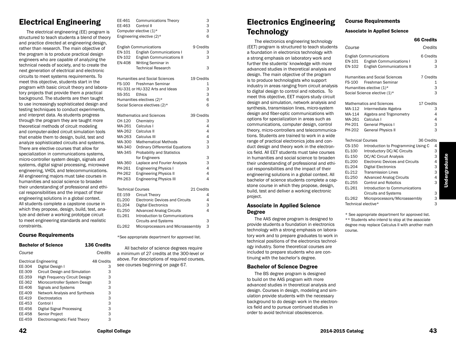# Electrical Engineering

The electrical engineering (EE) program is structured to teach students a blend of theory and practice directed at engineering design, rather than research. The main objective of the program is to produce practical design engineers who are capable of analyzing the technical needs of society, and to create the next generation of electrical and electronic circuits to meet systems requirements. To meet this objective, students start in the program with basic circuit theory and laboratory projects that provide them a practical background. The students are then taught to use increasingly sophisticated design and testing techniques to conduct experiments, and interpret data. As students progress through the program they are taught more theoretical methods of circuit modeling and computer-aided circuit simulation tools that enable them to design, build, test and analyze sophisticated circuits and systems. There are elective courses that allow for specialization in communications systems, micro-controller system design, signals and systems, digital signal processing, microwave engineering, VHDL and telecommunications. All engineering majors must take courses in humanities and social science to broaden their understanding of professional and ethical responsibilities and the impact of their engineering solutions in a global context. All students complete a capstone course in which they propose, design, build, test, analyze and deliver a working prototype circuit to meet engineering standards and realistic constraints.

#### Course Requirements

|        | <b>Bachelor of Science</b>            | 136 Credits |         |
|--------|---------------------------------------|-------------|---------|
| Course |                                       |             | Credits |
|        | <b>Electrical Engineering</b>         | 48 Credits  |         |
| EE-304 | Digital Design I                      |             | 3       |
| EE-309 | Circuit Design and Simulation         |             | 3       |
| EE-359 | High Frequency Circuit Design         |             | 3       |
| EE-362 | Microcontroller System Design         |             | З       |
| EE-406 | <b>Signals and Systems</b>            |             | 3       |
| EE-409 | <b>Network Analysis and Synthesis</b> |             | 3       |
| EE-419 | Electrostatics                        |             | 3       |
| EE-453 | Control I                             |             | 3       |
| EE-456 | Digital Signal Processing             |             | 3       |
| EE-458 | <b>Senior Project</b>                 |             | 3       |
| EE-459 | Electromagnetic Field Theory          |             | 3       |

| EE-461                   | <b>Communications Theory</b>           |            | 3              |
|--------------------------|----------------------------------------|------------|----------------|
| EE-463                   | Control II                             |            | 3              |
|                          | Computer elective (1)*                 |            | 3              |
|                          | Engineering elective (2)*              |            | 6              |
|                          | <b>English Communications</b>          | 9 Credits  |                |
| EN-101                   | <b>English Communications I</b>        |            | 3              |
| EN-102                   | <b>English Communications II</b>       |            | 3              |
| EN-408                   | Writing Seminar in                     |            |                |
|                          | <b>Technical Research</b>              |            | 3              |
|                          | <b>Humanities and Social Sciences</b>  | 19 Credits |                |
| <b>FS-100</b>            | Freshman Seminar                       |            | 1              |
|                          | HU-331 or HU-332 Arts and Ideas        |            | 3              |
| SS-351 Ethics            |                                        |            | 3              |
|                          | Humanities electives (2)*              |            | 6              |
|                          | Social Science electives (2)*          |            | 6              |
|                          | <b>Mathematics and Sciences</b>        | 39 Credits |                |
| CH-120                   | Chemistry                              |            | 3              |
| MA-261                   | Calculus I                             |            | 4              |
| MA-262                   | Calculus II                            |            | $\overline{4}$ |
| MA-263                   | Calculus III                           |            | $\overline{4}$ |
| MA-300                   | <b>Mathematical Methods</b>            |            | 3              |
| MA-340                   | <b>Ordinary Differential Equations</b> |            | 3              |
| MA-345                   | <b>Probability and Statistics</b>      |            |                |
|                          | for Engineers                          |            | 3              |
| MA-360                   | Laplace and Fourier Analysis           |            | 3              |
| PH-261                   | <b>Engineering Physics I</b>           |            | $\overline{4}$ |
| PH-262                   | <b>Engineering Physics II</b>          |            | 4              |
| PH-263                   | <b>Engineering Physics III</b>         |            | 4              |
| <b>Technical Courses</b> |                                        | 21 Credits |                |
| EE-159                   | <b>Circuit Theory</b>                  |            | 4              |
| EL-200                   | <b>Electronic Devices and Circuits</b> |            | 4              |
| EL-204                   | <b>Digital Electronics</b>             |            | 3              |
| EL-250                   | <b>Advanced Analog Circuits</b>        |            | 4              |
| EL-261                   | Introduction to Communications         |            |                |
|                          | <b>Circuits and Systems</b>            |            | 3              |
| EL-262                   | Microprocessors and Microassembly      |            | 3              |

\*See appropriate department for approved list.

All bachelor of science degrees require a minimum of 27 credits at the 300-level or above. For descriptions of required courses, see courses beginning on page 67.

# Electronics Engineering **Technology**

The electronics engineering technology (EET) program is structured to teach students a foundation in electronics technology with a strong emphasis on laboratory work and further the students' knowledge with more advanced studies in theoretical analysis and design. The main objective of the program is to produce technologists who support industry in areas ranging from circuit analysis to digital design to control and robotics. To meet this objective, EET majors study circuit design and simulation, network analysis and synthesis, transmission lines, micro-system design and fiber-optic communications with options for specialization in areas such as communications, computer design, control theory, micro-controllers and telecommunications. Students are trained to work in a wide range of practical electronics jobs and conduct design and theory work in the electronics field. All EET students must take courses in humanities and social science to broaden their understanding of professional and ethical responsibilities and the impact of their engineering solutions in a global context. All bachelor of science students complete a capstone course in which they propose, design, build, test and deliver a working electronic project.

#### Associate in Applied Science Degree

The AAS degree program is designed to provide students a foundation in electronics technology with a strong emphasis on laboratory work and to prepare graduates to work in technical positions of the electronics technology industry. Some theoretical courses are included to prepare students who are continuing with the bachelor's degree.

#### Bachelor of Science Degree

The BS degree program is designed to build on the AAS program with more advanced studies in theoretical analysis and design. Courses in design, modeling and simulation provide students with the necessary background to do design work in the electronics field and to pursue continued studies in order to avoid technical obsolescence.

### Course Requirements

#### Associate in Applied Science

|                   |                                                                            | <b>66 Credits</b> |
|-------------------|----------------------------------------------------------------------------|-------------------|
| Course            |                                                                            | Credits           |
|                   | <b>English Communications</b>                                              | 6 Credits         |
|                   | EN-101 English Communications I<br><b>EN-102</b> English Communications II | З<br>3            |
|                   | Humanities and Social Sciences                                             | 7 Credits         |
|                   | FS-100 Freshman Seminar                                                    | 1                 |
|                   | Humanities elective (1)*                                                   | 3                 |
|                   | Social Science elective (1)*                                               | 3                 |
|                   | <b>Mathematics and Sciences</b>                                            | 17 Credits        |
| MA-112            | Intermediate Algebra                                                       | З                 |
| MA-114            | Algebra and Trigonometry                                                   | 4                 |
| MA-261            | Calculus I                                                                 | 4                 |
| PH-201            | <b>General Physics I</b>                                                   | 3                 |
| PH-202            | <b>General Physics II</b>                                                  | 3                 |
| Technical Courses |                                                                            | 36 Credits        |
|                   |                                                                            |                   |

| Technical Courses   |                                        | 50 VIEUILS |   |
|---------------------|----------------------------------------|------------|---|
| CS-150              | Introduction to Programming Using C    |            | 4 |
| EL-100              | Introductory DC/AC Circuits            |            | 3 |
| EL-150              | <b>DC/AC Circuit Analysis</b>          |            | 3 |
| EL-200              | <b>Electronic Devices and Circuits</b> |            | 4 |
| EL-204              | Digital Electronics                    |            | 3 |
| EL-212              | <b>Transmission Lines</b>              |            | 3 |
| EL-250              | <b>Advanced Analog Circuits</b>        |            | 4 |
| EL-255              | <b>Control and Robotics</b>            |            | 3 |
| EL-261              | Introduction to Communications         |            |   |
|                     | <b>Circuits and Systems</b>            |            | 3 |
| EL-262              | Microprocessors/Microassembly          |            | 3 |
| Technical elective* |                                        |            | 3 |

\* See appropriate department for approved list. \*\* Students who intend to stop at the associate degree may replace Calculus II with another math course.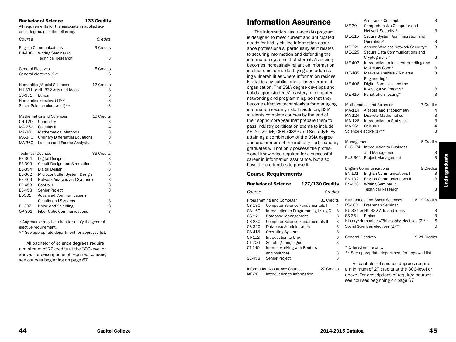# Bachelor of Science 133 Credits

All requirements for the associate in applied sci ence degree, plus the following:

| Course                   |                                                     | Credits       |
|--------------------------|-----------------------------------------------------|---------------|
| <b>EN-408</b>            | <b>English Communications</b><br>Writing Seminar in | 3 Credits     |
|                          | <b>Technical Research</b>                           | 3             |
| <b>General Electives</b> |                                                     | 6 Credits     |
|                          | General electives $(2)^*$                           | 6             |
|                          | Humanities/Social Sciences                          | 12 Credits    |
|                          | HU-331 or HU-332 Arts and Ideas                     | 3             |
| SS-351                   | Ethics                                              | 3             |
|                          | Humanities elective (1)**                           | 3             |
|                          | Social Science elective (1)**                       | 3             |
|                          | Mathematics and Sciences                            | 16 Credits    |
| CH-120                   | Chemistry                                           | 3             |
| MA-262                   | Calculus II                                         | 4             |
| MA-300                   | <b>Mathematical Methods</b>                         | 3             |
| MA-340                   | <b>Ordinary Differential Equations</b>              | 3             |
| MA-360                   | Laplace and Fourier Analysis                        | 3             |
| <b>Technical Courses</b> |                                                     | 36 Credits    |
| EE-304                   | Digital Design I                                    | 3             |
| EE-309                   | Circuit Design and Simulation                       | 3             |
| EE-354                   | Digital Design II                                   | 3             |
| EE-362                   | Microcontroller System Design                       | 3             |
| EE-409                   | Network Analysis and Synthesis                      | 3             |
| EE-453                   | Control I                                           | 3             |
| EE-458                   | Senior Project                                      | 3             |
| EL-301                   | <b>Advanced Communications</b>                      |               |
|                          | <b>Circuits and Systems</b>                         | 3             |
| EL-307                   | Noise and Shielding                                 | $\frac{3}{3}$ |
| OP-301                   | <b>Fiber Optic Communications</b>                   |               |

\* Any course may be taken to satisfy the general elective requirement.

\*\* See appropriate department for approved list.

All bachelor of science degrees require a minimum of 27 credits at the 300-level or above. For descriptions of required courses, see courses beginning on page 67.

# Information Assurance

The information assurance (IA) program is designed to meet current and anticipated needs for highly-skilled information assurance professionals, particularly as it relates to securing information and defending the information systems that store it. As society becomes increasingly reliant on information in electronic form, identifying and address ing vulnerabilities where information resides is vital to any public, private or government organization. The BSIA degree develops and builds upon students' mastery in computer networking and programming, so that they become effective technologists for managing information security risk. In addition, BSIA students complete courses by the end of their sophomore year that prepare them to pass industry certification exams to include A+, Network+, CEH, CISSP and Security+. By attaining a combination of the BSIA degree and one or more of the industry certifications, graduates will not only possess the profes sional knowledge required for a successful career in information assurance, but also have the credentials to prove it.

### Course Requirements

#### Bachelor of Science 127/130 Credits

| Course   | Credits                                 |   |
|----------|-----------------------------------------|---|
|          | 31 Credits<br>Programming and Computer  |   |
| $CS-130$ | <b>Computer Science Fundamentals I</b>  | 4 |
| $CS-150$ | Introduction to Programming Using C     | 3 |
| $CS-220$ | Database Management                     | 3 |
| $CS-230$ | <b>Computer Science Fundamentals II</b> | 3 |
| $CS-320$ | Database Administration                 | 3 |
| CS-418   | <b>Operating Systems</b>                | 3 |
| CT-152   | Introduction to Unix                    | 3 |
| CT-206   | <b>Scripting Languages</b>              | 3 |
| CT-240   | Internetworking with Routers            |   |
|          | and Switches                            | 3 |
| SF-458   | <b>Senior Project</b>                   |   |
|          |                                         |   |

Information Assurance Courses 27 Credits IAE-201 Introduction to Information

|                                              | <b>Assurance Concepts</b>                     |               | 3 |
|----------------------------------------------|-----------------------------------------------|---------------|---|
| <b>IAE-301</b><br>Comprehensive Computer and |                                               |               |   |
|                                              | Network Security *                            |               | 3 |
| <b>IAE-315</b>                               | Secure System Administration and              |               |   |
|                                              | Operation*                                    |               | 3 |
| <b>IAE-321</b>                               | Applied Wireless Network Security*            |               | 3 |
| <b>IAE-325</b>                               | Secure Data Communications and                |               |   |
|                                              | Cryptography*                                 |               | 3 |
| <b>IAE-402</b>                               | Introduction to Incident Handling and         |               |   |
|                                              | Malicious Code*                               |               | 3 |
| <b>IAE-405</b>                               | Malware Analysis / Reverse                    |               | 3 |
|                                              | Engineering*                                  |               |   |
| <b>IAE-406</b>                               | Digital Forensics and the                     |               |   |
|                                              | Investigative Process*                        |               | 3 |
| IAE-410                                      | Penetration Testing*                          |               | 3 |
|                                              |                                               |               |   |
|                                              | <b>Mathematics and Sciences</b>               | 17 Credits    |   |
| MA-114                                       | Algebra and Trigonometry                      |               | 4 |
| MA-124                                       | <b>Discrete Mathematics</b>                   |               | 3 |
| MA-128                                       | Introduction to Statistics                    |               | 3 |
| MA-261                                       | Calculus I                                    |               | 4 |
|                                              | Science elective (1)**                        |               | 3 |
|                                              |                                               |               |   |
|                                              |                                               |               |   |
|                                              |                                               |               |   |
| Management                                   |                                               | 6 Credits     |   |
| BUS-174                                      | Introduction to Business                      |               |   |
|                                              | and Management                                |               | 3 |
| BUS-301                                      | Project Management                            |               | 3 |
|                                              |                                               |               |   |
|                                              | <b>English Communications</b>                 | 9 Credits     |   |
| EN-101                                       | <b>English Communications I</b>               |               | 3 |
| EN-102                                       | <b>English Communications II</b>              |               | 3 |
| <b>EN-408</b>                                | Writing Seminar in                            |               |   |
|                                              | <b>Technical Research</b>                     |               | 3 |
|                                              |                                               |               |   |
|                                              | <b>Humanities and Social Sciences</b>         | 18-19 Credits |   |
| FS-100                                       | Freshman Seminar                              |               | 1 |
|                                              | HU-331 or HU-332 Arts and Ideas               |               | 3 |
| SS-351                                       | Ethics                                        |               | 3 |
|                                              | History/Humanities/Philosophy electives (2)** |               | 6 |
|                                              | Social Sciences electives (2)**               |               | 6 |
|                                              |                                               |               |   |
| <b>General Electives</b>                     |                                               | 19-21 Credits |   |
|                                              | * Offered online only.                        |               |   |

\*\* See appropriate department for approved list.

All bachelor of science degrees require a minimum of 27 credits at the 300-level or above. For descriptions of required courses, see courses beginning on page 67.

4

3

3

3

3

3

3

3

3

3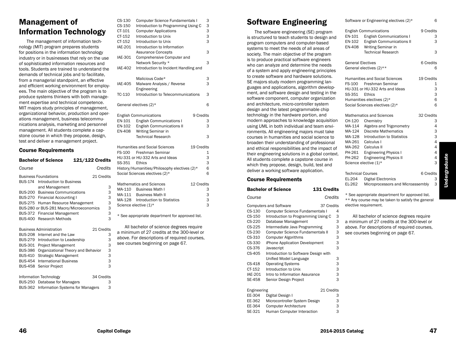# Management of Information Technology

The management of information technology (MIT) program prepares students for positions in the information technology industry or in businesses that rely on the use of sophisticated information resources and tools. Students are trained to understand the demands of technical jobs and to facilitate, from a managerial standpoint, an effective and efficient working environment for employees. The main objective of the program is to produce systems thinkers with both management expertise and technical competence. MIT majors study principles of management, organizational behavior, production and operations management, business telecommunications analysis, marketing and personnel management. All students complete a capstone course in which they propose, design, test and deliver a management project.

#### Course Requirements

|                | <b>Bachelor of Science</b>               | 121/122 Credits |            |   |
|----------------|------------------------------------------|-----------------|------------|---|
| Course         |                                          |                 | Credits    |   |
|                | <b>Business Foundations</b>              |                 | 21 Credits |   |
| BUS-174        | Introduction to Business                 |                 |            |   |
|                | and Management                           |                 |            | 3 |
|                | <b>BUS-200 Business Communications</b>   |                 |            | 3 |
|                | BUS-270 Financial Accounting I           |                 |            | 3 |
|                | BUS-275 Human Resource Management        |                 |            | 3 |
|                | BUS-280 or BUS-281 Macro/Microeconomics  |                 |            | 3 |
|                | BUS-372 Financial Management             |                 |            | 3 |
| <b>BUS-400</b> | <b>Research Methods</b>                  |                 |            | 3 |
|                | <b>Business Administration</b>           |                 | 21 Credits |   |
|                | BUS-208 Internet and the Law             |                 |            | З |
|                | BUS-279 Introduction to Leadership       |                 |            | 3 |
|                | BUS-301 Project Management               |                 |            | 3 |
| <b>BUS-386</b> | Organizational Theory and Behavior       |                 |            | 3 |
| BUS-410        | Strategic Management                     |                 |            | 3 |
| <b>BUS-454</b> | <b>International Business</b>            |                 |            | 3 |
| <b>BUS-458</b> | Senior Project                           |                 |            | 3 |
|                | Information Technology                   |                 | 34 Credits |   |
|                | BUS-250 Database for Managers            |                 |            | 3 |
|                | BUS-362 Information Systems for Managers |                 |            | 3 |

|                | Computer Science Fundamentals I                     | 3 |
|----------------|-----------------------------------------------------|---|
| CS-150         | Introduction to Programming Using C                 | 3 |
| CT-101         | <b>Computer Applications</b>                        | 3 |
| CT-152         | Introduction to Unix                                | 3 |
| CT-152         | Introduction to Unix                                | 3 |
| <b>IAE-201</b> | Introduction to Information                         |   |
|                | <b>Assurance Concepts</b>                           | 3 |
| <b>IAE-301</b> | Comprehensive Computer and                          |   |
|                | Network Security *                                  | 3 |
| <b>IAE-402</b> | Introduction to Incident Handling and               |   |
|                |                                                     |   |
|                | Malicious Code*                                     | 3 |
| <b>IAE-405</b> | Malware Analysis / Reverse                          | 3 |
|                | Engineering                                         |   |
| TC-110         | Introduction to Telecommunications                  | 3 |
|                |                                                     |   |
|                | General electives $(2)^*$                           | 6 |
|                |                                                     |   |
|                | <b>English Communications</b><br>9 Credits          |   |
| EN-101         | <b>English Communications I</b>                     | 3 |
| EN-102         | <b>English Communications II</b>                    | 3 |
| <b>EN-408</b>  | Writing Seminar in                                  |   |
|                | <b>Technical Research</b>                           | 3 |
|                |                                                     |   |
|                |                                                     |   |
|                |                                                     |   |
|                | <b>Humanities and Social Sciences</b><br>19 Credits |   |
| FS-100         | Freshman Seminar                                    | 1 |
|                | HU-331 or HU-332 Arts and Ideas                     | 3 |
| SS-351         | Ethics                                              | 3 |
|                | History/Humanities/Philosophy electives (2)*        | 6 |
|                | Social Sciences electives (2)*                      | 6 |
|                |                                                     |   |
|                | <b>Mathematics and Sciences</b><br>12 Credits       | 3 |
|                | MA-110 Business Math I                              |   |
| MA-111         | <b>Business Math II</b>                             | 3 |
| MA-128         | <b>Introduction to Statistics</b>                   | 3 |
|                | Science elective (1)*                               | 3 |
|                | * See appropriate department for approved list.     |   |
|                |                                                     |   |
|                | All bachelor of science degrees require             |   |
|                | a minimum of 27 credits at the 300-level or         |   |
|                | above. For descriptions of required courses,        |   |
|                | see courses beginning on page 67.                   |   |
|                |                                                     |   |
|                |                                                     |   |

# Software Engineering

The software engineering (SE) program is structured to teach students to design and program computers and computer-based systems to meet the needs of all areas of society. The main objective of the program is to produce practical software engineers who can analyze and determine the needs of a system and apply engineering principles to create software and hardware solutions. SE majors study modern programming languages and applications, algorithm development, and software design and testing in the software component, computer organization and architecture, micro-controller system design and the latest programmable chip technology in the hardware portion, and modern approaches to knowledge acquisition using UML in both individual and team environments. All engineering majors must take courses in humanities and social science to broaden their understanding of professional and ethical responsibilities and the impact of their engineering solutions in a global context. All students complete a capstone course in which they propose, design, build, test and deliver a working software application.

# Course Requirements

|                           | <b>Bachelor of Science</b>             | 131 Credits |   |                       |
|---------------------------|----------------------------------------|-------------|---|-----------------------|
| Course                    |                                        | Credits     |   | $^{\star}$ !<br>$* *$ |
|                           | <b>Computers and Software</b>          | 37 Credits  |   | ele                   |
| CS-130                    | <b>Computer Science Fundamentals I</b> |             | 4 |                       |
| CS-150                    | Introduction to Programming Using C    |             | 3 |                       |
| CS-220                    | Database Management                    |             | 3 | а                     |
| CS-225                    | Intermediate Java Programming          |             | 3 | at                    |
| CS-230                    | Computer Science Fundamentals II       |             | 3 | SE                    |
| CS-310                    | <b>Computer Algorithms</b>             |             | 3 |                       |
| CS-330                    | iPhone Application Development         |             | 3 |                       |
| CS-376                    | Javascript                             |             | 3 |                       |
| CS-405                    | Introduction to Software Design with   |             |   |                       |
|                           | Unified Model Language                 |             | 3 |                       |
| CS-418                    | <b>Operating Systems</b>               |             | 3 |                       |
| CT-152                    | Introduction to Unix                   |             | 3 |                       |
| <b>IAE-201</b>            | Intro to Information Assurance         |             | 3 |                       |
| SE-458                    | Senior Design Project                  |             | 3 |                       |
| 21 Credits<br>Engineering |                                        |             |   |                       |
| EE-304                    | Digital Design I                       |             | 3 |                       |
| EE-362                    | Microcontroller System Design          |             | 3 |                       |
| EE-364                    | <b>Computer Architecture</b>           |             | З |                       |
| SE-321                    | Human Computer Interaction             |             | 3 |                       |

| EN-101<br>EN-102<br>EN-408                                                                                                    | <b>English Communications</b><br><b>English Communications I</b><br><b>English Communications II</b><br>Writing Seminar in<br><b>Technical Research</b>                                                                                                             | 9 Credits  | 3<br>3<br>3                               |
|-------------------------------------------------------------------------------------------------------------------------------|---------------------------------------------------------------------------------------------------------------------------------------------------------------------------------------------------------------------------------------------------------------------|------------|-------------------------------------------|
| General Electives                                                                                                             | General electives (2)**                                                                                                                                                                                                                                             | 6 Credits  | 6                                         |
| FS-100<br>SS-351                                                                                                              | <b>Humanities and Social Sciences</b><br>Freshman Seminar<br>HU-331 or HU-332 Arts and Ideas<br><b>Ethics</b><br>Humanities electives (2)*<br>Social Sciences electives (2)*                                                                                        | 19 Credits | 1<br>3<br>3<br>6<br>6                     |
| CH-120<br>MA-114<br>MA-124<br>MA-128<br>MA-261<br>PH-261<br>PH-262                                                            | <b>Mathematics and Sciences</b><br>Chemistry<br>Algebra and Trigonometry<br>Discrete Mathematics<br><b>Introduction to Statistics</b><br>Calculus I<br>MA-262 Calculus II<br><b>Engineering Physics I</b><br><b>Engineering Physics II</b><br>Science elective (1)* | 32 Credits | З<br>4<br>3<br>3<br>4<br>4<br>4<br>4<br>3 |
| Technical Courses<br>EL-204<br>EL-262                                                                                         | <b>Digital Electronics</b><br>Microprocessors and Microassembly                                                                                                                                                                                                     | 6 Credits  | 3<br>3                                    |
| * See appropriate department for approved list.<br>** Any course may be taken to satisfy the general<br>elective requirement. |                                                                                                                                                                                                                                                                     |            |                                           |

Software or Engineering electives (2)\* 6

All bachelor of science degrees require minimum of 27 credits at the 300-level or bove. For descriptions of required courses, e courses beginning on page 67.

**Undergraduate** Undergraduate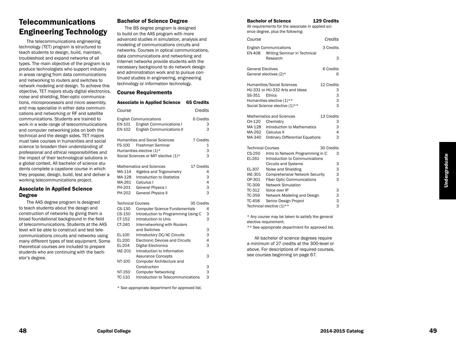# **Telecommunications** Engineering Technology

The telecommunications engineering technology (TET) program is structured to teach students to design, build, maintain, troubleshoot and expand networks of all types. The main objective of the program is to produce technologists who support industry in areas ranging from data communications and networking to routers and switches to network modeling and design. To achieve this objective, TET majors study digital electronics, noise and shielding, fiber-optic communica tions, microprocessors and micro assembly, and may specialize in either data communi cations and networking or RF and satellite communications. Students are trained to work in a wide range of telecommunications and computer networking jobs on both the technical and the design sides. TET majors must take courses in humanities and social science to broaden their understanding of professional and ethical responsibilities and the impact of their technological solutions in a global context. All bachelor of science stu dents complete a capstone course in which they propose, design, build, test and deliver a working telecommunications project.

### Associate in Applied Science Degree

The AAS degree program is designed to teach students about the design and construction of networks by giving them a broad foundational background in the field of telecommunications. Students at the AAS level will be able to construct and test tele communications circuits and networks using many different types of test equipment. Some theoretical courses are included to prepare students who are continuing with the bach elor's degree .

# Bachelor of Science Degree

The BS degree program is designed to build on the AAS program with more advanced studies in simulation, analysis and modeling of communications circuits and networks. Courses in optical communications, data communications and networking and Internet networks provide students with the necessary background to do network design and administration work and to pursue con tinued studies in engineering, engineering technology or information technology.

#### Course Requirements

|                          | <b>Associate in Applied Science</b>    | <b>65 Credits</b> |   |
|--------------------------|----------------------------------------|-------------------|---|
| Course                   |                                        | Credits           |   |
|                          | <b>English Communications</b>          | 6 Credits         |   |
| EN-101                   | <b>English Communications I</b>        |                   | 3 |
| EN-102                   | <b>English Communications II</b>       |                   | 3 |
|                          | <b>Humanities and Social Sciences</b>  | 7 Credits         |   |
| FS-100                   | Freshman Seminar                       |                   | 1 |
|                          | Humanities elective (1)*               |                   | 3 |
|                          | Social Sciences or MIT elective (1)*   |                   | 3 |
|                          | Mathematics and Sciences               | 17 Credits        |   |
| MA-114                   | Algebra and Trigonometry               |                   | 4 |
| MA-128                   | Introduction to Statistics             |                   | 3 |
| MA-261                   | Calculus I                             |                   | 4 |
| PH-201                   | <b>General Physics I</b>               |                   | 3 |
| PH-202                   | <b>General Physics II</b>              |                   | 3 |
| <b>Technical Courses</b> |                                        | 35 Credits        |   |
| CS-130                   | <b>Computer Science Fundamentals</b>   |                   | 4 |
| CS-150                   | Introduction to Programming Using C    |                   | 3 |
| CT-152                   | Introduction to Unix                   |                   | 3 |
| CT-240                   | Internetworking with Routers           |                   |   |
|                          | and Switches                           |                   | 3 |
| EL-100                   | Introductory DC/AC Circuits            |                   | 3 |
| EL-200                   | <b>Electronic Devices and Circuits</b> |                   | 4 |
| EL-204                   | Digital Electronics                    |                   | 3 |
| <b>IAE-201</b>           | Introduction to Information            |                   |   |
|                          | <b>Assurance Concepts</b>              |                   | 3 |
| NT-100                   | Computer Architecture and              |                   |   |
|                          | Construction                           |                   | 3 |

\* See appropriate department for approved list.

TC-110 Introduction to Telecommunications

3

3

NT-150 Computer Networking

#### Bachelor of Science 129 Credits

All requirements for the associate in applied sci ence degree, plus the following:

| Course                   |                                                               | Credits    |
|--------------------------|---------------------------------------------------------------|------------|
| <b>EN-408</b>            | <b>English Communications</b><br>Writing Seminar in Technical | 3 Credits  |
|                          | Research                                                      | 3          |
| <b>General Electives</b> |                                                               | 6 Credits  |
|                          | General electives (2)*                                        | 6          |
|                          | Humanities/Social Sciences                                    | 12 Credits |
|                          | HU-331 or HU-332 Arts and Ideas                               | З          |
| SS-351                   | Ethics                                                        | 3<br>3     |
|                          | Humanities elective (1)**                                     |            |
|                          | Social Science elective (1)**                                 | 3          |
|                          | Mathematics and Sciences                                      | 13 Credits |
| CH-120                   | Chemistry                                                     | 3          |
| MA 128                   | Introduction to Mathematics                                   | 3          |
| MA-262                   | Calculus II                                                   | 4          |
| MA-340                   | <b>Ordinary Differential Equations</b>                        | 3          |
| <b>Technical Courses</b> |                                                               | 30 Credits |
| CS-250                   | Intro to Network Programming in C                             | 3          |
| EL-261                   | Introduction to Communications                                |            |
|                          | <b>Circuits and Systems</b>                                   | 3          |
| EL-307                   | Noise and Shielding                                           | 3          |
| <b>IAE-301</b>           | <b>Comprehensive Network Security</b>                         | 3          |
| OP-301                   | <b>Fiber Optic Communications</b>                             | 3          |
| TC-309                   | <b>Network Simulation</b>                                     |            |
| TC-312                   | Voice over IP                                                 | 3          |
| TC-359                   | Network Modeling and Design                                   | 3          |
| <b>TC-458</b>            | Senior Design Project                                         | 3          |
|                          | Technical elective (1)**                                      | 3          |

\* Any course may be taken to satisfy the general elective requirement.

\*\* See appropriate department for approved list.

All bachelor of science degrees require a minimum of 27 credits at the 300-level or above. For descriptions of required courses, see courses beginning on page 67.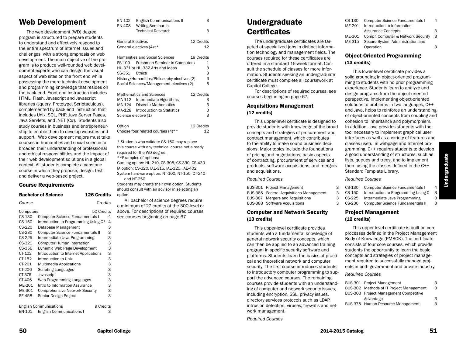# Web Development

The web development (WD) degree program is structured to prepare students to understand and effectively respond to the entire spectrum of Internet issues and challenges, with a strong emphasis on web development. The main objective of the program is to produce well-rounded web development experts who can design the visual aspect of web sites on the front end while possessing the more technical development and programming knowledge that resides on the back end. Front end instruction includes HTML, Flash, Javascript and Javascript libraries (Jquery, Prototype, Scriptaculous), complemented by back end instruction that includes Unix, SQL, PHP, Java Server Pages, Java Servlets, and .NET (C#). Students also study courses in business and entrepreneurship to enable them to develop websites and support. Web development majors must take courses in humanities and social science to broaden their understanding of professional and ethical responsibilities and the impact of their web development solutions in a global context. All students complete a capstone course in which they propose, design, test and deliver a web-based project.

#### Course Requirements

|                | <b>Bachelor of Science</b>              | <b>126 Credits</b> |
|----------------|-----------------------------------------|--------------------|
| Course         |                                         | Credits            |
| Computers      |                                         | 50 Credits         |
| CS-130         | <b>Computer Science Fundamentals I</b>  | 4                  |
| CS-150         | Introduction to Programming Using C*    | 4                  |
| CS-220         | Database Management                     | 3                  |
| CS-230         | <b>Computer Science Fundamentals II</b> | 3                  |
| CS-225         | Intermediate Java Programming           | 3                  |
| CS-321         | <b>Computer Human Interaction</b>       | 3                  |
| CS-356         | Dynamic Web Page Development            | 3                  |
| CT-102         | Introduction to Internet Applications   | 3                  |
| CT-152         | Introduction to Unix                    | 3                  |
| CT-201         | Multimedia Applications                 | 3                  |
| CT-206         | <b>Scripting Languages</b>              | 3                  |
| CT-376         | Javascript                              | 3                  |
| CT-406         | Web Programming Languages               | 3                  |
| <b>IAE-201</b> | Intro to Information Assurance          | 3                  |
| <b>IAE-301</b> | <b>Comprehensive Network Security</b>   | 3                  |
| <b>SE-458</b>  | Senior Design Project                   | 3                  |
|                | <b>English Communications</b>           | 9 Credits          |
| EN-101         | <b>English Communications I</b>         | 3                  |

| EN-102                   | <b>English Communications II</b>                | 3          |
|--------------------------|-------------------------------------------------|------------|
| EN-408                   | Writing Seminar in<br><b>Technical Research</b> |            |
|                          |                                                 | 3          |
| <b>General Electives</b> |                                                 | 12 Credits |
|                          | General electives (4)**                         | 12         |
|                          |                                                 |            |
|                          | <b>Humanities and Social Sciences</b>           | 19 Credits |
| FS-100                   | Freshman Seminar in Computers                   | 1          |
|                          | HU-331 or HU-332 Arts and Ideas                 | 3          |
| SS-351                   | <b>Fthics</b>                                   | 3          |
|                          | History/Humanities/Philosophy electives (2)     | 6          |
|                          | Social Sciences/Management electives (2)        | 6          |
|                          |                                                 |            |
|                          | <b>Mathematics and Sciences</b>                 | 12 Credits |
| MA-112                   | Intermediate Algorithms                         | З          |
| MA-124                   | Discrete Mathematics                            | 3          |
| MA-128                   | Introduction to Statistics                      | 3          |

| OUIGHOU UIGULIVU (±)                 |            |
|--------------------------------------|------------|
| Option                               | 12 Credits |
| Choose four related courses $(4)$ ** | 12         |

MA-128 Introduction to Statistics 3

Science elective (1)

\* Students who validate CS-150 may replace this course with any technical course not already required for the WD degree. \*\*Examples of options: Gaming option: HU-210, CS-305, CS-330, CS-430 IA option: CS-320, IAE-315, IAE-325, IAE-402 System hardware option: NT-100, NT-150, CT-240 and NT-250

Students may create their own option. Students should consult with an advisor in selecting an option.

All bachelor of science degrees require a minimum of 27 credits at the 300-level or above. For descriptions of required courses, see courses beginning on page 67.

# Undergraduate **Certificates**

The undergraduate certificates are targeted at specialized jobs in distinct information technology and management fields. The courses required for these certificates are offered in a standard 16-week format. Consult the schedule of classes for more information. Students seeking an undergraduate certificate must complete all coursework at Capitol College.

For descriptions of required courses, see courses beginning on page 67.

#### Acquisitions Management (12 credits)

This upper-level certificate is designed to provide students with knowledge of the broad concepts and strategies of procurement and contract management, which contributes to the ability to make sound business decisions. Major topics include the foundations of pricing and negotiations, basic aspects of contracting, procurement of services and products, software acquisitions, and mergers and acquisitions.

#### *Required Courses*

| BUS-301 Project Management                     | З |
|------------------------------------------------|---|
| <b>BUS-385</b> Federal Acquisitions Management | 3 |
| BUS-387 Mergers and Acquisitions               | 3 |
| <b>BUS-388</b> Software Acquisitions           | з |

### Computer and Network Security (13 credits)

This upper-level certificate provides students with a fundamental knowledge of general network security concepts, which can then be applied to an advanced training program in specific security software and platforms. Students learn the basics of practical and theoretical network and computer security. The first course introduces students to introductory computer programming to support the advanced courses. The remaining courses provide students with an understanding of computer and network security issues, including encryption, SSL, privacy issues, directory services protocols such as LDAP, intrusion detection, viruses, firewalls and network management.

*Required Courses*

| CS-130  | <b>Computer Science Fundamentals I</b> | 4 |
|---------|----------------------------------------|---|
| IAE-201 | Introduction to Information            |   |
|         | <b>Assurance Concepts</b>              | 3 |
| IAE-301 | Compr. Computer & Network Security     | 3 |
| IAE-315 | Secure System Administration and       |   |
|         | Operation                              | З |
|         |                                        |   |

### Object-Oriented Programming (13 credits)

This lower-level certificate provides a solid grounding in object-oriented programming to students with no prior programming experience. Students learn to analyze and design programs from the object-oriented perspective. Implementing object-oriented solutions to problems in two languages, C++ and Java, helps to reinforce an understanding of object-oriented concepts from coupling and cohesion to inheritance and polymorphism. In addition, Java provides students with the tool necessary to implement graphical user interfaces as well as a variety of features and classes useful in webpage and Internet programming. C++ requires students to develop a good understanding of structures, such as lists, queues and trees, and to implement them using the classes defined in the C++ Standard Template Library.

#### *Required Courses*

- CS-130 Computer Science Fundamentals I 4<br>CS-150 Introduction to Programming Using C 3
- CS-150 Introduction to Programming Using C
- CS-225 Intermediate Java Programming 3
- CS-230 Computer Science Fundamentals II 3

### Project Management (12 credits)

This upper-level certificate is built on core processes defined in the Project Management Body of Knowledge (PMBOK). The certificate consists of four core courses, which provide students the opportunity to learn the basic concepts and strategies of project management required to successfully manage projects in both government and private industry.

*Required Courses*

|           | З                                                                                                                                                     |
|-----------|-------------------------------------------------------------------------------------------------------------------------------------------------------|
|           | 3                                                                                                                                                     |
|           |                                                                                                                                                       |
| Advantage | 3                                                                                                                                                     |
|           | З                                                                                                                                                     |
|           | BUS-301 Project Management<br>BUS-302 Methods of IT Project Management<br>BUS-303 Project Management Competitive<br>BUS-375 Human Resource Management |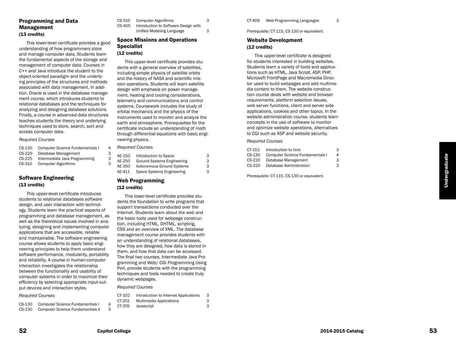### Programming and Data Management (13 credits)

This lower-level certificate provides a good understanding of how programmers store and manage computer data. Students learn the fundamental aspects of the storage and management of computer data. Courses in C++ and Java introduce the student to the object-oriented paradigm and the underly ing principles of the structures and methods associated with data management. In addi tion, Oracle is used in the database manage ment course, which introduces students to relational databases and the techniques for analyzing and designing database solutions. Finally, a course in advanced data structures teaches students the theory and underlying techniques used to store, search, sort and access computer data.

#### *Required Courses*

| $CS-130$ | <b>Computer Science Fundamentals I</b> |
|----------|----------------------------------------|
| $CS-220$ | Database Management                    |
| $CS-225$ | Intermediate Java Programming          |
| CS-310   | <b>Computer Algorithms</b>             |

#### Software Engineering (13 credits)

This upper-level certificate introduces students to relational databases software design, and user interaction with technol ogy. Students learn the practical aspects of programming and database management, as well as the theoretical issues involved in ana lyzing, designing and implementing computer applications that are accessible, reliable and maintainable. The software engineering course allows students to apply basic engi neering principles to help them understand software performance, modularity, portability and reliability. A course in human-computer interaction investigates the relationship between the functionality and usability of computer systems in order to maximize their efficiency by selecting appropriate input-out put devices and interaction styles.

#### *Required Courses*

| CS-130 | <b>Computer Science Fundamentals I</b> |
|--------|----------------------------------------|
| CS-230 | Computer Science Fundamentals II       |

| CS-310 | Computer Algorithms                  |
|--------|--------------------------------------|
| CS-405 | Introduction to Software Design with |
|        | Unified Modeling Language            |

3

3

# Space Missions and Operations Specialist

# (12 credits)

This upper-level certificate provides stu dents with a general overview of satellites, including simple physics of satellite orbits and the history of NASA and scientific mis sion operations. Students will learn satellite design with emphasis on power manage ment, heating and cooling considerations, telemetry and communications and control systems. Coursework includes the study of orbital mechanics and the physics of the instruments used to monitor and analyze the earth and atmosphere. Prerequisites for the certificate include an understanding of math through differential equations with basic engi neering physics.

#### *Required Courses*

4

3

3

3

| AE-150 | Introduction to Space             | 3 |
|--------|-----------------------------------|---|
| AE-250 | <b>Ground Systems Engineering</b> | 3 |
| AE-350 | <b>Autonomous Ground Systems</b>  | 3 |
| AE-411 | Space Systems Engineering         | 3 |

### Web Programming (12 credits)

This lower-level certificate provides stu dents the foundation to write programs that support transactions conducted over the Internet. Students learn about the web and the basic tools used for webpage construc tion, including HTML, DHTML, scripting, CSS and an overview of XML. The database management course provides students with an understanding of relational databases, how they are designed, how data is stored in them, and how that data can be accessed. The final two courses, Intermediate Java Pro gramming and Web/ CGI Programming Using Perl, provide students with the programming techniques and tools needed to create truly dynamic webpages.

*Required Courses*

| CT-102 | Introduction to Internet Applications | З |
|--------|---------------------------------------|---|
| CT-201 | Multimedia Applications               | 3 |
| CT-376 | Javascript                            | 3 |

3

Prerequisite: CT-115, CS-130 or equivalent.

#### Website Development (12 credits)

This upper-level certificate is designed for students interested in building websites. Students learn a variety of tools and applica tions such as HTML, Java Script, ASP, PHP, Microsoft FrontPage and Macromedia Direc tor used to build webpages and add multime dia content to them. The website construc tion course deals with website and browser requirements, platform selection issues, web server functions, client and server side applications, cookies and other topics. In the website administration course, students learn concepts in the use of software to monitor and optimize website operations, alternatives to CGI such as ASP and website security.

#### *Required Courses*

| CT-152   | Introduction to Unix            | З        |
|----------|---------------------------------|----------|
| $CS-130$ | Computer Science Fundamentals I | $\Delta$ |
| $CS-220$ | Database Management             | 3        |
| CS-320   | Database Administration         | з        |
|          |                                 |          |

Prerequisite: CT-115, CS-130 or equivalent.

4

3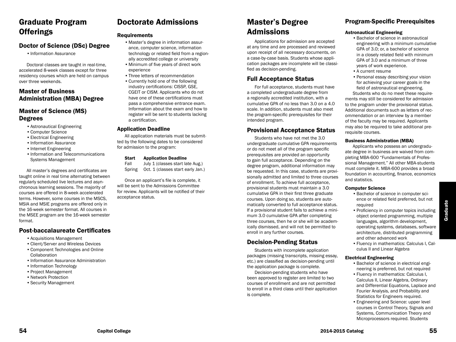# Graduate Program **Offerings**

# Doctor of Science (DSc) Degree

•Information Assurance

Doctoral classes are taught in real-time, accelerated 8-week classes except for three residency courses which are held on campus over three weekends.

# Master of Business Administration (MBA) Degree

# Master of Science (MS) Degrees

- •Astronautical Engineering
- •Computer Science
- •Electrical Engineering
- •Information Assurance
- •Internet Engineering
- •Information and Telecommunications Systems Management

All master's degrees and certificates are taught online in real time alternating between regularly scheduled live lectures and asynchronous learning sessions. The majority of courses are offered in 8-week accelerated terms. However, some courses in the MSCS, MSIA and MSIE programs are offered only in the 16-week semester format. All courses in the MSEE program are the 16-week semester format.

# Post-baccalaureate Certificates

- •Acquisitions Management
- •Client/Server and Wireless Devices
- •Component Technologies and Online Collaboration
- •Information Assurance Administration
- Information Technology
- •Project Management
- •Network Protection
- •Security Management

# Doctorate Admissions

### Requirements

- •Master's degree in information assurance, computer science, information technology or related field from a regionally accredited college or university
- •Minimum of five years of direct work experience
- •Three letters of recommendation
- •Currently hold one of the following industry certifications: CISSP, GSE, CGEIT or CISM. Applicants who do not have one of these certifications must pass a comprehensive entrance exam. Information about the exam and how to register will be sent to students lacking a certification.

### Application Deadline

All application materials must be submitted by the following dates to be considered for admission to the program:

#### Start Application Deadline

Fall July 1 (classes start late Aug.) Spring Oct. 1 (classes start early Jan.)

Once an applicant's file is complete, it will be sent to the Admissions Committee for review. Applicants will be notified of their acceptance status.

# Master's Degree Admissions

Applications for admission are accepted at any time and are processed and reviewed upon receipt of all necessary documents, on a case-by-case basis. Students whose application packages are incomplete will be classified as decision-pending.

# Full Acceptance Status

For full acceptance, students must have a completed undergraduate degree from a regionally accredited institution, with a cumulative GPA of no less than 3.0 on a 4.0 scale. In addition, students must also meet the program-specific prerequisites for their intended program.

# Provisional Acceptance Status

Students who have not met the 3.0 undergraduate cumulative GPA requirements or do not meet all of the program specific prerequisites are provided an opportunity to gain full acceptance. Depending on the degree program, additional information may be requested. In this case, students are provisionally admitted and limited to three courses of enrollment. To achieve full acceptance, provisional students must maintain a 3.0 cumulative GPA in their first three graduate courses. Upon doing so, students are automatically converted to full acceptance status. If a provisional student fails to achieve a minimum 3.0 cumulative GPA after completing three courses, then he or she will be academically dismissed, and will not be permitted to enroll in any further courses.

# Decision-Pending Status

Students with incomplete application packages (missing transcripts, missing essay, etc.) are classified as decision-pending until the application package is complete.

Decision-pending students who have been approved to register are limited to two courses of enrollment and are not permitted to enroll in a third class until their application is complete.

# Program-Specific Prerequisites

### Astronautical Engineering

- •Bachelor of science in astronautical engineering with a minimum cumulative GPA of 3.0; or, a bachelor of science in a closely related field with minimum GPA of 3.0 and a minimum of three years of work experience.
- •A current resume
- Personal essay describing your vision for achieving your career goals in the field of astronautical engineering.

Students who do no meet these requirements may still be considered for admission to the program under the provisional status. Additional documents such as letters of recommendation or an interview by a member of the faculty may be required. Applicants may also be required to take additional prerequisite courses.

#### Business Administration (MBA)

Applicants who possess an undergraduate degree in business are waived from completing MBA-600 "Fundamentals of Professional Management." All other MBA-students must complete it. MBA-600 provides a broad foundation in accounting, finance, economics and statistics.

#### Computer Science

- •Bachelor of science in computer science or related field preferred, but not required
- Proficiency in computer topics including object oriented programming, multiple languages, algorithm development, operating systems, databases, software architecture, distributed programming and other advanced work
- •Fluency in mathematics: Calculus I, Calculus II and Linear Algebra

### Electrical Engineering

- •Bachelor of science in electrical engineering is preferred, but not required
- •Fluency in mathematics: Calculus I, Calculus II, Linear Algebra, Ordinary and Differential Equations, Laplace and Fourier Analysis, and Probability and Statistics for Engineers required.
- •Engineering and Science: upper level courses in Control Theory, Signals and Systems, Communication Theory and Microprocessors required. Students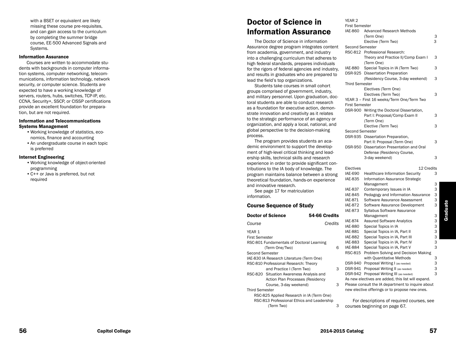with a BSET or equivalent are likely missing these course pre-requisites, and can gain access to the curriculum by completing the summer bridge course, EE-500 Advanced Signals and Systems .

#### Information Assurance

Courses are written to accommodate stu dents with backgrounds in computer informa tion systems, computer networking, telecom munications, information technology, network security, or computer science. Students are expected to have a working knowledge of servers, routers, hubs, switches, TCP-IP, etc. CCNA, Security+, SSCP, or CISSP certifications provide an excellent foundation for prepara tion, but are not required.

#### Information and Telecommunications Systems Management

- •Working knowledge of statistics, eco nomics, finance and accounting
- •An undergraduate course in each topic is preferred

#### Internet Engineering

- •Working knowledge of object-oriented programming
- •C++ or Java is preferred, but not required

# Doctor of Science in Information Assurance

The Doctor of Science in information Assurance degree program integrates content from academia, government, and industry into a challenging curriculum that adheres to high federal standards, prepares individuals for the rigors of federal agencies and industry, and results in graduates who are prepared to lead the field's top organizations.

Students take courses in small cohort groups comprised of government, industry, and military personnel. Upon graduation, doc toral students are able to conduct research as a foundation for executive action, demon strate innovation and creativity as it relates to the strategic performance of an agency or organization, and apply a local, national, and global perspective to the decision-making process.

The program provides students an aca demic environment to support the develop ment of high-level critical thinking and lead ership skills, technical skills and research experience in order to provide significant con tributions to the IA body of knowledge. The program maintains balance between a strong theoretical foundation, hands-on experience and innovative research.

See page 17 for matriculation information .

#### Course Sequence of Study

|                                                                                                                                                                                                                                                                                                                                                                   | IAE-87                   |
|-------------------------------------------------------------------------------------------------------------------------------------------------------------------------------------------------------------------------------------------------------------------------------------------------------------------------------------------------------------------|--------------------------|
|                                                                                                                                                                                                                                                                                                                                                                   | <b>IAE-88</b>            |
|                                                                                                                                                                                                                                                                                                                                                                   | <b>IAE-88</b>            |
|                                                                                                                                                                                                                                                                                                                                                                   | <b>IAE-88</b>            |
|                                                                                                                                                                                                                                                                                                                                                                   | <b>IAE-88</b>            |
| 6                                                                                                                                                                                                                                                                                                                                                                 | <b>IAE-88</b>            |
|                                                                                                                                                                                                                                                                                                                                                                   | RSC-8                    |
|                                                                                                                                                                                                                                                                                                                                                                   |                          |
|                                                                                                                                                                                                                                                                                                                                                                   | DSR-9                    |
| 3                                                                                                                                                                                                                                                                                                                                                                 | DSR-9                    |
|                                                                                                                                                                                                                                                                                                                                                                   | DSR-9                    |
|                                                                                                                                                                                                                                                                                                                                                                   | As ney                   |
| 3                                                                                                                                                                                                                                                                                                                                                                 | Pleas                    |
|                                                                                                                                                                                                                                                                                                                                                                   | new e                    |
|                                                                                                                                                                                                                                                                                                                                                                   |                          |
|                                                                                                                                                                                                                                                                                                                                                                   | F۱                       |
| 3                                                                                                                                                                                                                                                                                                                                                                 | cours                    |
| RSC-801 Fundamentals of Doctoral Learning<br>IAE-830 IA Research Literature (Term One)<br>RSC-810 Professional Research: Theory<br>and Practice I (Term Two)<br>RSC-820 Situation Awareness Analysis and<br>Action Plan Processes (Residency<br>Course, 3-day weekend)<br>RSC-825 Applied Research in IA (Term One)<br>RSC-813 Professional Ethics and Leadership | 54-66 Credits<br>Credits |

| First Semester        |                                            |   |
|-----------------------|--------------------------------------------|---|
| IAE-860               | Advanced Research Methods                  |   |
|                       | (Term One)                                 | З |
|                       | Elective (Term Two)                        | 3 |
| Second Semester       |                                            |   |
|                       | RSC-812 Professional Research:             |   |
|                       | Theory and Practice II/Comp Exam I         | 3 |
|                       | (Term One)                                 |   |
| IAE-880               | Special Topics in IA (Term Two)            | 3 |
|                       | DSR-925 Dissertation Preparation           |   |
|                       | (Residency Course, 3-day weekend)          | 3 |
| <b>Third Semester</b> |                                            |   |
|                       | Electives (Term One)                       |   |
|                       | Electives (Term Two)                       | 3 |
|                       | YEAR 3 - First 16 weeks/Term One/Term Two  |   |
| <b>First Semester</b> |                                            |   |
|                       | DSR-900 Writing the Doctoral Dissertation, |   |
|                       | Part I: Proposal/Comp Exam II              | 3 |
|                       | (Term One)                                 |   |
|                       | Elective (Term Two)                        | 3 |
| Second Semester       |                                            |   |
|                       | DSR-935 Dissertation Preparation,          |   |
|                       | Part II: Proposal (Term One)               | 3 |
|                       | DSR-950 Dissertation Presentation and Oral |   |
|                       | Defense (Residency Course,                 |   |
|                       | 3-day weekend)                             | 3 |

YEAR 2

#### Electives 22 Credits

| IAE-690        | <b>Healthcare Information Security</b>             | 3 |
|----------------|----------------------------------------------------|---|
| IAE-835        | Information Assurance Strategic                    |   |
|                | Management                                         | 3 |
| <b>IAE-837</b> | Contemporary Issues in IA                          | 3 |
| <b>IAE-845</b> | Pedagogy and Information Assurance                 | 3 |
| <b>IAE-871</b> | Software Assurance Assessment                      | 3 |
| IAE-872        | Software Assurance Development                     | 3 |
| <b>IAE-873</b> | Syllabus Software Assurance                        |   |
|                | Management                                         | 3 |
| <b>IAE-874</b> | <b>Assured Software Analytics</b>                  | 3 |
| <b>IAE-880</b> | Special Topics in IA                               | 3 |
| <b>IAE-881</b> | Special Topics in IA, Part II                      | 3 |
| <b>IAE-882</b> | Special Topics in IA, Part III                     | 3 |
| <b>IAE-883</b> | Special Topics in IA, Part IV                      | 3 |
| IAE-884        | Special Topics in IA, Part V                       | 3 |
| RSC-815        | Problem Solving and Decision Making                |   |
|                | with Quantitative Methods                          | 3 |
| DSR-940        | Proposal Writing I (as needed)                     | 3 |
| DSR-941        | Proposal Writing II (as needed)                    | 3 |
| DSR-942        | Proposal Writing III (as needed)                   | 3 |
|                | As new electives are added, this list will expand. |   |
|                | Please consult the IA department to inquire about  |   |
|                | new elective offerings or to propose new ones.     |   |

or descriptions of required courses, see ses beginning on page 67.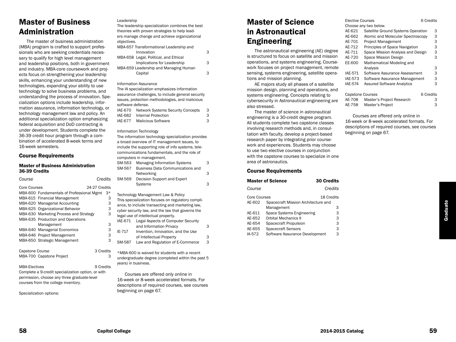# Master of Business Administration

The master of business administration (MBA) program is crafted to support professionals who are seeking credentials necessary to qualify for high level management and leadership positions, both in government and industry. MBA-core coursework and projects focus on strengthening your leadership skills, enhancing your understanding of new technologies, expanding your ability to use technology to solve business problems, and understanding the process of innovation. Specialization options include leadership, information assurance, information technology, or technology management law and policy. An additional specialization option emphasizing federal acquisition and DoD contracting is under development. Students complete the 36-39 credit hour program through a combination of accelerated 8-week terms and 16-week semesters.

#### Course Requirements

#### Master of Business Administration 36-39 Credits

| Course               |                                                    | Credits       |
|----------------------|----------------------------------------------------|---------------|
| Core Courses         |                                                    | 24-27 Credits |
|                      | MBA-600 Fundamentals of Professional Mgmt          | 3*            |
|                      | MBA-615 Financial Management                       | 3             |
|                      | MBA-620 Managerial Accounting                      | 3             |
|                      | MBA-625 Organizational Behavior                    | 3             |
|                      | MBA-630 Marketing Process and Strategy             | 3             |
|                      | MBA-635 Production and Operations                  |               |
|                      | Management                                         | 3             |
|                      | MBA-640 Managerial Economics                       | 3             |
|                      | MBA-646 Project Management                         | 3             |
|                      | MBA-650 Strategic Management                       | 3             |
| Capstone Course      |                                                    | 3 Credits     |
|                      | MBA-700 Capstone Project                           | 3             |
| <b>MBA-Electives</b> |                                                    | 9 Credits     |
|                      | Complete a 9-credit specialization option, or with |               |

permission, choose any three graduate-level courses from the college inventory.

Specialization options:

#### Leadership

| The leadership specialization combines the best<br>theories with proven strategies to help lead-<br>ers manage change and achieve organizational<br>objectives.                                    |   |
|----------------------------------------------------------------------------------------------------------------------------------------------------------------------------------------------------|---|
| MBA-657 Transformational Leadership and<br>Innovation                                                                                                                                              | 3 |
| MBA-658 Legal, Political, and Ethical<br>Implications for Leadership                                                                                                                               | 3 |
| MBA-659 Leadership and Managing Human                                                                                                                                                              |   |
| Capital                                                                                                                                                                                            | 3 |
| Information Assurance<br>The IA specialization emphasizes information<br>assurance challenges, to include general security<br>issues, protection methodologies, and malicious<br>software defense. |   |

| IAE-670 | <b>Network Systems Security Concepts</b> | 3 |
|---------|------------------------------------------|---|
| IAE-682 | Internal Protection                      | 3 |
| IAE-677 | <b>Malicious Software</b>                | 3 |

#### Information Technology

|                                                    | The information technology specialization provides |   |  |
|----------------------------------------------------|----------------------------------------------------|---|--|
| a broad overview of IT management issues, to       |                                                    |   |  |
| include the supporting role of info systems, tele- |                                                    |   |  |
| communications fundamentals, and the role of       |                                                    |   |  |
| computers in management.                           |                                                    |   |  |
| SM-563                                             | <b>Managing Information Systems</b>                | З |  |
| SM-567                                             | <b>Business Data Communications and</b>            |   |  |
|                                                    | Networking                                         | 3 |  |
| SM-569                                             | Decision Support and Expert                        |   |  |
|                                                    | <b>Systems</b>                                     | з |  |
|                                                    |                                                    |   |  |

Technology Management Law & Policy

|        | This specialization focuses on regulatory compli- |   |
|--------|---------------------------------------------------|---|
|        | ance, to include transacting and marketing law.   |   |
|        | cyber security law, and the law that governs the  |   |
|        | legal use of intellectual property.               |   |
|        | IAE-671 Legal Aspects of Computer Security        |   |
|        | and Information Privacy                           | 3 |
| IE-717 | Invention, Innovation, and the Use                |   |
|        |                                                   |   |

of Intellectual Property 3 SM-587 Law and Regulation of E-Commerce 3

\*MBA-600 is waived for students with a recent undergraduate degree (completed within the past 5 years) in business.

Courses are offered only online in 16-week or 8-week accelerated formats. For descriptions of required courses, see courses beginning on page 67.

# Master of Science in Astronautical Engineering

The astronautical engineering (AE) degree is structured to focus on satellite and mission operations, and systems engineering. Coursework focuses on project management, remote sensing, systems engineering, satellite operations and mission planning.

AE majors study all phases of a satellite mission design, planning and operations, and systems engineering. Concepts relating to cybersecurity in Astronautical engineering are also stressed.

The master of science in astronautical engineering is a 30-credit degree program. All students complete two capstone classes involving research methods and, in consultation with faculty, develop a project-based research paper by integrating prior coursework and experiences. Students may choose to use two elective courses in conjunction with the capstone courses to specialize in one area of astronautics.

#### Course Requirements

|              | <b>Master of Science</b>            | <b>30 Credits</b> |
|--------------|-------------------------------------|-------------------|
| Course       |                                     | Credits           |
| Core Courses |                                     | 18 Credits        |
| AE-602       | Spacecraft Mission Architecture and |                   |
|              | Management                          | З                 |
| AE-611       | Space Systems Engineering           | 3                 |
| AE-652       | Orbital Mechanics II                | 3                 |
| AE-654       | Spacecraft Propulsion               | 3                 |
| AE-655       | <b>Spacecraft Sensors</b>           | 3                 |
| IA-572       | Software Assurance Development      | 3                 |

| <b>Elective Courses</b> |                                    | 6 Credits |
|-------------------------|------------------------------------|-----------|
|                         | Choose any two below.              |           |
| AE-621                  | Satellite Ground Systems Operation | 3         |
| AE-662                  | Atomic and Molecular Spectroscopy  | 3         |
| AE-701                  | <b>Project Management</b>          | 3         |
| AE-712                  | Principles of Space Navigation     | 3         |
| AE-711                  | Space Mission Analysis and Design  | 3         |
| AE-720                  | Space Mission Design               | 3         |
| EE-600                  | Mathematical Modeling and          |           |
|                         | Analysis                           | 3         |
| IAE-571                 | Software Assurance Assessment      | 3         |
| IAE-573                 | Software Assurance Management      | 3         |
| <b>IAE-574</b>          | <b>Assured Software Analytics</b>  | 3         |
|                         |                                    |           |
| <b>Capstone Courses</b> |                                    | 6 Credits |
| AE-708                  | Master's Project Research          | З         |

Courses are offered only online in 16-week or 8-week accelerated formats. For descriptions of required courses, see courses beginning on page 67.

AE-758 Master's Project 3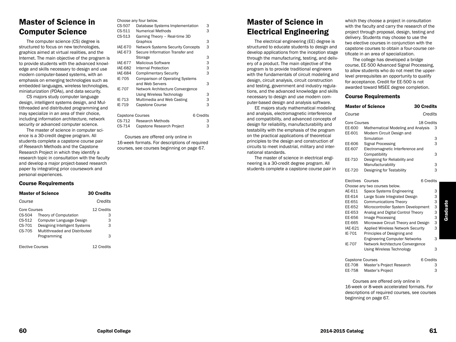# Master of Science in Computer Science

The computer science (CS) degree is structured to focus on new technologies, graphics aimed at virtual realities, and the Internet. The main objective of the program is to provide students with the advanced knowledge and skills necessary to design and use modern computer-based systems, with an emphasis on emerging technologies such as embedded languages, wireless technologies, miniaturization (PDAs), and data security.

CS majors study computer language design, intelligent systems design, and Multithreaded and distributed programming and may specialize in an area of their choice, including information architecture, network security or advanced computer science.

The master of science in computer science is a 30-credit degree program. All students complete a capstone course pair of Research Methods and the Capstone Research Project in which they identify a research topic in consultation with the faculty and develop a major project-based research paper by integrating prior coursework and personal experiences.

### Course Requirements

|                         | <b>Master of Science</b>      | <b>30 Credits</b> |
|-------------------------|-------------------------------|-------------------|
| Course                  |                               | Credits           |
| Core Courses            |                               | 12 Credits        |
| CS-504                  | Theory of Computation         | З                 |
| CS-512                  | Computer Language Design      | 3                 |
| CS-701                  | Designing Intelligent Systems | 3                 |
| CS-705                  | Multithreaded and Distributed |                   |
|                         | Programming                   | З                 |
| <b>Elective Courses</b> |                               | 12 Credits        |

| Choose any four below. |  |  |
|------------------------|--|--|
|------------------------|--|--|

| CS-507                  | Database Systems Implementation          | 3         |
|-------------------------|------------------------------------------|-----------|
| CS-511                  | Numerical Methods                        | 3         |
| CS-513                  | Gaming Theory - Real-time 3D             |           |
|                         | Graphics                                 | З         |
| <b>IAE-670</b>          | <b>Network Systems Security Concepts</b> | 3         |
| <b>IAE-673</b>          | Secure Information Transfer and          |           |
|                         | Storage                                  | 3         |
| <b>IAE-677</b>          | <b>Malicious Software</b>                | 3         |
| IAE-682                 | Internal Protection                      | 3         |
| IAE-684                 | <b>Complimentary Security</b>            | 3         |
| IE-705                  | <b>Comparison of Operating Systems</b>   |           |
|                         | and Web Servers                          | 3         |
| IE-707                  | Network Architecture Convergence         |           |
|                         | Using Wireless Technology                | 3         |
| IE-713                  | Multimedia and Web Casting               | 3         |
| IE-719                  | <b>Capstone Course</b>                   | 3         |
| <b>Capstone Courses</b> |                                          | 6 Credits |
| CS-712                  | Research Methods                         | З         |
| CS-714                  | Capstone Research Project                | 3         |

Courses are offered only online in 16-week formats. For descriptions of required courses, see courses beginning on page 67.

# Master of Science in Electrical Engineering

The electrical engineering (EE) degree is structured to educate students to design and develop applications from the inception stage through the manufacturing, testing, and delivery of a product. The main objective of the program is to provide traditional engineers with the fundamentals of circuit modeling and design, circuit analysis, circuit construction and testing, government and industry regulations, and the advanced knowledge and skills necessary to design and use modern computer-based design and analysis software.

EE majors study mathematical modeling and analysis, electromagnetic interference and compatibility, and advanced concepts of design for reliability, manufacturability and testability with the emphasis of the program on the practical applications of theoretical principles to the design and construction of circuits to meet industrial, military and international standards.

The master of science in electrical engineering is a 30-credit degree program. All students complete a capstone course pair in which they choose a project in consultation with the faculty and carry the research of the project through proposal, design, testing and delivery. Students may choose to use the two elective courses in conjunction with the capstone courses to obtain a four-course certificate in an area of specialization.

The college has developed a bridge course, EE-500 Advanced Signal Processing, to allow students who do not meet the upperlevel prerequisites an opportunity to qualify for acceptance. Credit for EE-500 is not awarded toward MSEE degree completion.

#### Course Requirements

|                                         | <b>Master of Science</b>                                        | <b>30 Credits</b> |
|-----------------------------------------|-----------------------------------------------------------------|-------------------|
| Course                                  |                                                                 | Credits           |
| <b>Core Courses</b><br>EE-600<br>EE-601 | Mathematical Modeling and Analysis<br>Modern Circuit Design and | 18 Credits<br>3   |
|                                         | Simulation                                                      | 3                 |
| EE-606                                  | Signal Processing                                               | 3                 |
| EE-607                                  | Electromagnetic Interference and                                |                   |
|                                         | Compatibility                                                   | 3                 |
| EE-710                                  | Designing for Reliability and                                   |                   |
| EE-720                                  | Manufacturability<br>Designing for Testability                  | 3<br>3            |
|                                         |                                                                 |                   |
| Electives                               | Courses                                                         | 6 Credits         |
|                                         | Choose any two courses below.                                   |                   |
| AE-611                                  | Space Systems Engineering                                       | 3                 |
| EE-614                                  | Large Scale Integrated Design                                   | 3                 |
| EE-651                                  | <b>Communications Theory</b>                                    | 3                 |
| EE-652                                  | Microcontroller System Development                              | 3                 |
| EE-653                                  | Analog and Digital Control Theory                               | 3                 |
| EE-656                                  | Image Processing                                                | 3                 |
| EE-665                                  | Microwave Circuit Theory and Design                             | 3                 |
| IAE-621                                 | Applied Wireless Network Security                               | 3                 |
| IE-701                                  | Principles of Designing and                                     |                   |
|                                         | <b>Engineering Computer Networks</b>                            | 3                 |
| IE-707                                  | Network Architecture Convergence                                |                   |
|                                         | <b>Using Wireless Technology</b>                                | 3                 |
| <b>Capstone Courses</b>                 |                                                                 | 6 Credits         |
| EE-708                                  | Master's Project Research                                       | 3                 |
| EE-758                                  | Master's Project                                                | 3                 |

Courses are offered only online in 16-week or 8-week accelerated formats. For descriptions of required courses, see courses beginning on page 67.

Graduate

Graduate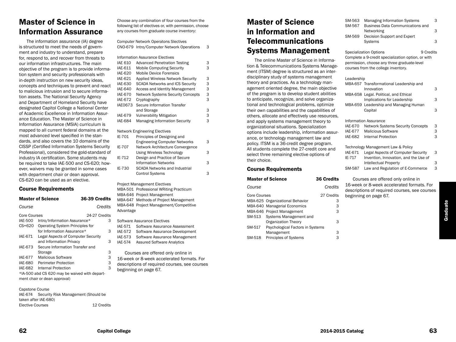# Master of Science in Information Assurance

The information assurance (IA) degree is structured to meet the needs of government and industry to understand, prepare for, respond to, and recover from threats to our information infrastructures. The main objective of the program is to provide information system and security professionals with in-depth instruction on new security ideas, concepts and techniques to prevent and react to malicious intrusion and to secure information assets. The National Security Agency and Department of Homeland Security have designated Capitol College a National Center of Academic Excellence in Information Assurance Education. The Master of Science in Information Assurance (MSIA) curriculum is mapped to all current federal domains at the most advanced level specified in the standards, and also covers the 10 domains of the CISSP (Certified Information Systems Security Professional), considered the gold-standard of industry IA certification. Some students may be required to take IAE-500 and CS-620; however, waivers may be granted in some cases with department chair or dean approval. CS-620 can be used as an elective.

### Course Requirements

|                                               | <b>Master of Science</b>           | 36-39 Credits |  |
|-----------------------------------------------|------------------------------------|---------------|--|
| Course                                        |                                    | Credits       |  |
| Core Courses                                  |                                    | 24-27 Credits |  |
| <b>IAE-500</b>                                | Intro/Information Assurance*       | З             |  |
| $CS = 620$                                    | Operating System Principles for    |               |  |
|                                               | for Information Assurance*         | З             |  |
| IAF-671                                       | Legal Aspects of Computer Security |               |  |
|                                               | and Information Privacy            | З             |  |
| IAE-673                                       | Secure Information Transfer and    |               |  |
|                                               | Storage                            | 3             |  |
| IAE-677                                       | Malicious Software                 | 3             |  |
| <b>IAE-680</b>                                | <b>Perimeter Protection</b>        | 3             |  |
| IAE-682                                       | Internal Protection                | 3             |  |
| *IA-500 abd CS 620 may be waived with depart- |                                    |               |  |
| ment chair or dean approval)                  |                                    |               |  |

Capstone Course IAE-674 Security Risk Management (Should be taken after IAE-680) Elective Courses 12 Credits Choose any combination of four courses from the following list of electives or, with permission, choose any courses from graduate course inventory:

Computer Network Operatons Slectives CNO-679 Intro/Computer Network Operations 3

#### Information Assurance Electives IAE 610 Advanced Penetration Testing 3 IAE-611 Mobile Computing Security 3 IAE-620 Mobile Device Forensics IAE-621 Applied Wireless Network Security 3 IAE-630 SCADA Networks and ICS Security 3 IAE-640 Access and Identity Management 3 IAE-670 Network Systems Security Concepts 3 IAE-672 Cryptography 3 IAE0673 Secure Information Transfer and Storage 3

IAE-679 Vulnerability Mitigation 3 IAE-684 Managing Information Security 3 Network Engineering Electives **I**<br>**Principles of Designing and** 

| IE-701 | Principles of Designing and          |   |
|--------|--------------------------------------|---|
|        | <b>Engineering Computer Networks</b> | 3 |
| IE-707 | Network Architecture Convergence     |   |
|        | Using Wireless Technology            | 3 |
| IE-712 | Design and Practice of Secure        |   |
|        | <b>Information Networks</b>          | 3 |
| IE-730 | <b>SCADA Networks and Industrial</b> |   |
|        | <b>Control Systems</b>               | З |
|        |                                      |   |

Project Management Electives MBA-501 Professional WRiting Practicum MBA-646 Project Management MBA-647 Methods of Project Management MBA-648 Project Management/Competitive Advantage

- Software Assurance Electives
- IAE-571 Software Assurance Assessment IAE-572 Software Assurance Development
- IAE-573 Software Assurance Management
- IAE-574 Assured Software Analytics
- Courses are offered only online in
- 16-week or 8-week accelerated formats. For
- descriptions of required courses, see courses
- beginning on page 67.

# Master of Science in Information and **Telecommunications** Systems Management

The online Master of Science in Information & Telecommunications Systems Management (ITSM) degree is structured as an interdisciplinary study of systems management theory and practices. As a technology management oriented degree, the main objective of the program is to develop student abilities to anticipate, recognize, and solve organizational and technological problems, optimize their own capabilities and the capabilities of others, allocate and effectively use resources, and apply systems management theory to organizational situations. Specialization options include leadership, information assurance, or technology management law and policy. ITSM is a 36-credit degree program. All students complete the 27-credit core and select three remaining elective options of their choice.

| <b>Master of Science</b>                   | <b>36 Credits</b> |
|--------------------------------------------|-------------------|
| Course                                     | Credits           |
| Core Courses                               | 27 Credits        |
| MBA-625 Organizational Behavior            | З                 |
| MBA-640 Managerial Economics               | 3                 |
| MBA-646 Project Management                 | 3                 |
| Systems Management and<br>SM-513           |                   |
| Organization Theory                        | 3                 |
| SM-517<br>Psychological Factors in Systems |                   |
| Management                                 | 3                 |
| Principles of Systems<br>SM-518            | з                 |

| SM-563 | <b>Managing Information Systems</b>     | 3 |
|--------|-----------------------------------------|---|
| SM-567 | <b>Business Data Communications and</b> |   |
|        | Networking                              | 3 |
| SM-569 | Decision Support and Expert             |   |
|        | Systems                                 | 3 |
|        |                                         |   |

Specialization Options 9 Credits Complete a 9-credit specialization option, or with permission, choose any three graduate-level courses from the college inventory.

#### Leadership

| Luuunn         |                                                       |   |
|----------------|-------------------------------------------------------|---|
|                | MBA-657 Transformational Leadership and<br>Innovation | 3 |
|                | MBA-658 Legal. Political, and Ethical                 |   |
|                | Implications for Leadership                           | 3 |
|                | MBA-659 Leadership and Managing Human                 |   |
|                | Capital                                               | 3 |
|                | Information Assurance                                 |   |
| <b>IAE-670</b> | <b>Network Systems Security Concepts</b>              | 3 |
| <b>IAE-677</b> | <b>Malicious Software</b>                             | 3 |
| IAE-682        | Internal Protection                                   | 3 |
|                | Technology Management Law & Policy                    |   |
| IAE-671        | Legal Aspects of Computer Security                    | 3 |
| IE-717         | Invention, Innovation, and the Use of                 |   |
|                | Intellectual Property                                 | 3 |
| SM-587         | Law and Regulation of E-Commerce                      | 3 |

Courses are offered only online in 16-week or 8-week accelerated formats. For descriptions of required courses, see courses beginning on page 67.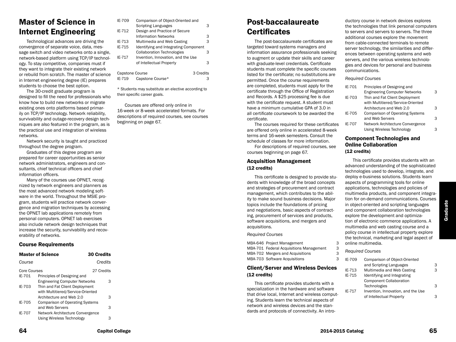# Master of Science in Internet Engineering

Technological advances are driving the convergence of separate voice, data, message switch and video networks onto a single, network-based platform using TCP/IP technology. To stay competitive, companies must if they want to integrate their existing network or rebuild from scratch. The master of science in Internet engineering degree (IE) prepares students to choose the best option.

The 30-credit graduate program is designed to fill the need for professionals who know how to build new networks or migrate existing ones onto platforms based primarily on TCP/IP technology. Network reliability, survivability and outage-recovery design techniques are also featured in the program, as is the practical use and integration of wireless networks.

Network security is taught and practiced throughout the degree program.

Graduates of this degree program are prepared for career opportunities as senior network administrators, engineers and consultants, chief technical officers and chief information officers.

Many of the courses use OPNET, recognized by network engineers and planners as the most advanced network modeling software in the world. Throughout the MSIE program, students will practice network convergence and migration techniques by accessing the OPNET lab applications remotely from personal computers. OPNET lab exercises also include network design techniques that increase the security, survivability and recoverability of networks.

### Course Requirements

| <b>Master of Science</b>    | <b>30 Credits</b>                                                                                                                                                                         |
|-----------------------------|-------------------------------------------------------------------------------------------------------------------------------------------------------------------------------------------|
|                             | Credits                                                                                                                                                                                   |
| Core Courses                | 27 Credits                                                                                                                                                                                |
| Principles of Designing and |                                                                                                                                                                                           |
|                             | 3                                                                                                                                                                                         |
|                             |                                                                                                                                                                                           |
|                             |                                                                                                                                                                                           |
| Architecture and Web 2.0    | 3                                                                                                                                                                                         |
|                             |                                                                                                                                                                                           |
| and Web Servers             | 3                                                                                                                                                                                         |
|                             |                                                                                                                                                                                           |
| Using Wireless Technology   | 3                                                                                                                                                                                         |
|                             | <b>Engineering Computer Networks</b><br>Thin and Fat Client Deployment<br>with Multitiered/Service-Oriented<br><b>Comparison of Operating Systems</b><br>Network Architecture Convergence |

| IE-709          | Comparison of Object-Oriented and     |           |
|-----------------|---------------------------------------|-----------|
|                 | <b>Scripting Languages</b>            | З         |
| IE-712          | Design and Practice of Secure         |           |
|                 | <b>Information Networks</b>           | 3         |
| IE-713          | Multimedia and Web Casting            | 3         |
| IE-715          | Identifying and Integrating Component |           |
|                 | <b>Collaboration Technologies</b>     | з         |
| IE-717          | Invention, Innovation, and the Use    |           |
|                 | of Intellectual Property              | З         |
| Capstone Course |                                       | 3 Credits |
|                 |                                       |           |
| IE-719          | Capstone Course*                      |           |

\* Students may substitute an elective according to their specific career goals.

Courses are offered only online in 16-week or 8-week accelerated formats. For descriptions of required courses, see courses beginning on page 67.

# Post-baccalaureate **Certificates**

The post-baccalaureate certificates are targeted toward systems managers and information assurance professionals seeking to augment or update their skills and career with graduate-level credentials. Certificate students must complete the specific courses listed for the certificate; no substitutions are permitted. Once the course requirements are completed, students must apply for the certificate through the Office of Registration and Records. A \$25 processing fee is due with the certificate request. A student must have a minimum cumulative GPA of 3.0 in all certificate coursework to be awarded the certificate.

The courses required for these certificates are offered only online in accelerated 8-week terms and 16-week semesters. Consult the schedule of classes for more information.

For descriptions of required courses, see courses beginning on page 67.

#### Acquisition Management (12 credits)

This certificate is designed to provide students with knowledge of the broad concepts and strategies of procurement and contract management, which contributes to the ability to make sound business decisions. Major topics include the foundations of pricing and negotiations, basic aspects of contracting, procurement of services and products, software acquisitions, and mergers and acquisitions.

*Required Courses*

MBA-646 Project Management 3 MBA-701 Federal Acquisitions Management 3 MBA-702 Mergers and Acquisitions 3 MBA-703 Software Acquisitions 3

### Client/Server and Wireless Devices (12 credits)

This certificate provides students with a specialization in the hardware and software that drive local, Internet and wireless computing. Students learn the technical aspects of network and wireless devices and the standards and protocols of connectivity. An introductory course in network devices explores the technologies that link personal computers to servers and servers to servers. The three additional courses explore the movement from cable-connected terminals to remote server technology, the similarities and differences between operating systems and web servers, and the various wireless technologies and devices for personal and business communications.

#### *Required Courses*

| IE-701 | Principles of Designing and            |   |
|--------|----------------------------------------|---|
|        | <b>Engineering Computer Networks</b>   | 3 |
| IE-703 | Thin and Fat Client Deployment         |   |
|        | with Multitiered/Service-Oriented      |   |
|        | Architecture and Web 2.0               | 3 |
| IE-705 | <b>Comparison of Operating Systems</b> |   |
|        | and Web Servers                        | 3 |
| IE-707 | Network Architecture Convergence       |   |
|        | <b>Using Wireless Technology</b>       | з |
|        |                                        |   |

### Component Technologies and Online Collaboration (12 credits)

This certificate provides students with an advanced understanding of the sophisticated technologies used to develop, integrate, and deploy e-business solutions. Students learn aspects of programming tools for online applications, technologies and policies of multimedia products, and component integration for on-demand communications. Courses in object-oriented and scripting languages and component collaboration technologies explore the development and optimization of electronic commerce applications. A multimedia and web casting course and a policy course in intellectual property explore the technical, marketing and legal aspect of online multimedia.

- *Required Courses*
- IE-709 Comparison of Object-Oriented and Scripting Languages 3 IE-713 Multimedia and Web Casting 3 IE-715 Identifying and Integrating Component Collaboration Technologies 3 IE-717 Invention, Innovation, and the Use of Intellectual Property 3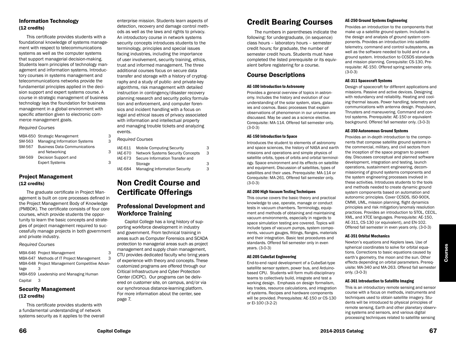# Information Technology (12 credits)

This certificate provides students with a foundational knowledge of systems management with respect to telecommunications systems as well as the computer systems that support managerial decision-making. Students learn principles of technology management and information systems. Introductory courses in systems management and telecommunications networks provide the fundamental principles applied in the decision support and expert systems course. A course in strategic management of business technology lays the foundation for business management in a global environment with specific attention given to electronic commerce management goals.

#### *Required Courses*

|        | MBA-650 Strategic Management        | 3 |
|--------|-------------------------------------|---|
| SM-563 | <b>Managing Information Systems</b> | 3 |
| SM-567 | <b>Business Data Communications</b> |   |
|        | and Networking                      | 3 |
| SM-569 | Decision Support and                |   |
|        | <b>Expert Systems</b>               | З |

### Project Management (12 credits)

The graduate certificate in Project Management is built on core processes defined in the Project Management Body of Knowledge (PMBOK). The certificate consists of four core courses, which provide students the opportunity to learn the basic concepts and strategies of project management required to successfully manage projects in both government and private industry.

#### *Required Courses*

MBA-646 Project Management MBA-647 Methods of IT Project Management MBA-648 Project Management Competitive Advantage 3 MBA-659 Leadership and Managing Human Capital 3

### Security Management (12 credits)

This certificate provides students with a fundamental understanding of network systems security as it applies to the overall

enterprise mission. Students learn aspects of detection, recovery and damage control methods as well as the laws and rights to privacy. An introductory course in network systems security concepts introduces students to the terminology, principles and special issues facing industries, including the importance of user involvement, security training, ethics, trust and informed management. The three additional courses focus on secure data transfer and storage with a history of cryptography and a study of public- and private-key algorithms, risk management with detailed instruction in contingency/disaster recovery planning research and security policy formulation and enforcement, and computer forensics and incident handling with a focus on legal and ethical issues of privacy associated with information and intellectual property and managing trouble tickets and analyzing events.

*Required Courses*

| IAE-611        | <b>Mobile Computing Security</b>         | 3 |
|----------------|------------------------------------------|---|
| <b>IAE-670</b> | <b>Network Systems Security Concepts</b> | 3 |
| IAE-673        | Secure Information Transfer and          |   |
|                | Storage                                  | 3 |
| IAE-684        | <b>Managing Information Security</b>     | 3 |

# Non Credit Course and Certificate Offerings

# Professional Development and Workforce Training

Capitol College has a long history of supporting workforce development in industry and government. From technical training in areas such as Computer Forensics and SCADA protection to managerial areas such as project management and supply chain management, CTU provides dedicated faculty who bring years of experience with theory and concepts. These customized programs are offered through our Critical Infrastructure and Cyber Protection Center (CICPC). Our programs can be delivered on customer site, on campus, and/or via our synchronous distance-learning platform. For more information about the center, see page 7.

# Credit Bearing Courses

The numbers in parentheses indicate the following: for undergraduate, (in sequence) class hours – laboratory hours – semester credit hours; for graduate, the number of semester credit hours. Students must have completed the listed prerequisite or its equivalent before registering for a course.

# Course Descriptions

#### AE-100 Introduction to Astronomy

Provides a general overview of topics in astronomy. Includes the history and evolution of our understanding of the solar system, stars, galaxies and cosmos. Basic processes that explain observations of phenomenon in our universe are discussed. May be used as a science elective. Corequisite: MA-114. Offered fall semester only. (3-0-3)

#### AE-150 Introduction to Space

Introduces the student to elements of astronomy and space sciences, the history of NASA and earth missions and operations and simple physics of satellite orbits, types of orbits and orbital terminology. Space environment and its effects on satellite and equipment. Discussion of satellites, types of satellites and their uses. Prerequisite: MA-114 or Corequisite: MA-261. Offered fall semester only. (3-0-3)

#### AE-200 High Vacuum Testing Techniques

This course covers the basic theory and practical knowledge to use, operate, manage or conduct tests in vacuum chambers. Terminology, equipment and methods of obtaining and maintaining vacuum environments, especially in regards to space simulation testing are covered. Topics will include types of vacuum pumps, system components, vacuum gauges, fittings, flanges, materials and their integration. Basic test procedures and standards. Offered fall semester only in even years. (3-0-3)

#### AE-205 CubeSat Engineering

End-to-end rapid development of a CubeSat-type satellite sensor system, power bus, and Arduinobased CPU. Students will form multi-disciplinary teams to collectively build, integrate and test a working design. Emphasis on design formalism, key trades, resource calculations, and integration of systems. Recipes and hardware components will be provided. Prerequisites: AE-150 or CS-130 or El-100 (3-2-2)

#### AE-250 Ground Systems Engineering

Provides an introduction to the components that make up a satellite ground system. Included is the design and analysis of ground system components. Provides an introduction into satellite telemetry, command and control subsystems, as well as the software needed to build and run a ground system. Introduction to CCSDS standards and mission planning. Corequisite: CS-130, Prerequisite: AE-150. Offered spring semester only. (3-0-3)

#### AE-311 Spacecraft Systems

Design of spacecraft for different applications and missions. Passive and active devices. Designing with redundancy and reliability. Heating and cooling thermal issues. Power handling, telemetry and communications with antenna design. Propulsion, Thrusters and maneuvering. Command and control systems. Prerequisite: AE-150 or equivalent background. Offered fall semester only. (3-0-3)

#### AE-350 Autonomous Ground Systems

Provides an in-depth introduction to the components that compose satellite ground systems in the commercial, military, and civil sectors from the inception of the space program to present day. Discusses conceptual and planned software development, integration and testing, launch operations, sustainment engineering, decommissioning of ground systems components and the system engineering processes involved in these activities. Introduces students to the tools and methods needed to create dynamic ground system components based on automation and autonomic principles. Cover CCSDS, ISO-900X, CMMI, UML, mission planning, flight dynamics principles and risk mitigation/anomaly resolution practices. Provides an introduction to STOL, CECIL, XML, and XTCE languages. Prerequisite: AE-150, AE-311, CS-130 (or equivalent), and EN-102. Offered fall semester in even years only. (3-0-3)

#### AE-351 Orbital Mechanics

Newton's equations and Keplers laws. Use of spherical coordinates to solve for orbital equations. Corrections to basic equations caused by earth's geometry, the moon and the sun. Other effects depending on orbital parameters. Prerequisite: MA-340 and MA-263. Offered fall semester only. (3-0-3)

#### AE-361 Introduction to Satellite Imaging

This is an introductory remote sensing and sensor course with a focus on methods, instruments and techniques used to obtain satellite imagery. Students will be introduced to physical principles of remote sensing, Earth and other planetary observing systems and sensors, and various digital processing techniques related to satellite sensing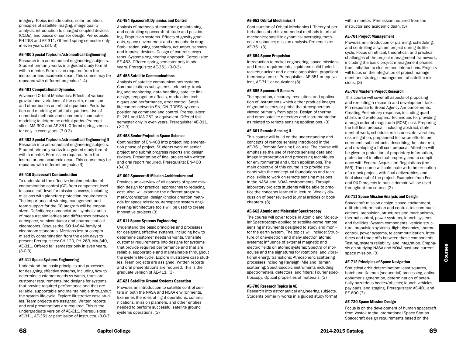imagery. Topics include optics, solar radiation, principles of satellite imaging, image quality analysis, introduction to charged coupled devices (CCDs), and basics of sensor design. Prerequisite: PH-263 and AE-311. Offered spring semester only in even years. (3-0-3)

#### AE-400 Special Topics in Astronautical Engineering

Research into astronautical engineering subjects. Student primarily works in a guided study format with a mentor. Permission required from the instructor and academic dean. This course may be repeated with different projects. (1-4)

#### AE-401 Computational Dynamics

Advanced Orbital Mechanics: Effects of various gravitational variations of the earth, moon sun and other bodies on orbital equations. Perturbation and modeling of orbital equations. Use of numerical methods and commercial computer modeling to determine orbital paths. Prerequisites: MA-300 and AE-351. Offered spring semester only in even years. (3-0-3)

#### AE-402 Special Topics in Astronautical Engineering II

Research into astronautical engineering subjects. Student primarily works in a guided study format with a mentor. Permission required from the instructor and academic dean. This course may be repeated with different projects. (3)

#### AE-410 Spacecraft Contamination

To understand the effective implementation of contamination control (CC) from component level to spacecraft level for mission success, including missions with planetary protection requirements. The importance of winning management and team support for the CC program will be emphasized. Definitions; nomenclature; symbols; units of measure; similarities and differences between aerospace, semiconductor and pharmaceutical cleanrooms. Discuss the ISO 14644 family of cleanroom standards. Missions lost or compromised by contamination from the early days to present Prerequisites: CH-120, PH-263, MA-340, AE-311. Offered fall semester only in even years. (3-0-3)

#### AE-411 Space Systems Engineering

Understand the basic principles and processes for designing effective systems, including how to determine customer needs vs wants, translate customer requirements into designs for systems that provide required performance and that are reliable, supportable and maintainable throughout the system life-cycle. Explore illustrative case studies. Team projects are assigned. Written reports and oral presentations are required. This is the undergraduate version of AE-611. Prerequisites: AE-311, AE-351 or permission of instructor. (3-0-3)

#### AE-454 Spacecraft Dynamics and Control

Analysis of methods of monitoring maintaining and controlling spacecraft attitude and positioning. Propulsion systems. Effects of gravity gradients, space environment and atmospheric drag. Stabilization using controllers, actuators, sensors and impulse devices. Design of control subsystems. Systems engineering approach. Corequisite: EE-453. Offered spring semester only in odd years. Prerequisite: AE-351. (3-0-3).

#### AE-455 Satellite Communications

Analysis of satellite communications systems. Communications subsystems, telemetry, tracking and monitoring, data handling, satellite link design, propagation effects, modulation techniques and performance, error control. Satellite control networks SN, GN. TDRSS systems, positioning command and control. Prerequisites: EL-261 and MA-262 or equivalent. Offered fall semester only in even years. Prerequisite: AE-311.  $(2-2-3)$ 

#### AE-458 Senior Project in Space Science

Continuation of EN-408 into project implementation phase of project. Students work on senior project and submit progress reports and design reviews. Presentation of final project with written and oral report required. Prerequisite: EN-408 (3-0-3)

#### AE-602 Spacecraft Mission Architecture and

Provides an overview of all aspects of space mission design for practical approaches to reducing cost. Also, will examine the different programmatic/conceptual design/choice creation methods for space missions. Aerospace system engineering/architecture tools will be used to create innovative projects (3)

#### AE-611 Space Systems Engineering

Understand the basic principles and processes for designing effective systems, including how to determine customer needs vs wants, translate customer requirements into designs for systems that provide required performance and that are reliable, supportable and maintainable throughout the system life-cycle. Explore illustrative case studies. Team projects are assigned. Written reports and oral presentations are required. This is the graduate version of AE-411. (3)

#### AE-621 Satellite Ground Systems Operation

Provides an introduction to satellite control centers in both the NASA and NOAA environments. Examines the roles of flight operations, communications, mission planners, and other entities needed to perform successful satellite ground systems operations. (3)

#### AE-652 Orbital Mechanics II

Continuation of Orbital Mechanics I. Theory of perturbations of orbits; numerical methods in orbital mechanics; satellite dynamics; averaging methods; resonance; mission analysis. Pre-requisite: AE-351 (3)

#### AE-654 Space Propulsion

Introduction to rocket engineering, space missions and thrust requirements, liquid and solid-fueled rockets,nuclear and electric propulsion, propellant thermodynamics. Prerequisites: AE-351 or equivalent, AE-311 or equivalent (3)

#### AE-655 Spacecraft Sensors

The operation, accuracy, resolution, and application of instruments which either produce images of ground scenes or probe the atmosphere as viewed primarily from space. Design of thermal and other satellite detectors and instrumentation as related to remote sensing applications. (3)

#### AE-661 Remote Sensing II

This course will build on the understanding and concepts of remote sensing introduced in the AE-361, Remote Sensing I, course. The course will emphasize the use of remote sensing data and image interpretation and processing techniques for environmental and urban applications. The main objective of this course is to provide students with the conceptual foundations and technical skills to work on remote sensing missions in the NASA and NOAA environments. Through laboratory projects students will be able to practice the concepts learned in lecture. Weekly discussion of peer reviewed journal articles or book chapters. (3)

#### AE-662 Atomic and Molecular Spectroscopy

The course will cover topics in Atomic and Molecular Spectroscopy applied to satellite-borne remote sensing instruments designed to study and monitor the earth system. The topics will include: Structure of one-electron and many electron atomic systems; Influence of external magnetic and electric fields on atomic systems; Spectra of molecules and the signatures for rotational and vibrational energy transitions; Atmospheric scattering processes including Rayleigh, Mie and Raman scattering; Spectroscopic instruments including spectrometers, detectors, and filters; Fourier spectroscopy; Optical properties of materials. (3)

#### AE-700 Research Topics in AE

Research into astronautical engineering subjects. Students primarily works in a guided study format with a mentor. Permission required from the instructor and academic dean. (3)

#### AE-701 Project Management

Provides an introduction of planning, scheduling, and controlling a system project during its life cycle. Focus on ethical, theoretical, and practical challenges of the project management framework, including the basic project management phases from initiation to closure and interactions. Projects will focus on the integration of project management and strategic management of satellite missions. (3)

#### AE-708 Master's Project Research

This course will cover all aspects of proposing and executing a research and development task. Pin response to Broad Agency Announcements. Creating Preliminary response, including quad charts and white papers. Techniques for providing a rough order of magnitude (ROM) cost. Preparing the full final proposal, including abstract, statement of work, schedule, milestones, deliverables, risk mitigation, preplanned follow-on efforts, procurement, subcontracts, describing the labor mix, and developing a full cost proposal. Attention will be given to protection of proprietary information, protection of intellectual property, and to compliance with Federal Acquisition Regulations (the FAR). The course will culminate with the execution of a mock project, with final deliverables, and final closeout of the project. Examples from Federal R&D projects in public domain will be used throughout the course. (3)

#### AE-711 Space Mission Analysis and Design

Spacecraft mission design, space environment, attitude determination and control, telecommunications, propulsion, structures and mechanisms, thermal control, power systems, launch systems and facilities. System components; vehicle structure, propulsion systems, flight dynamics, thermal control, power systems, telecommunication. Interfaces and trade-offs between these components. Testing, system reliability, and integration. Emphasis on studying NASA and NOAA past and current space mission. (3)

#### AE-712 Principles of Space Navigation

Statistical orbit determination: least squares, batch and Kalman (sequential) processing, online ephemeris generation, determination of potentially hazardous bodies/objects; launch vehicles, payloads, and staging. Prerequisites: AE-401 and EE-600 (3)

#### AE-720 Space Mission Design

Focus is on the development of human spacecraft from Vostok to the International Space Station. Spacecraft design requirements based on the

Courses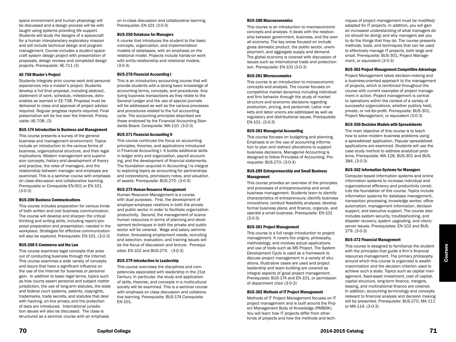space environment and human physiology will be discussed and a design process will be with taught using systems providing life support. Students will study the designs of a spacecraft for a human interplanetary exploratory mission and will include technical design and program management. Course includes a student spacecraft system design project with presentation of proposals, design reviews and completed design projects. Prerequisite: AE-711 (3)

#### AE-758 Master's Project

Students integrate prior course work and personal experiences into a master's project. Students develop a full final proposal, including abstract, statement of work, schedule, milestones, deliverables as learned in EE-708. Proposal must be delivered to class and approval of project advisor required. Regular progress reports required. Final presentation will be live over the Internet. Prerequisite: AE-708. (3)

#### BUS-174 Introduction to Business and Management

This course presents a survey of the general business and management environment. Topics include an introduction to the various forms of business, organizational structure, and their legal implications. Modern management and supervision concepts, history and development of theory and practice, the roles of managers, and the relationship between manager and employee are examined. This is a seminar course with emphasis on class discussion and collaborative learning. Prerequisite or Corequisite EN-001 or EN-101. (3-0-3)

#### BUS-200 Business Communications

This course includes preparation for various kinds of both written and oral business communication. The course will develop and sharpen the critical thinking and writing skills, including report/proposal preparation and presentation, needed in the workplace. Strategies for effective communication will also be explored. Prerequisite: EN-101. (3-0-3)

#### BUS-208 E-Commerce and the Law

This course examines legal concepts that arise out of conducting business through the Internet. This course examines a wide variety of concepts and issurs that have a significant influence on the use of the Internet for business or personal gain. In addition to basic legal terms, topics such as how courts assert personal and subject matter jurisdiction, the use of long-arm statutes, the state and federal court systems, patents, copyrights, trademarks, trade secrets, and statutes that deal with hacking, on-line privacy and the protection of data are introduced. International jurisdiction issues will also be discussed. The class is structured as a seminar course with an emphasis

on in-class discussion and collaborative learning. Prerequisite: EN-101 (3-0-3)

#### BUS-250 Database for Managers

A course that introduces the student to the basic concepts, organization, and implementation models of databases, with an emphasis on the relational model. Projects include hands-on work with entity-relationship and relational models. (3-0-3)

#### BUS-270 Financial Accounting I

This is an introductory accounting course that will provide students with a strong basic knowledge of accounting terms, concepts, and procedures. Analyzing business transactions as they relate to the General Ledger and the use of special journals will be addressed as well as the various processes and procedures related to the full accounting cycle. The accounting principles described are those endorsed by the Financial Accounting Standards Board. Corequisite: MA-110. (3-0-3)

#### BUS-271 Financial Accounting II

This course continues the focus on accounting principles, theories, and applications introduced in Financial Accounting I. It builds additional skills in ledger entry and organization, payroll accounting, and the development of financial statements. The foundation acquired in Accounting I is integral to exploring topics as accounting for partnerships and corporations, promissory notes, and valuation of assets. Prerequisite: BUS-270. (3-0-3)

#### BUS-275 Human Resource Management

Human Resource Management is a course with dual purposes. First, the development of employer-employee relations in both the private and public sector in order to facilitate organization productivity. Second, the management of scarce human resources in terms of planning and development techniques in both the private and public sector will be covered. Wage and salary administration, forecasting employment needs, recruiting and selection, evaluation, and training issues will be the focus of discussion and lecture. Prerequisites: EN-102 and BUS-279. (3-0-3)

#### BUS-279 Introduction to Leadership

This course overviews the disciplines and competencies associated with leadership in the 21st Century. In particular, the study and application of skills, theories, and concepts in a multicultural society will be examined. This is a seminar course with emphasis on class discussion and collaborative learning. Prerequisite: BUS-174 Corequisite EN-101.

#### BUS-280 Macroeconomics

This course is an introduction to macroeconomic concepts and analysis. It deals with the relationship between government, business, and the overall economy. The key areas focused on include gross domestic product, the public sector, unemployment, and aggregate supply and demand. The global economy is covered with discussion of issues such as international trade and protectionism. Prerequisite: EN-101 (3-0-3)

#### BUS-281 Microeconomics

This course is an introduction to microeconomic concepts and analysis. The course focuses on competitive market dynamics including individual and firm behavior through the study of market structure and economic decisions regarding production, pricing, and personnel. Labor markets and labor unions are addressed as well as regulatory and distributional issues. Prerequisite: EN-101. (3-0-3)

#### BUS-283 Managerial Accounting

This course focuses on budgeting and planning. Emphasis is on the use of accounting information to plan and redirect allocations to support business decisions. Managerial Accounting is designed to follow Principles of Accounting. Prerequisite: BUS-270. (3-0-3)

#### BUS-289 Entrepreneurship and Small Business Management

This course provides an overview of the principles and processes of entrepreneurship and small business management. Students learn to identify characteristics of entrepreneurs; identify business innovations; conduct feasibility analyses; develop formal business plans; and finance, organize, and operate a small business. Prerequisite: EN-101 (3-0-3)

#### BUS-301 Project Management

This course is a full range introduction to project management. It covers the origins, philosophy, methodology, and involves actual applications and use of tools such as MS Project. The System Development Cycle is used as a framework to discuss project management in a variety of situations. Illustrative cases are used and project leadership and team building are covered as integral aspects of good project management. Prerequisite: BUS-174 and EN-101, or permission of department chair (3-0-3)

#### BUS-302 Methods of IT Project Management

Methods of IT Project Management focuses on IT project management and is built around the Project Management Body of Knowledge (PMBOK). You will learn how IT projects differ from other kinds of projects and how the methods and techniques of project management must be modified/ adapted for IT projects. In addition, you will gain an increased understanding of what managers do (or should be doing) and why managers ask you to do the things that they do. The course presents methods, tools, and techniques that can be used to effectively manage IT projects, both large and small. Prerequisite: BUS-301, Project Management, or equivalent (3-0-3)

#### BUS-303 Project Management Competitive Advantage

Project Management takes decision-making and a business-oriented approach to the management of projects, which is reinforced throughout the course with current examples of project management in action. Project management is central to operations within the context of a variety of successful organizations, whether publicly held, private, or not-for-profit. Prerequisite: BUS-301, Project Management, or equivalent (3-0-3)

#### BUS-350 Decision Models with Spreadsheets

The main objective of this course is to teach how to solve modern business problems using a spreadsheet application. Popular spreadsheet applications are examined. Students will use the case study method to address analytical problems. Prerequisite: MA-128, BUS-301 and BUS-384. (3-0-3)

#### BUS-362 Information Systems for Managers

Computer-based information systems and online information systems to increase individual and organizational efficiency and productivity constitute the foundation of this course. Topics include information systems for database management, transaction processing, knowledge worker, office automation, management information, decision support, and executive support. The course also includes system security, troubleshooting, and disaster recovery, system upgrading, and client/ server issues. Prerequisites: EN-102 and BUS-279. (3-0-3)

#### BUS-372 Financial Management

This course is designed to familiarize the student with the principles that guide a firm's financial resources management. The primary philosophy around which this course is organized is wealth maximization and the decision criterion used to achieve such a state. Topics such as capital management, fixed-asset investment, cost of capital, capital structure, long-term finance, mergers, leasing, and multinational finance are covered. In addition, accounting terminology and concepts relevant to financial analysis and decision making will be presented. Prerequisite: BUS-270, MA-111 or MA-114. (3-0-3)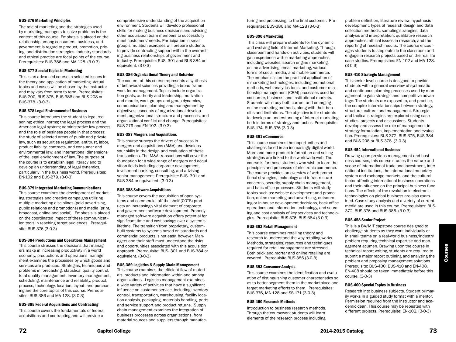#### BUS-376 Marketing Principles

The role of marketing and the strategies used by marketing managers to solve problems is the content of this course. Emphasis is placed on the relationship among consumers, business, and government is regard to product, promotion, pricing, and distribution strategies. Industry standards and ethical practice are focal points of the course. Prerequisites: BUS-386 and MA-128. (3-0-3)

#### BUS-377 Special Topics in Marketing

This is an advanced course in selected issues in the theory and application of marketing. Actual topics and cases will be chosen by the instructor and may vary from term to term. Prerequisites: BUS-200, BUS-375, BUS-386 and BUS-208 or BUS-378. (3-0-3)

#### BUS-378 Legal Environment of Business

This course introduces the student to legal reasoning; ethical norms; the legal process and the American legal system; administrative law process and the role of business people in that process; the study of selected areas of public and private law, such as securities regulation, antitrust, labor, product liability, contracts, and consumer and environmental law; and international dimensions of the legal environment of law. The purpose of the course is to establish legal literacy and to develop an understanding of legal dynamics, particularly in the business world. Prerequisites: EN-102 and BUS-279. (3-0-3)

#### BUS-379 Integrated Marketing Communications

This course examines the development of marketing strategies and creative campaigns utilizing multiple marketing disciplines (paid advertising, public relations and promotions) and media (print, broadcast, online and social). Emphasis is placed on the coordinated impact of these communicatiion tools in reaching target audiences. Prerequisite: BUS-376 (3-0-3)

#### BUS-384 Productions and Operations Management

This course stresses the decisions that managers make in increasing productivity in a world economy, productions and operations management examines the processes by which goods and services are produced. Strategies, techniques and problems in forecasting, statistical quality control, total quality management, inventory management, scheduling, maintenance and reliability, product, process, technology, location, layout, and purchasing are the core topics of this course. Prerequisites: BUS-386 and MA-128. (3-0-3)

#### BUS-385 Federal Acquisitions and Contracting

This course covers the fundamentals of federal acquisitions and contracting and will provide a

comprehensive understanding of the acquisition environment. Students will develop professional skills for making business decisions and advising other acquisition team members to successfully meet customers' needs. Participation in small group simulation exercises will prepare students to provide contracting support within the overarching business relationships of government and industry. Prerequisite: BUS- 301 and BUS-384 or equivalent. (3-0-3)

#### BUS-386 Organizational Theory and Behavior

The content of this course represents a synthesis of behavioral sciences providing a broad framework for management. Topics include organization goals, authority and leadership, motivation and morale, work groups and group dynamics, communications, planning and management by objectives, concepts of organizational development, organizational structure and processes, and organizational conflict and change. Prerequisites: BUS-279 and EN-102. (3-0-3)

#### BUS-387 Mergers and Acquisitions

This course surveys the drivers of success in mergers and acquisitions (M&A) and develops your skills in the design and evaluation of these transactions. The M&A transactions will cover the foundation for a wide range of mergers and acquisition fields including corporate development, investment banking, consulting, and advising senior management. Prerequisite: BUS- 301 and BUS-384 or equivalent. (3-0-3)

#### BUS-388 Software Acquisitions

This course covers the acquisition of open systems and commercial off-the-shelf (COTS) products an increasingly vital element of corporate and government software development. Properly managed software acquisition offers potential for significant time and cost savings over a system's lifetime. The transition from proprietary, custombuilt systems to systems based on standards and commercial products is not easy, however. Managers and their staff must understand the risks and opportunities associated with this acquisition approach. Prerequisite: BUS- 301 and BUS-384 or equivalent. (3-0-3)

#### BUS-389 Logistics & Supply Chain Management

This course examines the efficient flow of materials, products and information within and among organizations. Logistics management examines a wide variety of activities that have a significant influence on customer service, including inventory control, transportation, warehousing, facility location analysis, packaging, materials handling, parts and service support and product returns. Supply chain management examines the integration of business processes across organizations, from material sources and suppliers through manufacturing and processing, to the final customer. Prerequisites: BUS-386 and MA-128 (3-0-3)

#### BUS-390 eMarketing

This class will prepare students for the dynamic and evolving field of Internet Marketing. Through classroom and hands-on activities, students will gain experience with e-marketing approaches including websites, search engine marketing, online advertising, email marketing, various forms of social media, and mobile commerce. The emphasis is on the practical application of e-marketing technologies, including promotional methods, web analytics tools, and customer relationship management (CRM) processes used for consumer, business, and institutional markets. Students will study both current and emerging online marketing methods, along with their benefits and limitations. The objective is for students to develop an understanding of Internet marketing both in terms of strategy and tactics. Prerequisite: BUS-174, BUS-376 (3-0-3)

#### BUS-391 eCommerce

This course examines the opportunities and challenges faced in an increasingly digital world. More and more product information and selling strategies are linked to the worldwide web. The course is for those students who wish to learn the principles and processes of electronic commerce. The course provides an overview of web promotional strategies, technology and infrastructure concerns, security, supply chain management, and back-office processes. Students will study topics such as: website development and promotion, online marketing and advertising, outsourcing or in-house development decisions, back office operations and information technology, and sourcing and cost analysis of key services and technologies. Prerequisite: BUS-376, BUS-384 (3-0-3)

#### BUS-392 Retail Management

This course examines retailing theory and research to understand the way retailing works. Methods, strategies, resources and techniques required for retail management are stressed. Both brick and mortar and online retailing are covered. Prerequisite:BUS-386 (3-0-3)

#### BUS-393 Consumer Analysis

This course examines the identification and evaluation of distinguishing customer characteristics so as to better segment them in the marketplace and target marketing efforts to them. Prerequisites: BUS-376, MA-128 and SS-171 (3-0-3)

#### BUS-400 Research Methods

Introduction to business research methods. Through the coursework students will learn elements of the research process including problem definition, literature review, hypothesis development, types of research design and data collection methods; sampling strategies; data analysis and interpretation; qualitative research approaches; ethical issues in research; and the reporting of research results. The course encourages students to step outside the classroom and engage in research projects based on the real life case studies. Prerequisites: EN-102 and MA-128. (3-0-3)

#### BUS-410 Strategic Management

This senior level course is designed to provide students with a general overview of systematic and continuous planning processes used by management to gain strategic and competitive advantage. The students are exposed to, and practice, the complex interrelationships between strategy, structure, culture, and management. Strategic and tactical strategies are explored using case studies, projects and discussions. Students develop and assess the role of management in strategy formulation, implementation and evaluation. Prerequisites: BUS-372, BUS-375, BUS-384 and BUS-208 or BUS-378. (3-0-3)

#### BUS-454 International Business

Drawing upon previous management and business courses, this course studies the nature and scope of international trade and investment, international institutions, the international monetary system and exchange markets, and the cultural factor affecting international business operations and their influence on the principal business functions. The effects of the revolution in electronic technologies on global business are also examined. Case study analysis and a variety of current media are used in this course. Prerequisites: BUS-372, BUS-376 and BUS-386. (3-0-3)

#### BUS-458 Senior Project

This is a BA/MIT capstone course designed to challenge students as they work individually or in small teams on a real-world business/industry problem requiring technical expertise and management acumen. Drawing upon the course in technical report writing, students are required to submit a major report outlining and analyzing the problem and proposing management solutions. Prerequisite: BUS-400, BUS-410 and EN-408. EN-408 should be taken immediately before this course. (3-0-3)

#### BUS-460 Special Topics in Business

Research into business subjects. Student primarily works in a guided study format with a mentor. Permission required from the instructor and academic dean. This course may be repeated with different projects. Prerequisite: EN-102. (3-0-3)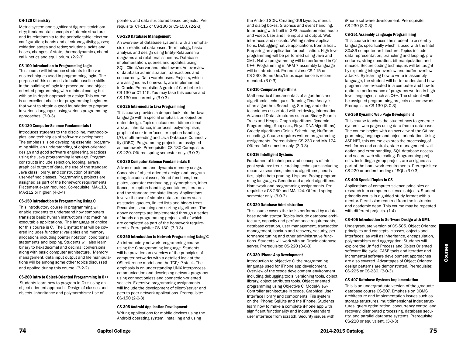#### CH-120 Chemistry

Metric system and significant figures; stoichiometry; fundamental concepts of atomic structure and its relationship to the periodic table; electron configuration; bonds and electronegativity; gases; oxidation states and redox; solutions, acids and bases, changes of state, thermodynamics, chemical kinetics and equilibrium. (2-2-3)

#### CS-100 Introduction to Programming Logic

This course will introduce students to the various techniques used in programming logic. The purpose of this course is to build baseline skills in the building of logic for procedural and object oriented programming with minimal coding but with an in-depth approach to design.This course is an excellent choice for programming beginners that want to obtain a good foundation to program in various languages using various programming approaches. (3-0-3)

#### CS-130 Computer Science Fundamentals I

Introduces students to the discipline, methodologies, and techniques of software development. The emphasis is on developing essential programming skills, an understanding of object-oriented design and good software engineering practices using the Java programming language. Program constructs include selection, looping, arrays, graphical output of data, the use of the standard Java class library, and construction of simple user-defined classes. Programming projects are assigned as part of the homework requirements. Placement exam required. Co-requisite: MA-110, MA-112 or higher. (4-0-4)

#### CS-150 Introduction to Programming Using C

This introductory course in programming will enable students to understand how computers translate basic human instructions into machine executable applications. The language of choice for this course is C. The C syntax that will be covered includes functions; variables and memory allocations including pointer notation; conditional statements and looping. Students will also learn binary to hexadecimal and decimal conversions along with basic computer architecture. Memory management, data input output and file manipulations will be among some other topics discussed and applied during this course. (3-2-2)

#### CS-200 Intro to Object-Oriented Programming in C++

Students learn how to program in C++ using an object oriented approach. Design of classes and objects. Inheritance and polymorphism: Use of

pointers and data structured based projects. Prerequisite CT-115 or CS-130 or CS-150. (2-2-3)

#### CS-220 Database Management

An overview of database systems, with an emphasis on relational databases. Terminology, basic analysis and design using Entity-Relationship diagrams and relational schemas. Database implementation, queries and updates using SQL. Client/server and middleware. An overview of database administration, transactions and concurrency. Data warehouses. Projects, which are assigned as homework, are implemented in Oracle. Prerequisite: A grade of C or better in CS-130 or CT-115. You may take this course and CS-130 concurrently. (3-0-3)

#### CS-225 Intermediate Java Programming

This course provides a deeper look into the Java language with a special emphasis on object oriented design. Topics include multidimensional arrays, inheritance, interfaces, polymorphism, graphical user interfaces, exception handling, I/O, multithreading and Java Database Connectivity (JDBC). Programming projects are assigned as homework. Prerequisite: CS-130 Corequisite: CS-220. Offered spring semester only. (3-0-3)

#### CS-230 Computer Science Fundamentals II

Advance pointers and dynamic memory usage. Concepts of object-oriented design and programming. Includes classes, friend functions, templates, operator overloading, polymorphism, inheritance, exception handling, containers, iterators and the standard template library. Applications involve the use of simple data structures such as stacks, queues, linked lists and binary trees. Recursion, searching and sorting algorithms. The above concepts are implemented through a series of hands-on programming projects, all of which are completed as part of the homework requirements. Prerequisite: CS-130. (3-0-3)

#### CS-250 Introduction to Network Programming Using C

An introductory network programming course using the C programming language. Students will be provided an overview of the principles of computer networks with a detailed look at the OSI reference model and the TCP/IP stack. The emphasis is on understanding UNIX interprocess communication and developing network programs using connectionless and connection-oriented sockets. Extensive programming assignments will include the development of client/server and peer-to-peer network applications. Prerequisite: CS-150 (2-2-3)

#### CS-305 Android Application Development

Writing applications for mobile devices using the Android operating system. Installing and using

the Android SDK. Creating GUI layouts, menus and dialog boxes. Graphics and event handling. Interfacing with built-in GPS, accelerometer, audio and video. User and file input and output. Web interfaces and sockets. Writing native applications. Debugging native applications from a host. Preparing an application for publication. High-level programming will be performed using Java and XML. Native programming will be performed in C/ C++. Programming in ARM-7 assembly language will be introduced. Prerequisites: CS-115 or CS-230. Some Unix/Linux experience is recommended. (3-0-3)

#### CS-310 Computer Algorithms

Mathematical fundamentals of algorithms and algorithmic techniques. Running Time Analysis of an algorithm. Searching, Sorting, and other techniques associated with retrieving information. Advanced Data structures such as Binary Search Trees and Heaps. Graph algorithms. Dynamic Programming (Knapsack, Floyd, DNA Algorithms). Greedy algorithms (Coins, Scheduling, Huffman encoding). Course requires written programming assignments. Prerequisites: CS-230 and MA-124. Offered fall semester only. (3-0-3)

#### CS-316 Intelligent Systems

Fundamental techniques and concepts of intelligent systems: tree searching techniques including recursive searches, minmax algorithms, heuristics, alpha beta pruning. Lisp and Prolog programming languages. Genetic and a priori algorithms. Homework and programming assignments. Prerequisites: CS-230 and MA-124. Offered spring semester only. (3-0-3)

#### CS-320 Database Administration

This course covers the tasks performed by a database administrator. Topics include database architecture, capacity and performance requirements, database creation, user management, transaction management, backup and recovery, security, performance tuning and other administrative functions. Students will work with an Oracle database server. Prerequisite: CS-220 (3-0-3)

#### CS-330 iPhone App Development

Introduction to objective C, the programming language used for iPhone app development. Overview of the xcode development environment, including debugging tools, versioning tools, object library, object attributes tools. Object oriented programming using Objective C. Model-View-Controller architecture in xcode. Graphical User Interface library and components. File system on the iPhone; SqlLite and the iPhone. Students learn how to make a complete iPhone app with significant functionality and industry-standard user interface from scratch. Security issues with

iPhone software development. Prerequisite: CS-230 (3-0-3)

#### CS-351 Assembly Language Programming

This course introduces the student to assembly language, specifically which is used with the Intel 80x86 computer architecture. Topics include data representation, branching and looping, procedures, string operation, bit manipulation and macros. Secure coding techniques will be taught by exploring integer overflow and buffer overflow attacks. By learning how to write in assembly language, the student will better understand how programs are executed in a computer and how to optimize performance of programs written in highlevel languages, such as C++. The student will be assigned programming projects as homework. Prerequisite: CS-130 (3-0-3)

#### CS-356 Dynamic Web Page Development

This course teaches the student how to generate dynamic web pages using data from a database. The course begins with an overview of the C# programming language and object-orientation. Using ASP.NET, this course explores the processing of web forms and controls, state management, validation and error handling, SQL database access and secure web site coding. Programming projects, including a group project, are assigned as part of the homework requirements. Prerequisites: CS-220 or understanding of SQL. (3-0-3)

#### CS-400 Special Topics in CS

Applications of computer science principles or research into computer science subjects. Student primarily works in a guided study format with a mentor. Permission required from the instructor and academic dean. This course may be repeated with different projects. (1-4)

#### CS-405 Introduction to Software Design with UML

Undergraduate version of CS-505. Object Oriented principles and concepts, classes, objects and interfaces; as well as inheritance, encapsulation, polymorphism and aggregation; Students will explore the Unified Process and Object Oriented software life cycle. CASE tools and iterative and incremental software development approaches are also covered. Advantages of Object Oriented design patterns are demonstrated. Prerequisite: CS-225 or CS-230. (3-0-3)

#### CS-407 Database Systems Implementation

This is an undergraduate version of the graduate database course CS-507. Emphasis on DBMS architecture and implementation issues such as storage structures, multidimensional index structures, query optimization, concurrency control and recovery, distributed processing, database security, and parallel database systems. Prerequisite: CS-220 or equivalent. (3-0-3)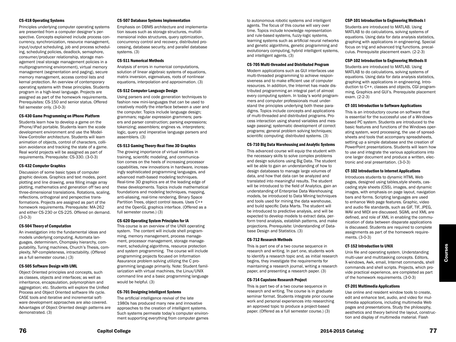#### CS-418 Operating Systems

Principles underlying computer operating systems are presented from a computer designer's perspective. Concepts explained include process concurrency, synchronization, resource management, input/output scheduling, job and process scheduling, scheduling policies, deadlock, semaphore, consumer/producer relationship, storage management (real storage management policies in a multiprogramming environment), virtual memory management (segmentation and paging), secure memory management, access control lists and kernal protection. An overview of contemporary operating systems with these principles. Students program in a high-level language. Projects are assigned as part of the homework requirements. Prerequisites: CS-150 and senior status. Offered fall semester only. (3-0-3)

#### CS-430 Game Programming on iPhone Platform

Students learn how to develop a game on the iPhone/iPad portable. Students learn the xcode development environment and use the Model-View-Controller architecture. Students will learn animation of objects, control of characters, collision avoidance and tracking the state of a game. Real world projects will be assigned as part of requirements. Prerequisite: CS-330. (3-0-3)

#### CS-432 Computer Graphics

Discussion of some basic types of computer graphic devices. Graphics and text modes, point plotting and line drawing, area filling image array plotting, mathematics and generation off two and three-dimensional translations. Rotations, scaling, reflections, orthogonal and perspective transformations. Projects are assigned as part of the homework requirements. Prerequisite: MA-262 and either CS-230 or CS-225. Offered on demand. (3-0-3)

#### CS-504 Theory of Computation

An investigation into the fundamental ideas and models underlying computing. Automata languages, determinism, Chompsky hierarchy, computability, Turing machines, Church's Thesis, complexity, NP-completeness, intractability. (Offered as a full semester course.) (3)

#### CS-505 Software Design with UML

Object Oriented principles and concepts, such as classes, objects and interfaces; as well as inheritance, encapsulation, polymorphism and aggregation; etc. Students will explore the Unified Process and Object Oriented software life cycle. CASE tools and iterative and incremental software development approaches are also covered. Advantages of Object Oriented design patterns are demonstrated. (3)

#### CS-507 Database Systems Implementation

Emphasis on DBMS architecture and implementation issues such as storage structures, multidimensional index structures, query optimization, concurrency control and recovery, distributed processing, database security, and parallel database systems. (3)

#### CS-511 Numerical Methods

Analysis of errors in numerical computations, solution of linear algebraic systems of equations, matrix inversion, eigenvalues, roots of nonlinear equations, interpolation and approximation. (3)

#### CS-512 Computer Language Design

Using parsers and code generation techniques to fashion new mini-languages that can be used to creatively modify the interface between a user and the computer. Topics include language design; grammars; regular expression grammers; parsers and parser construction; parsing expressions; tokenizing; assemblers; engines vs. interpreters; logic, query and imperative language parsers and assemblers. (3)

#### CS-513 Gaming Theory-Real-Time 3D Graphics

The growing importance of virtual realities in training, scientific modeling, and communication comes on the heels of increasing processor capabilities, new innovations in hardware, increasingly sophisticated programming languages, and advanced math-based modeling techniques. Real-time 3D graphics are at the leading edge of these developments. Topics include mathematical foundations and modeling techniques, mapping, anti-aliasing, real-time rendering, Binary Space Partition Trees, object control issues. Uses C++ and the OpenGL graphics interface. (Offered as a full semester course.) (3)

#### CS-620 Operating System Principles for IA

This course is an overview of the UNIX operating system. The content will include shell programming, memory management, process management, processor management, storage management, scheduling algorithms, resource protection and system programming. The course will include programming projects focused on Information Assurance problem solving utilizing the C programming language primarily. Note: Student familiarization with virtual machines, the Linux/UNIX command line and a basic programming language would be helpful. (3)

#### CS-701 Designing Intelligent Systems

The artificial intelligence revival of the late 1980s has produced many new and innovative approaches to the creation of intelligent systems. Such systems permeate today's computer environment supporting everything from computer games

to autonomous robotic systems and intelligent agents. The focus of this course will vary over time. Topics include knowledge representation and rule-based systems, fuzzy-logic systems, learning systems such as artificial neural networks and genetic algorithms, genetic programming and evolutionary computing, hybrid intelligent systems, and intelligent agents. (3)

#### CS-705 Multi-threaded and Distributed Program

Modern applications such as GUI interfaces use multi-threaded programming to achieve responsiveness and to make efficient use of computer resources. In addition, the Internet has made distributed programming an integral part of almost every computing system. In today's world programmers and computer professionals must understand the principles underlying both these paradigms. Topics include concepts and applications of multi-threaded and distributed programs. Process interaction using shared variables and message passing; systematic development of correct programs; general problem solving techniques; scientific computing; distributed systems. (3)

#### CS-710 Big Data Warehousing and Analytic Systems

This advanced course will equip the student with the necessary skills to solve complex problems and design solutions using Big Data. The student will be able to gain an understanding of how to design databases to manage large volumes of data, and how that data can be analyzed and translated into meaningful results. The student will be introduced to the field of Analytics, gain an understanding of Enterprise Data Warehousing models, be introduced to Data Mining techniques and tools used for mining the data warehouse, and build specific Data Marts. The student will be introduced to predictive analysis, and will be expected to develop models to extract data, perform trend analysis, establish patterns, and make projections. Prerequisite: Understanding of Database Design and Statistics. (3)

#### CS-712 Research Methods

This is part one of a two course sequence in research and writing. In part one, students work to identify a research topic and, as initial research begins, they investigate the requirements for maintaining a research journal, writing a research paper, and presenting a research paper. (3)

#### CS-714 Capstone Research Project

This is part two of a two course sequence in research and writing. The course is in graduate seminar format. Students integrate prior course work and personal experiences into researching an approved topic to produce a project-based paper. (Offered as a full semester course.) (3)

#### CSP-101 Introduction to Engineering Methods I

Students are introduced to MATLAB. Using MATLAB to do calculations, solving systems of equations. Using data for data analysis statistics, graphing with applications in engineering. Special focus on trig and advanced trig functions, precalculus. Prerequisite placement exam. (2-2-3)

#### CSP-102 Introduction to Engineering Methods II

Students are introduced to MATLAB. Using MATLAB to do calculations, solving systems of equations. Using data for data analysis statistics, graphing with applications in engineering. Introduction to C++, classes and objects, CGI programming, Graphics and GUI's. Prerequisite placement exam. (2-2-3)

#### CT-101 Introduction to Software Applications

This is an introductory course on software that is essential for the successful use of a Windowsbased PC system. Students are introduced to the basic features and functions of the Windows operating system, word processing, the use of spreadsheets and tools that accompany spreadsheets, setting up a simple database and the creation of PowerPoint presentations. Students will learn how to use and integrate the various applications into one larger document and produce a written, electronic and oral presentation. (3-0-3)

#### CT-102 Introduction to Internet Applications

Introduces students to dynamic HTML Web pages, designed using tables,style sheets, cascading style sheets (CSS), images, and dynamic images, with emphasis on page layout, navigation bars and forms. Scripting languages are used to enhance Web page features. Graphic, video and audio file standards, such as GIF, TIF, JPEG, WAV and MIDI are discussed. SGML and XML are defined, and role of XML in enabling the communication of data between disparate applications is discussed. Students are required to complete assignments as part of the homework requirements. (3-0-3)

#### CT-152 Introduction to UNIX

Unix file and operating system. Understanding multi-user and multitasking concepts. Editors, X-windows, Awk, email, Internet commands, shell commands and shell scripts. Projects, which provide practical experience, are completed as part of the homework requirements. (3-0-3)

#### CT-201 Multimedia Applications

Use online and resident window tools to create, edit and enhance text, audio, and video for multimedia applications, including multimedia Web pages and presentations. Study the philosophy, aesthetics and theory behind the layout, construction and display of multimedia material. Flash

Courses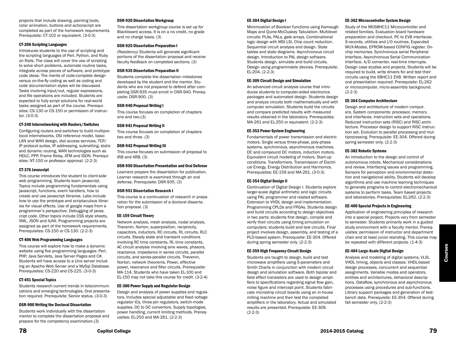projects that include drawing, painting tools, color animation, buttons and actionscript are completed as part of the homework requirements. Prerequisite: CT-102 or equivalent. (3-0-3)

#### CT-206 Scripting Languages

Introduces students to the use of scripting and the scripting languages of Perl, Python, and Ruby on Rails. The class will cover the use of scripting to solve short problems, automate routine tasks, integrate across pieces of software, and prototype code ideas. The merits of code-complete design versus on-the-fly coding as well as coding and code documentation styles will be discussed. Tasks involving input/out, regular expressions, and file operations are included. Students are expected to fully script solutions for real-world tasks assigned as part of the course. Prerequisites: CS-130 or CS-150 or permission of instructor. (3-0-3)

#### CT-240 Internetworking with Routers/Switches

Configuring routers and switches to build multiprotocol internetworks. OSI reference model, basic LAN and WAN design, dial access services, TCP/ IP protocol suites, IP addressing, subnetting, static and dynamic routing, WAN technologies such as HDLC, PPP, Frame Relay, ATM and ISDN. Prerequisites: NT-150 or professor approval. (2-2-3)

#### CT-376 Javascript

This course introduces the student to client-side web programming. Students learn javascript. Topics include programming fundamentals using javascript, functions, event handlers, how to create and use javascript libraries. Labs include how to use the prototype and scriptaculous libraries for visual effects. Use of google maps from a programmer's perspective. Debugging of javascript code. Other topics include CSS style sheets, XML, JSON and AJAX. Programming projects are assigned as part of the homework requirements. Prerequisites: CS-150 or CS-130. (2-2-3)

#### CT-406 Web Programming Languages

This course will explore how to make a dynamic website using five programming languages: Perl, PHP, Java Servlets, Java Server Pages and C#. Students will have access to a Unix server including an Apache Web Server and a MySql Database. Prerequisites: CS-220 and CS-225. (3-0-3)

#### CT-451 Special Topics

Students research current trends in telecommunications and emerging technologies. Oral presentation required. Prerequisite: Senior status. (3-0-3)

#### DSR-900 Writing the Doctoral Dissertation

Students work individually with the dissertation mentor to complete the dissertation proposal and prepare for the competency examination.(3)

#### DSR-920 Dissertation Workgroup

This dissertation workgroup course is set up for Blackboard access. It is on a no credit, no grade and no charge basis. (3)

#### DSR-925 Dissertation Preparation I

(Residency) Students will generate significant portions of the dissertation proposal and receive faculty feedback on completed sections. (3)

#### DSR-935 Dissertation Preparation II

Students complete the dissertation milestones developed by the student and the mentor. Students who are not prepared to defend after completing DSR-935 must enroll in DSR-940. Prerequisite: DSR-900. (3)

#### DSR-940 Proposal Writing I

This course focuses on completion of chapters one and two.(3)

#### DSR-941 Proposal Writing II

This course focuses on completion of chapters two and three. (3)

#### DSR-942 Proposal Writing III

This course focuses on submission of proposal to IRB and ARB. (3)

#### DSR-950 Dissertation Presentation and Oral Defense

Learners prepare the dissertation for publication. Learner research is examined through an oral defense. Prerequisite: DSR-935. (3)

#### DSR-951 Dissertation Research I

This course is a continuation of research in preparation for the submission of a doctoral dissertation proposal. (3)

#### EE-159 Circuit Theory

Network analysis, mesh analysis, nodal analysis, Thevenin, Norton, superposition, reciprocity, capacitors, inductors, RC circuits, RL circuits, RLC circuits. Steady state and transient conditions involving RC time constants, RL time constants. AC circuit analysis involving sine waves, phasors, reactance, impedance in series circuits, parallel circuits, and series-parallel circuits. Thevenin, Norton, network theorems. Power, effective power, resonance and filter circuits. Prerequisite: MA-114. Students who have taken EL-100 and EL-150 may not take this course for credit. (3-2-4)

#### EE-300 Power Supply and Regulator Design

Design and analysis of power supplies and regulators. Includes special adjustable and fixed voltage regulator ICs, three-pin regulators, switch-mode supplies. DC to DC convertors. Supply topologies, power handling, current limiting methods. Prerequisites: EL-250 and MA-261. (2-2-3)

#### EE-304 Digital Design I

Minimization of Boolean functions using Kamaugh Maps and Quine-McCluskey Tabulation. Multilevel circuits: PLAs, PALs, gate arrays. Combinational logic design with MSI LSI. Chip count reduction. Sequential circuit analysis and design. State tables and state diagrams. Asynchronous circuit design. Introduction to PAL design software. Students design, simulate and build circuits. Design using programmable devices. Prerequisite: EL-204. (2-2-3)

#### EE-309 Circuit Design and Simulation

An advanced circuit analysis course that introduces students to computer-aided electronics packages and automated design. Students design and analyze circuits both mathematically and with computer simulation. Students build the circuits and compare predicted results with measured results obtained in the laboratory. Prerequisites: MA-261 and EL-250 or equivalent. (2-2-3)

#### EE-353 Power System Engineering

Fundamentals of power transmission and electric motors. Single versus three-phase, poly-phase systems, synchronous, asynchronous machines. DC and compound DC motors, induction motors. Equivalent circuit modeling of motors. Start-up conditions. Transformers, Transmission of Electrical Energy, Energy Distribution and Harmonics. Prerequisites: EE-159 and MA-261. (3-0-3)

#### EE-354 Digital Design II

Continuation of Digital Design I. Students explore larger-scale digital arithmetic and logic circuits using PAL programmer and related software. Extension to VHDL design and implementation. Programming CPLDs and FPGAs. Students design and build circuits according to design objectives in two parts: students first design, compile and verify their circuits using timing simulation on computers; students build and test circuits. Final project involves design, assembly, and testing of a PLD-based system. Prerequisite: EE-304. Offered during spring semester only. (2-2-3)

#### EE-359 High Frequency Circuit Design

Students are taught to design, build and test microwave amplifiers using S-parameters and Smith Charts in conjunction with modern circuit design and simulation software. Both bipolar and field effect transistors are used to design amplifiers to specifications regarding signal flow gain, noise figure and intercept point. Students fabricate microstrip circuit boards using an in-house milling machine and then test the completed amplifiers in the laboratory. Actual and simulated results are presented. Prerequisite: EE-309. (2-2-3)

#### EE-362 Microcontroller System Design

Study of the MC68HC11 Microcontroller and related families. Evaluation board hardware preparation and checkout. PC to EVB interfaces. S-records, utilities and I/O routines. Expanded MUX-Modes, EPROM-based CONFIG register. Onchip memories. Synchronous serial Peripheral Interface, Asynchronous Serial Communication Interface. A/D converter, real-time interrupts. Design case studies and projects. Students will be required to build, write drivers for and test their circuits using the 68HC11 EVB. Written report and oral presentation required. Prerequisite: EL-262 or microcomputer, micro-assembly background. (2-2-3)

#### EE-364 Computer Architecture

Design and architecture of modern computers. System components: processor, memory and interfaces. Instruction sets and operations. Reduced instruction sets (RISC) and RISC architecture. Processor design to support RISC instruction set. Evolution to parallel processing and multiprocessing. Prerequisite: EE-304. Offered during spring semester only. (2-2-3)

#### EE-382 Robotic Systems

An introduction to the design and control of autonomous robots. Mechanical considerations and review. Interfacing issues and programming. Sensors for perception and environmental detection and navigational ability. Students will develop algorithms and use machine learning techniques to generate programs to control electromechanical systems to perform tasks. Team based projects and laboratories. Prerequisites: EL-262. (2-2-3)

#### EE-400 Special Projects in Engineering

Application of engineering principles of research into a special project. Projects vary from semester to semester. Students primarily work in a guided study environment with a faculty mentor. Prerequisites: permission of instructor and department chair and at least junior standing. This course may be repeated with different projects. (1-4-3)

#### EE-404 Large-Scale Digital Design

Analysis and modeling of digital systems, VLSI, VHDL timing, objects and classes. VHDL-based design processes, concurrent and sequential assignments. Variable modes and operators, entities and architectures, behavioral descriptions. Dataflow, synchronous and asynchronous processes using procedures and sub-functions. Library support packages and generation of testbench data. Prerequisite: EE-354. Offered during fall semester only. (2-2-3)

Courses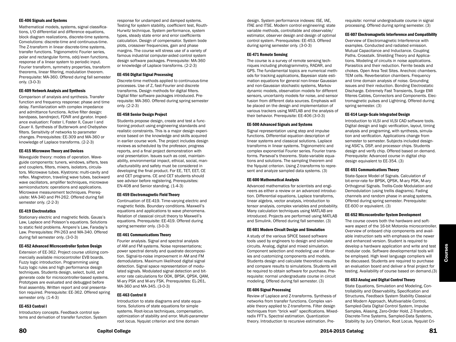#### EE-406 Signals and Systems

Mathematical models, systems, signal classifications, I/O differential and difference equations, block diagram realizations, discrete-time systems. Convolutions: discrete-time and continuous-time. The Z-transform in linear discrete-time systems, transfer functions. Trigonometric Fourier series, polar and rectangular forms, odd/even functions, response of a linear system to periodic input. Fourier transform, symmetry properties, transform theorems, linear filtering, modulation theorem. Prerequisite: MA-360. Offered during fall semester only. (3-0-3)

#### EE-409 Network Analysis and Synthesis

Comparison of analysis and synthesis. Transfer function and frequency response: phase and time delay. Familiarization with complex impedance and admittance functions. Active filter design: bandpass, bandreject, FDNR and gyrator. Impedance evaluation: Foster I, Foster II, Cauer I and Cauer II. Synthesis of Butterwork and Chebyshev filters. Sensitivity of networks to parameter changes. Prerequisites: EE-309 and MA-360 or knowledge of Laplace transforms. (2-2-3)

#### EE-415 Microwave Theory and Devices

Waveguide theory: modes of operation. Waveguide components: tuners, windows, sifters, tees and couplers, filters, mixers, isolators, circulators. Microwave tubes. Klystrons: multi-cavity and reflex. Magnetron, traveling wave tubes, backward wave oscillators, amplifier techniques, microwave semiconductors: operations and applications. Microwave measurement techniques. Prerequisite: MA-340 and PH-262. Offered during fall semester only. (2-2-3)

#### EE-419 Electrostatics

Stationary electric and magnetic fields. Gauss's Law, Laplace and Poisson's equations. Solutions to static field problems. Ampere's Law, Faraday's Law. Prerequisites: PH-263 and MA-340. Offered during fall semester only. (3-0-3)

#### EE-452 Advanced Microcontroller System Design

Extension of EE-362. Project course utilizing commercially available microcontroller EVB boards. Fuzzy logic introduction. Programming using fuzzy logic rules and high performance design techniques. Students design, select, build, and generate code for microcontroller-based systems. Prototypes are evaluated and debugged before final assembly. Written report and oral presentation required. Prerequisite: EE-362. Offered spring semester only. (1-4-3)

#### EE-453 Control I

Introductory concepts. Feedback control systems and derivation of transfer function. System

response for undamped and damped systems. Testing for system stability, coefficient test, Routh-Hurwitz technique. System performance, system types, steady state error and error coefficients calculation. Design of compensator. System bode plots, crossover frequencies, gain and phase margins. The course will stress use of a variety of famous industrial computer-aided control system design software packages. Prerequisite: MA-360 or knowledge of Laplace transforms. (2-2-3)

#### EE-456 Digital Signal Processing

Discrete-time methods applied to continuous-time processes. Use of Z, fast-Fourier and discrete transforms. Design methods for digital filters. Digital filter software packages introduced. Prerequisite: MA-360. Offered during spring semester only. (2-2-3)

#### EE-458 Senior Design Project

Students propose design, create and test a functioning product using engineering standards and realistic constraints. This is a major design experience based on the knowledge and skills acquired in earlier course work. The project includes design reviews as scheduled by the professor, progress reports, and a final project demonstration with oral presentation. Issues such as cost, maintainability, environmental impact, ethical, social, manufacturability and safety must be considered in developing the final product. For EE, TET, EET, CE and CET programs. CE and CET students should see advisor before registering. Prerequisites: EN-408 and Senior standing. (1-4-3)

#### EE-459 Electromagnetic Field Theory

Continuation of EE-419. Time-varying electric and magnetic fields. Boundary conditions. Maxwell's equations and applications to wave phenomena. Relation of classical circuit theory to Maxwell's equations. Prerequisite: EE-419. Offered during spring semester only. (3-0-3)

#### EE-461 Communications Theory

Fourier analysis. Signal and spectral analysis of AM and FM systems. Noise representations; power spectral density and quadrate decomposition. Signal-to-noise improvement in AM and FM demodulators. Maximum likelihood digital signal detection. Signal space representation of modulated signals. Modulated signal detection and biterror rate calculations for OOK, BPSK, QPSK, QAM, M-ary PSK and M-ary FSK. Prerequisites: EL-261, MA-360 and MA-345. (3-0-3)

#### EE-463 Control II

Introduction to state diagrams and state equations. Solutions of state equations for simple systems. Root-locus techniques, compensation, optimization of stability and error. Multi-parameter root locus. Nyquist criterion and time domain

design. System performance indexes: ISE, IAE, ITAE and ITSE. Modern control engineering: state variable methods, controllable and observable/ estimator, observer design and design of optimal control system. Prerequisites: EE-453. Offered during spring semester only. (3-0-3)

#### EE-471 Remote Sensing

The course is a survey of remote sensing techniques including photogrammetry, RADAR, and GPS. The fundamental topics are numerical methods for tracking applications, Bayesian state estimation equations for general non-linear Gaussian and non-Gaussian stochastic systems, Markov dynamic models, observation models for different sensors, uncertainty models for noise, and sensor fusion from different data sources. Emphasis will be placed on the design and implementation of various trackers using MATLAB and the analysis of their behavior. Prerequisite: EE-406 (3-0-3)

#### EE-500 Advanced Signals and Systems

Signal representation using step and impulse functions. Differential equation description of linear systems and classical solutions. Laplace transforms in linear systems. Trigonometric and complex exponential Fourier series. Fourier transforms. Parseval's theorems. State-variable equations and solutions. The sampling theorem and the Nyquist criterion. Using Z-transforms to represent and analyze sampled data systems. (3)

#### EE-600 Mathematical Analysis

Advanced mathematics for scientists and engineers as either a review or an advanced introduction. Differential equations, Laplace transforms, linear algebra, vector analysis, introduction to tensor analysis, complex variables and probability. Many calculation techniques using MATLAB are introduced. Projects are performed using MATLAB and Simulink. Offered during fall semester. (3)

#### EE-601 Modern Circuit Design and Simulation

A study of the various SPICE based software tools used by engineers to design and simulate circuits. Analog, digital and mixed simulation. Component selection and modeling use of libraries and customizing components and models. Students design and calculate theoretical results and compare results to simulations. Students will be required to obtain software for purchase. Prerequisite: normal undergraduate course in circuit modeling. Offered during fall semester. (3)

#### EE-606 Signal Processing

Review of Laplace and Z-transforms. Synthesis of networks from transfer functions. Complex variable theory applied to Z-transforms. Filter design techniques from "brick wall" specifications. Mixedradix FFT's. Spectral estimation. Quantization theory. Introduction to recursive estimation. Prerequisite: normal undergraduate course in signal processing. Offered during spring semester. (3)

#### EE-607 Electromagnetic Interference and Compatibility

Overview of Electromagnetic Interference with examples. Conducted and radiated emission. Mutual Capacitance and Inductance. Coupling Paths. Crosstalk. Shielding Theory and Applications. Modeling of circuits in noise applications. Parasitics and their reduction. Ferrite beads and chokes. Open Area Test Sites. Anechoic chambers. TEM cells. Reverberation chambers. Frequency and time domain analysis of noise. Grounding issues and their reduction. Bonding Electrostatic Discharge. Extremely Fast Transients, Surge EMI filteres Cables, Connectors and Components. Electromagnetic pulses and Lightning. Offered during spring semester. (3)

#### EE-614 Large-Scale Integrated Design

Introduction to VLSI and VLSI CAD software tools. Digital design and logic verification, layout, timing analysis and programing, with synthesis, simulation and verification. Applications change from semester to semester. Subjects included designing ASIC's, DSP, and processor chips. Students design and verify chip. Offered based on demand. Prerequisite: Advanced course in digital chip design equivalent to EE-354. (3)

#### EE-651 Communications Theory

State-Space Model of Signals. Calculation of bit-error-rate for BPSK, QPSK, M-ary PSK, M-ary Orthogonal Signals. Trellis-Code Modulation and Demodulation (using trellis diagrams). Fading channels and random phase in analog systems. Offered during spring semester. Prerequisite: EE-600 or equivalent. (3)

#### EE-652 Microcontroller System Development

The course covers both the hardware and software aspect of the 16-bit Motorola microcontroller. Overview of onboard chip components and available instruction sets with emphasis on the newer and enhanced version. Student is required to develop a hardware application and write and test modular code. Software developmental tools will be employed. High level language compliers will be discussed. Students are required to purchase an evaluation board and deliver a final project for testing. Availability of course based on demand.(3)

#### EE-653 Analog and Digital Control Theory

State Equations, Simulation and Modeling, Controllability and Observability, Specification and Structures, Feedback System Stability Classical and Modern Approach, Multivariable Control, Sampled-Data Digital Control System, Impulse Samples, Aliasing, Zero-Order Hold, Z-Transform, Discrete-Time Systems, Sampled-Data Systems, Stability by Jury Criterion, Root Locus, Nyquist Cri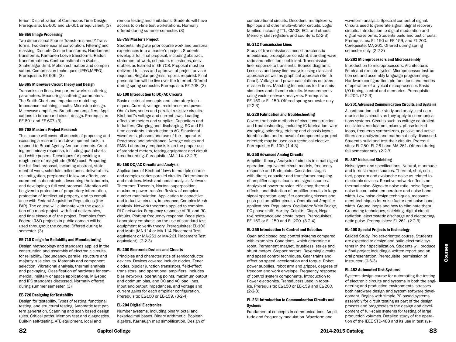terion, Discretization of Continuous-Time Design. Prerequisite: EE-600 and EE-601 or equivalent. (3)

#### EE-656 Image Processing

Two-dimensional Fourier Transforms and Z-Transforms. Two-dimensional convolution. Filtering and masking. Discrete Cosine transforms, Haddamard transforms, Karhunen-Loeve transforms. Radon transformations. Contour estimation (Sobel, Snake algorithm). Motion estimation and compensation. Compression techniques (JPEG,MPEG). Prerequisite: EE-606. (3)

#### EE-665 Microwave Circuit Theory and Design

Transmission lines, two port networks scattering parameters. Measuring scattering parameters. The Smith Chart and impedance matching. Impedance matching circuits. Microstrip design. Microwave amplifiers. Broadband amplifiers. Applications to broadband circuit design. Prerequisite: EE-601 and EE-607. (3)

#### EE-708 Master's Project Research

This course will cover all aspects of proposing and executing a research and development task, in respond to Broad Agency Announcements. Creating preliminary response, including quad charts and white papers. Techniques for providing a rough order of magnitude (ROM) cost. Preparing the full final proposal, including abstract, statement of work, schedule, milestones, deliverables, risk mitigation, preplanned follow-on efforts, procurement, subcontracts, describing the labor mix, and developing a full cost proposal. Attention will be given to protection of proprietary information, protection of intellectual property, and to compliance with Federal Acquisition Regulations (the FAR). The course will culminate with the execution of a mock project, with final deliverables, and final closeout of the project. Examples from Federal R&D projects in public domain will be used throughout the course. Offered during fall semester. (3)

#### EE-710 Design for Reliability and Manufacturing

Design methodology and standards applied in the construction and assembly of electronic circuits for reliability. Redundancy, parallel structure and majority rule circuits. Materials and component selection. Vibrational analysis, thermal analysis and packaging. Classification of hardware for commercial, military or space applications. MIL-spec and IPC standards discussed. Normally offered during summer semester. (3)

#### EE-720 Designing for Testability

Design for testability. Types of testing, functional testing, and structural testing. Automatic test pattern generation. Scanning and scan based design rules. Critical paths. Memory test and diagnostics. Built-in self-testing. ATE equipment, local and

remote testing and limitations. Students will have access to on-line test workstations. Normally offered during summer semester. (3)

#### EE-758 Master's Project

Students integrate prior course work and personal experiences into a master's project. Students develop a full final proposal, including abstract, statement of work, schedule, milestones, deliverables as learned in EE-708. Proposal must be delivered to class and approval of project advisor required. Regular progress reports required. Final presentation will be live over the Internet. Offered during spring semester. Prerequisite: EE-708. (3)

#### EL-100 Introduction to DC/AC Circuits

Basic electrical concepts and laboratory techniques. Current, voltage, resistance and power. Ohm's law, series and parallel resistive circuits. Kirchhoff's voltage and current laws. Loading effects on meters and supplies. Capacitors and Inductors. Charging and discharging. RC and RL time constants. Introduction to AC. Sinusional waveforms, phasors and use of the J operator. Reactance and admittance. Average values and RMS. Laboratory emphasis is on the proper use of standard meters, testing equipment and circuit breadboarding. Corequisite: MA-114. (2-2-3)

#### EL-150 DC/AC Circuits and Analysis

Applications of Kirchhoff laws to multiple source and complex series-parallel circuits. Determinants and matrices. Mesh and nodal analysis. Network Theorems: Thevenin, Norton, superposition, maximum power transfer. Review of complex number manipulation. Application to capacitive and inductive circuits, impedance. Complex Mesh analysis. Network theorems applied to complex RLC networks. Frequency response of RL and RC circuits. Plotting frequency response. Bode plots. Laboratory emphasis on the use of standard test equipment to verify theory. Prerequisites: EL-100 and Math (MA-114 or MA-114 Placement Test equivalent or MA-261 or MA-261 Placement Test equivalent). (2-2-3)

#### EL-200 Electronic Devices and Circuits

Principles and characteristics of semiconductor devices. Devices covered include diodes, Zener diodes, bipolar junction transistors, field-effect transistors, and operational amplifiers. Includes bias networks, operating points, maximum output and optimum bias, and DC and AC load lines. Input and output impedances, and voltage and current gains for each amplifier configuration. Prerequisite: EL-100 or EE-159. (3-2-4)

#### EL-204 Digital Electronics

Number systems, including binary, octal and hexadecimal bases. Binary arithmetic. Boolean algebra, Karnaugh map simplification. Design of

combinational circuits. Decoders, multiplexers, flip-flops and other multi-vibrator circuits. Logic families including TTL, CMOS, ECL and others. Memory, shift registers and counters. (2-2-3)

#### EL-212 Transmission Lines

Study of transmissions lines: characteristic impedance, propagation constant, standing wave ratio and reflection coefficient. Transmission line response to transients. Bounce diagrams. Lossless and lossy line analysis using classical approach as well as graphical approach (Smith Chart). Voltage and power calculations on transmission lines. Matching techniques for transmission lines and discrete circuits. Measurements using vector network analyzers. Prerequisite: EE-159 or EL-150. Offered spring semester only.  $(2-2-3)$ 

#### EL-220 Fabrication and Troubleshooting

Covers the basic methods of circuit construction and troubleshooting, including IC fabrication, wire wrapping, soldering, etching and chassis layout. Identification and removal of components; project oriented; may be used as a technical elective. Prerequisite: EL-100. (1-4-3)

#### EL-250 Advanced Analog Circuits

Amplifier theory. Analysis of circuits in small signal operation, equivalent circuit models, frequency response and Bode plots. Cascaded stages with direct, capacitor and transformer coupling of amplifier stages, loads and signal sources. Analysis of power transfer, efficiency, thermal effects, and distortion of amplifier circuits in large signal operation, amplifier operating classes and push-pull amplifier circuits. Operational Amplifier applications. Regulators. Oscillators: Wein Bridge, RC phase shift, Hartley, Colpitts, Clapp, Negative resistance and crystal types. Prerequisites: EE-159 or EL-150 and EL-200. (3-2-4)

#### EL-255 Introduction to Control and Robotics

Open and closed loop control systems compared with examples. Conditions, which determine a robot. Permanent magnet, brushless, series and shunt motors. Stepper motors. Reversing circuits and speed control techniques. Gear trains and effect on speed, acceleration and torque. Robot power supplies, robot arm and gripper, degrees of freedom and work envelope. Frequency response of control system components. Introduction to Power electronics. Transducers used in robotics. Prerequisite: EL-150 or EE-159 and EL-200.  $(2-2-3)$ 

#### EL-261 Introduction to Communication Circuits and Systems

Fundamental concepts in communications. Amplitude and frequency modulation. Waveform and

waveform analysis. Spectral content of signal. Circuits used to generate signal. Signal recovery circuits. Introduction to digital modulation and digital waveforms. Students build and test circuits. Prerequisites: EL-150 or EE-159, and EL-200. Corequisite: MA-261. Offered during spring semester only. (2-2-3)

#### EL-262 Microprocessors and Microassembly

Introduction to microprocessors. Architecture. Fetch and execute cycles. Microprocessor instruction set and assembly language programming. Hardware configuration, pin functions and modes of operation of a typical microprocessor. Basic I/O timing, control and memories. Prerequisite: EL-204. (2-2-3)

#### EL-301 Advanced Communication Circuits and Systems

A continuation in the study and analysis of communications circuits as they apply to communications systems. Circuits such as voltage controlled oscillators, modulators, mixers, phase-locked loops, frequency synthesizers, passive and active filters are analyzed and mathematically discussed. Students build and test their circuits. Prerequisites: EL-250, EL-261 and MA-261. Offered during fall semester only. (2-2-3)

#### EL-307 Noise and Shielding

Noise types and specifications. Natural, manmade and intrinsic noise sources. Thermal, shot, contact, popcorn and avalanche noise as related to electronic devices. Reactive network effects on thermal noise. Signal-to-noise ratio, noise figure, noise factor, noise temperature and noise bandwidth. Low noise design techniques, measurement techniques for noise factor and noise bandwidth. Ground loops and how to eliminate them. Grounding techniques, shielding, digital circuit radiation, electrostatic discharge and electromagnetic pulse. Prerequisites: EL-261. (2-2-3)

#### EL-400 Special Projects in Technology

Guided Study. Project-oriented course. Students are expected to design and build electronic systems in their specialization. Students will produce a final project including a written report and an oral presentation. Prerequisite: permission of instructor. (0-6-3)

#### EL-452 Automated Test Systems

Systems design course for automating the testing of electronic circuits and systems in both the engineering and production environments; stresses both hardware design and system software development. Begins with simple PC-based systems assembly for circuit testing as part of the design process and progresses to the design and development of full-scale systems for testing of large production volumes. Detailed study of the operation of the IEEE STD-488 and its use in test sys-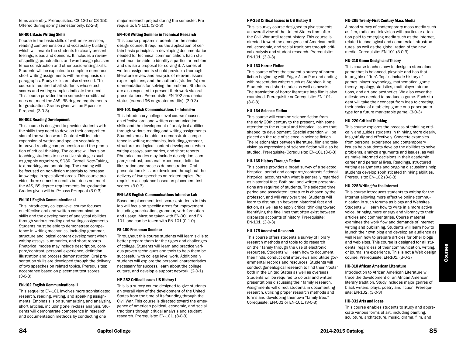#### EN-001 Basic Writing Skills

Course in the basic skills of written expression, reading comprehension and vocabulary building, which will enable the students to clearly present feelings, ideas and opinions. It includes a review of spelling, punctuation, and word usage plus sentence construction and other basic writing skills. Students will be expected to complete numerous short writing assignments with an emphasis on paragraphs. Study skills are also stressed. This course is required of all students whose test scores and writing samples indicate the need. This course provides three semester credits but does not meet the AAS, BS degree requirements for graduation. Grades given will be P-pass or R-repeat. (3-0-3)

#### EN-002 Reading Development

This course is designed to provide students with the skills they need to develop their comprehension of the written word. Content will include: expansion of written and spoken vocabulary, improved reading comprehension and the promotion of critical thinking. The course will focus on teaching students to use active strategies such as graphic organizers, SQ3R, Cornell Note-Taking, text-marking and annotating. The reading will be focused on non-fiction materials to increase knowledge in specialized areas. This course provides three semester credits but does not meet the AAS, BS degree requirements for graduation. Grades given will be P=pass R=repeat (3-0-3)

#### EN-101 English Communications I

This introductory college-level course focuses on effective oral and written communication skills and the development of analytical abilities through various reading and writing assignments. Students must be able to demonstrate competence in writing mechanics, including grammar, structure and logical content development when writing essays, summaries, and short reports. Rhetorical modes may include description, compare/contrast, personal experience, definition, illustration and process demonstration. Oral presentation skills are developed through the delivery of two speeches on related topics. Prerequisites: acceptance based on placement test scores (3-0-3)

#### EN-102 English Communications II

This sequel to EN-101 involves more sophisticated research, reading, writing, and speaking assignments. Emphasis is on summarizing and analyzing short articles, including one in-class analysis. Students will demonstrate competence in research and documentation methods by conducting one

major research project during the semester. Prerequisite: EN-101. (3-0-3)

#### EN-408 Writing Seminar in Technical Research

This course prepares students for the senior design course. It requires the application of certain basic principles in developing documentation needed for technical communication. Each student must be able to identify a particular problem and devise a proposal for solving it. A series of written assignments should provide a thorough literature review and analysis of relevant issues, expert opinions, and the author's (student's) recommendations for solving the problem. Students are also expected to present their work via oral presentations. Prerequisite: EN 102 and senior status (earned 96 or greater credits). (3-0-3)

#### ENI-101 English Communications I – Intensive

This introductory college-level course focuses on effective oral and written communication skills and the development of analytical abilities through various reading and writing assignments. Students must be able to demonstrate competence in writing mechanics, including grammar, structure and logical content development when writing essays, summaries, and short reports. Rhetorical modes may include description, compare/contrast, personal experience, definition, illustration and process demonstration. Oral presentation skills are developed throughout the delivery of two speeches on related topics. Prerequisite: acceptance based on placement test scores. (3-0-3)

#### ENI-LAB English Communications Intensive Lab

Based on placement test scores, students in this lab will focus on specific areas for improvement including punctuation, grammar, verb formation and usage. Must be taken with EN-001 and ENI 101, and can be taken with EN 101.(0-1-0)

#### FS-100 Freshman Seminar

Throughout this course students will learn skills to better prepare them for the rigors and challenges of college. Students will learn and practice various proven techniques and tools to help them be successful with college level work. Additionally students will explore the personal characteristics necessary for success, learn about the college culture, and develop a support network. (2-0-1)

#### HP-252 Critical Issues US History I

This is a survey course designed to give students an overall view of the development of the United States from the time of its founding through the Civil War. This course is directed toward the emergence of American political, economic, and social traditions through critical analysis and student research. Prerequisite: EN-101. (3-0-3)

#### HP-253 Critical Issues in US History II

This is survey course designed to give students an overall view of the United States from after the Civil War until recent history. This course is directed toward the emergence of American political, economic, and social traditions through critical analysis and student research. Prerequisite: EN-101. (3-0-3)

#### HU-163 Horror Fiction

This course offers the student a survey of horror fiction beginning with Edgar Allan Poe and ending with present-day writers such as Stephen King. Students read short stories as well as novels. The translation of horror literature into film is also examined. Prerequisite or Corequisite: EN-101. (3-0-3)

#### HU-164 Science Fiction

This course will examine science fiction from the early 20th century to the present, with some attention to the cultural and historical issues that shaped its development. Special attention will be placed on the role of science in science fiction. The relationships between literature, film and television as expressions of science fiction will also be studied. Prerequisite/Corequisite: EN-101 (3-0-3)

#### HU-165 History Through Fiction

This course provides a broad survey of a selected historical period and compares/contrasts fictional historical accounts with what is generally regarded as historical fact. Both oral and written presentations are required of students. The selected time period and associated literature is chosen by the professor, and will vary over time. Students will learn to distinguish between historical fact and fiction, as well as to apply critical thinking toward identifying the fine lines that often exist between disparate accounts of history. Prerequisite: EN-101. (3-0-3)

#### HU-175 Ancestral Research

This course offers students a survey of library research methods and tools to do research on their family through the use of electronic resources. Students will learn how to document their finds, conduct oral interviews and utilize governmental records and resources. Students will conduct genealogical research to find their "roots" both in the United States as well as overseas. Students will be required to do oral and written presentations discussing their family research. Assignments will direct students in documenting research, utilizing proper research methods and forms and developing their own "family tree." Corequisite: EN-001 or EN-101. (3-0-3)

#### HU-205 Twenty-First Century Mass Media

A broad survey of contemporary mass media such as film, radio and television with particular attention paid to emerging media such as the Internet, related technological and commercial infrastructures, as well as the globalization of the new media. Corequisite: EN-101 (3-0-3)

#### HU-210 Game Design and Theory

This course teaches how to design a standalone game that is balanced, playable and has that intangible of 'fun'. Topics include history of games, player psychology, mathematical game theory, topology, statistics, multiplayer interactions, and art and aesthetics. We also cover the milestones needed to produce a game. Each student will take their concept from idea to creating their choice of a tabletop game or a paper prototype for a future marketable game. (3-0-3)

#### HU-220 Critical Thinking

This course explores the process of thinking critically and guides students in thinking more clearly, insightfully and effectively. Concrete examples from personal experience and contemporary issues help students develop the abilities to solve problems, analyze arguments and issues, as well as make informed decisions in their academic career and personal lives. Readings, structured writing assignments and ongoing discussions help students develop sophisticated thinking abilities. Prerequisite: EN-102 (3-0-3)

#### HU-225 Writing for the Internet

This course introduces students to writing for the Internet allowing more effective online communication in such forums as blogs and Websites. Students will learn how to write in a more active voice, bringing more energy and vibrancy to their articles and commentaries. Course material examines the work flow and demands of Internet writing and publishing. Students will learn how to launch their own blog and develop an audience as well learn how to prepare articles for other blogs and web sites. This course is designed for all students, regardless of their communication, writing, or journalism experience. This is not a Web design course. Prerequisite: EN-101. (3-0-3)

#### HU-310 African American Literature

Introduction to African American Literature will trace the development of an African American literary tradition. Study includes major genres of black writers: plays, poetry and fiction. Prerequisite: EN-102. (3-0-3)

#### HU-331 Arts and Ideas

This course enables students to study and appreciate various forms of art, including painting, sculpture, architecture, music, drama, film, and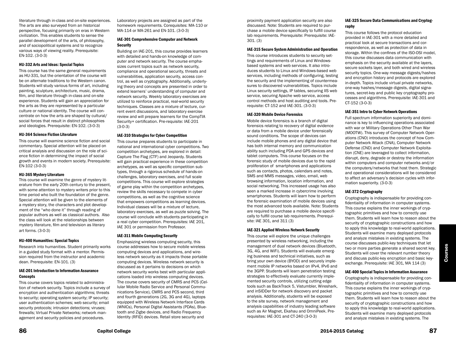literature through in-class and on-site experiences. The arts are also surveyed from an historical perspective, focusing primarily on eras in Western civilization. This enables students to sense the parallel development of the arts, of philosophy, and of sociopolitical systems and to recognize various ways of viewing reality. Prerequisite: EN-102. (3-0-3)

#### HU-332 Arts and Ideas: Special Topics

This course has the same general requirements as HU-331, but the orientation of the course will be on alternate traditions to the Western canon. Students will study various forms of art, including painting, sculpture, architecture, music, drama, film, and literature through in-class and on-site experience. Students will gain an appreciation for the arts as they are represented by a particular culture or national identity. The course will concentrate on how the arts are shaped by cultural/ social forces that result in distinct philosophies and ideologies. Prerequisite: EN-102. (3-0-3)

#### HU-364 Science Fiction Literature

This course will examine science fiction and social commentary. Special attention will be placed on critical analysis and discussion on the role of science fiction in determining the impact of social growth and events in modern society. Prerequisite: EN-102 (3-0-3)

#### HU-365 Mystery Literature

This course will examine the genre of mystery literature from the early 20th century to the present, with some attention to mystery writers prior to this time period who built the foundation of the genre. Special attention will be given to the elements of a mystery story, the characters and plot development of the "who done it" through reading of popular authors as well as classical authors. Also the class will look at the relationships between mystery literature, film and television as literary art forms. (3-0-3)

#### HU-400 Humanities: Special Topics

Research into humanities. Student primarily works in a guided study format with a mentor. Permission required from the instructor and academic dean. Prerequisite: EN-101. (3)

#### IAE-201 Introduction to Information Assurance **Concepts**

This course covers topics related to administration of network security. Topics include a survey of encryption and authentication algorithms; threats to security; operating system security; IP security; user authentication schemes; web security; email security protocols; intrusion detections; viruses; firewalls; Virtual Private Networks; network management and security policies and procedures.

Laboratory projects are assigned as part of the homework requirements. Corequisites: MA-110 or MA-114 or MA-261 and EN-101. (3-0-3)

#### IAE-301 Comprehensive Computer and Network **Security**

Building on IAE-201, this course provides learners with detailed and hands-on knowledge of computer and network security. The course emphasizes current topics such as network security, compliance and operational security, threats and vulnerabilities, application security, access control, as well as cryptography. Additionally, underlying theory and concepts are presented in order to extend learners' understanding of computer and network security. Weekly laboratory exercises are utilized to reinforce practical, real-world security techniques. Classes are a mixture of lecture, current event discussions, and laboratory exercise review and will prepare learners for the CompTIA Security+ certification. Pre-requisite: IAE-201 (3-0-3)

#### IAE-310 Strategies for Cyber Competition

This course prepares students to participate in national and international cyber competitions. Two competition archetypes, are explored in detail: Capture The Flag (CTF) and Jeopardy. Students will gain practical experience in these competition archetypes, as well as specific competition subtypes, through a rigorous schedule of hands-on challenges, laboratory exercises, and full scale competitions. This course will explore strategies of game play within the competition archetypes, review the skills necessary to compete in cyber competitions, as well as the cognitive science that empowers competitions as learning devices. Individual classes will be a mixture of lecture, laboratory exercises, as well as puzzle solving. The course will conclude with students participating in a real cyber competition. Prerequisites: IAE 201, IAE 301 or permission from Professor.

#### IAE-311 Mobile Computing Security

Emphasizing wireless computing security, this course addresses how to secure mobile wireless computing devices and applications, and wireless network security as it impacts those portable computing devices. Wireless network security is discussed as it pertains to decisions on which network security works best with particular applications loaded into wireless computing devices. The course covers security of CMRS and PCS (Cellular Mobile Radio Service and Personal Communications Service), CMRS and PCS second, third and fourth generations (2G, 3G and 4G), laptops equipped with Wireless Network Interface Cards (WNICs), Personal Digital Assistants (PDAs), Bluetooth and Zigbe devices, and Radio Frequency Identity (RFID) devices. Retail store security and

proximity payment application security are also discussed. Note: Students are required to purchase a mobile device specifically to fulfill course lab requirements. Prerequisite: Prerequisite: IAE-301. (3)

#### IAE-315 Secure System Administration and Operation

This course introduces students to security settings and requirements of Linux and Windowsbased systems and web services. It also introduces students to Linux and Windows-based web services, including methods of configuring, testing the security and the implementing of countermeasures to discovered vulnerabilities. Topics include Linux security settings, IP tables, securing IIS web service, securing Apache web service, access control methods and host auditing and tools. Prerequisite: CT-152 and IAE-301. (3-0-3)

#### IAE-320 Mobile Device Forensics

Mobile device forensics is a branch of digital forensics relating to recovery of digital evidence or data from a mobile device under forensically sound conditions. The scope of devices can include mobile phones and any digital device that has both internal memory and communication ability such including PDA and GPS devices and tablet computers. This course focuses on the forensic study of mobile devices due to the rapid proliferation of smartphones and applications such as contacts, photos, calendars and notes, SMS and MMS messages, video, email, web browsing information, location information, and social networking. This increased usage has also seen a marked increase in cybercrime involving smartphones. Students will learn how to perform the forensic examination of mobile devices using the most advanced tools available. Note: Students are required to purchase a mobile device specifically to fulfill course lab requirements. Prerequisite: IAE 301, and 311 (3)

#### IAE-321 Applied Wireless Network Security

This course will explore the unique challenges presented by wireless networking, including the management of dual network devices (Bluetooth, 3G, 4G, and WiFi). Students will evaluate emerging business and technical initiatives, such as bring your own device (BYOD) and securely implement mobile IP networks based on IPv4, IPv6 and the 3GPP. Students will learn penetration testing strategies to effectively evaluate currently implemented security controls, utilizing cutting edge tools such as BackTrack 5, Vistumbler, Wireshark, and inSIDDer for network discovery and packet analysis. Additionally, students will be exposed to the site survey, network management and analysis capabilities of industry leading software such as Air Magnet, Ekahau and OmniPeek. Prerequisites: IAE-301 and CT-240 (3-0-3)

### IAE-325 Secure Data Communications and Cryptography

This course follows the protocol education provided in IAE-301 with a more detailed and practical look at secure transactions and correspondence, as well as protection of data in storage. Within the confines of the ISO-OSI model, this course discusses data communication with emphasis on the security available at the layers, secure sockets layer, and both wired and wireless security topics. One-way message digests/hashes and encryption history and protocols are explored in-depth. Topics include virtual private networks, one-way hashes/message digests, digital signatures, secret-key and public key cryptography processes and algorithms. Prerequisite: IAE-301 and CT-152 (3-0-3)

#### IAE-351 Intro to Cyber Network Operations

Full spectrum information superiority and dominance is key to influencing operations associated with war or Military Operations Other Than War (MOOTW). This survey of Computer Network Operations (CNO) introduces the concept of how Computer Network Attack (CNA), Computer Network Defense (CND) and Computer Network Exploitation (CNE) are leveraged to collect information, disrupt, deny, degrade or destroy the information within computers and computer networks and/or the computers/networks that host them. Strategic and operational considerations will be considered to affect an adversary's decision cycles with information superiority. (3-0-3)

#### IAE-372 Cryptography

Cryptography is indispensable for providing confidentiality of information in computer systems. This course explains the inner workings of cryptographic primitives and how to correctly use them. Students will learn how to reason about the security of cryptographic constructions and how to apply this knowledge to real-world applications. Students will examine many deployed protocols and analyze mistakes in existing systems. The course discusses public-key techniques that let two or more parties generate a shared secret key. Students will cover the relevant number theory and discuss public-key encryption and basic keyexchange. Prerequisite: IAE 301, MA 114 (3)

#### IAE-400 Special Topics in Information Assurance

Cryptography is indispensable for providing confidentiality of information in computer systems. This course explains the inner workings of cryptographic primitives and how to correctly use them. Students will learn how to reason about the security of cryptographic constructions and how to apply this knowledge to real-world applications. Students will examine many deployed protocols and analyze mistakes in existing systems. The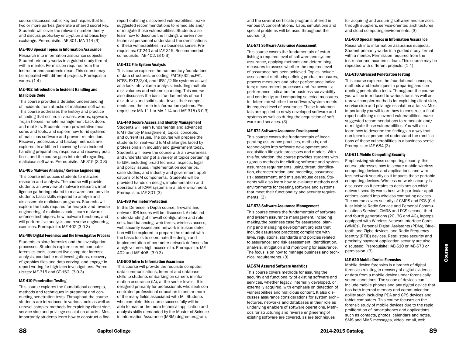course discusses public-key techniques that let two or more parties generate a shared secret key. Students will cover the relevant number theory and discuss public-key encryption and basic keyexchange. Prerequisite: IAE 301, MA 114 (3)

#### IAE-400 Special Topics in Information Assurance

Research into information assurance subjects. Student primarily works in a guided study format with a mentor. Permission required from the instructor and academic dean. This course may be repeated with different projects. Prerequisite varies. (1-4)

#### IAE-402 Introduction to Incident Handling and Malicious Code

This course provides a detailed understanding of incidents from attacks of malicious software. This course addresses the history and practice of coding that occurs in viruses, worms, spyware, Trojan horses, remote management back doors and root kits. Students learn preventative measures and tools, and explore how to rid systems of malicious software and prevent re-infection. Recovery processes and backup methods are explored. In addition to covering basic incident handling preparation, response and recovery practices, and the course goes into detail regarding malicious software. Prerequisite: IAE-315 (3-0-3)

#### IAE-405 Malware Analysis/Reverse Engineering

This course introduces students to malware research and analysis. The course will provide students an overview of malware research, intelligence gathering related to malware, and provide students basic skills required to analyze and dis-assemble malicious programs. Students will explore the tools required for analysis and reverse engineering of malicious code, learn malware defense techniques, how malware functions, and will perform live analysis and reverse engineering exercises. Prerequisite: IAE-402 (3-0-3)

#### IAE-406 Digital Forensics and the Investigative Process

Students explore forensics and the investigation processes. Students explore current computer forensics tools, conduct live computer forensic analysis, conduct e-mail investigations, recovery of graphics files and data carving, and engage in report writing for high-tech investigations. Prerequisites: IAE-315 and CT-152. (3-0-3)

#### IAE-410 Penetration Testing

This course explores the foundational concepts, methods and techniques in preparing and conducting penetration tests. Throughout the course students are introduced to various tools as well as unravel complex methods for exploiting client-side, service side and privilege escalation attacks. Most importantly students learn how to construct a final

report outlining discovered vulnerabilities, make suggested recommendations to remediate and/ or mitigate those vulnerabilities. Students also learn how to describe the findings wherein nontechnical personnel understand the ramifications of these vulnerabilities in a business sense. Prerequisites: CT-240 and IAE-315. Recommended co-requisite: IAE-402. (3-0-3)

#### IAE-412 File System Analysis

This course explores the rudimentary foundations of data structures, encoding, FAT16/32, exFAT, NTFS, EXT2/3/4, and UFS1/2 file systems as well as a look into volume analysis, including multiple disk volumes and volume spanning. This course also discusses the basic fundamentals of hard disk drives and solid state drives, their components and their role in information systems. Prerequisites: MA-111 or MA-114 and IAE-315 (3-0-3)

#### IAE-440 Secure Access and Identity Management

Students will learn fundamental and advanced IdM (Identity Management) topics, concepts, and current issues. The course will prepare the students for real-world IdM challenges faced by professionals in industry and government today. Students will leave the course with an awareness and understanding of a variety of topics pertaining to IdM, including broad technical aspects, legal and policy issues, implementation scenarios, case studies, and industry and government applications of IdM components. Students will be provided hands on design, implementation and operations of ICAM systems in a lab environment. Prerequisite: IAE 301 (3)

#### IAE-480 Perimeter Protection

In this Defense-in-Depth course, firewalls and network IDS issues will be discussed. A detailed understanding of firewall configuration and rule sets, load balancing, web farms, wireless access, web security issues and network intrusion detection will be explored to prepare the student with the basic tools to coordinate the design and implementation of perimeter network defenses for a high-volume, high-access site. Prerequisite: IAE-402 and IAE-406. (3-0-3)

#### IAE-500 Intro to Information Assurance

This course will provide the requisite computer, data communications, Internet and database skills to students embarking on careers in information assurance (IA), at the senior levels. It is designed primarily for professionals who seek concentrated professional education in one or more of the many fields associated with IA. Students who complete this course successfully will be able to master the more technical application and analysis skills demanded by the Master of Science in Information Assurance (MSIA) degree program,

and the several certificate programs offered in various IA concentrations. Labs, simulations and special problems will be used throughout the course. (3)

#### IAE-571 Software Assurance Assessment

This course covers the fundamentals of establishing a required level of software and system assurance, applying methods and determining measures to assess whether the required level of assurance has been achieved. Topics include assessment methods; defining product measures, process measures and other performance indicators; measurement processes and frameworks; performance indicators for business survivability and continuity; and comparing selected measures to determine whether the software/system meets its required level of assurance. These fundamentals are applied to newly developed software and systems as well as during the acquisition of software and services. (3)

#### IAE-572 Software Assurance Development

This course covers the fundamentals of incorporating assurance practices, methods, and technologies into software development and acquisition life-cycle processes and models. With this foundation, the course provides students with rigorous methods for eliciting software and system assurance requirements, using threat identification, characterization, and modeling; assurance risk assessment, and misuse/abuse cases. Students will also learn how to evaluate methods and environments for creating software and systems that meet their functionality and security requirements. (3)

#### IAE-573 Software Assurance Management

This course covers the fundamentals of software and system assurance management, including making the business case for assurance; planning and managing development projects that include assurance practices; compliance with laws, regulations, standards and policies related to assurance; and risk assessment, identification, analysis, mitigation and monitoring for assurance. The focus is on how to manage business and technical requirements. (3)

#### IAE-574 Assured Software Analytics

This course covers methods for assuring the security and functionality of existing software and services, whether legacy, internally developed, or externally acquired, with emphasis on detection of vulnerabilities and malicious content. It also discusses assurance considerations for system architectures, networks and databases in their role as underlying enablers of software operations. Methods for structuring and reverse engineering of existing software are covered, as are techniques

for acquiring and assuring software and services through suppliers, service-oriented architectures and cloud computing environments. (3)

#### IAE-600 Special Topics in Information Assurance

Research into information assurance subjects. Student primarily works in a guided study format with a mentor. Permission required from the instructor and academic dean. This course may be repeated with different projects. (1-4)

#### IAE-610 Advanced Penetration Testing

This course explores the foundational concepts, methods and techniques in preparing and conducting penetration tests. Throughout the course you will be introduced to various tools as well as unravel complex methods for exploiting client-side, service side and privilege escalation attacks. Most importantly you will learn how to construct a final report outlining discovered vulnerabilities, make suggested recommendations to remediate and/ or mitigate those vulnerabilities. You will also learn how to describe the findings in a way that non-technical personnel understand the ramifications of these vulnerabilities in a business sense. Prerequisite: IAE 684 (3)

#### IAE-611 Mobile Computing Security

Emphasizing wireless computing security, this course addresses how to secure mobile wireless computing devices and applications, and wireless network security as it impacts those portable computing devices. Wireless network security is discussed as it pertains to decisions on which network security works best with particular applications loaded into wireless computing devices. The course covers security of CMRS and PCS (Cellular Mobile Radio Service and Personal Communications Service), CMRS and PCS second, third and fourth generations (2G, 3G and 4G), laptops equipped with Wireless Network Interface Cards (WNICs), Personal Digital Assistants (PDAs), Bluetooth and Zigbe devices, and Radio Frequency Identity (RFID) devices. Retail store security and proximity payment application security are also discussed. Prerequisite: IAE-610 or IAE-670 or permission. (3)

#### IAE-620 Mobile Device Forensics

Mobile device forensics is a branch of digital forensics relating to recovery of digital evidence or data from a mobile device under forensically sound conditions. The scope of devices can include mobile phones and any digital device that has both internal memory and communication ability such including PDA and GPS devices and tablet computers. This course focuses on the forensic study of mobile devices due to the rapid proliferation of smartphones and applications such as contacts, photos, calendars and notes, SMS and MMS messages, video, email, web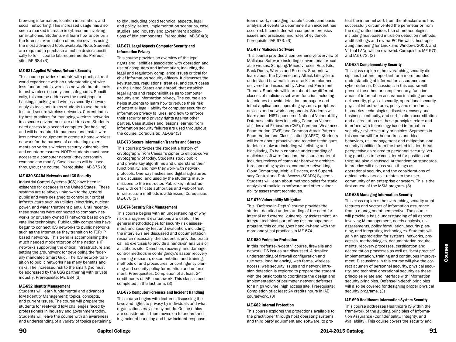browsing information, location information, and social networking. This increased usage has also seen a marked increase in cybercrime involving smartphones. Students will learn how to perform the forensic examination of mobile devices using the most advanced tools available. Note: Students are required to purchase a mobile device specifically to fulfill course lab requirements. Prerequisite: IAE 684 (3)

#### IAE-621 Applied Wireless Network Security

This course provides students with practical, realworld experience with an understanding of wireless fundamentals, wireless network threats, tools to test wireless security, and safeguards. Specifically, this course addresses the most popular hacking, cracking and wireless security network analysis tools and trains students to use them to test and secure wireless networks. Current industry best practices for managing wireless networks in a secure environment are addressed. Students need access to a second computer (for hacking) and will be required to purchase and install wireless network equipment to create a home wireless network for the purpose of conducting experiments on various wireless security vulnerabilities and countermeasures. NOTE: students must have access to a computer network they personally own and can modify. Case studies will be used throughout the course. Prerequisite: IAE-675 (3)

#### IAE-630 SCADA Networks and ICS Security

Industrial Control Systems (ICS) have been in existence for decades in the United States. These systems are relatively unknown to the general public and were designed to control our critical infrastructure such as utilities (electricity, nuclear power, and water treatment plant). Until recently, these systems were connected to company networks by privately owned IT networks based on private line technology. Public utility companies have begun to connect ICS networks to public networks such as the Internet as they transition to TCP/IP based networks. This trend is accomplishing the much needed modernization of the nation's IT networks supporting the critical infrastructure and setting the groundwork for developing the federally mandated Smart Grid. The ICS network transition to public networks has many benefits and risks. The increased risk to the smart grid must be addressed by the USG partnering with private industry: Prerequisite: IAE 684 (3)

#### IAE-652 Identity Management

Students will learn fundamental and advanced IdM (Identity Management) topics, concepts, and current issues. The course will prepare the students for real-world IdM challenges faced by professionals in industry and government today. Students will leave the course with an awareness and understanding of a variety of topics pertaining

to IdM, including broad technical aspects, legal and policy issues, implementation scenarios, case studies, and industry and government applications of IdM components. Prerequisite: IAE-684(3)

#### IAE-671 Legal Aspects Computer Security and Information Privacy

This course provides an overview of the legal rights and liabilities associated with operation and use of computers and information, including the legal and regulatory compliance issues critical for chief information security officers. It discusses the key statutes, regulations, treaties, and court cases (in the United States and abroad) that establish legal rights and responsibilities as to computer security and information privacy. The course also helps students to learn how to reduce their risk of potential legal liability for computer security or information privacy failures, and how to enforce their security and privacy rights against other parties. Case studies and lessons learned from information security failures are used throughout the course. Corequisite: IAE-684(3)

#### IAE-673 Secure Information Transfer and Storage

This course provides the student a history of cryptography from Caesar's cipher to elliptic-curve cryptography of today. Students study public and private key algorithms and understand their functionality, and how they work with network protocols. One-way hashes and digital signatures are discussed, and used by the students in submissions to the instructor. Public-key infrastructure with certificate authorities and web-of-trust infrastructure methods is addressed. Corequisite: IAE-670 (3)

#### IAE-674 Security Risk Management

This course begins with an understanding of why risk management evaluations are useful. The general methodologies for security risk assessment and security test and evaluation, including the interviews are discussed and documentation research necessary, the student is provided practical lab exercises to provide a hands-on analysis of a fictitious site. Detection, recovery, and damage control methods in contingency/disaster recovery planning research, documentation and training; methods of and procedures for contingency planning and security policy formulation and enforcement. Prerequisites: Completion of at least 24 credit hours of IAE coursework. This class is best completed in the last term. (3)

#### IAE-675 Computer Forensics and Incident Handling

This course begins with lectures discussing the laws and rights to privacy by individuals and what organizations may or may not do. Online ethics are considered. It then moves on to understanding incident handling and how incident response

teams work, managing trouble tickets, and basic analysis of events to determine if an incident has occurred. It concludes with computer forensics issues and practices, and rules of evidence. Corequisite: IAE-673. (3)

#### IAE-677 Malicious Software

This course provides a comprehensive overview of Malicious Software including conventional executable viruses, Scripting/Macro viruses, Root Kits, Back Doors, Worms and Botnets. Students will learn about the Cybersecurity Attack Lifecycle to understand how malicious attacks are planned, delivered and executed by Advanced Persistent Threats. Students will learn about how different classes of malicious software function including techniques to avoid detection, propagate and infect applications, operating systems, peripheral devices and network components. Students will learn about NIST sponsored National Vulnerability Database initiatives including Common Vulnerabilities and Exposures (CVE), Common Weakness Enumeration (CWE) and Common Attack Pattern Enumeration and Classification (CAPEC). Students will learn about proactive and reactive techniques to detect malware including whitelisting and blacklisting. To help enhance understanding of malicious software function, the course material includes reviews of computer hardware architecture, operating systems, computer networking, Cloud Computing, Mobile Devices, and Supervisory Control and Data Access (SCADA) Systems. Students will learn about methodologies for static analysis of malicious software and other vulnerability assessment techniques.

#### IAE-679 Vulnerability Mitigation

This "Defense-in-Depth" course provides the student detailed understanding of the need for internal and external vulnerability assessment. An integral technical part of any risk management program, this course goes hand-in-hand with the more analytical practices in IAE-674.

#### IAE-680 Perimeter Protection

In this "defense-in-depth" course, firewalls and network IDS issues are discussed. A detailed understanding of firewall configuration and rule sets, load balancing, web farms, wireless access, web security issues and network intrusion detection is explored to prepare the student with the basic tools to coordinate the design and implementation of perimeter network defenses for a high volume, high access site. Prerequisite: Completion of at least 24 credits hours in IAE coursework. (3)

#### IAE-682 Internal Protection

This course explores the protections available to the practitioner through host operating systems and third party equipment and software, to pro-

tect the inner network from the attacker who has successfully circumvented the perimeter or from the disgruntled insider. Use of methodologies including host-based intrusion detection methods, audit settings and review PC Firewalls, host operating hardening for Linux and Windows 2000, and Virtual LANs will be reviewed. Corequisite: IAE-670 and IAE-673. (3)

#### IAE-684 Complementary Security

This class explores the overarching security disciplines that are important for a more rounded understanding of information assurance and cyber defense. Discussions in this course will present the other, or complimentary, function areas of information assurance including personnel security, physical security, operational security, physical infrastructures, policy and standards, biometrics technologies, disaster recovery and business continuity, and certification accreditation and accreditation as these principles relate and interface with technology based information security / cyber security principles. Segments in this course will further address unethical behaviors, risk management and mitigation, and security liabilities from the trusted insider threat perspective as related to personnel security. Vetting practices to be considered for positions of trust are also discussed. Authentication standards in practice will discuss such things as operational security, and the considerations of ethical behaviors as it relates to the user community of an enterprise or system. This is the first course of the MSIA program. (3)

#### IAE-685 Managing Information Security

This class explores the overarching security architectures and vectors of information assurance from a management perspective. The course will provide a basic understanding of all aspects involving IA management, needs analysis, risk assessments, policy formulation, security planning, and integrating technologies. Students will gain an appreciation for systems, networks, processes, methodologies, documentation requirements, recovery processes, certification and accreditation processes as well as "best practice" implementation, training and continuous improvement. Discussions in this course will give the correct acumen of personnel security, physical security, and technical operational security as these principles relate and interface with information security principles. Defense-in-depth principles will also be covered for designing proper physical security programs. (3)

#### IAE-690 Healthcare Information System Security

This course addresses Healthcare IS within the framework of the guiding principles of Information Assurance (Confidentiality, Integrity, and Availability). This course covers the security and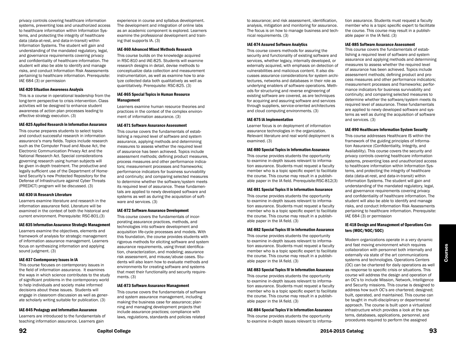privacy controls covering healthcare information systems, preventing loss and unauthorized access to healthcare information within Information Systems, and protecting the integrity of healthcare data (data-at-rest, and data-in-transit) within Information Systems. The student will gain and understanding of the mandated regulatory, legal, and governance requirements covering privacy and confidentiality of healthcare information. The student will also be able to identify and manage risks, and conduct Information Risk Assessments pertaining to healthcare information. Prerequisite: IAE 684 (3) or permission

#### IAE-820 Situation Awareness Analysis

This is a course in operational leadership from the long-term perspective to crisis intervention. Class activities will be designed to enhance student awareness of action plan processes leading to effective strategy execution. (3)

#### IAE-825 Applied Research in Information Assurance

This course prepares students to select topics and conduct successful research in information assurance's many fields. Topics include research such as the Computer Fraud and Abuse Act, the Electronic Communication Privacy Act and the National Research Act. Special considerations governing research using human subjects will be given in-depth treatment. The productive and legally sufficient use of the Department of Homeland Security's new Protected Repository for the Defense of Infrastructure against Cyber Threats (PREDICT) program will be discussed. (3)

#### IAE-830 IA Research Literature

Learners examine literature and research in the information assurance field. Literature will be examined in the context of both the historical and current environment. Prerequisite: RSC-801.(3)

#### IAE-835 Information Assurance Strategic Management

Learners examine the objectives, elements and framework of analysis for strategic management of information assurance management. Learners focus on synthesizing information and applying sound judgment. (3)

#### IAE-837 Contemporary Issues in IA

This course focuses on contemporary issues in the field of information assurance. It examines the ways in which science contributes to the study of significant problems in the contemporary world to help individuals and society make informed decisions about these issues. Students will engage in classroom discussion as well as generate scholarly writing suitable for publication. (3)

#### IAE-845 Pedagogy and Information Assurance

Learners are introduced to the fundamentals of teaching information assurance. Learners gain

experience in course and syllabus development. The development and integration of online labs as an academic component is explored. Learners examine the professional development and training that supports IA. (3)

#### IAE-860 Advanced Mixed Methods Research

This course builds on the knowledge acquired in RSC-810 and IAE-825. Students will examine research designs in detail, devise methods to conceptualize data collection and measurement instrumentation, as well as examine how to analyze collected data both qualitatively as well as quantitatively. Prerequisite: RSC-825. (3)

#### IAE-865 Special Topics in Human Resource Management

Learners examine human resource theories and practices in the context of the complex environment of information assurance. (3)

#### IAE-871 Software Assurance Assessment

This course covers the fundamentals of establishing a required level of software and system assurance, applying methods and determining measures to assess whether the required level of assurance has been achieved. Topics include assessment methods; defining product measures, process measures and other performance indicators; measurement processes and frameworks; performance indicators for business survivability and continuity; and comparing selected measures to determine whether the software/system meets its required level of assurance. These fundamentals are applied to newly developed software and systems as well as during the acquisition of software and services. (3)

#### IAE-872 Software Assurance Development

This course covers the fundamentals of incorporating assurance practices, methods, and technologies into software development and acquisition life-cycle processes and models. With this foundation, the course provides students with rigorous methods for eliciting software and system assurance requirements, using threat identification, characterization, and modeling; assurance risk assessment, and misuse/abuse cases. Students will also learn how to evaluate methods and environments for creating software and systems that meet their functionality and security requirements. (3)

#### IAE-873 Software Assurance Management

This course covers the fundamentals of software and system assurance management, including making the business case for assurance; planning and managing development projects that include assurance practices; compliance with laws, regulations, standards and policies related

to assurance; and risk assessment, identification, analysis, mitigation and monitoring for assurance. The focus is on how to manage business and technical requirements. (3)

#### IAE-874 Assured Software Analytics

This course covers methods for assuring the security and functionality of existing software and services, whether legacy, internally developed, or externally acquired, with emphasis on detection of vulnerabilities and malicious content. It also discusses assurance considerations for system architectures, networks and databases in their role as underlying enablers of software operations. Methods for structuring and reverse engineering of existing software are covered, as are techniques for acquiring and assuring software and services through suppliers, service-oriented architectures and cloud computing environments. (3)

#### IAE-875 IA Implementation

Learner focus is on deployment of information assurance technologies in the organization. Relevant literature and real world deployment is examined. (3)

#### IAE-880 Special Topics in Information Assurance

This course provides students the opportunity to examine in-depth issues relevant to information assurance. Students must request a faculty member who is a topic specific expert to facilitate the course. This course may result in a publishable paper in the IA field. Prerequisite:RSC-812(3)

#### IAE-881 Special Topics II in Information Assurance

This course provides students the opportunity to examine in-depth issues relevant to information assurance. Students must request a faculty member who is a topic specific expert to facilitate the course. This course may result in a publishable paper in the IA field. (3)

#### IAE-882 Special Topics III in Information Assurance

This course provides students the opportunity to examine in-depth issues relevant to information assurance. Students must request a faculty member who is a topic specific expert to facilitate the course. This course may result in a publishable paper in the IA field. (3)

#### IAE-883 Special Topics IV in Information Assurance

This course provides students the opportunity to examine in-depth issues relevant to information assurance. Students must request a faculty member who is a topic specific expert to facilitate the course. This course may result in a publishable paper in the IA field. (3)

#### IAE-884 Special Topics V in Information Assurance

This course provides students the opportunity to examine in-depth issues relevant to information assurance. Students must request a faculty member who is a topic specific expert to facilitate the course. This course may result in a publishable paper in the IA field. (3)

#### IAE-885 Software Assurance Assessment

This course covers the fundamentals of establishing a required level of software and system assurance and applying methods and determining measures to assess whether the required level of assurance has been achieved. Topics include assessment methods; defining product and process measures and other performance indicators; measurement processes and frameworks; performance indicators for business survivability and continuity; and comparing selected measures to determine whether the software/system meets its required level of assurance. These fundamentals are applied to newly developed software and systems as well as during the acquisition of software and services. (3)

#### IAE-890 Healthcare Information System Security

This course addresses Healthcare IS within the framework of the guiding principles of Information Assurance (Confidentiality, Integrity, and Availability). This course covers the security and privacy controls covering healthcare information systems, preventing loss and unauthorized access to healthcare information within Information Systems, and protecting the integrity of healthcare data (data-at-rest, and data-in-transit) within Information Systems. The student will gain and understanding of the mandated regulatory, legal, and governance requirements covering privacy and confidentiality of healthcare information. The student will also be able to identify and manage risks, and conduct Information Risk Assessments pertaining to healthcare information. Prerequisite: IAE 684 (3) or permission

#### IE-418 Design and Management of Operations Centers (MOC/NOC/SOC)

Modern organizations operate in a very dynamic and fast moving environment which requires collaboration with personnel both internally and externally via state of the art communications systems and technologies. Operations Centers (OC) can be chartered for daily operations as well as response to specific crisis or situations. This course will address the design and operation of an OC's to include Mission, Network, Intelligence and Security missions. This course is designed to address how such OC's are chartered; designed; built, operated, and maintained. This course can be taught in multi-disciplinary or departmental approach. The course is built upon a virtualized infrastructure which provides a look at the systems, databases, applications, personnel, and procedures required to perform the assigned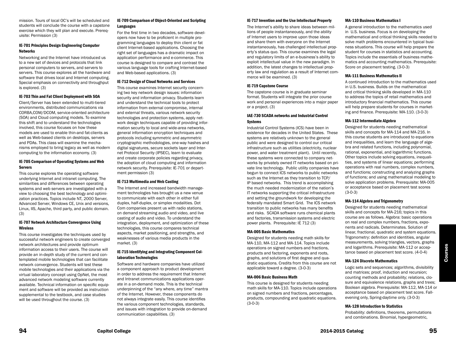mission. Tours of local OC's will be scheduled and students will conclude the course with a capstone exercise which they will plan and execute. Prerequisite: Permission (3)

#### IE-701 Principles Design Engineering Computer Networks

Networking and the Internet have introduced us to a new set of devices and protocols that link personal computers to servers, and servers to servers. This course explores all the hardware and software that drives local and Internet computing. Special emphasis on connectivity and throughput is explored. (3)

#### IE-703 Thin and Fat Client Deployment with SOA

Client/Server has been extended to multi-tiered environments, distributed communications via CORBA,COM/DCOM, service-oriented architecture (SOA) and Cloud computing models. To examine this shift and to understand the technologies involved, this course focuses on how these models are used to enable thin-and fat-clients as well as Web-based clients on desktops, servers and PDAs. This class will examine the mechanisms employed to bring legacy as well as modern computing to the information economy. (3)

#### IE-705 Comparison of Operating Systems and Web Servers

This course explores the operating software underlying Internet and intranet computing. The similarities and differences between operating systems and web servers are investigated with a view to choosing the best technology and optimization practices. Topics include NT, 2000 Server, Advanced Server, Windows CE, Unix and versions, Linux, IIS, Apache, third party, and public domain. (3)

#### IE-707 Network Architecture Convergence Using Wireless

This course investigates the techniques used by successful network engineers to create converged network architectures and provide optimum information access to their users. The course will provide an in-depth study of the current and contemplated mobile technologies that can facilitate network convergence. Students will test these mobile technologies and their applications via the virtual laboratory concept using OpNet, the most advanced network modeling software currently available. Technical information on specific equipment and software will be provided as instruction supplemental to the testbook, and case studies will be used throughout the course. (3)

#### IE-709 Comparison of Object-Oriented and Scripting Languages

For the first time in two decades, software developers now have to be proficient in multiple programming languages to deploy thin client or fat client Internet-based applications. Choosing the right set of languages has a dramatic impact on application performance and e-commerce. This course is designed to compare and contrast the various language tools for crafting Internet-based and Web-based applications. (3)

#### IE-712 Design of Cloud Networks and Services

This course examines Internet security concerning two key network design issues: information security and information privacy. Students learn and understand the technical tools to protect information from external compromise, internal and external threats, various network security technologies and protection systems, apply network design techniques capable of providing information security to local and wide-area networks, general information encryption techniques and protocols including symmetric and asymmetric cryptographic methodologies, one-way hashes and digital signatures, secure sockets layer and Internet Protocol Security (IPSEC), learn to evaluate and create corporate policies regarding privacy, the adoption of cloud computing and information network security. Prerequisite: IE-701 or department permission (3)

#### IE-713 Multimedia and Web Casting

The Internet and increased bandwidth management technologies has brought us a new venue to communicate with each other in either full duplex, half-duplex, or simplex modalities. Dot Com companies present us with radio stations, on demand streaming audio and video, and live casting of audio and video. To understand the integration, deployment, and optimization of these technologies, this course compares technical aspects, market positioning, and strengths, and weaknesses of various media products in the market. (3)

#### IE-715 Identifying and Integrating Component Collaboration Technologies

Software and hardware companies have utilized a component approach to product development in order to address the requirement that Internet and Intranet communications applications operate in a on-demand mode. This is the technical underpinning of the "any where, any time" mantra of the Internet. However, these components do not always integrate easily. This course identifies the various component technologies, standards, and issues with integration to provide on-demand communication capabilities. (3)

#### IE-717 Invention and the Use Intellectual Property

The Internet's ability to share ideas between millions of people instantaneously, and the ability of Internet users to improve upon those ideas and share them with everyone on the Internet instantaneously, has challenged intellectual property's status quo. This course examines the legal and regulatory limits of an e-business's ability to exploit intellectual value in the new paradigm. In addition, the latest changes to intellectual property law and regulation as a result of Internet commerce will be examined. (3)

#### IE-719 Capstone Course

The capstone course is in graduate seminar format. Students will integrate the prior course work and personal experiences into a major paper or a project. (3)

#### IAE-730 SCADA networks and Industrial Control Systems

Industrial Control Systems (ICS) have been in existence for decades in the United States. These systems are relatively unknown to the general public and were designed to control our critical infrastructure such as utilities (electricity, nuclear power, and water treatment plant). Until recently, these systems were connected to company networks by privately owned IT networks based on private line technology. Public utility companies have begun to connect ICS networks to public networks such as the Internet as they transition to TCP/ IP based networks. This trend is accomplishing the much needed modernization of the nation's IT networks supporting the critical infrastructure and setting the groundwork for developing the federally mandated Smart Grid. The ICS network transition to public networks has many benefits and risks. SCADA software runs chemical plants and factories, transmission systems and electric power plants. Prerequisite: IE 712 (3)

#### MA-005 Basic Mathematics

Designed for students needing math skills for MA-110, MA-112 and MA-114. Topics include operations on signed numbers and fractions, products and factoring, exponents and roots, graphs, and solutions of first degree and quadratic equations. Credits from this course are not applicable toward a degree. (3-0-3)

#### MA-006 Basic Business Math

This course is designed for students needing math skills for MA-110. Topics include operations on signed numbers and fractions, percentages, products, compounding and quadratic equations. (3-0-3)

#### MA-110 Business Mathematics I

A general introduction to the mathematics used in U.S. business. Focus is on developing the mathematical and critical thinking skills needed to solve math problems encountered in typical business situations. This course will help prepare the student for courses in statistics and accounting. Topics include the essentials of business mathematics and accounting mathematics. Prerequisite: Score on placement testing. (3-0-3)

#### MA-111 Business Mathematics II

A continued introduction to the mathematics used in U.S. business. Builds on the mathematical and critical thinking skills developed in MA-110 to address the topics of retail mathematics and introductory financial mathematics. This course will help prepare students for courses in marketing and finance. Prerequisite: MA-110. (3-0-3)

#### MA-112 Intermediate Algebra

Designed for students needing mathematical skills and concepts for MA-114 and MA-216. In this course students are introduced to equations and inequalities, and learn the language of algebra and related functions, including polynomial, rational, exponential, and logarithmic functions. Other topics include solving equations, inequalities, and systems of linear equations; performing operations with real numbers, complex numbers, and functions; constructing and analyzing graphs of functions; and using mathematical modeling to solve application problems. Prerequisite: MA-005 or acceptance based on placement test scores (3-0-3)

#### MA-114 Algebra and Trigonometry

Designed for students needing mathematical skills and concepts for MA-216; topics in this course are as follows. Algebra: basic operations on real and complex numbers, fractions, exponents and radicals. Determinates. Solution of linear, fractional, quadratic and system equations. Trigonometry: definition and identities, angular measurements, solving triangles, vectors, graphs and logarithms. Prerequisite: MA-112 or acceptance based on placement test score. (4-0-4)

#### MA-124 Discrete Mathematics

Logic sets and sequences; algorithms, divisibility and matrices; proof, induction and recursion; counting methods and probability; relations, closure and equivalence relations, graphs and trees; Boolean algebra. Prerequisite: MA-112, MA-114 or acceptance based on placement test score. Fallevening only, Spring-daytime only. (3-0-3)

#### MA-128 Introduction to Statistics

Probability: definitions, theorems, permutations and combinations. Binomial, hypergeometric,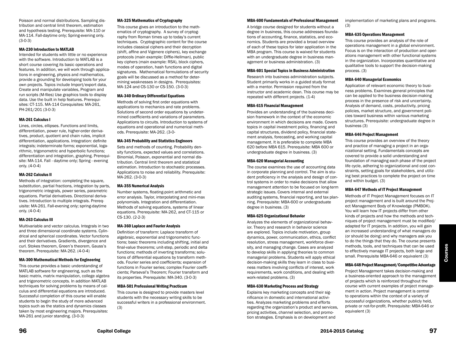Poisson and normal distributions. Sampling distribution and central limit theorem, estimation and hypothesis testing. Prerequisite: MA-110 or MA-114. Fall-daytime only; Spring-evening only. (3-0-3)

#### MA-230 Introduction to MATLAB

Intended for students with little or no experience with the software. Introduction to MATLAB is a short course covering its basic operations and features. In addition, we will work through applications in engineering, physics and mathematics, provide a grounding for developing tools for your own projects. Topics include Import/export data, Create and manipulate variables, Program and run scripts (M-files) Use graphics tools to display data. Use the built in help features. Prerequisites: CT-115. MA-114 Corequisites: MA-261, PH-261/201 (3-0-3)

#### MA-261 Calculus I

Lines, circles, ellipses. Functions and limits, differentiation, power rule, higher-order derivatives, product, quotient and chain rules, implicit differentiation, applications. Integration: definite integrals; indeterminate forms; exponential, logarithmic, trigonometric and hyperbolic functions; differentiation and integration, graphing. Prerequisite: MA-114. Fall - daytime only; Spring - evening only. (4-0-4)

#### MA-262 Calculus II

Methods of integration: completing the square, substitution, partial fractions, integration by parts, trigonometric integrals, power series, parametric equations. Partial derivatives. Directional derivatives. Introduction to multiple integrals. Prerequisite: MA-261. Fall-evening only; spring-daytime only. (4-0-4)

#### MA-263 Calculus III

Multivariable and vector calculus. Integrals in two and three dimensional coordinate systems. Cylindrical and spherical coordinates. Vector functions and their derivatives. Gradients, divergence and curl. Stokes theorem, Green's theorem, Gauss's theorem. Prerequisite: MA-262. (4-0-4)

#### MA-300 Mathematical Methods for Engineering

This course provides a basic understanding of MATLAB software for engineering, such as the basic matrix, matrix manipulation, college algebra and trigonometric concepts. In addition MATLAB techniques for solving problems by means of calculus and differential equations are introduced. Successful completion of this course will enable students to begin the study of more advanced topics such as the statics and dynamics classes taken by most engineering majors. Prerequisites: MA-261 and junior standing. (3-0-3)

#### MA-325 Mathematics of Cryptography

This course gives an introduction to the mathematics of cryptography. A survey of cryptography from Roman times up to today's current techniques. Cryptographic content for the course includes classical ciphers and their decryption (shift, affine and Vigenere ciphers), key exchange protocols (main example: Diffie-Hellman), public key ciphers (main example: RSA), block ciphers, modes of operation, hash functions and digital signatures. Mathematical formulations of security goals will be discussed as a method for determining weaknesses in designs. Prerequisites: MA-124 and CS-130 or CS-150. (3-0-3)

#### MA-340 Ordinary Differential Equations

Methods of solving first order equations with applications to mechanics and rate problems. Solutions of second order equations by undetermined coefficients and variations of parameters. Applications to circuits. Introduction to systems of equations and operational and numerical methods. Prerequisite: MA-262. (3-0-

#### MA-345 Probability and Statistics Engineers

Sets and methods of counting. Probability density functions, expected values and correlations. Binomial, Poisson, exponential and normal distribution. Central limit theorem and statistical estimation. Introduction to stochastic processes. Applications to noise and reliability. Prerequisite: MA-262. (3-0-3)

#### MA-355 Numerical Analysis

Number systems, floating-point arithmetic and error analysis. Taylor, interpolating and mini-max polynomials. Integration and differentiation. Methods of solving equations, systems of linear equations. Prerequisite: MA-262, and CT-115 or CS-130. (2-2-3)

#### MA-360 Laplace and Fourier Analysis

Definition of transform: Laplace transform of algebraic, exponential and trigonometric functions; basic theorems including shifting, initial and final-value theorems; unit-step, periodic and delta functions; methods of inverting transforms; solutions of differential equations by transform methods. Fourier series and coefficients; expansion of functions in Fourier series; complex Fourier coefficients; Parseval's Theorem; Fourier transform and its properties. Prerequisite: MA-340. (3-0-3)

#### MBA-501 Professional Writing Practicum

This course is designed to provide masters level students with the necessary writing skills to be successful writers in a professional environment. (3)

#### MBA-600 Fundamentals of Professional Management

A bridge course designed for students without a degree in business, this course addresses foundations of accounting, finance, statistics, and economics. Students are provided a broad overview of each of these topics for later application in the MBA program. This course is waived for students with an undergraduate degree in business management or business administration. (3)

#### MBA-601 Special Topics in Business Administration

Research into business administration subjects. Student primarily works in a guided study format with a mentor. Permission required from the instructor and academic dean. This course may be repeated with different projects. (1-4)

#### MBA-615 Financial Management

Provides an understanding of the business decision framework in the context of the economic environment in which decisions are made. Covers topics in capital investment policy, financing and capital structures, dividend policy, financial statement analysis, forecasting, and working capital management. It is preferable to complete MBA 620 before MBA 615. Prerequisite: MBA 600 or undergraduate degree in business. (3)

#### MBA-620 Managerial Accounting

The course examines the use of accounting data in corporate planning and control. The aim is student proficiency in the analysis and design of control systems in order to make decisions that allow management attention to be focused on long-term strategic issues. Covers internal and external auditing systems, financial reporting, and tax planning. Prerequisite: MBA-600 or undergraduate degree in business. (3)

#### MBA-625 Organizational Behavior

Analyzes the elements of organizational behavior. Theory and research in behavior science are explored. Topics include motivation, group dynamics, power, communication, ethics, conflict resolution, stress management, workforce diversity, and managing change. Cases are analyzed to develop skills in applying theories to common managerial problems. Students will apply ethical decision-making skills they learn in class to business matters involving conflicts of interest, work requirements, work conditions, and dealing with work-related problems. (3)

#### MBA-630 Marketing Process and Strategy

Explains key marketing concepts and their significance in domestic and international activities. Analyzes marketing problems and efforts regarding the organization's product and services, pricing activities, channel selection, and promotion strategies. Emphasis is on development and

implementation of marketing plans and programs. (3)

#### MBA-635 Operations Management

This course provides an analysis of the role of operations management in a global environment. Focus is on the interaction of production and operations management with other functional systems in the organization. Incorporates quantitative and qualitative tools to support the decision-making process. (3)

#### MBA-640 Managerial Economics

Application of relevant economic theory to business problems. Examines general principles that can be applied to the business decision-making process in the presence of risk and uncertainty. Analysis of demand, costs, productivity, pricing policies, market structure, and government policies toward business within various marketing structures. Prerequisite: undergraduate degree in business (3)

#### MBA-646 Project Management

This course provides an overview of the theory and practice of managing a project in an organizational setting. Fundamentals concepts are covered to provide a solid understanding and foundation of managing each phase of the project life cycle, adhering to organizational and cost constraints, setting goals for stakeholders, and utilizing best practices to complete the project on time and within budget. (3)

#### MBA-647 Methods of IT Project Management

Methods of IT Project Management focuses on IT project management and is built around the Project Management Body of Knowledge (PMBOK). You will learn how IT projects differ from other kinds of projects and how the methods and techniques of project management must be modified/ adapted for IT projects. In addition, you will gain an increased understanding of what managers do (or should be doing) and why managers ask you to do the things that they do. The course presents methods, tools, and techniques that can be used to effectively manage IT projects, both large and small. Prerequisite MBA-646 or equivalent (3)

#### MBA-648 Project Management/Competitive Advantage

Project Management takes decision-making and a business-oriented approach to the management of projects which is reinforced throughout the course with current examples of project management in action. Project management is central to operations within the context of a variety of successful organizations, whether publicly held, private or not-for-profit. Prerequisite: MBA-646 or equivalent (3)

Courses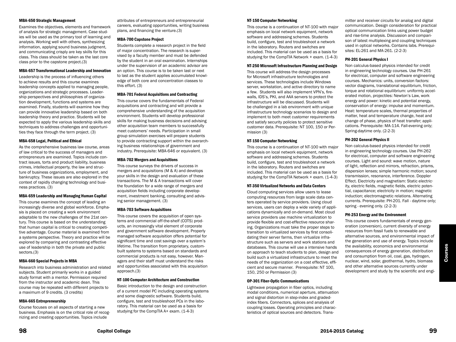#### MBA-650 Strategic Management

Examines the objectives, elements and framework of analysis for strategic management. Case studies will be used as the primary tool of learning and analysis. Working well with others, synthesizing information, applying sound business judgment, and communicating crisply are key skills for this class. This class should be taken as the last core class prior to the capstone project.(3)

#### MBA-657 Transformational Leadership and Innovation

Leadership is the process of influencing others to achieve results and this course examines leadership concepts applied to managing people, organizations and strategic processes. Leadership perspectives and philosophies of organization development, functions and systems are examined. Finally, students will examine how they can provide innovative leadership based on both leadership theory and practice. Students will be expected to apply the various leadership skills and techniques to address challenges and opportunities they face through the term project. (3)

#### MBA-658 Legal, Political and Ethical

As the comprehensive business law course, areas of law critical to the success of managers and entrepreneurs are examined. Topics include contract issues, torts and product liability, business crimes, intellectual property, the law and structure of business organizations, employment, and bankruptcy. These issues are also explored in the context of rapidly changing technology and business practices. (3)

#### MBA-659 Leadership and Managing Human Capital

This course examines the concept of leading an increasingly diverse and global workforce. Emphasis is placed on creating a work environment adaptable to the new challenges of the 21st century. This course is based on the understanding that human capital is critical to creating competitive advantage. Course material is examined from a systems perspective. Theory and practice will be explored by comparing and contrasting effective use of leadership in both the private and public sectors.(3)

#### MBA-660 Special Projects in MBA

Research into business administration and related subjects. Student primarily works in a guided study format with a mentor. Permission required from the instructor and academic dean. This course may be repeated with different projects to a maximum of 9 credits. (3 credits)

#### MBA-665 Entrepreneurship

Course focuses on all aspects of starting a new business. Emphasis is on the critical role of recognizing and creating opportunities. Topics include

attributes of entrepreneurs and entrepreneurial careers, evaluating opportunities, writing business plans, and financing the venture.(3)

#### MBA-700 Capstone Project

Students complete a research project in the field of major concentration. The research is supervised by a faculty member and must be defended by the student in an oral examination. Internships under the supervision of an academic advisor are an option. This course is to be taken last or next to last as the student applies accumulated knowledge of both core and concentration classes to this effort. (3)

#### MBA-701 Federal Acquisitions and Contracting

This course covers the fundamentals of Federal acquisitions and contracting and will provide a comprehensive understanding of the acquisition environment. Students will develop professional skills for making business decisions and advising other acquisition team members to successfully meet customers' needs. Participation in small group simulation exercises will prepare students to provide contracting support within the overarching business relationships of government and industry. Prerequisite: MBA-646 or equivalent. (3)

#### MBA-702 Mergers and Acquisitions

This course surveys the drivers of success in mergers and acquisitions (M & A) and develops your skills in the design and evaluation of these transactions. The M & A transactions will cover the foundation for a wide range of mergers and acquisition fields including corporate development, investment banking, consulting and advising senior management. (3)

#### MBA-703 Software Acquisitions

This course covers the acquisition of open systems and commercial off-the-shelf (COTS) products, an increasingly vital element of corporate and government software development. Properly managed software acquisition offers potential for significant time and cost savings over a system's lifetime. The transition from proprietary, custombuilt systems to systems based on standards and commercial products is not easy, however. Managers and their staff must understand the risks and opportunities associated with this acquisition approach.(3)

#### NT-100 Computer Architecture and Construction

Basic introduction to the design and construction of a current model PC including operating systems and some diagnostic software. Students build, configure, test and troubleshoot PCs in the laboratory. This material can be used as a basis for studying for the CompTIA A+ exam. (1-4-3)

#### NT-150 Computer Networking

This course is a continuation of NT-100 with major emphasis on local network equipment, network software and addressing schemes. Students build, configure, test and troubleshoot a network in the laboratory. Routers and switches are included. This material can be used as a basis for studying for the CompTIA Network + exam. (1-4-3)

#### NT-250 Microsoft Infrastructure Planning and Design

This course will address the design processes for Microsoft infrastructure technologies and services. These technologies include Windows server, workstation, and active directory to name a few. Students will also implement VPN's, firewalls, IDS's, PKI, and AAA servers to protect the infrastructure will be discussed. Students will be challenged in a lab environment with unique infrastructure technology scenarios to design and implement to both meet customer requirements and satisfy security policies to protect sensitive customer data. Prerequisite: NT 100, 150 or Permission (3)

#### NT-150 Computer Networking

This course is a continuation of NT-100 with major emphasis on local network equipment, network software and addressing schemes. Students build, configure, test and troubleshoot a network in the laboratory. Routers and switches are included. This material can be used as a basis for studying for the CompTIA Network + exam. (1-4-3)

#### NT-350 Virtualized Networks and Data Centers

Cloud computing services allow users to lease computing resources from large scale data centers operated by service providers. Using cloud services, users can deploy a wide variety of applications dynamically and on-demand. Most cloud service providers use machine virtualization to provide flexible and cost-effective resource sharing. Organizations must take the proper steps to transition to virtualized services by first consolidating their server farms, then virtualize infrastructure such as servers and work stations and databases. This course will use a intensive hands on approach to teach students to plan, design and build such a virtualized infrastructure to meet the needs of the organization on a cost effective, efficient and secure manner. Prerequisite: NT 100, 150, 250 or Permission (3)

#### OP-301 Fiber-Optic Communications

Lightwave propagation in fiber optics, including modal conditions, numerical aperture, attenuation and signal distortion in step-index and gradedindex fibers. Connectors, splices and analysis of coupling losses. Operating principles and characteristics of optical sources and detectors. Transmitter and receiver circuits for analog and digital communication. Design consideration for practical optical communication links using power budget and rise-time analysis. Discussion and comparison of latest multiplexing and coupling techniques used in optical networks. Contains labs. Prerequisites: EL-261 and MA-261. (2-2-3)

#### PH-201 General Physics I

Non calculus-based physics intended for credit in engineering technology courses. Use PH-261 for electrical, computer and software engineering courses. Mechanics: units, conversion factors: vector diagrams, translational equilibrium, friction, torque and rotational equilibrium: uniformly accelerated motion, projectiles: Newton's Law, work energy and power: kinetic and potential energy, conservation of energy: impulse and momentum. Heat: temperature scales, thermal properties of matter, heat and temperature change, heat and change of phase, physics of heat transfer; applications. Prerequisite: MA-114. Fall-evening only; Spring-daytime only. (2-2-3)

#### PH-202 General Physics II

Non calculus-based physics intended for credit in engineering technology courses. Use PH-262 for electrical, computer and software engineering courses. Light and sound: wave motion, nature of light, reflection and mirrors, refraction, prisms, dispersion lenses; simple harmonic motion; sound transmission, resonance, interference. Doppler Effect. Electricity and magnetism: Static electricity, electric fields, magnetic fields, electric potential, capacitance; electricity in motion; magnetic induction; electromagnetic relations. Alternating currents. Prerequisite: PH-201. Fall - daytime only; spring - evening only. (2-2-3)

#### PH-253 Energy and the Environment

This course covers fundamentals of energy generation (conversion), current diversity of energy resources from fossil fuels to renewable and alternative sources, and environmental impact of the generation and use of energy. Topics include the availability, economics and environmental consequences of energy generation, distribution and consumption from oil, coal, gas, hydrogen, nuclear, wind, solar, geothermal, hydro, biomass and other alternative sources currently under development and study by the scientific and engi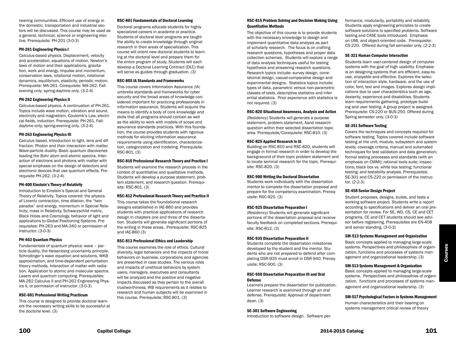neering communities. Efficient use of energy in the domestic, transportation and industrial sectors will be discussed. This course may be used as a general, technical, science or engineering elective. Prerequisite: PH-201 (3-0-3)

#### PH-261 Engineering Physics I

Calculus-based physics. Displacement, velocity and acceleration, equations of motion, Newton's laws of motion and their applications, gravitation, work and energy, impulse and momentum, conservation laws, rotational motion, rotational dynamics, equilibrium, elasticity, periodic motion. Prerequisite: MA-261. Corequisite: MA-262. Fallevening only; spring-daytime only. (3-2-4)

#### PH-262 Engineering Physics II

Calculus-based physics. A continuation of PH-261. Topics include wave motion, vibration and sound, electricity and magnetism, Coulomb's Law, electrical fields, induction. Prerequisite: PH-261. Falldaytime only; spring-evening only. (3-2-4)

#### PH-263 Engineering Physics III

Calculus based. Introduction to light, lens and diffraction. Photon and their interaction with matter. Wave-particle duality. Basic quantum discoveries leading the Bohr atom and atomic spectra. Interaction of electrons and photons with matter with special emphasis on the design of detectors and electronic devices that use quantum effects. Prerequisite PH-262. (3-2-4)

#### PH-400 Einstein's Theory of Relativity

Introduction to Einstein's Special and General Theory of Relativity. Topics covered: the physics of Lorentz contraction, time dilation, the "twin paradox" and energy, momentum in Special Relativity; mass in Relativity, Schwarzschild metric, Black Holes and Cosmology, behavior of light and applications to Global Positioning Systems. Prerequisites: PH-263 and MA-340 or permission of instructor. (3-0-3)

#### PH-463 Quantum Physics

Fundamentals of quantum physics: wave – particle duality, the Heisenberg uncertainty principle. Schrodinger's wave equation and solutions. WKB approximation, and time-dependent perturbation theory methods. Interaction of matter with radiation. Application to atomic and molecular spectra. Lasers and quantum computing. Prerequisites: MA-262 Calculus II and PH-262 Engineering Physics II, or permission of instructor. (3-0-3)

#### RSC-601 Professional Writing Practicum

This course is designed to provide doctoral learners the necessary writing skills to be successful at the doctoral level. (3)

#### RSC-801 Fundamentals of Doctoral Learning

Doctoral programs educate students for highly specialized careers in academe or practice. Students of doctoral level programs are taught the ability to create knowledge through original research in their areas of specialization. This course will orient new doctoral students to learning at the doctoral level and prepare them for the entire program of study. Students will each develop a Doctoral Learning Contract (DLC) that will serve as guides through graduation. (3)

#### RSC-805 IA Standards and Frameworks

This course covers Information Assurance (IA) umbrella standards and frameworks for cyber security and the broad areas of knowledge considered important for practicing professionals in information assurance. Students will acquire the means to identify a body of core knowledge and skills that all programs should contain as well as the ability to work with models of scope and assurance standards practices. With this foundation, the course provides students with rigorous methods for eliciting information assurance requirements using identification, characterization, categorization and modeling. Prerequisite: RSC-801. (3)

#### RSC-810 Professional Research Theory and Practice I

Students will examine the research process in the context of quantitative and qualitative methods. Students will develop a purpose statement, problem statement, and research question. Prerequisite: RSC-801. (3)

#### RSC-812 Professional Research Theory and Practice II

This course takes the foundational research designs established in IAE-860 and provides students with practical applications of research design in chapters one and three of the dissertation. Students will generate significant portions of the writing in these areas.. Prerequisite: RSC-825 and IAE-860 (3)

#### RSC-813 Professional Ethics and Leadership

This course examines the role of ethics. Cultural diversity, legal behaviors and the impacts of moral behaviors on business, corporations and agencies are presented in case studies. The various roles and impacts of unethical behaviors by system users, managers, executives and consultants will be analyzed and the positive and negative impacts discussed as they pertain to the overall trustworthiness. IRB requirements as it relates to research and human subjects will be examined in this course. Prerequisite: RSC-801. (3)

#### RSC-815 Problem Solving and Decision Making Using Quantitative Methods

The objective of this course is to provide students with the necessary knowledge to design and implement quantitative data analysis as part of scholarly research. The focus is on crafting research questions, hypotheses and proper data collection schemes. Students will explore a range of data analysis techniques useful for testing hypothesis and answering research questions. Research topics include: survey design, correlational design, casual-comparative design and experimental designs. Statistics topics include: types of data, parametric versus non-parametric classes of tests, descriptive statistics and inferential statistics. Prior experience with statistics is not required. (3)

#### RSC-820 Situational Awareness, Analysis and Action

(Residency) Students will generate a purpose statement, problem statement, Aand research question within their selected dissertation topic area. Prerequisite/Corequisite: RSC-810. (3)

#### RSC-825 Applied Research in IA

Building on RSC-810 and RSC-820, students will engage in formal research in order to develop the backgraound of their topic problem statement and to locate seminal research for the topic. Prerequisite: RSC-820. (3)

#### RSC-900 Writing the Doctoral Dissertation

Students work individually with the dissertation mentor to complete the dissertation proposal and prepare for the competency examination. Prerequisite: RSC-925. (3)

#### RSC-925 Dissertation Preparation I

(Residency) Students will generate significant portions of the dissertation proposal and receive faculty feedback on completed sections. Prerequisite: RSC-812. (3)

#### RSC-935 Dissertation Preparation II

Students complete the dissertation milestones developed by the student and the mentor. Students who are not prepared to defend after completing DSR-935 must enroll in DSR-940. Prerequisite: RSC-900. (3)

#### RSC-950 Dissertation Preparation III and Oral Defense

Learners prepare the dissertation for publication. Learner research is examined through an oral defense. Prerequisite: Approval of department dean. (3)

#### SE-301 Software Engineering

Introduction to software design. Software per-

formance, modularity, portability and reliability. Students apply engineering principles to create software solutions to specified problems. Software testing and CASE tools introduced. Emphasis on UML and object-oriented code. Prerequisite: CS-220. Offered during fall semester only. (2-2-3)

#### SE-321 Human Computer Interaction

Students learn user-centered design of computer systems with the goal of high usability. Emphasis is on designing systems that are efficient, easy-touse, enjoyable and effective. Explores the selection of interaction style, hardware, and the use of color, font, text and images. Explores design implications due to user characteristics such as age, dexterity, experience and disabilities. Students learn requirements gathering, prototype building and user testing. A group project is assigned. Prerequisite: CS-220 or BUS-250. Offered during Spring semester only. (3-0-3)

#### SE-351 Software Testing

Covers the techniques and concepts required for software testing. Topics covered include software testing at the unit, module, subsystem and system levels; coverage criteria, manual and automated techniques for test validation and data generation; formal testing processes and standards (with an emphasis on CMMI); rational tools suite; inspections; black box vs. white box testing; functional testing; and testability analysis. Prerequisites: SE-301 and CS-220 or permission of the instructor. (2-2-3)

#### SE-458 Senior Design Project

Student proposes, designs, builds, and tests a working software project. Students write a report according to specifications and deliver an oral presentation for review. For SE, WD, CS, CE and CET programs. CE and CET students should see advisor before registering. Prerequisites are EN-408 and senior standing. (3-0-3)

#### SM-513 Systems Management and Organization

Basic concepts applied to managing large-scale systems. Perspectives and philosophies of organization, functions and processes of systems management and organizational leadership. (3)

#### SM-513 Systems Management & Organization

Basic concepts applied to managing large-scale systems. Perspectives and philosophies of organization, functions and processes of systems management and organizational leadership. (3)

#### SM-517 Psychological Factors in Systems Management

Human characteristics and their bearing on systems management critical review of theory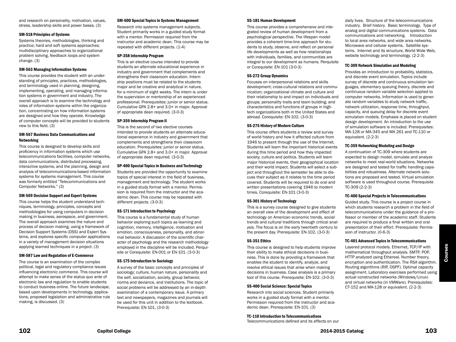and research on personality, motivation, values, stress, leadership skills and power bases. (3)

#### SM-518 Principles of Systems

Systems theories, methodologies, thinking and practice; hard and soft systems approaches; multidisciplinary approaches to organizational problem solving, feedback loops and system change. (3)

#### SM-563 Managing Information Systems

This course provides the student with an understanding of principles, practices, methodologies, and terminology used in planning, designing, implementing, operating, and managing information systems in government and industry. The overall approach is to examine the technology and roles of information systems within the organization, concentrating on how information systems are designed and how they operate. Knowledge of computer concepts will be provided to students new to this field. (3)

#### SM-567 Business Data Communications and Networking

This course is designed to develop skills and proficiency in information systems which use telecommunications facilities, computer networks, data communications, distributed processing, interactive systems, and the planning, design and analysis of telecommunications-based information systems for systems management. This course was formerly entitled "Telecommunications and Computer Networks." (3)

#### SM-569 Decision Support and Expert Systems

This course helps the student understand techniques, terminology, principles, concepts and methodologies for using computers in decision making in business, aerospace, and government. The overall approach examines the nature and process of decision making, using a framework of Decision Support Systems (DSS) and Expert Systems, and explores specific computer applications in a variety of management decision situations applying learned techniques in a project. (3)

#### SM-587 Law and Regulation of E-Commerce

The course is an examination of the complex political, legal and regulatory compliance issues influencing electronic commerce. This course will attempt to make sense of the status quo ante of electronic law and regulation to enable students to conduct business online. The future landscape, based upon developments in technology, applications, proposed legislation and administrative rule making, is discussed. (3)

#### SM-600 Special Topics in Systems Management

Research into systems management subjects. Student primarily works in a guided study format with a mentor. Permission required from the instructor and academic dean. This course may be repeated with different projects. (1-4)

#### SP-358 Internship Program

This is an elective course intended to provide students an alternate educational experience in industry and government that complements and strengthens their classroom education. Internship positions must be related to the students major and be creative and analytical in nature, for a minimum of eight weeks. The intern is under the supervision or mentorship of an experienced professional. Prerequisites: junior or senior status. Cumulative GPA 2.8+ and 3.0+ in major. Approval of appropriate dean required. (3-0-3)

#### SP-359 Internship Program II

This is the second of two elective courses intended to provide students an alternate educational experience in industry and government that complements and strengthens their classroom education. Prerequisites: junior or senior status. Cumulative GPA 2.8+ and 3.0+ in major. Approval of appropriate dean required. (3-0-3)

#### SP-400 Special Topics in Business and Technology

Students are provided the opportunity to examine topics of special interest in the field of business, management and technology. The student works in a guided study format with a mentor. Permission is required from the instructor and the academic dean. This course may be repeated with different projects. (3-0-3)

#### SS-171 Introduction to Psychology

This course is a fundamental study of human behavior exploring such topics as learning and cognition, memory, intelligence, motivation and emotion, consciousness, personality, and abnormal behavior. A discussion of the scientific character of psychology and the research methodology employed in the discipline will be included. Perquisite or Corequisite: EN-001 or EN-101. (3-0-3)

#### SS-175 Introduction to Sociology

A survey of the basic concepts and principles of sociology; culture, human nature, personality and the self, socialization, society, group behavior, norms and deviance, and institutions. The topic of social problems will be addressed by an in-depth examination of a contemporary issue. A primary text and newspapers, magazines and journals will be used for this unit in addition to the textbook. Prerequisite: EN-101. (3-0-3)

#### SS-181 Human Development

This course provides a comprehensive and integrated review of human development from a psychological perspective. The lifespan model provides a coherent time-line approach for students to study, observe, and reflect on personal life developments as well as how relationships with individuals, families, and communities are integral to our development as humans. Perquisite or Corequisite: EN-101 (3-0-3)

#### SS-272 Group Dynamics

Focuses on interpersonal relations and skills development; cross-cultural relations and communication; organizational climate and culture and their relationship to and impact on individuals and groups; personality traits and team building; and characteristics and functions of groups in hightech organizations both in the United States and abroad. Corequisite: EN-102. (3-0-3)

#### SS-275 History of Modern Culture

This course offers students a review and survey of world history and how it affected culture from 1946 to present through the use of the Internet. Students will learn the important historical events during this time period and how they impacted society, culture and politics. Students will learn major historical events, their geographical location and their world impact. Students will select a subject and throughout the semester be able to discuss their subject as it relates to the time period covered. Students will be required to do oral and written presentations covering 1946 to modern times. Corequisite: EN-101 (3-0-3)

#### SS-301 History of Technology

This is a survey course designed to give students an overall view of the development and effect of technology on American economic trends, social trends and cultural traditions through critical analysis. The focus is on the early twentieth century to the present day. Prerequisite: EN-102. (3-0-3)

#### SS-351 Ethics

This course is designed to help students improve their ability to make ethical decisions in business. This is done by providing a framework that enables the student to identify, analyze, and resolve ethical issues that arise when making decisions in business. Case analysis is a primary tool of this course. Prerequisite: EN-102. (3-0-3)

#### SS-400 Social Science: Special Topics

Research into social sciences. Student primarily works in a guided study format with a mentor. Permission required from the instructor and academic dean. Prerequisite: EN-101. (3)

#### TC-110 Introduction to Telecommunications

Telecommunications defined and its effects on our

daily lives. Structure of the telecommunications industry. Brief history. Basic terminology. Type of analog and digital communications systems. Data communications and networking. Introduction to local area networks, and wide area networks. Microwave and cellular systems. Satellite systems. Internet and its structure, World Wide Web, website technology and terminology. (2-2-3)

#### TC-309 Network Simulation and Modeling

Provides an introduction to probability, statistics, and discrete event simulation. Topics include survey of discrete and continuous simulation languages, elementary queuing theory, discrete and continuous random variable selection applied to computer networks. Information is used to generate random variables to study network traffic, network utilization, response time, throughput, capacity, and queuing delay for discrete event simulation models. Emphasis is placed on student design development. An introduction to the use of simulation software is included. Prerequisites: MA-128 or MA-345 and MA 261 and TC-110 or equivalent. (2-2-3)

#### TC-359 Networking Modeling and Design

A continuation of TC-309 where students are expected to design model, simulate and analyze networks to meet real-world situations. Networks are designed and tested for traffic handling capabilities and robustness. Alternate network solutions are proposed and tested. Virtual simulation software is used throughout course. Prerequisite TC-309 (2-2-3)

#### TC-400 Special Projects in Telecommunications

Guided study. This course is a project course in which students research a problem in the field of telecommunications under the guidance of a professor or member of the academic staff. Students are required to produce a final written and oral presentation of their effort. Prerequisite: Permission of instructor. (0-6-3)

#### TC-401 Advanced Topics in Telecommunications

Layered protocol models. Ethernet, TCP/IP with mathematical throughput analysis. SMTP, POP, HTTP analyzed using Ethereal. Number theory, encryption and authentication. The RSA algorithm. Routing algorithms (RIP, OSPF). Optimal capacity assignment. Laboratory exercises performed using actual constructed networks (Windows/Linux) and virtual networks (in VMWare). Prerequisites: CT-152 and MA-128 or equivalent. (2-2-3)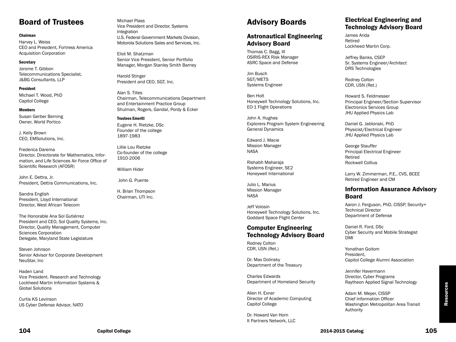# Board of Trustees

#### Chairman

Harvey L. Weiss CEO and President, Fortress America Acquisition Corporation

#### **Secretary**

Jorome T. Gibbon Telecommunications Specialist, J&BG Consultants, LLP

#### President

Michael T. Wood, PhD Capitol College

### Members

Susan Gerber Berning Owner, World Portico

J. Kelly Brown CEO, EMSolutions, Inc.

Frederica Darema Director, Directorate for Mathematics, Information, and Life Sciences Air Force Office of Scientific Research (AFOSR)

John E. Dettra, Jr. President, Dettra Communications, Inc.

Sandra English President, Lloyd International Director, West African Telecom

The Honorable Ana Sol Gutiérrez President and CEO, Sol Quality Systems, Inc. Director, Quality Management, Computer Sciences Corporation Delegate, Maryland State Legislature

Steven Johnson Senior Advisor for Corporate Development NeuStar, Inc

Haden Land Vice President. Research and Technology Lockheed Martin Information Systems & Global Solutions

Curtis KS Levinson US Cyber Defense Advisor, NATO Michael Plass Vice President and Director, Systems Integration U.S. Federal Government Markets Division, Motorola Solutions Sales and Services, Inc.

Eliot M. Shatzman Senior Vice President, Senior Portfolio Manager, Morgan Stanley Smith Barney

Harold Stinger President and CEO, SGT, Inc.

Alan S. Tilles Chairman, Telecommunications Department and Entertainment Practice Group Shulman, Rogers, Gandal, Pordy & Ecker

### Trustees Emeriti

Eugene H. Rietzke, DSc Founder of the college 1897-1983

Lillie Lou Rietzke Co-founder of the college 1910-2006

William Hider

John G. Puente

H. Brian Thompson Chairman, UTI Inc.

# Advisory Boards

# Astronautical Engineering Advisory Board

Thomas C. Bagg, III OSIRIS-REX Risk Manager ASRC Space and Defense

Jim Busch SGT/METS Systems Engineer

Ben Holt Honeywell Technology Solutions, Inc. EO-1 Flight Operations

John A. Hughes Explorers Program System Engineering General Dynamics

Edward J. Macie Mission Manager NASA

Rishabh Maharaja Systems Engineer, SE2 Honeywell International

Julio L. Marius Mission Manager NASA

Jeff Volosin Honeywell Technology Solutions, Inc. Goddard Space Flight Center

# Computer Engineering Technology Advisory Board

Rodney Colton CDR, USN (Ret.)

Dr. Max Dolinsky Department of the Treasury

Charles Edwards Department of Homeland Security

Allen H. Exner Director of Academic Computing Capitol College

Dr. Howard Van Horn It Partners Network, LLC

# Electrical Engineering and Technology Advisory Board

James Arida Retired Lockheed Martin Corp.

Jeffrey Banks, CSEP Sr. Systems Engineer/Architect DRS Technologies

Rodney Colton CDR, USN (Ret.)

Howard S. Feldmesser Principal Engineer/Section Supervisor Electronics Services Group JHU Applied Physics Lab

Daniel G. Jablonski, PhD Physicist/Electrical Engineer JHU Applied Physics Lab

George Stauffer Principal Electrical Engineer Retired Rockwell Collius

Larry W. Zimmerman, P.E., CVS, BCEE Retired Engineer and CM

# Information Assurance Advisory Board

Aaron J. Ferguson, PhD, CISSP, Security+ Technical Director Department of Defense

Daniel R. Ford, DSc Cyber Security and Mobile Strategist DMI

Yonathan Goitom President, Capitol College Alumni Association

Jennifer Havermann Director, Cyber Programs Raytheon Applied Signal Technology

Adam M. Meyer, CISSP Chief Information Officer Washington Metropolitan Area Transit Authority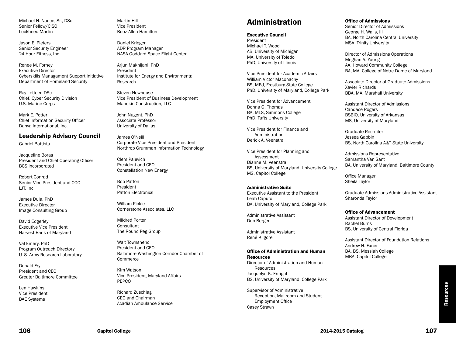Michael H. Nance, Sr., DSc Senior Fellow/CISO Lockheed Martin

Jason E. Pieters Senior Security Engineer 24 Hour Fitness, Inc.

Renee M. Forney Executive Director Cyberskills Managament Support Initiative Department of Homeland Security

Ray Letteer, DSc Chief, Cyber Security Division U.S. Marine Corps

Mark E. Potter Chief Information Security Officer Danya International, Inc.

# Leadership Advisory Council

Gabriel Battista

Jacqueline Boras President and Chief Operating Officer BCS Incorporated

Robert Conrad Senior Vice President and COO LJT, Inc.

James Dula, PhD Executive Director Image Consulting Group

David Edgerley Executive Vice President Harvest Bank of Maryland

Val Emery, PhD Program Outreach Directory U. S. Army Research Laboratory

Donald Fry President and CEO Greater Baltimore Committee

Len Hawkins Vice President BAE Systems

Martin Hill Vice President Booz-Allen Hamilton

Daniel Krieger ADR Program Manager NASA Goddard Space Flight Center

Arjun Makhijani, PhD President Institute for Energy and Environmental Research

Steven Newhouse Vice President of Business Development Manekin Construction, LLC

John Nugent, PhD Associate Professor University of Dallas

James O'Neill Corporate Vice President and President Northrop Grumman Information Technology

Clem Palevich President and CEO Constellation New Energy

Bob Patton President Patton Electronics

William Pickle Cornerstone Associates, LLC

Mildred Porter **Consultant** The Round Peg Group

Walt Townshend President and CEO Baltimore Washington Corridor Chamber of **Commerce** 

Kim Watson Vice President, Maryland Affairs PEPCO

Richard Zuschlag CEO and Chairman Acadian Ambulance Service

# Administration

#### Executive Council

President Michael T. Wood AB, University of Michigan MA, University of Toledo PhD, University of Illinois

Vice President for Academic Affairs William Victor Maconachy BS, MEd, Frostburg State College PhD, University of Maryland, College Park

Vice President for Advancement Donna G. Thomas BA, MLS, Simmons College PhD, Tufts University

Vice President for Finance and Administration Derick A. Veenstra

Vice President for Planning and Assessment Dianne M. Veenstra BS, University of Maryland, University College MS, Capitol College

#### Administrative Suite

Executive Assistant to the President Leah Caputo BA, University of Maryland, College Park

Administrative Assistant Deb Berger

Administrative Assistant René Kilgore

#### Office of Administration and Human Resources

Director of Administration and Human Resources Jacquelyn K. Enright BS, University of Maryland, College Park

Supervisor of Administrative Reception, Mailroom and Student Employment Office Casey Strawn

#### Office of Admissions

Senior Director of Admissions George H. Walls, III BA, North Carolina Central University MSA, Trinity University

Director of Admissions Operations Meghan A. Young AA, Howard Community College BA, MA, College of Notre Dame of Maryland

Associate Director of Graduate Admissions Xavier Richards BBA, MA, Marshall University

Assistant Director of Admissions Candace Rogers BSBIO, University of Arkansas MS, University of Maryland

Graduate Recruiter Jessea Gabbin BS, North Carolina A&T State University

Admissions Representative Samantha Van Sant BA, University of Maryland, Baltimore County

Office Manager Sheila Taylor

Graduate Admissions Administrative Assistant Sharonda Taylor

#### Office of Advancement

Assistant Director of Development Rachel Burns BS, University of Central Florida

Assistant Director of Foundation Relations Andrew H. Exner BA, BS, Messiah College MBA, Capitol College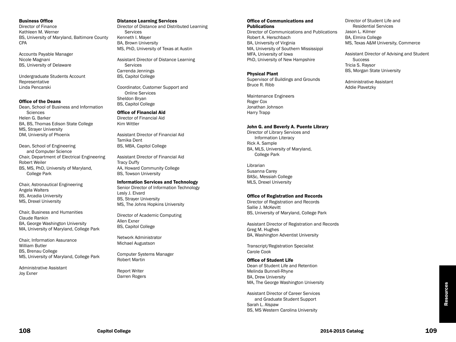#### Business Office

Director of Finance Kathleen M. Werner BS, University of Maryland, Baltimore County CPA

Accounts Payable Manager Nicole Magnani BS, University of Delaware

Undergraduate Students Account Representative Linda Pencarski

#### Office of the Deans

Dean, School of Business and Information **Sciences** Helen G. Barker BA, BS, Thomas Edison State College MS, Strayer University DM, University of Phoenix

Dean, School of Engineering and Computer Science Chair, Department of Electrical Engineering Robert Weiler BS, MS, PhD, University of Maryland, College Park

Chair, Astronautical Engineering Angela Walters BS, Arcadia University MS, Drexel University

Chair, Business and Humanities Claude Rankin BA, George Washington University MA, University of Maryland, College Park

Chair, Information Assurance William Butler BS, Brenau College MS, University of Maryland, College Park

Administrative Assistant Joy Exner

#### Distance Learning Services

Director of Distance and Distributed Learning **Services** Kenneth I. Mayer BA, Brown University MS, PhD, University of Texas at Austin

Assistant Director of Distance Learning Services Carrenda Jennings BS, Capitol College

Coordinator, Customer Support and Online Services Sheldon Bryan BS, Capitol College

### Office of Financial Aid

Director of Financial Aid Kim Wittler

Assistant Director of Financial Aid Tamika Dent BS, MBA, Capitol College

Assistant Director of Financial Aid Tracy Duffy AA, Howard Community College BS, Towson University

#### Information Services and Technology

Senior Director of Information Technology Lesly J. Elvard BS, Strayer University MS, The Johns Hopkins University

Director of Academic Computing Allen Exner BS, Capitol College

Network Administrator Michael Augustson

Computer Systems Manager Robert Martin

Report Writer Darren Rogers

#### Office of Communications and **Publications**

Director of Communications and Publications Robert A. Herschbach BA, University of Virginia MA, University of Southern Mississippi MFA, University of Iowa PhD, University of New Hampshire

#### Physical Plant

Supervisor of Buildings and Grounds Bruce R. Ribb

Maintenance Engineers Roger Cox Jonathan Johnson Harry Trapp

#### John G. and Beverly A. Puente Library

Director of Library Services and Information Literacy Rick A. Sample BA, MLS, University of Maryland, College Park

Librarian Susanna Carey BASc, Messiah College MLS, Drexel University

#### Office of Registration and Records

Director of Registration and Records Sallie J. McKevitt BS, University of Maryland, College Park

Assistant Director of Registration and Records Greg M. Hughes BA, Washington Adventist University

Transcript/Registration Specialist Carole Cook

#### Office of Student Life

Dean of Student Life and Retention Melinda Bunnell-Rhyne BA, Drew University MA, The George Washington University

Assistant Director of Career Services and Graduate Student Support Sarah L. Alspaw BS, MS Western Carolina University

Director of Student Life and Residential Services Jason L. Kilmer BA, Elmira College MS, Texas A&M University, Commerce

Assistant Director of Advising and Student **Success** Tricia S. Raysor BS, Morgan State University

Administrative Assistant Addie Plavetzky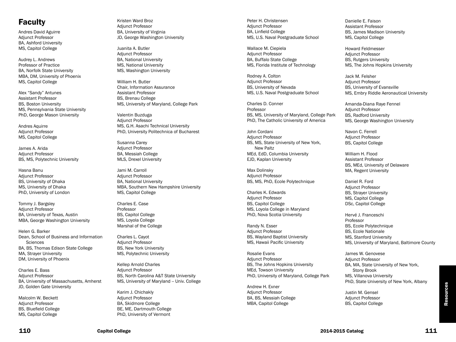# Faculty

Andres David Aguirre Adjunct Professor BA, Ashford University MS, Capitol College

Audrey L. Andrews Professor of Practice BA, Norfolk State University MBA, DM, University of Phoenix MS, Capitol College

Alex "Sandy" Antunes Assistant Professor BS, Boston University MS, Pennsylvania State University PhD, George Mason University

Andres Aquirre Adjunct Professor MS, Capitol College

James A. Arida Adjunct Professor BS, MS, Polytechnic University

Hasna Banu Adjunct Professor BS, University of Dhaka MS, University of Dhaka PhD, University of London

Tommy J. Bargsley Adjunct Professor BA, University of Texas, Austin MBA, George Washington University

Helen G. Barker Dean, School of Business and Information **Sciences** BA, BS, Thomas Edison State College MA, Strayer University DM, University of Phoenix

Charles E. Bass Adjunct Professor BA, University of Massachusetts, Amherst JD, Golden Gate University

Malcolm W. Beckett Adjunct Professor BS, Bluefield College MS, Capitol College

Kristen Ward Broz Adjunct Professor BA, University of Virginia JD, George Washington University

Juanita A. Butler Adjunct Professor BA, National University MS, National University MS, Washington University

William H. Butler Chair, Information Assurance Assistant Professor BS, Brenau College MS, University of Maryland, College Park

Valentin Buzduga Adjunct Professor MS, G.H. Asachi Technical University PhD, University Politechnica of Bucharest

Susanna Carey Adjunct Professor BA, Messiah College MLS, Drexel University

Jami M. Carroll Adjunct Professor BA, National University MBA, Southern New Hampshire University MS, Capitol College

Charles E. Case Professor BS, Capitol College MS, Loyola College Marshal of the College

Charles L. Cayot Adjunct Professor BS, New York University MS, Polytechnic University

Kellep Arnold Charles Adjunct Professor BS, North Carolina A&T State University MS, University of Maryland -- Univ. College

Karim J. Chichakly Adjunct Professor BA, Skidmore College BE, ME, Dartmouth College PhD, University of Vermont

Peter H. Christensen Adjunct Professor BA, Linfield College MS, U.S. Naval Postgraduate School

Wallace M. Ciepiela Adjunct Professor BA, Buffalo State College MS, Florida Institute of Technology

Rodney A. Colton Adjunct Professor BS, University of Nevada MS, U.S. Naval Postgraduate School

Charles D. Conner Professor BS, MS, University of Maryland, College Park PhD, The Catholic University of America

John Cordani Adjunct Professor BS, MS, State University of New York, New Paltz MEd, EdD, Columbia University EJD, Kaplan University

Max Dolinsky Adjunct Professor BS, MS, PhD, Ecole Polytechnique

Charles K. Edwards Adjunct Professor BS, Capitol College MS, Loyola College in Maryland PhD, Nova Scotia University

Randy N. Esser Adjunct Professor BS, Wayland Baptist University MS, Hawaii Pacific University

Rosalie Evans Adjunct Professor BS, The Johns Hopkins University MEd, Towson University PhD, University of Maryland, College Park

Andrew H. Exner Adjunct Professor BA, BS, Messiah College MBA, Capitol College

Danielle E. Faison Assistant Professor BS, James Madison University MS, Capitol College

Howard Feldmesser Adjunct Professor BS, Rutgers University MS, The Johns Hopkins University

Jack M. Felsher Adjunct Professor BS, University of Evansville MS, Embry Riddle Aeronautical University

Amanda-Diana Raye Fennel Adjunct Professor BS, Radford University MS, George Washington University

Navon C. Ferrell Adjunct Professor BS, Capitol College

William H. Flood Assistant Professor BS, MEd, University of Delaware MA, Regent University

Daniel R. Ford Adjunct Professor BS, Strayer University MS, Capitol College DSc, Capitol College

Hervé J. Franceschi Professor BS, Ecole Polytechnique BS, Ecole Nationale MS, Stanford University MS, University of Maryland, Baltimore County

James W. Genovese Adjunct Professor BA, MA, State University of New York, Stony Brook MS, Villanova University PhD, State University of New York, Albany

Justin M. Gensel Adjunct Professor BS, Capitol College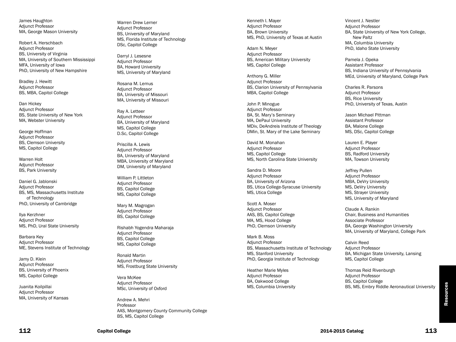James Haughton Adjunct Professor MA, George Mason University

Robert A. Herschbach Adjunct Professor BS, University of Virginia MA, University of Southern Mississippi MFA, University of Iowa PhD, University of New Hampshire

Bradley J. Hewitt Adjunct Professor BS, MBA, Capitol College

Dan Hickey Adjunct Professor BS, State University of New York MA, Webster University

George Hoffman Adjunct Professor BS, Clemson University MS, Capitol College

Warren Holt Adjunct Professor BS, Park University

Daniel G. Jablonski Adjunct Professor BS, MS, Massachusetts Institute of Technology PhD, University of Cambridge

Ilya Kerzhner Adjunct Professor MS, PhD, Ural State University

Barbara Key Adjunct Professor ME, Stevens Institute of Technology

Jamy D. Klein Adjunct Professor BS, University of Phoenix MS, Capitol College

Juanita Koilpillai Adjunct Professor MA, University of Kansas Warren Drew Lerner Adjunct Professor BS, University of Maryland MS, Florida Institute of Technology DSc, Capitol College

Darryl J. Lesesne Adjunct Professor BA, Howard University MS, University of Maryland

Rosana M. Lemus Adjunct Professor BA, University of Missouri MA, University of Missouri

Ray A. Letteer Adjunct Professor BA, University of Maryland MS, Capitol College D.Sc, Capitol College

Priscilla A. Lewis Adjunct Professor BA, University of Maryland MBA, University of Maryland DM, University of Maryland

William P. Littleton Adjunct Professor BS, Capitol College MS, Capitol College

Mary M. Magrogan Adjunct Professor BS, Capitol College

Rishabh Yogendra Maharaja Adjunct Professor BS, Capitol College MS, Capitol College

Ronald Martin Adjunct Professor MS, Frostburg State University

Vera McKee Adjunct Professor MSc, University of Oxford

Andrew A. Mehri Professor AAS, Montgomery County Community College BS, MS, Capitol College

Kenneth I. Mayer Adjunct Professor BA, Brown University MS, PhD, University of Texas at Austin

Adam N. Meyer Adjunct Professor BS, American Military University MS, Capitol College

Anthony G. Miller Adjunct Professor BS, Clarion University of Pennsylvania MBA, Capitol College

John P. Minogue Adjunct Professor BA, St. Mary's Seminary MA, DePaul University MDiv, DeAndreis Institute of Theology DMin, St. Mary of the Lake Seminary

David M. Monahan Adjunct Professor MS, Capitol College MS, North Carolina State University

Sandra D. Moore Adjunct Professor BA, University of Arizona BS, Utica College-Syracuse University MS, Utica College

Scott A. Moser Adjunct Professor AAS, BS, Capitol College MA, MS, Hood College PhD, Clemson University

Mark B. Moss Adjunct Professor BS, Massachusetts Institute of Technology MS, Stanford University PhD, Georgia Institute of Technology

Heather Marie Myles Adjunct Professor BA, Oakwood College MS, Columbia University Vincent J. Nestler Adjunct Professor BA, State University of New York College, New Paltz MA, Columbia University PhD, Idaho State University

Pamela J. Opeka Assistant Professor BS, Indiana University of Pennsylvania MEd, University of Maryland, College Park

Charles R. Parsons Adjunct Professor BS, Rice University PhD, University of Texas, Austin

Jason Michael Pittman Assistant Professor BA, Malone College MS, DSc, Capitol College

Lauren E. Player Adjunct Professor BS, Radford University MA, Towson University

Jeffrey Pullen Adjunct Professor MBA, DeVry University MS, DeVry University MS, Strayer University MS, University of Maryland

Claude A. Rankin Chair, Business and Humanities Associate Professor BA, George Washington University MA, University of Maryland, College Park

Calvin Reed Adjunct Professor BA, Michigan State University, Lansing MS, Capitol College

Thomas Reid Rivenburgh Adjunct Professor BS, Capitol College BS, MS, Embry Riddle Aeronautical University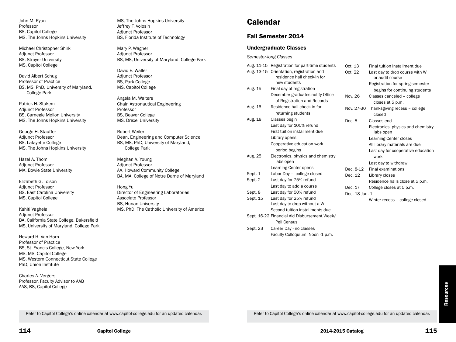John M. Ryan Professor BS, Capitol College MS, The Johns Hopkins University

Michael Christopher Shirk Adjunct Professor BS, Strayer University MS, Capitol College

David Albert Schug Professor of Practice BS, MS, PhD, University of Maryland, College Park

Patrick H. Stakem Adjunct Professor BS, Carnegie Mellon University MS, The Johns Hopkins University

George H. Stauffer Adjunct Professor BS, Lafayette College MS, The Johns Hopkins University

Hazel A. Thom Adjunct Professor MA, Bowie State University

Elizabeth G. Tolson Adjunct Professor BS, East Carolina University MS, Capitol College

Kshiti Vaghela Adjunct Professor BA, California State College, Bakersfield MS, University of Maryland, College Park

Howard H. Van Horn Professor of Practice BS, St. Francis College, New York MS, MS, Capitol College MS, Western Connecticut State College PhD, Union Institute

Charles A. Vergers Professor, Faculty Advisor to AAB AAS, BS, Capitol College

MS, The Johns Hopkins University Jeffrey F. Volosin Adjunct Professor BS, Florida Institute of Technology

Mary P. Wagner Adjunct Professor BS, MS, University of Maryland, College Park

David E. Waller Adjunct Professor BS, Park College MS, Capitol College

Angela M. Walters Chair, Astronautical Engineering Professor BS, Beaver College MS, Drexel University

Robert Weiler Dean, Engineering and Computer Science BS, MS, PhD, University of Maryland, College Park

Meghan A. Young Adjunct Professor AA, Howard Community College BA, MA, College of Notre Dame of Maryland

Hong Yu Director of Engineering Laboratories Associate Professor BS, Hunan University MS, PhD, The Catholic University of America **Calendar** 

# Fall Semester 2014

### Undergraduate Classes

*Semester-long Classes*

|          | Aug. 11-15 Registration for part-time students                          | Oct. 13 |                | <b>Final tuiti</b> |
|----------|-------------------------------------------------------------------------|---------|----------------|--------------------|
|          | Aug. 13-15 Orientation, registration and<br>residence hall check-in for | Oct. 22 |                | Last day<br>or aud |
|          | new students                                                            |         |                | Registrat          |
| Aug. 15  | Final day of registration                                               |         |                | begins             |
|          | December graduates notify Office                                        | Nov. 26 |                | Classes o          |
|          | of Registration and Records                                             |         |                | closes             |
| Aug. 16  | Residence hall check-in for                                             |         | Nov. 27-30     | Thanksgi           |
|          | returning students                                                      |         |                | closed             |
| Aug. 18  | Classes begin                                                           | Dec. 5  |                | Classes            |
|          | Last day for 100% refund                                                |         |                | Electroni          |
|          | First tuition installment due                                           |         |                | labs op            |
|          | Library opens                                                           |         |                | Learning           |
|          | Cooperative education work                                              |         |                | All library        |
|          | period begins                                                           |         |                | Last day           |
| Aug. 25  | Electronics, physics and chemistry                                      |         |                | work               |
|          | labs open                                                               |         |                | Last day           |
|          | <b>Learning Center opens</b>                                            |         | Dec. 8-12      | Final exa          |
| Sept. 1  | Labor Day - college closed                                              | Dec. 12 |                | Library cl         |
| Sept. 2  | Last day for 75% refund                                                 |         |                | Residend           |
|          | Last day to add a course                                                | Dec. 17 |                | College c          |
| Sept. 8  | Last day for 50% refund                                                 |         | Dec. 18-Jan. 1 |                    |
| Sept. 15 | Last day for 25% refund                                                 |         |                | Winter re          |
|          | Last day to drop without a W                                            |         |                |                    |
|          | Second tuition installments due                                         |         |                |                    |
|          | Sept. 16-22 Financial Aid Disbursement Week/                            |         |                |                    |
|          | Pell Census                                                             |         |                |                    |
| Sept. 23 | Career Day - no classes                                                 |         |                |                    |
|          | Faculty Colloquium, Noon -1 p.m.                                        |         |                |                    |

| Oct. 13        | Final tuition installment due      |
|----------------|------------------------------------|
| Oct. 22        | Last day to drop course with W     |
|                | or audit course                    |
|                | Registration for spring semester   |
|                | begins for continuing students     |
| Nov. 26        | Classes canceled - college         |
|                | closes at 5 p.m.                   |
| Nov. 27-30     | Thanksgiving recess - college      |
|                | closed                             |
| Dec. 5         | Classes end                        |
|                | Electronics, physics and chemistry |
|                | labs open                          |
|                | <b>Learning Center closes</b>      |
|                | All library materials are due      |
|                | Last day for cooperative education |
|                | work                               |
|                | Last day to withdraw               |
| Dec. 8-12      | <b>Final examinations</b>          |
| Dec. 12        | Library closes                     |
|                | Residence halls close at 5 p.m.    |
| Dec. 17        | College closes at 5 p.m.           |
| Dec. 18-Jan. 1 |                                    |
|                | Winter recess - college closed     |
|                |                                    |

**Resources** Resources

Refer to Capitol College's online calendar at www.capitol-college.edu for an updated calendar.

Refer to Capitol College's online calendar at www.capitol-college.edu for an updated calendar.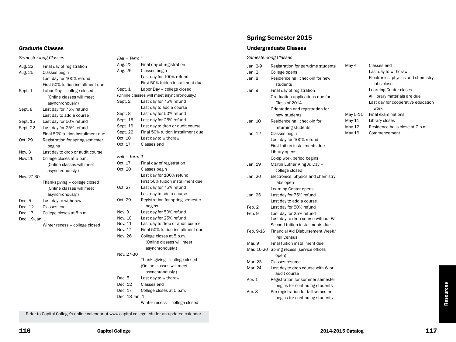### Graduate Classes

### *Fall – Term I* Aug. 22 Final day of registration Aug. 25 Classes begin Last day for 100% refund First 50% tuition installment due Sept. 1 Labor Day – college closed (Online classes will meet asynchronously.) Sept. 2 Last day for 75% refund Last day to add a course Sept. 8 Last day for 50% refund Sept. 15 Last day for 25% refund Sept. 16 Last day to drop or audit course Sept. 22 Final 50% tuition installment due Oct. 10 Last day to withdraw Oct. 17 Classes end *Fall – Term II* Oct. 17 Final day of registration Oct. 20 Classes begin Last day for 100% refund First 50% tuition installment due Oct. 27 Last day for 75% refund Last day to add a course Oct. 29 Registration for spring semester begins Nov. 3 Last day for 50% refund Nov. 10 Last day for 25% refund Nov. 11 Last day to drop or audit course Nov. 17 Final 50% tuition installment due Nov. 26 College closes at 5 p.m. (Online classes will meet asynchronously.) Nov. 27-30 Thanksgiving – college closed (Online classes will meet asynchronously.) Dec. 5 Last day to withdraw Dec. 12 Classes end Dec. 17 College closes at 5 p.m. Dec. 18-Jan. 1 Winter recess – college closed

# Spring Semester 2015

### Undergraduate Classes

#### *Semester-long Classes*

| Jan. 2-9   | Registration for part-time students | May 4    |
|------------|-------------------------------------|----------|
| Jan. 2     | College opens                       |          |
| Jan. 8     | Residence hall check-in for new     |          |
|            | students                            |          |
| Jan. 9     | Final day of registration           |          |
|            | Graduation applications due for     |          |
|            | Class of 2014                       |          |
|            | Orientation and registration for    |          |
|            | new students                        | May 5-11 |
| Jan. 10    | Residence hall check-in for         | May 11   |
|            | returning students                  | May 12   |
| Jan. 12    | Classes begin                       | May 16   |
|            | Last day for 100% refund            |          |
|            | First tuition installments due      |          |
|            | Library opens                       |          |
|            | Co-op work period begins            |          |
| Jan. 19    | Martin Luther King Jr. Day -        |          |
|            | college closed                      |          |
| Jan. 20    | Electronics, physics and chemistry  |          |
|            | labs open                           |          |
|            | Learning Center opens               |          |
| Jan. 26    | Last day for 75% refund             |          |
|            | Last day to add a course            |          |
| Feb. 2     | Last day for 50% refund             |          |
| Feb. 9     | Last day for 25% refund             |          |
|            | Last day to drop course without W   |          |
|            | Second tuition installments due     |          |
| Feb. 9-16  | Financial Aid Disbursement Week/    |          |
|            | Pell Census                         |          |
| Mar. 9     | Final tuition installment due       |          |
| Mar. 16-20 | Spring recess (service offices      |          |
|            | open)                               |          |
| Mar. 23    | Classes resume                      |          |
| Mar. 24    | Last day to drop course with W or   |          |
|            | audit course                        |          |
| Apr. 1     | Registration for summer semester    |          |
|            | begins for continuing students      |          |
| Apr. 8     | Pre-registration for fall semester  |          |
|            | begins for continuing students      |          |

| May 4    | Classes end                        |
|----------|------------------------------------|
|          | Last day to withdraw               |
|          | Electronics, physics and chemistry |
|          | labs close                         |
|          | <b>Learning Center closes</b>      |
|          | All library materials are due      |
|          | Last day for cooperative education |
|          | work                               |
| May 5-11 | <b>Final examinations</b>          |
| May 11   | Library closes                     |
| May 12   | Residence halls close at 7 p.m.    |
| May 16   | Commencement                       |

Refer to Capitol College's online calendar at www.capitol-college.edu for an updated calendar.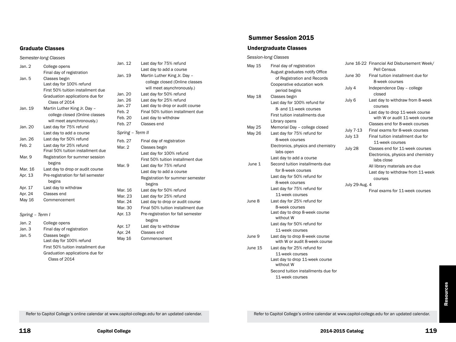#### Graduate Classes

#### *Semester-long Classes*

| Jan. 2          | College opens                      |
|-----------------|------------------------------------|
|                 | Final day of registration          |
| Jan. 5          | Classes begin                      |
|                 | Last day for 100% refund           |
|                 | First 50% tuition installment due  |
|                 | Graduation applications due for    |
|                 | Class of 2014                      |
| Jan. 19         | Martin Luther King Jr. Day -       |
|                 | college closed (Online classes     |
|                 | will meet asynchronously.)         |
| Jan. 20         | Last day for 75% refund            |
|                 | Last day to add a course           |
| Jan. 26         | Last day for 50% refund            |
| Feb. 2          | Last day for 25% refund            |
|                 | Final 50% tuition installment due  |
| Mar. 9          | Registration for summer session    |
|                 | begins                             |
| Mar. 16         | Last day to drop or audit course   |
| Apr. 13         | Pre-registration for fall semester |
|                 | begins                             |
| Apr. 17         | Last day to withdraw               |
| Apr. 24         | Classes end                        |
| May 16          | Commencement                       |
|                 |                                    |
| Spring - Term I |                                    |
| Jan. 2          | College opens                      |
| lan 3           | Final day of registration          |

| Jan. 3 | Final day of registration         |
|--------|-----------------------------------|
| Jan. 5 | Classes begin                     |
|        | Last day for 100% refund          |
|        | First 50% tuition installment due |
|        | Graduation applications due for   |
|        | Class of 2014                     |
|        |                                   |

| Jan. 12          | Last day for 75% refund            |
|------------------|------------------------------------|
|                  | Last day to add a course           |
| Jan. 19          | Martin Luther King Jr. Day -       |
|                  | college closed (Online classes     |
|                  | will meet asynchronously.)         |
| Jan. 20          | Last day for 50% refund            |
| Jan. 26          | Last day for 25% refund            |
| Jan. 27          | Last day to drop or audit course   |
| Feb. 2           | Final 50% tuition installment due  |
| Feb. 20          | Last day to withdraw               |
| Feb. 27          | Classes end                        |
| Spring - Term II |                                    |
| Feb. 27          | Final day of registration          |
| Mar. 2           | Classes begin                      |
|                  | Last day for 100% refund           |
|                  | First 50% tuition installment due  |
| Mar. 9           | Last day for 75% refund            |
|                  | Last day to add a course           |
|                  | Registration for summer semester   |
|                  | begins                             |
| Mar. 16          | Last day for 50% refund            |
| Mar. 23          | Last day for 25% refund            |
| Mar. 24          | Last day to drop or audit course   |
| Mar. 30          | Final 50% tuition installment due  |
| Apr. 13          | Pre-registration for fall semester |
|                  | begins                             |
| Apr. 17          | Last day to withdraw               |
| Apr. 24          | Classes end                        |
| May 16           | Commencement                       |
|                  |                                    |

### Summer Session 2015

### Undergraduate Classes

*Session-long Classes* May 15 Final day of registration August graduates notify Office of Registration and Records Cooperative education work period begins May 18 Classes begin Last day for 100% refund for 8- and 11-week courses First tuition installments due Library opens May 25 Memorial Day – college closed May 26 Last day for 75% refund for 8-week courses Electronics, physics and chemistry labs open Last day to add a course June 1 Second tuition installments due for 8-week courses Last day for 50% refund for 8-week courses Last day for 75% refund for 11-week courses June 8 Last day for 25% refund for 8-week courses Last day to drop 8-week course without W Last day for 50% refund for 11-week courses June 9 Last day to drop 8-week course with W or audit 8-week course June 15 Last day for 25% refund for 11-week courses Last day to drop 11-week course without W Second tuition installments due for 11-week courses June 16-22 Financial Aid Disbursement Week/ Pell Census June 30 Final tuition installment due for 8-week courses July 4 Independence Day – college closed July 6 Last day to withdraw from 8-week courses Last day to drop 11-week course with W or audit 11-week course Classes end for 8-week courses July 7-13 Final exams for 8-week courses July 13 Final tuition installment due for 11-week courses July 28 Classes end for 11-week courses Electronics, physics and chemistry labs close All library materials are due Last day to withdraw from 11-week courses July 29-Aug. 4 Final exams for 11-week courses

> Resources Resources

Refer to Capitol College's online calendar at www.capitol-college.edu for an updated calendar.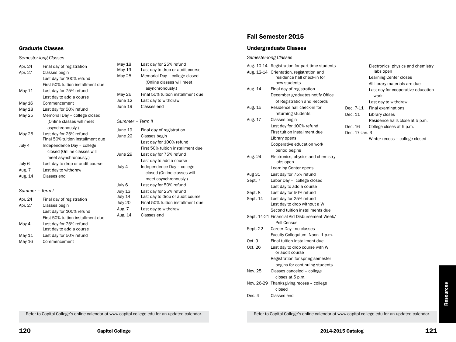### Graduate Classes

#### *Semester-long Classes*

| Apr. 24         | Final day of registration         |
|-----------------|-----------------------------------|
| Apr. 27         | Classes begin                     |
|                 | Last day for 100% refund          |
|                 | First 50% tuition installment due |
| May 11          | Last day for 75% refund           |
|                 | Last day to add a course          |
| May 16          | Commencement                      |
| May 18          | Last day for 50% refund           |
| May 25          | Memorial Day - college closed     |
|                 | (Online classes will meet         |
|                 | asynchronously.)                  |
| May 26          | Last day for 25% refund           |
|                 | Final 50% tuition installment due |
| July 4          | Independence Day - college        |
|                 | closed (Online classes will       |
|                 | meet asynchronously.)             |
| July 6          | Last day to drop or audit course  |
| Aug. 7          | Last day to withdraw              |
| Aug. 14         | Classes end                       |
|                 |                                   |
| Summer – Term I |                                   |
| Apr. 24         | Final day of registration         |
| Apr. 27         | Classes begin                     |
|                 | Last day for 100% refund          |

First 50% tuition installment due

Last day to add a course

May 4 Last day for 75% refund

May 11 Last day for 50% refund May 16 Commencement

| May 18           | Last day for 25% refund           |
|------------------|-----------------------------------|
| May 19           | Last day to drop or audit course  |
| May 25           | Memorial Day - college closed     |
|                  | (Online classes will meet         |
|                  | asynchronously.)                  |
| May 26           | Final 50% tuition installment due |
| June 12          | Last day to withdraw              |
| June 19          | Classes end                       |
| Summer – Term II |                                   |
| June 19          | Final day of registration         |
| June 22          | Classes begin                     |
|                  | Last day for 100% refund          |
|                  | First 50% tuition installment due |
| June 29          | Last day for 75% refund           |
|                  | Last day to add a course          |
| July 4           | Independence Day - college        |
|                  | closed (Online classes will       |
|                  | meet asynchronously.)             |
| July 6           | Last day for 50% refund           |
| July 13          | Last day for 25% refund           |
| July 14          | Last day to drop or audit course  |
| July 20          | Final 50% tuition installment due |
| Aug. 7           | Last day to withdraw              |
| Aug. 14          | Classes end                       |
|                  |                                   |
|                  |                                   |

# Fall Semester 2015

### Undergraduate Classes

#### *Semester-long Classes*

|          | Aug. 10-14 Registration for part-time students              |           |                | Ele |
|----------|-------------------------------------------------------------|-----------|----------------|-----|
|          | Aug. 12-14 Orientation, registration and                    |           |                |     |
|          | residence hall check-in for                                 |           |                | Le  |
|          | new students                                                |           |                | All |
| Aug. 14  | Final day of registration                                   |           |                | La  |
|          | December graduates notify Office                            |           |                |     |
|          | of Registration and Records<br>Residence hall check-in for  |           |                | La  |
| Aug. 15  |                                                             | Dec. 7-11 |                | Fir |
|          | returning students                                          | Dec. 11   |                | Lit |
| Aug. 17  | Classes begin                                               |           |                | Re  |
|          | Last day for 100% refund                                    | Dec. 16   |                | Co  |
|          | First tuition installment due                               |           | Dec. 17-Jan. 3 |     |
|          | Library opens<br>Cooperative education work                 |           |                | Wi  |
|          |                                                             |           |                |     |
| Aug. 24  | period begins<br>Electronics, physics and chemistry         |           |                |     |
|          | labs open                                                   |           |                |     |
|          | Learning Center opens                                       |           |                |     |
| Aug 31   | Last day for 75% refund                                     |           |                |     |
| Sept. 7  | Labor Day - college closed                                  |           |                |     |
|          | Last day to add a course                                    |           |                |     |
| Sept. 8  | Last day for 50% refund                                     |           |                |     |
| Sept. 14 | Last day for 25% refund                                     |           |                |     |
|          | Last day to drop without a W                                |           |                |     |
|          | Second tuition installments due                             |           |                |     |
|          | Sept. 14-21 Financial Aid Disbursement Week/<br>Pell Census |           |                |     |
| Sept. 22 | Career Day - no classes                                     |           |                |     |
|          | Faculty Colloquium, Noon -1 p.m.                            |           |                |     |
| Oct. 9   | Final tuition installment due                               |           |                |     |
| Oct. 26  | Last day to drop course with W<br>or audit course           |           |                |     |
|          | Registration for spring semester                            |           |                |     |
|          | begins for continuing students                              |           |                |     |
| Nov. 25  | Classes canceled - college                                  |           |                |     |
|          | closes at 5 p.m.                                            |           |                |     |
|          | Nov. 26-29 Thanksgiving recess - college                    |           |                |     |
|          | closed                                                      |           |                |     |
| Dec. 4   | Classes end                                                 |           |                |     |
|          |                                                             |           |                |     |

ectronics, physics and chemistry labs open earning Center closes Ilibrary materials are due ast day for cooperative education work st day to withdraw nal examinations orary closes esidence halls close at 5 p.m. ollege closes at 5 p.m.

inter recess - college closed

Refer to Capitol College's online calendar at www.capitol-college.edu for an updated calendar. Refer to Capitol College's online calendar at www.capitol-college.edu for an updated calendar.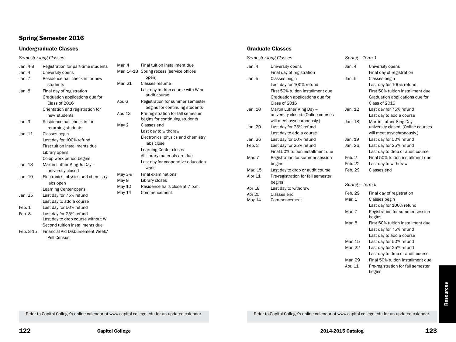# Spring Semester 2016

# Undergraduate Classes

*Semester-long Classes*

| Jan. 4-8  | Registration for part-time students | M  |
|-----------|-------------------------------------|----|
| Jan. 4    | University opens                    | M  |
| Jan. 7    | Residence hall check-in for new     |    |
|           | students                            | M  |
| Jan. 8    | Final day of registration           |    |
|           | Graduation applications due for     |    |
|           | Class of 2016                       | A۱ |
|           | Orientation and registration for    |    |
|           | new students                        | A۱ |
| Jan. 9    | Residence hall check-in for         | M  |
|           | returning students                  |    |
| Jan. 11   | Classes begin                       |    |
|           | Last day for 100% refund            |    |
|           | First tuition installments due      |    |
|           | Library opens                       |    |
|           | Co-op work period begins            |    |
| Jan. 18   | Martin Luther King Jr. Day -        |    |
|           | university closed                   | M  |
| Jan. 19   | Electronics, physics and chemistry  | M  |
|           | labs open                           | M  |
|           | Learning Center opens               | M  |
| Jan. 25   | Last day for 75% refund             |    |
|           | Last day to add a course            |    |
| Feb. 1    | Last day for 50% refund             |    |
| Feb. 8    | Last day for 25% refund             |    |
|           | Last day to drop course without W   |    |
|           | Second tuition installments due     |    |
| Feb. 8-15 | Financial Aid Disbursement Week/    |    |

Pell Census

| Mar. 4  | Final tuition installment due                     |
|---------|---------------------------------------------------|
|         | Mar. 14-18 Spring recess (service offices         |
|         | open)                                             |
| Mar. 21 | Classes resume                                    |
|         | Last day to drop course with W or<br>audit course |
| Apr. 6  | Registration for summer semester                  |
|         | begins for continuing students                    |
| Apr. 13 | Pre-registration for fall semester                |
|         | begins for continuing students                    |
| May 2   | Classes end                                       |
|         | Last day to withdraw                              |
|         | Electronics, physics and chemistry                |
|         | labs close                                        |
|         | <b>Learning Center closes</b>                     |
|         | All library materials are due                     |
|         | Last day for cooperative education                |
|         | work                                              |
| May 3-9 | <b>Final examinations</b>                         |

- May 9 Library closes
- Aay 10 Residence halls close at 7 p.m.
- Aay 14 Commencement

### Graduate Classes

| Semester-long Classes |         |                                    | Spring - Term 1   |                                    |
|-----------------------|---------|------------------------------------|-------------------|------------------------------------|
|                       | Jan. 4  | University opens                   | Jan. 4            | University opens                   |
|                       |         | Final day of registration          |                   | Final day of registration          |
|                       | Jan. 5  | Classes begin                      | Jan. 5            | Classes begin                      |
|                       |         | Last day for 100% refund           |                   | Last day for 100% refund           |
|                       |         | First 50% tuition installment due  |                   | First 50% tuition installment due  |
|                       |         | Graduation applications due for    |                   | Graduation applications due for    |
|                       |         | Class of 2016                      |                   | Class of 2016                      |
|                       | Jan. 18 | Martin Luther King Day --          | Jan. 12           | Last day for 75% refund            |
|                       |         | university closed. (Online courses |                   | Last day to add a course           |
|                       |         | will meet asynchronously.)         | Jan. 18           | Martin Luther King Day --          |
|                       | Jan. 20 | Last day for 75% refund            |                   | university closed. (Online courses |
|                       |         | Last day to add a course           |                   | will meet asynchronously.)         |
|                       | Jan. 26 | Last day for 50% refund            | Jan. 19           | Last day for 50% refund            |
|                       | Feb. 2  | Last day for 25% refund            | Jan. 26           | Last day for 25% refund            |
|                       |         | Final 50% tuition installment due  |                   | Last day to drop or audit course   |
|                       | Mar. 7  | Registration for summer session    | Feb. 2            | Final 50% tuition installment due  |
|                       |         | begins                             | Feb. 22           | Last day to withdraw               |
|                       | Mar. 15 | Last day to drop or audit course   | Feb. 29           | Classes end                        |
|                       | Alpr 11 | Pre-registration for fall semester |                   |                                    |
| begins                |         |                                    | Spring -- Term II |                                    |
|                       | Apr 18  | Last day to withdraw               |                   |                                    |
|                       | Apr 25  | Classes end                        | Feb. 29           | Final day of registration          |
|                       | May 14  | Commencement                       | Mar. 1            | Classes begin                      |
|                       |         |                                    |                   | Last day for 100% refund           |

|                  | Last day to drop or audit course             |
|------------------|----------------------------------------------|
| Feb. 2           | Final 50% tuition installment due            |
| Feb. 22          | Last day to withdraw                         |
| Feb. 29          | Classes end                                  |
| Spring – Term II |                                              |
| Feb. 29          | Final day of registration                    |
| Mar. 1           | Classes begin                                |
|                  | Last day for 100% refund                     |
| Mar. 7           | Registration for summer session              |
|                  | begins                                       |
| Mar. 8           | First 50% tuition installment due            |
|                  | Last day for 75% refund                      |
|                  | Last day to add a course                     |
| Mar. 15          | Last day for 50% refund                      |
| Mar. 22          | Last day for 25% refund                      |
|                  | Last day to drop or audit course             |
| Mar. 29          | Final 50% tuition installment due            |
| Apr. 11          | Pre-registration for fall semester<br>begins |

Refer to Capitol College's online calendar at www.capitol-college.edu for an updated calendar. Refer to Capitol College's online calendar at www.capitol-college.edu for an updated calendar.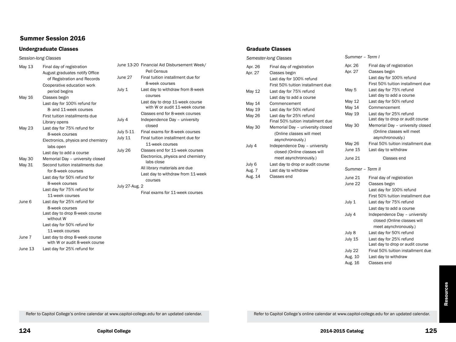# Summer Session 2016

# Undergraduate Classes

*Session-long Classes*

| May 13  | Final day of registration          | Jun  |
|---------|------------------------------------|------|
|         | August graduates notify Office     |      |
|         | of Registration and Records        | Jun  |
|         | Cooperative education work         |      |
|         | period begins                      | July |
| May 16  | Classes begin                      |      |
|         | Last day for 100% refund for       |      |
|         | 8- and 11-week courses             |      |
|         | First tuition installments due     |      |
|         | Library opens                      | July |
| May 23  | Last day for 75% refund for        |      |
|         | 8-week courses                     | July |
|         | Electronics, physics and chemistry | July |
|         | labs open                          |      |
|         | Last day to add a course           | July |
| May 30  | Memorial Day - university closed   |      |
| May 31  | Second tuition installments due    |      |
|         | for 8-week courses                 |      |
|         | Last day for 50% refund for        |      |
|         | 8-week courses                     |      |
|         | Last day for 75% refund for        | July |
|         | 11-week courses                    |      |
| June 6  | Last day for 25% refund for        |      |
|         | 8-week courses                     |      |
|         | Last day to drop 8-week course     |      |
|         | without W                          |      |
|         | Last day for 50% refund for        |      |
|         | 11-week courses                    |      |
| June 7  | Last day to drop 8-week course     |      |
|         | with W or audit 8-week course      |      |
| June 13 | Last day for 25% refund for        |      |

|                | June 13-20 Financial Aid Disbursement Week/                       |
|----------------|-------------------------------------------------------------------|
|                | Pell Census                                                       |
| June 27        | Final tuition installment due for                                 |
|                | 8-week courses                                                    |
| July 1         | Last day to withdraw from 8-week                                  |
|                | courses                                                           |
|                | Last day to drop 11-week course<br>with W or audit 11-week course |
|                | Classes end for 8-week courses                                    |
| July 4         | Independence Day - university                                     |
|                | closed                                                            |
| July 5-11      | Final exams for 8-week courses                                    |
| July 11        | Final tuition installment due for                                 |
|                | 11-week courses                                                   |
| July 26        | Classes end for 11-week courses                                   |
|                | Electronics, physics and chemistry<br>labs close                  |
|                | All library materials are due                                     |
|                | Last day to withdraw from 11-week                                 |
|                | courses                                                           |
| July 27-Aug. 2 |                                                                   |
|                | Final exams for 11-week courses                                   |
|                |                                                                   |
|                |                                                                   |
|                |                                                                   |

### Graduate Classes

| Semester-long Classes                    |                                                                                                                               | Summer - Term I            |                                                                                                                       |
|------------------------------------------|-------------------------------------------------------------------------------------------------------------------------------|----------------------------|-----------------------------------------------------------------------------------------------------------------------|
| Apr. 26<br>Apr. 27                       | Final day of registration<br>Classes begin<br>Last day for 100% refund<br>First 50% tuition installment due                   | Apr. 26<br>Apr. 27         | Final day of registration<br>Classes begin<br>Last day for 100% refund<br>First 50% tuition installment due           |
| May 12                                   | Last day for 75% refund<br>Last day to add a course                                                                           | May 5                      | Last day for 75% refund<br>Last day to add a course                                                                   |
| May 14<br><b>May 19</b><br><b>May 26</b> | Commencement<br>Last day for 50% refund                                                                                       | May 12<br>May 14<br>May 19 | Last day for 50% refund<br>Commencement<br>Last day for 25% refund                                                    |
| May 30                                   | Last day for 25% refund<br>Final 50% tuition installment due<br>Memorial Day - university closed<br>(Online classes will meet | <b>May 30</b>              | Last day to drop or audit course<br>Memorial Day - university closed<br>(Online classes will meet<br>asynchronously.) |
| July 4                                   | asynchronously.)<br>Independence Day - university<br>closed (Online classes will                                              | May 26<br>June 15          | Final 50% tuition installment due<br>Last day to withdraw                                                             |
|                                          | meet asynchronously.)                                                                                                         | June 21                    | Classes end                                                                                                           |
| July 6<br>Aug. 7                         | Last day to drop or audit course<br>Last day to withdraw                                                                      | Summer - Term II           |                                                                                                                       |
| Aug. 14                                  | Classes end                                                                                                                   | June 21<br>June 22         | Final day of registration<br>Classes begin<br>Last day for 100% refund<br>First 50% tuition installment due           |
|                                          |                                                                                                                               | July 1                     | Last day for 75% refund<br>Last day to add a course                                                                   |
|                                          |                                                                                                                               | July 4                     | Independence Day - university<br>closed (Online classes will<br>meet asynchronously.)                                 |
|                                          |                                                                                                                               | July 8                     | Last day for 50% refund                                                                                               |
|                                          |                                                                                                                               | July 15                    | Last day for 25% refund<br>Last day to drop or audit course                                                           |
|                                          |                                                                                                                               | July 22                    | Final 50% tuition installment due                                                                                     |
|                                          |                                                                                                                               | Aug. 10                    | Last day to withdraw                                                                                                  |

Refer to Capitol College's online calendar at www.capitol-college.edu for an updated calendar. Refer to Capitol College's online calendar at www.capitol-college.edu for an updated calendar.

Aug. 16 Classes end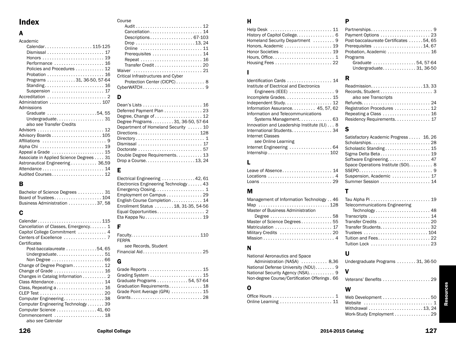# Index

# A

| Academic                                |
|-----------------------------------------|
| Calendar115-125                         |
|                                         |
|                                         |
| Performance  16                         |
| Policies and Procedures 12              |
| Probation  16                           |
| Programs 31, 36-50, 57-64               |
| Standing 16                             |
| Suspension  17                          |
|                                         |
| Administration  107                     |
| Admissions                              |
| Graduate 54,55                          |
| Undergraduate31                         |
| also see Transfer Credits               |
| Advisors  12                            |
| Advisory Boards  105                    |
|                                         |
|                                         |
| Appeal a Grade  15                      |
| Associate in Applied Science Degrees 31 |
| Astronautical Engineering 36,59         |
|                                         |
|                                         |
| Audited Courses 12                      |

# B

| Bachelor of Science Degrees  31 |  |
|---------------------------------|--|
|                                 |  |
| Business Administration 37, 58  |  |

# C

#### Course

| Cancellation $\ldots \ldots \ldots \ldots \ldots \ldots 14$ |
|-------------------------------------------------------------|
| Descriptions 67-103                                         |
|                                                             |
| Online  11                                                  |
| Prerequisites  14                                           |
|                                                             |
|                                                             |
|                                                             |
| Critical Infrastructures and Cyber                          |
| Protection Center (CICPC) 8                                 |
|                                                             |

# D

| Deferred Payment Plan 23            |
|-------------------------------------|
| Degree, Change of  12               |
| Degree Programs 31, 36-50, 57-64    |
|                                     |
| Department of Homeland Security  10 |
|                                     |
|                                     |
| Dismissal  17                       |
|                                     |
| Double Degree Requirements 13       |
|                                     |

# E

| Electrical Engineering 42, 61         |
|---------------------------------------|
| Electronics Engineering Technology 43 |
|                                       |
| Employment on Campus 29               |
| English Course Completion 14          |
| Enrollment Status  18, 31-35, 54-56   |
|                                       |
|                                       |

Faculty . . . . . . . . . . . . . . . . . . . . . . . . . . . . . 110 **FERPA** *see* Records, Student Financial Aid . . . . . . . . . . . . . . . . . . . . . . . . 25

# G

F

| Grade Reports  15             |
|-------------------------------|
|                               |
| Graduate Programs 54, 57-64   |
| Graduation Requirements 18    |
| Grade Point Average (GPA)  15 |
|                               |
|                               |

# H

| Help Desk  11                                                      |  |
|--------------------------------------------------------------------|--|
| History of Capitol College 6                                       |  |
| Homeland Security Department  9                                    |  |
|                                                                    |  |
|                                                                    |  |
|                                                                    |  |
| Housing Fees $\ldots \ldots \ldots \ldots \ldots \ldots \ldots 22$ |  |
|                                                                    |  |

# I

| Identification Cards  14                    |
|---------------------------------------------|
| Institute of Electrical and Electronics     |
|                                             |
| Incomplete Grades 15                        |
| Independent Study 12                        |
| Information Assurance 45, 57, 62            |
| Information and Telecommunications          |
| Systems Management 63                       |
| Innovation and Leadership Institute (ILI) 8 |
| International Students34                    |
| <b>Internet Classes</b>                     |
| see Online Learning                         |
|                                             |

| <b>SEE OTTILE LEATTING</b> |  |
|----------------------------|--|
| Internet Engineering  64   |  |
|                            |  |

# L

| Leave of Absence 14 |  |
|---------------------|--|
| Locations  4        |  |
|                     |  |

# M

| Management of Information Technology 46 |  |
|-----------------------------------------|--|
| Map 128                                 |  |
| Master of Business Administration       |  |
|                                         |  |
| Master of Science Degrees55             |  |
| Matriculation  17                       |  |
| Military Credits  20                    |  |
|                                         |  |

# N

| National Aeronautics and Space                 |
|------------------------------------------------|
| Administration (NASA)  8,36                    |
| National Defense University (NDU) 9            |
| National Security Agency (NSA) 9               |
| Non-degree Course/Certification Offerings . 66 |

# O

| $M+1$ |
|-------|

# P

| Post-baccalaureate Certificates 54, 65                          |
|-----------------------------------------------------------------|
| Prerequisites $\ldots \ldots \ldots \ldots \ldots \ldots 14,67$ |
| Probation, Academic  16                                         |
| Programs                                                        |
| Graduate 54, 57-64                                              |
| Undergraduate $\ldots$ 31, 36-50                                |

# $_{14}$  R

| Readmission13, 33           |  |
|-----------------------------|--|
| also see Transcripts        |  |
|                             |  |
| Registration Procedures  12 |  |
|                             |  |
| Residency Requirements 17   |  |
|                             |  |

# S

| Satisfactory Academic Progress  16, 26 |  |
|----------------------------------------|--|
| Scholarships28                         |  |
| Scholastic Standing 15                 |  |
|                                        |  |
| Software Engineering 47                |  |
| Space Operations Institute (SOI). 8    |  |
|                                        |  |
| Suspension, Academic 17                |  |
|                                        |  |
|                                        |  |

| Telecommunications Engineering |  |
|--------------------------------|--|
|                                |  |
|                                |  |
| Transcripts  14                |  |
|                                |  |
|                                |  |
| Trustees 104                   |  |
| Tuition and Fees22             |  |
|                                |  |
|                                |  |

# U

T

| Undergraduate Programs  31, 36-50 |  |  |
|-----------------------------------|--|--|
|-----------------------------------|--|--|

| V |                        |
|---|------------------------|
|   | Veterans' Benefits  29 |

| W                                                                   |  |
|---------------------------------------------------------------------|--|
| Web Development 50                                                  |  |
| Website $\ldots \ldots \ldots \ldots \ldots \ldots \ldots \ldots 1$ |  |
| Withdrawal 13.24                                                    |  |
| Work-Study Employment 29                                            |  |